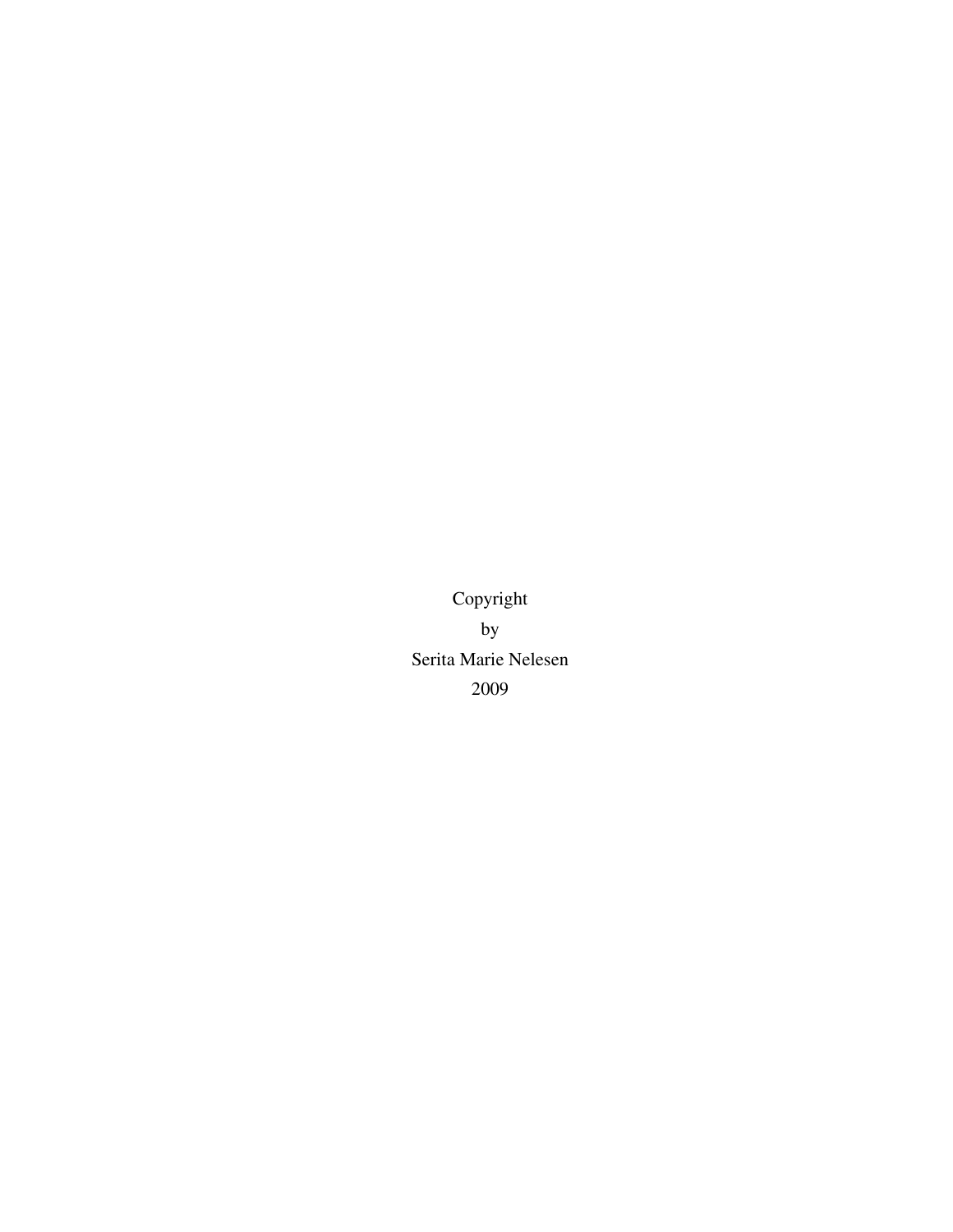Copyright by Serita Marie Nelesen 2009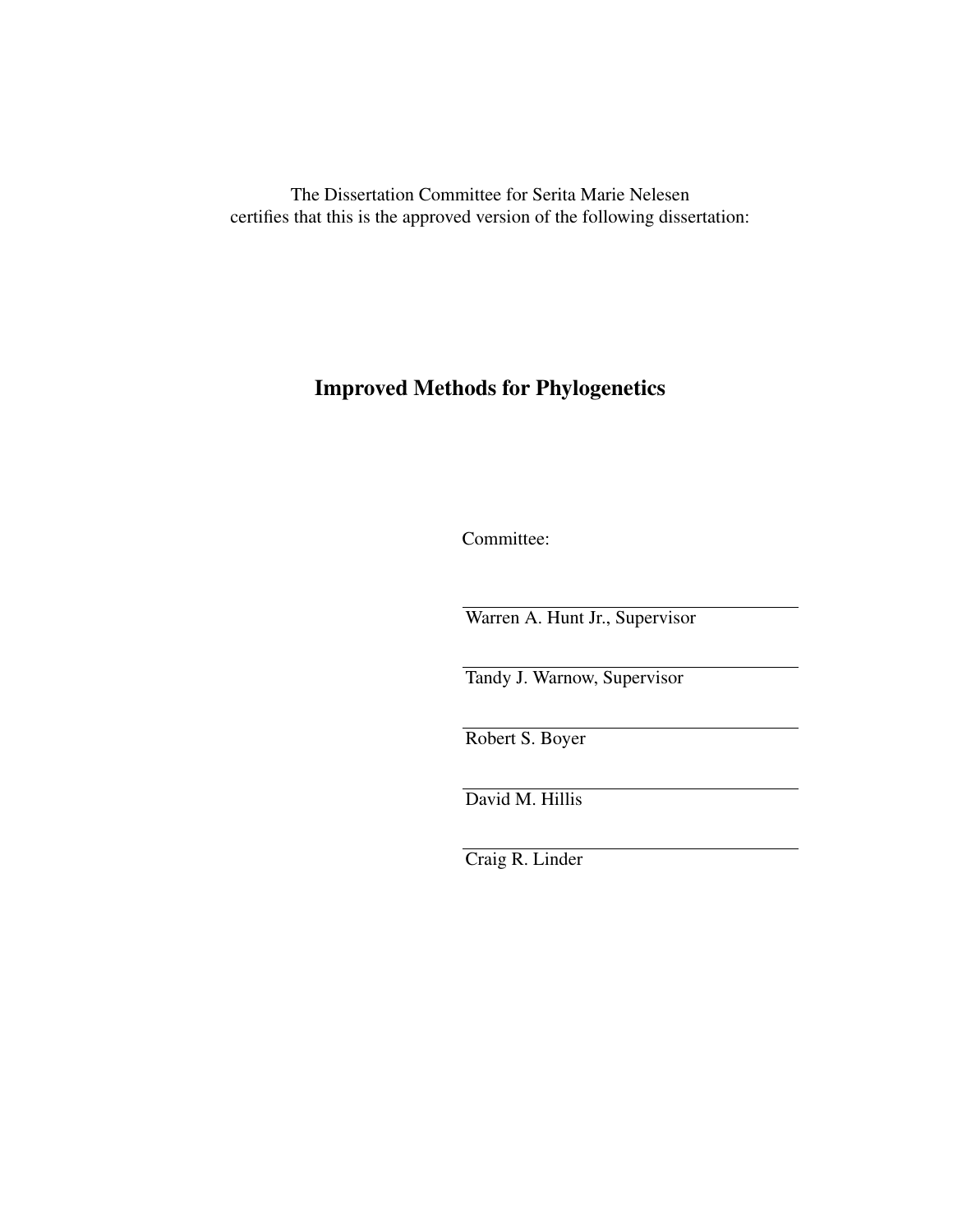The Dissertation Committee for Serita Marie Nelesen certifies that this is the approved version of the following dissertation:

# Improved Methods for Phylogenetics

Committee:

Warren A. Hunt Jr., Supervisor

Tandy J. Warnow, Supervisor

Robert S. Boyer

David M. Hillis

Craig R. Linder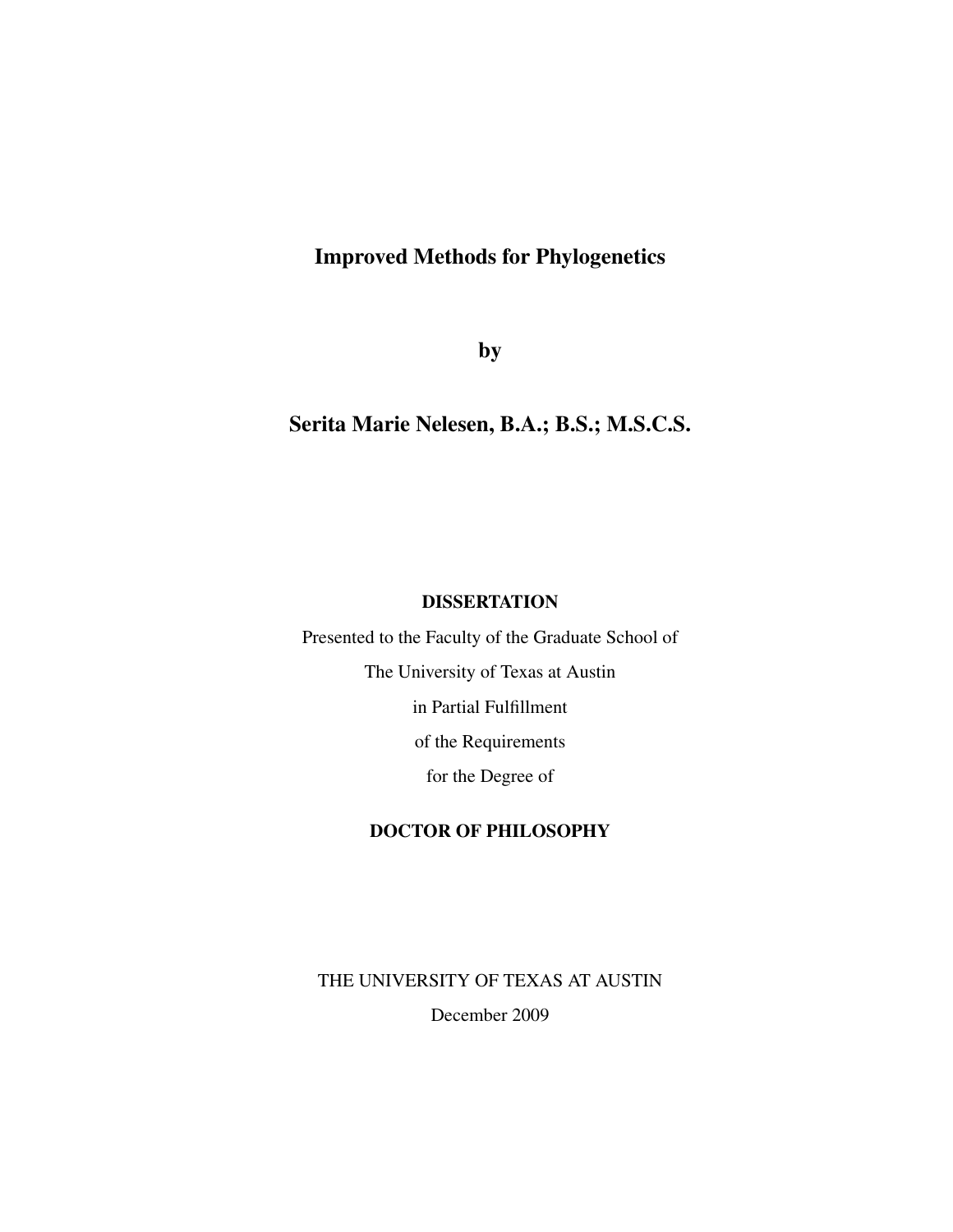## Improved Methods for Phylogenetics

by

## Serita Marie Nelesen, B.A.; B.S.; M.S.C.S.

### **DISSERTATION**

Presented to the Faculty of the Graduate School of The University of Texas at Austin in Partial Fulfillment of the Requirements for the Degree of

### DOCTOR OF PHILOSOPHY

THE UNIVERSITY OF TEXAS AT AUSTIN

December 2009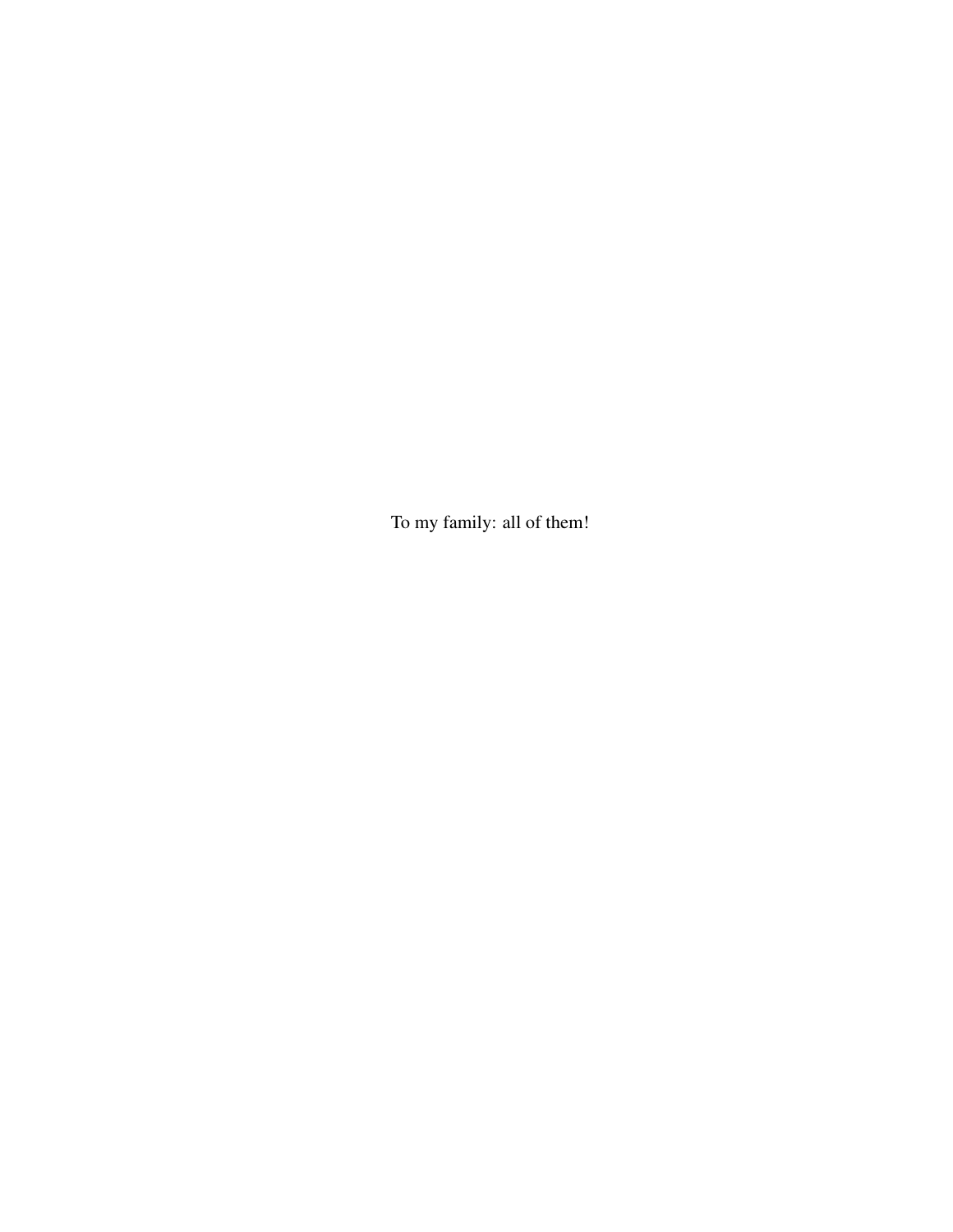To my family: all of them!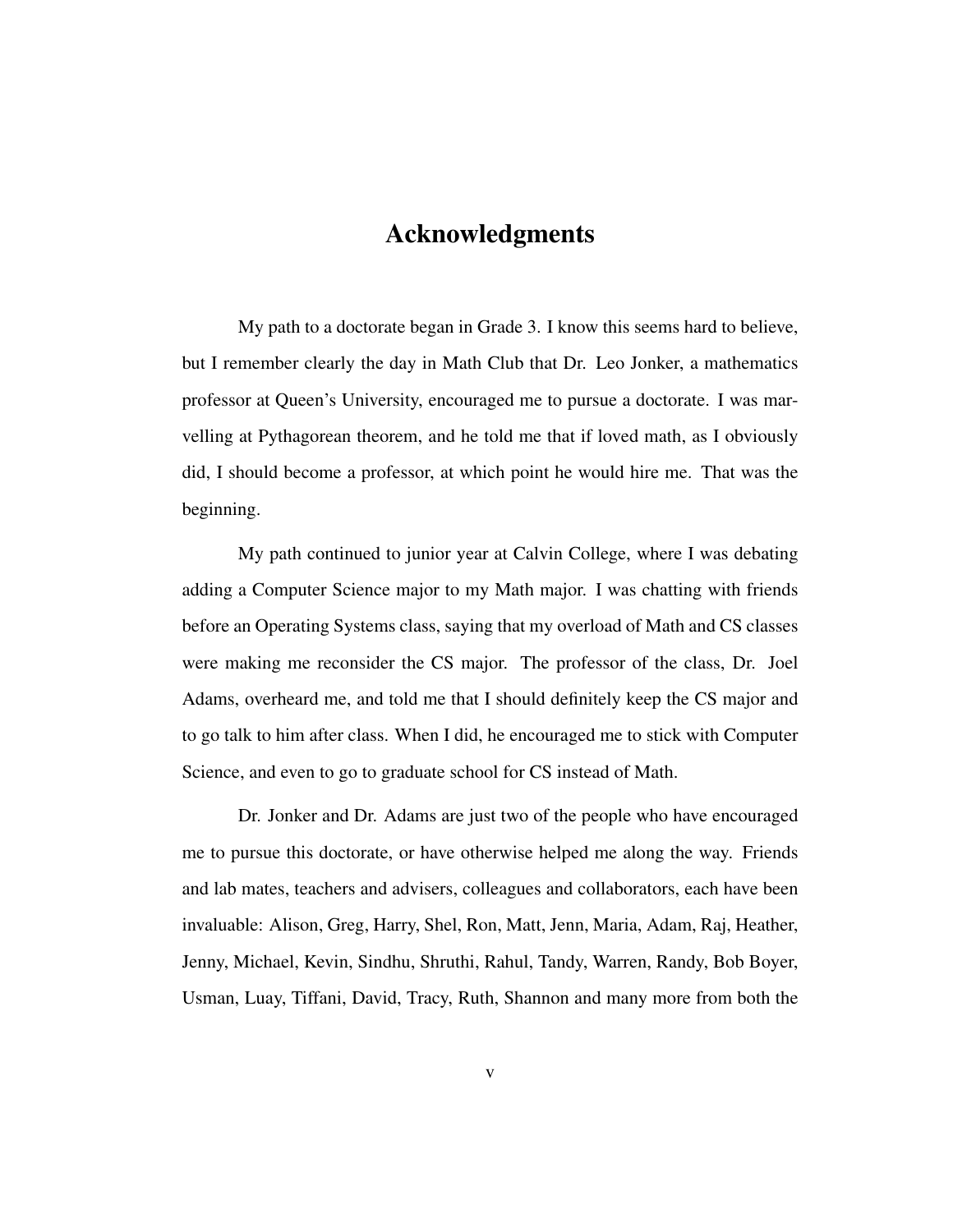## Acknowledgments

My path to a doctorate began in Grade 3. I know this seems hard to believe, but I remember clearly the day in Math Club that Dr. Leo Jonker, a mathematics professor at Queen's University, encouraged me to pursue a doctorate. I was marvelling at Pythagorean theorem, and he told me that if loved math, as I obviously did, I should become a professor, at which point he would hire me. That was the beginning.

My path continued to junior year at Calvin College, where I was debating adding a Computer Science major to my Math major. I was chatting with friends before an Operating Systems class, saying that my overload of Math and CS classes were making me reconsider the CS major. The professor of the class, Dr. Joel Adams, overheard me, and told me that I should definitely keep the CS major and to go talk to him after class. When I did, he encouraged me to stick with Computer Science, and even to go to graduate school for CS instead of Math.

Dr. Jonker and Dr. Adams are just two of the people who have encouraged me to pursue this doctorate, or have otherwise helped me along the way. Friends and lab mates, teachers and advisers, colleagues and collaborators, each have been invaluable: Alison, Greg, Harry, Shel, Ron, Matt, Jenn, Maria, Adam, Raj, Heather, Jenny, Michael, Kevin, Sindhu, Shruthi, Rahul, Tandy, Warren, Randy, Bob Boyer, Usman, Luay, Tiffani, David, Tracy, Ruth, Shannon and many more from both the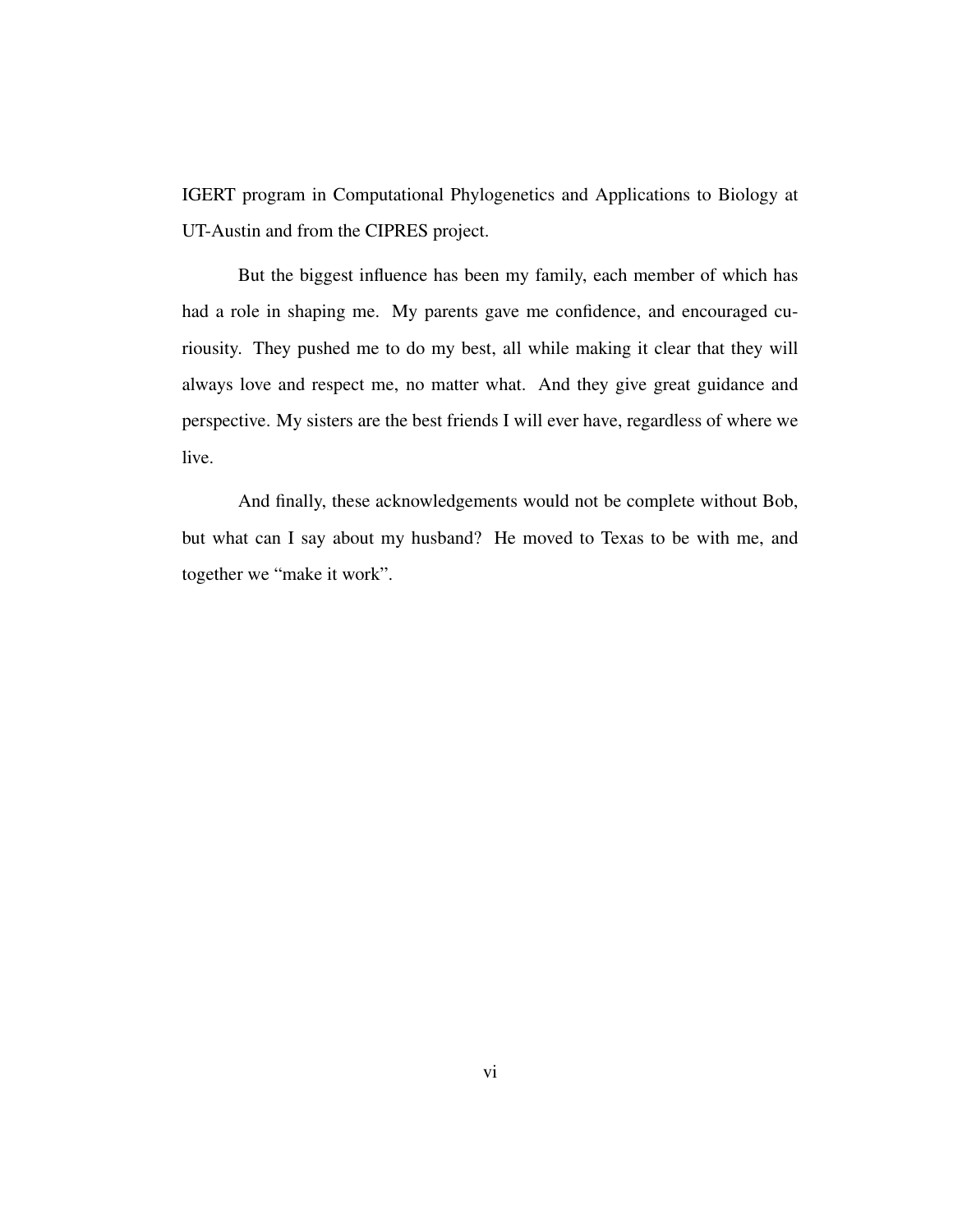IGERT program in Computational Phylogenetics and Applications to Biology at UT-Austin and from the CIPRES project.

But the biggest influence has been my family, each member of which has had a role in shaping me. My parents gave me confidence, and encouraged curiousity. They pushed me to do my best, all while making it clear that they will always love and respect me, no matter what. And they give great guidance and perspective. My sisters are the best friends I will ever have, regardless of where we live.

And finally, these acknowledgements would not be complete without Bob, but what can I say about my husband? He moved to Texas to be with me, and together we "make it work".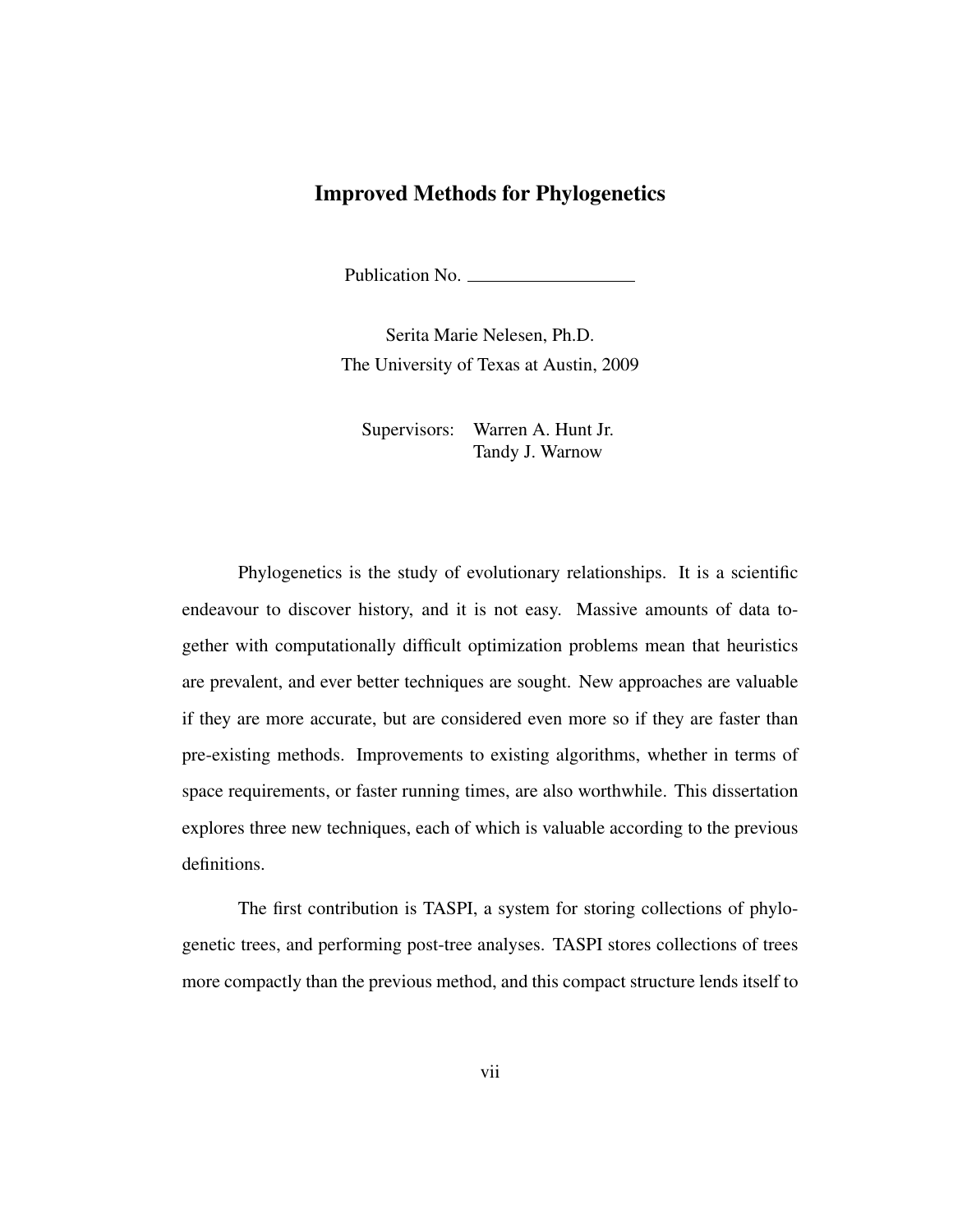## Improved Methods for Phylogenetics

Publication No.

Serita Marie Nelesen, Ph.D. The University of Texas at Austin, 2009

Supervisors: Warren A. Hunt Jr. Tandy J. Warnow

Phylogenetics is the study of evolutionary relationships. It is a scientific endeavour to discover history, and it is not easy. Massive amounts of data together with computationally difficult optimization problems mean that heuristics are prevalent, and ever better techniques are sought. New approaches are valuable if they are more accurate, but are considered even more so if they are faster than pre-existing methods. Improvements to existing algorithms, whether in terms of space requirements, or faster running times, are also worthwhile. This dissertation explores three new techniques, each of which is valuable according to the previous definitions.

The first contribution is TASPI, a system for storing collections of phylogenetic trees, and performing post-tree analyses. TASPI stores collections of trees more compactly than the previous method, and this compact structure lends itself to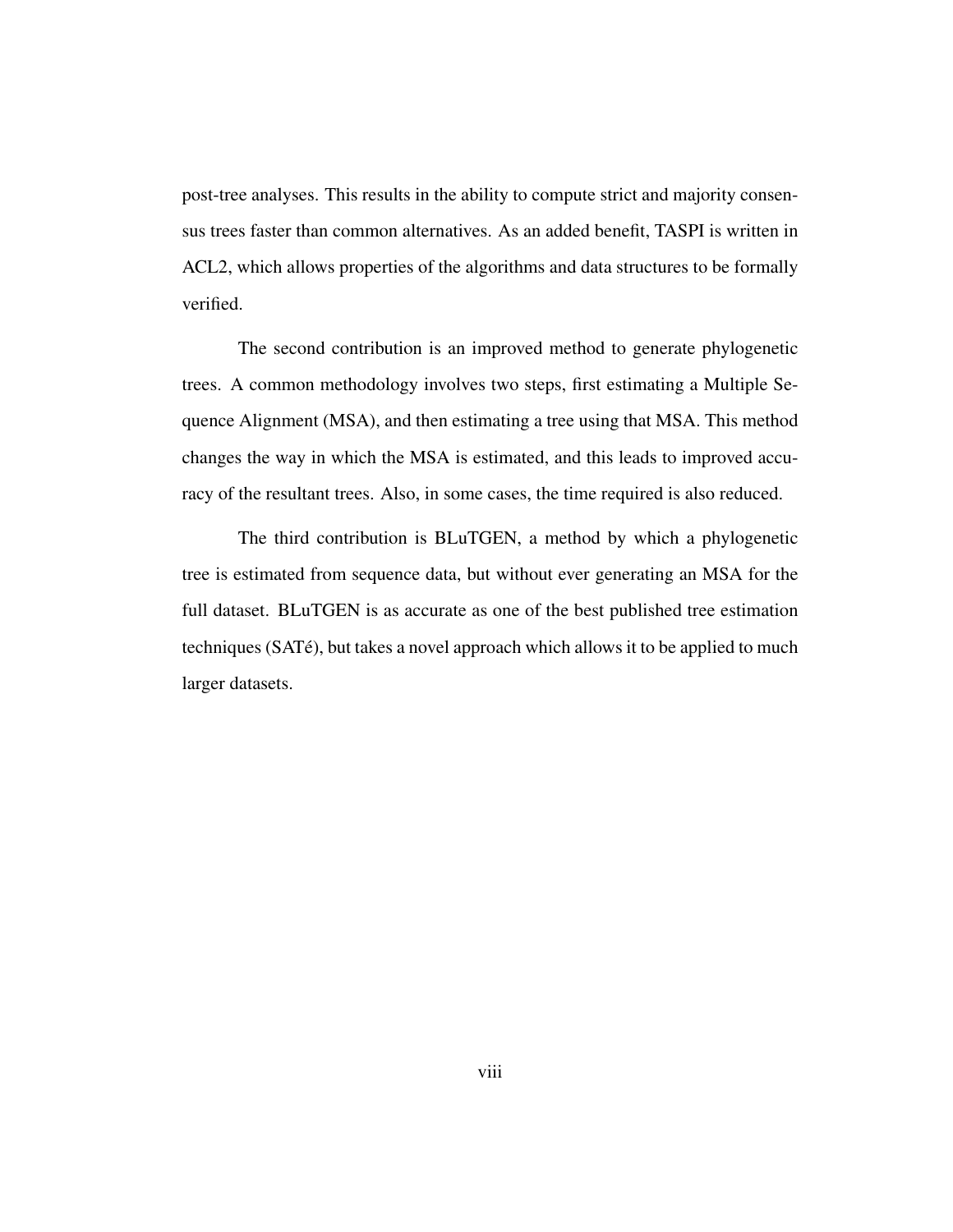post-tree analyses. This results in the ability to compute strict and majority consensus trees faster than common alternatives. As an added benefit, TASPI is written in ACL2, which allows properties of the algorithms and data structures to be formally verified.

The second contribution is an improved method to generate phylogenetic trees. A common methodology involves two steps, first estimating a Multiple Sequence Alignment (MSA), and then estimating a tree using that MSA. This method changes the way in which the MSA is estimated, and this leads to improved accuracy of the resultant trees. Also, in some cases, the time required is also reduced.

The third contribution is BLuTGEN, a method by which a phylogenetic tree is estimated from sequence data, but without ever generating an MSA for the full dataset. BLuTGEN is as accurate as one of the best published tree estimation techniques (SATé), but takes a novel approach which allows it to be applied to much larger datasets.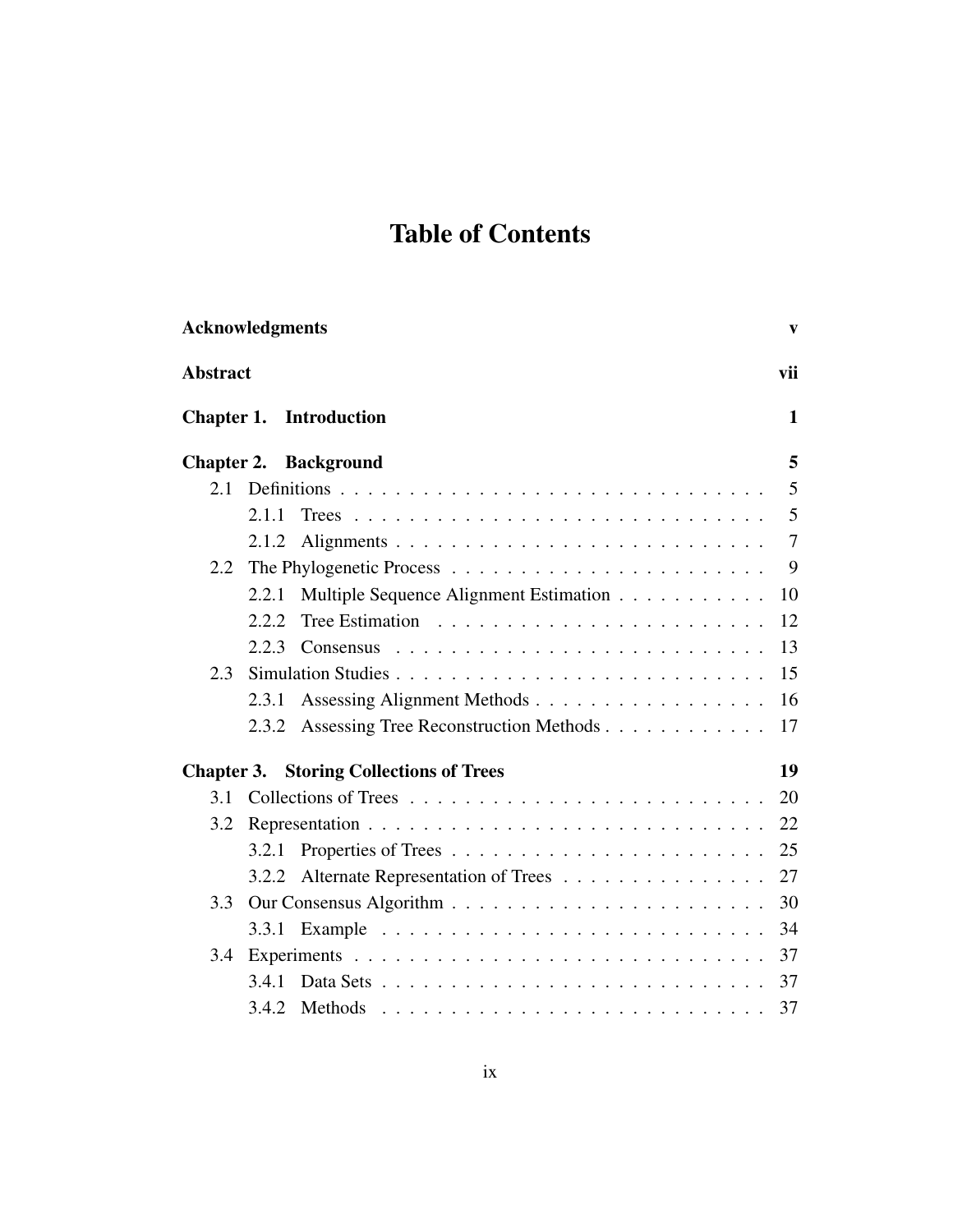# Table of Contents

|                   | <b>Acknowledgments</b>                          | $\mathbf{v}$   |
|-------------------|-------------------------------------------------|----------------|
| <b>Abstract</b>   |                                                 | vii            |
| Chapter 1.        | <b>Introduction</b>                             | $\mathbf{1}$   |
|                   | <b>Chapter 2. Background</b>                    | 5              |
| 2.1               |                                                 | 5              |
|                   | 2.1.1                                           | 5              |
|                   | 2.1.2                                           | $\overline{7}$ |
| 2.2               |                                                 | 9              |
|                   | Multiple Sequence Alignment Estimation<br>2.2.1 | 10             |
|                   | 2.2.2                                           | 12             |
|                   | 2.2.3                                           | 13             |
| 2.3               |                                                 | 15             |
|                   | Assessing Alignment Methods<br>2.3.1            | 16             |
|                   | Assessing Tree Reconstruction Methods<br>2.3.2  | 17             |
| <b>Chapter 3.</b> | <b>Storing Collections of Trees</b>             | 19             |
| 3.1               |                                                 | 20             |
| 3.2               |                                                 | 22             |
|                   | 3.2.1                                           | 25             |
|                   | Alternate Representation of Trees<br>3.2.2      | 27             |
| 3.3               |                                                 | 30             |
|                   |                                                 | 34             |
| 3.4               |                                                 | 37             |
|                   | 3.4.1<br>Data Sets                              | 37             |
|                   | 3.4.2                                           | 37             |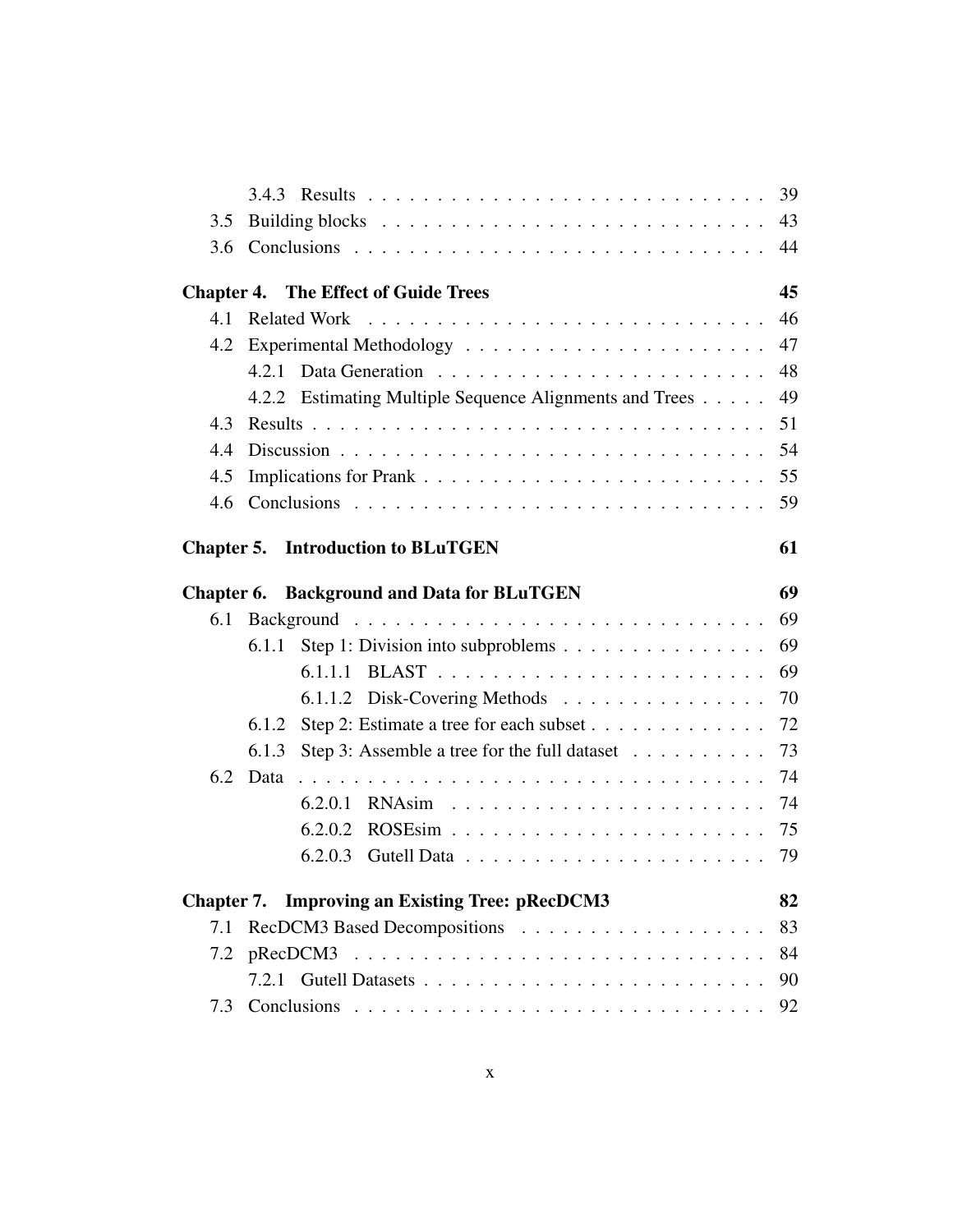|     |                                                               | 39       |
|-----|---------------------------------------------------------------|----------|
| 3.5 |                                                               | 43       |
| 3.6 |                                                               | 44       |
|     | <b>Chapter 4. The Effect of Guide Trees</b>                   | 45       |
| 4.1 | <b>Related Work</b>                                           | 46       |
| 4.2 |                                                               | 47       |
|     | 4.2.1                                                         | 48       |
|     | 4.2.2 Estimating Multiple Sequence Alignments and Trees       | 49       |
| 4.3 |                                                               | 51       |
| 4.4 |                                                               | 54       |
| 4.5 |                                                               | 55       |
| 4.6 |                                                               | 59       |
|     | <b>Chapter 5. Introduction to BLuTGEN</b>                     | 61       |
|     | <b>Chapter 6. Background and Data for BLuTGEN</b>             | 69       |
|     |                                                               |          |
|     |                                                               |          |
| 6.1 |                                                               | 69       |
|     | Step 1: Division into subproblems<br>6.1.1                    | 69       |
|     | 6.1.1.1                                                       | 69       |
|     |                                                               | 70       |
|     | Step 2: Estimate a tree for each subset<br>6.1.2              | 72       |
| 6.2 | 6.1.3<br>Step 3: Assemble a tree for the full dataset<br>Data | 73<br>74 |
|     | 6.2.0.1                                                       | 74       |
|     | 6.2.0.2                                                       | 75       |
|     | 6.2.0.3                                                       | 79       |
|     | <b>Chapter 7.</b> Improving an Existing Tree: pRecDCM3        | 82       |
| 7.1 |                                                               | 83       |
| 7.2 |                                                               | 84       |
|     |                                                               | 90       |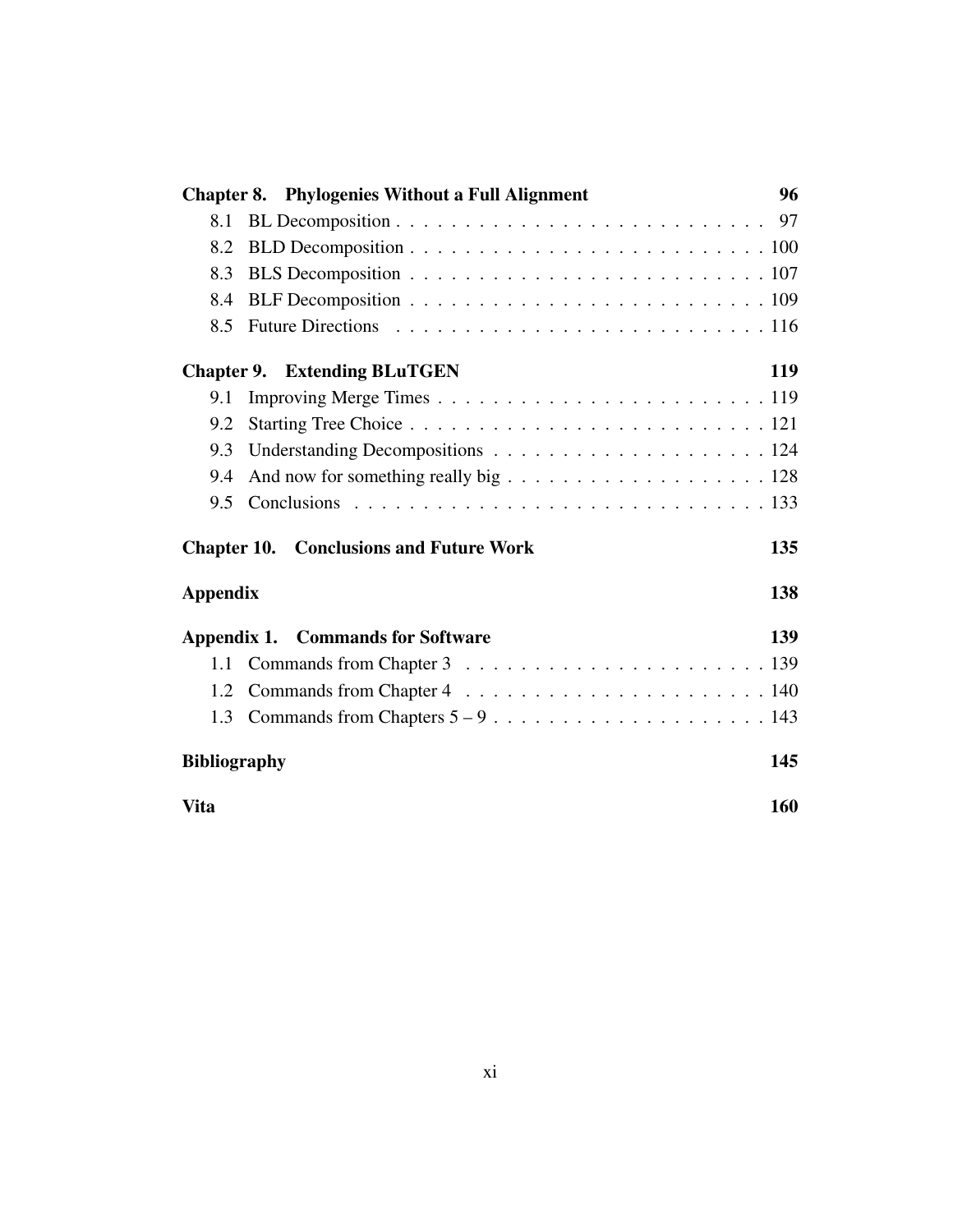| <b>Chapter 8. Phylogenies Without a Full Alignment</b>                                         | 96  |
|------------------------------------------------------------------------------------------------|-----|
| 8.1                                                                                            |     |
| 8.2                                                                                            |     |
| 8.3                                                                                            |     |
| 8.4                                                                                            |     |
| 8.5                                                                                            |     |
| <b>Chapter 9. Extending BLuTGEN</b>                                                            | 119 |
| 9.1                                                                                            |     |
| 9.2                                                                                            |     |
| 9.3                                                                                            |     |
| And now for something really big $\ldots \ldots \ldots \ldots \ldots \ldots \ldots 128$<br>9.4 |     |
| 9.5                                                                                            |     |
| <b>Chapter 10. Conclusions and Future Work</b>                                                 | 135 |
| <b>Appendix</b>                                                                                | 138 |
| <b>Appendix 1. Commands for Software</b>                                                       | 139 |
| 1.1                                                                                            |     |
| 1.2                                                                                            |     |
| 1.3                                                                                            |     |
| <b>Bibliography</b>                                                                            |     |
| <b>Vita</b>                                                                                    |     |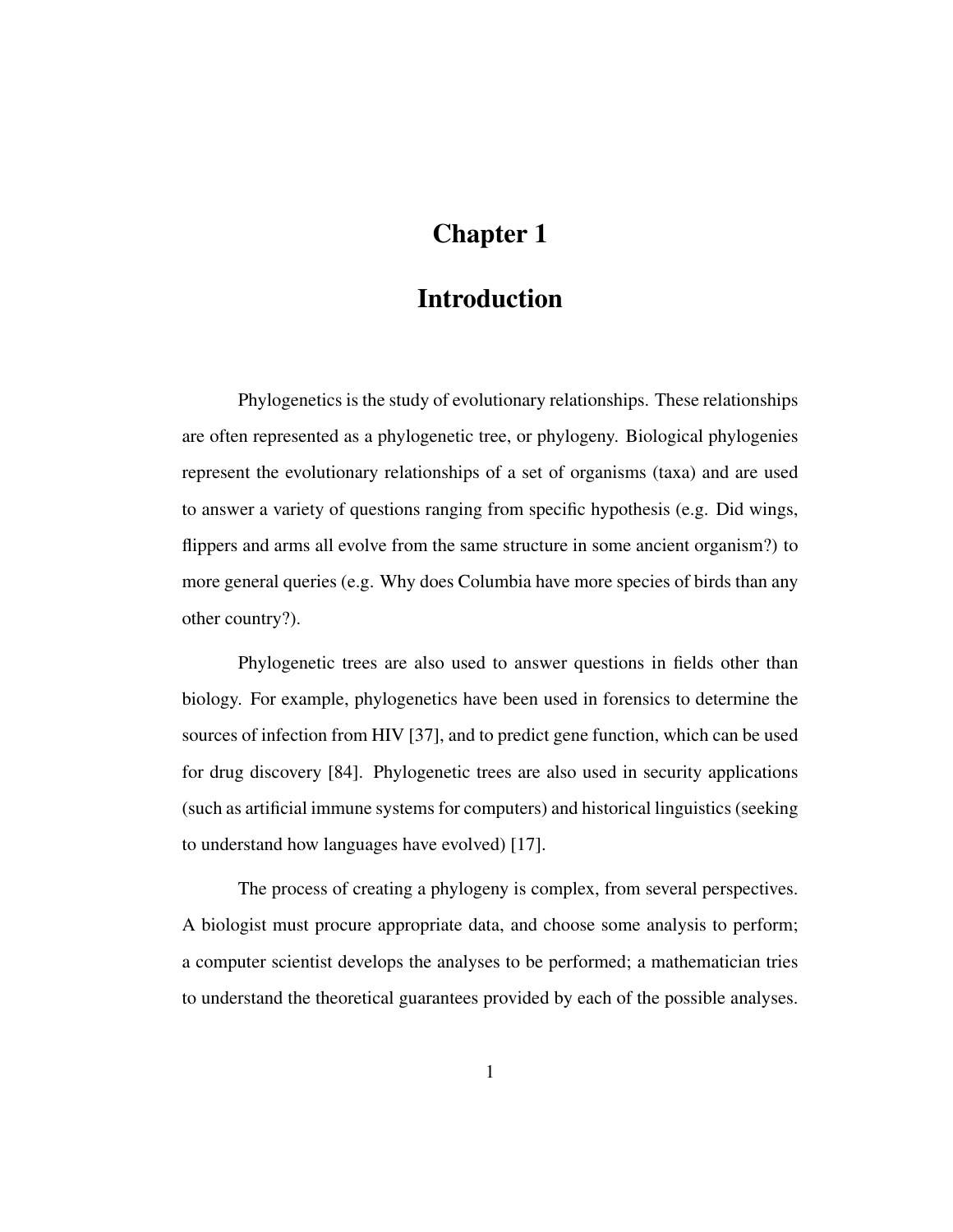# Chapter 1

# Introduction

Phylogenetics is the study of evolutionary relationships. These relationships are often represented as a phylogenetic tree, or phylogeny. Biological phylogenies represent the evolutionary relationships of a set of organisms (taxa) and are used to answer a variety of questions ranging from specific hypothesis (e.g. Did wings, flippers and arms all evolve from the same structure in some ancient organism?) to more general queries (e.g. Why does Columbia have more species of birds than any other country?).

Phylogenetic trees are also used to answer questions in fields other than biology. For example, phylogenetics have been used in forensics to determine the sources of infection from HIV [37], and to predict gene function, which can be used for drug discovery [84]. Phylogenetic trees are also used in security applications (such as artificial immune systems for computers) and historical linguistics (seeking to understand how languages have evolved) [17].

The process of creating a phylogeny is complex, from several perspectives. A biologist must procure appropriate data, and choose some analysis to perform; a computer scientist develops the analyses to be performed; a mathematician tries to understand the theoretical guarantees provided by each of the possible analyses.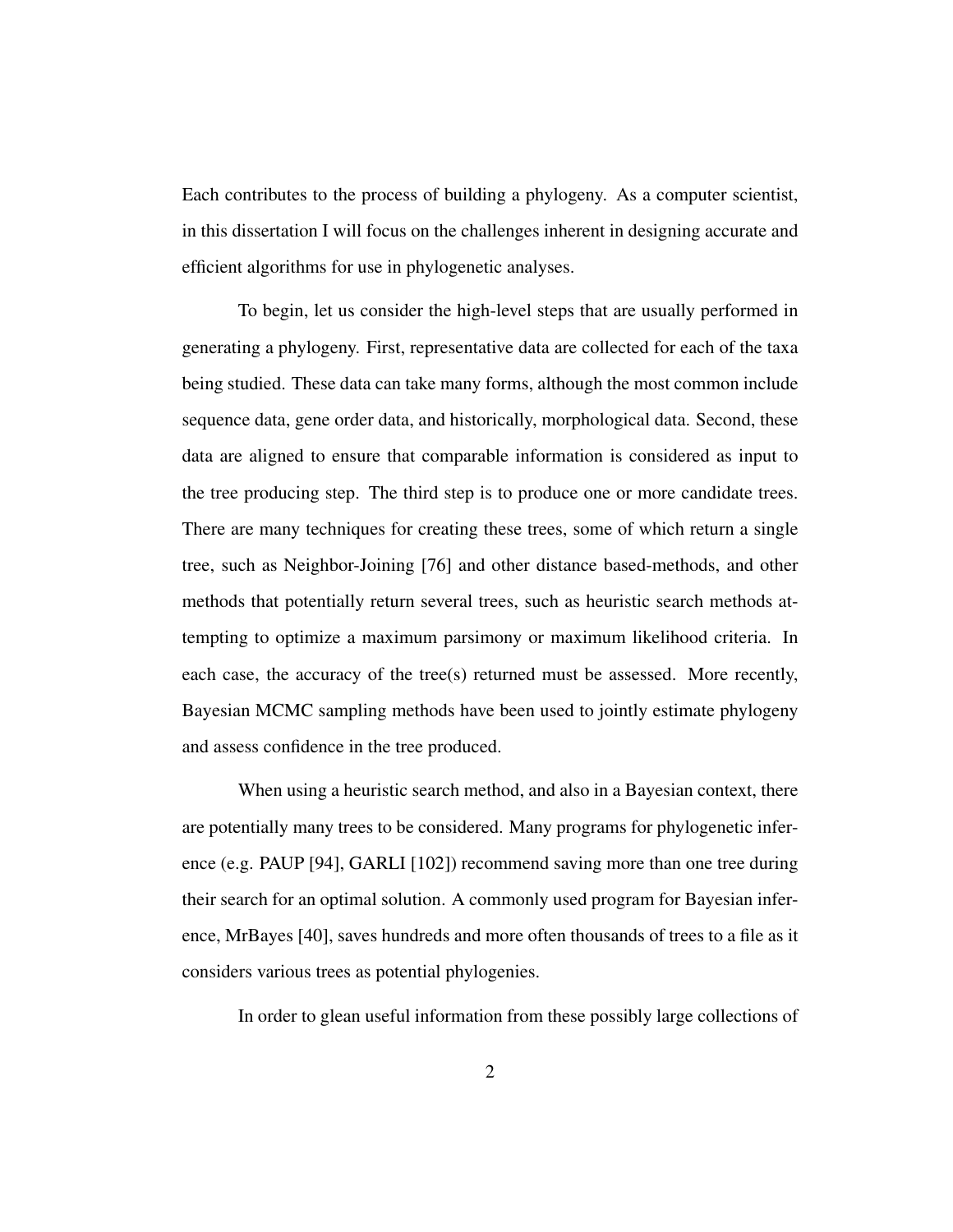Each contributes to the process of building a phylogeny. As a computer scientist, in this dissertation I will focus on the challenges inherent in designing accurate and efficient algorithms for use in phylogenetic analyses.

To begin, let us consider the high-level steps that are usually performed in generating a phylogeny. First, representative data are collected for each of the taxa being studied. These data can take many forms, although the most common include sequence data, gene order data, and historically, morphological data. Second, these data are aligned to ensure that comparable information is considered as input to the tree producing step. The third step is to produce one or more candidate trees. There are many techniques for creating these trees, some of which return a single tree, such as Neighbor-Joining [76] and other distance based-methods, and other methods that potentially return several trees, such as heuristic search methods attempting to optimize a maximum parsimony or maximum likelihood criteria. In each case, the accuracy of the tree(s) returned must be assessed. More recently, Bayesian MCMC sampling methods have been used to jointly estimate phylogeny and assess confidence in the tree produced.

When using a heuristic search method, and also in a Bayesian context, there are potentially many trees to be considered. Many programs for phylogenetic inference (e.g. PAUP [94], GARLI [102]) recommend saving more than one tree during their search for an optimal solution. A commonly used program for Bayesian inference, MrBayes [40], saves hundreds and more often thousands of trees to a file as it considers various trees as potential phylogenies.

In order to glean useful information from these possibly large collections of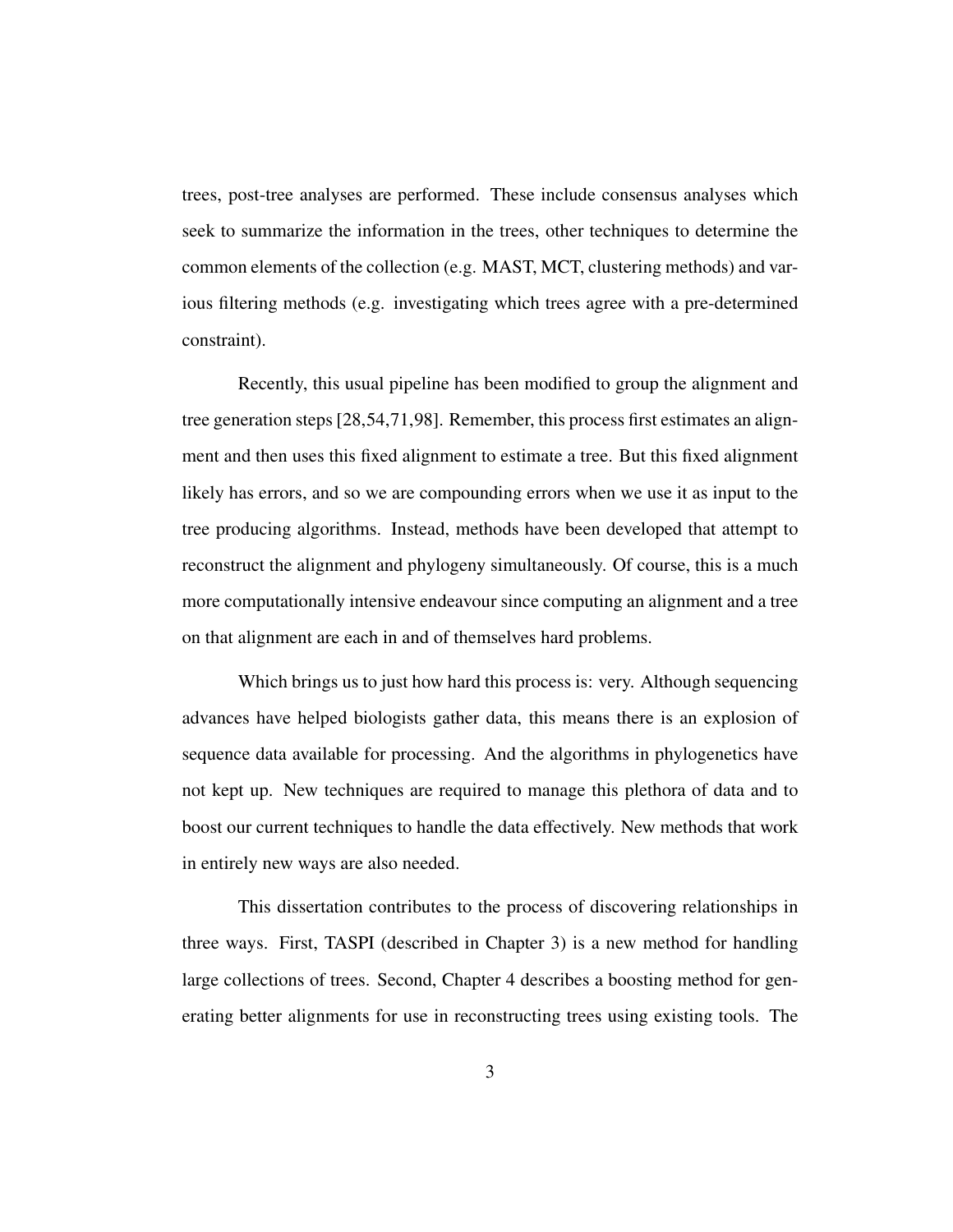trees, post-tree analyses are performed. These include consensus analyses which seek to summarize the information in the trees, other techniques to determine the common elements of the collection (e.g. MAST, MCT, clustering methods) and various filtering methods (e.g. investigating which trees agree with a pre-determined constraint).

Recently, this usual pipeline has been modified to group the alignment and tree generation steps [28,54,71,98]. Remember, this process first estimates an alignment and then uses this fixed alignment to estimate a tree. But this fixed alignment likely has errors, and so we are compounding errors when we use it as input to the tree producing algorithms. Instead, methods have been developed that attempt to reconstruct the alignment and phylogeny simultaneously. Of course, this is a much more computationally intensive endeavour since computing an alignment and a tree on that alignment are each in and of themselves hard problems.

Which brings us to just how hard this process is: very. Although sequencing advances have helped biologists gather data, this means there is an explosion of sequence data available for processing. And the algorithms in phylogenetics have not kept up. New techniques are required to manage this plethora of data and to boost our current techniques to handle the data effectively. New methods that work in entirely new ways are also needed.

This dissertation contributes to the process of discovering relationships in three ways. First, TASPI (described in Chapter 3) is a new method for handling large collections of trees. Second, Chapter 4 describes a boosting method for generating better alignments for use in reconstructing trees using existing tools. The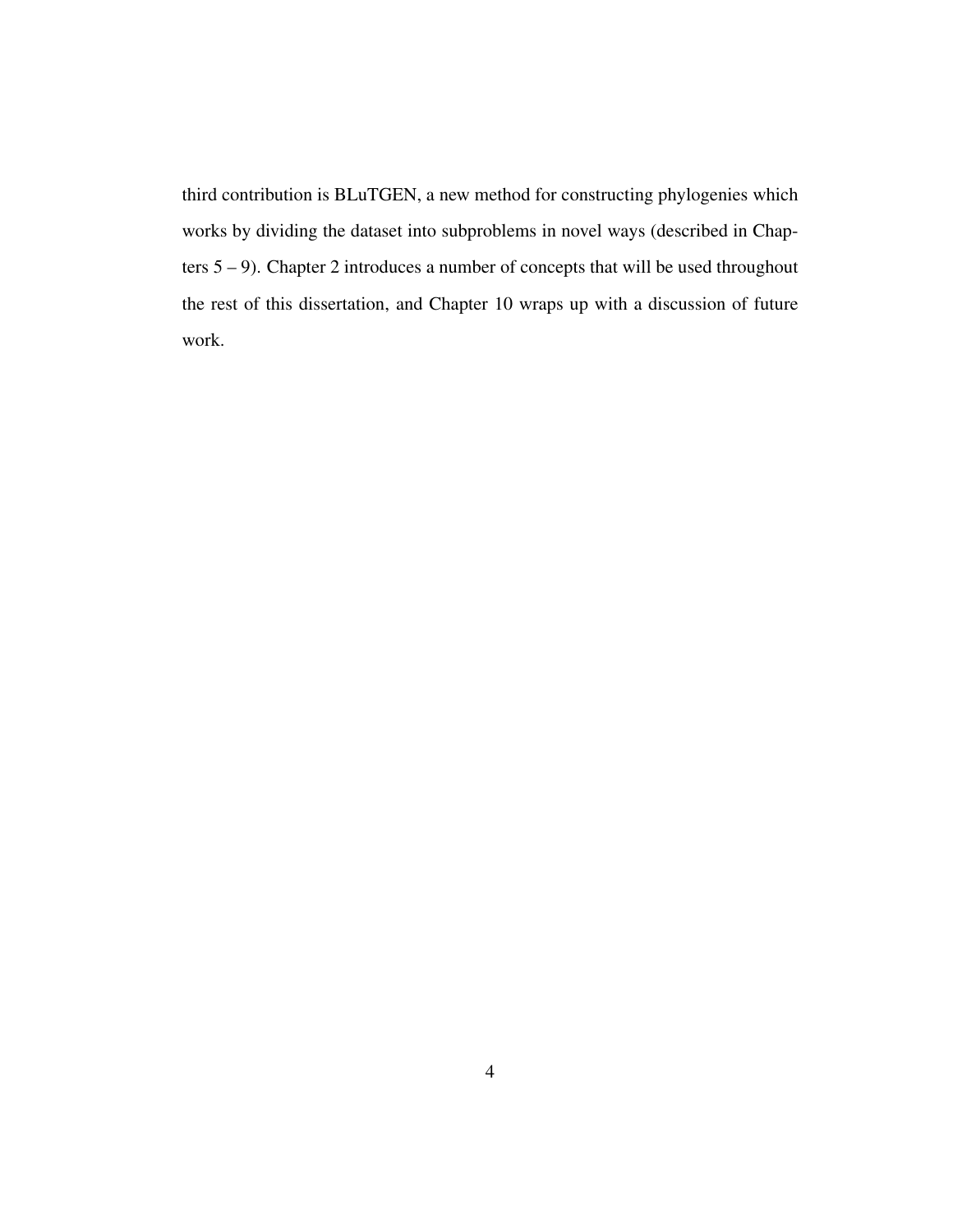third contribution is BLuTGEN, a new method for constructing phylogenies which works by dividing the dataset into subproblems in novel ways (described in Chapters  $5 - 9$ ). Chapter 2 introduces a number of concepts that will be used throughout the rest of this dissertation, and Chapter 10 wraps up with a discussion of future work.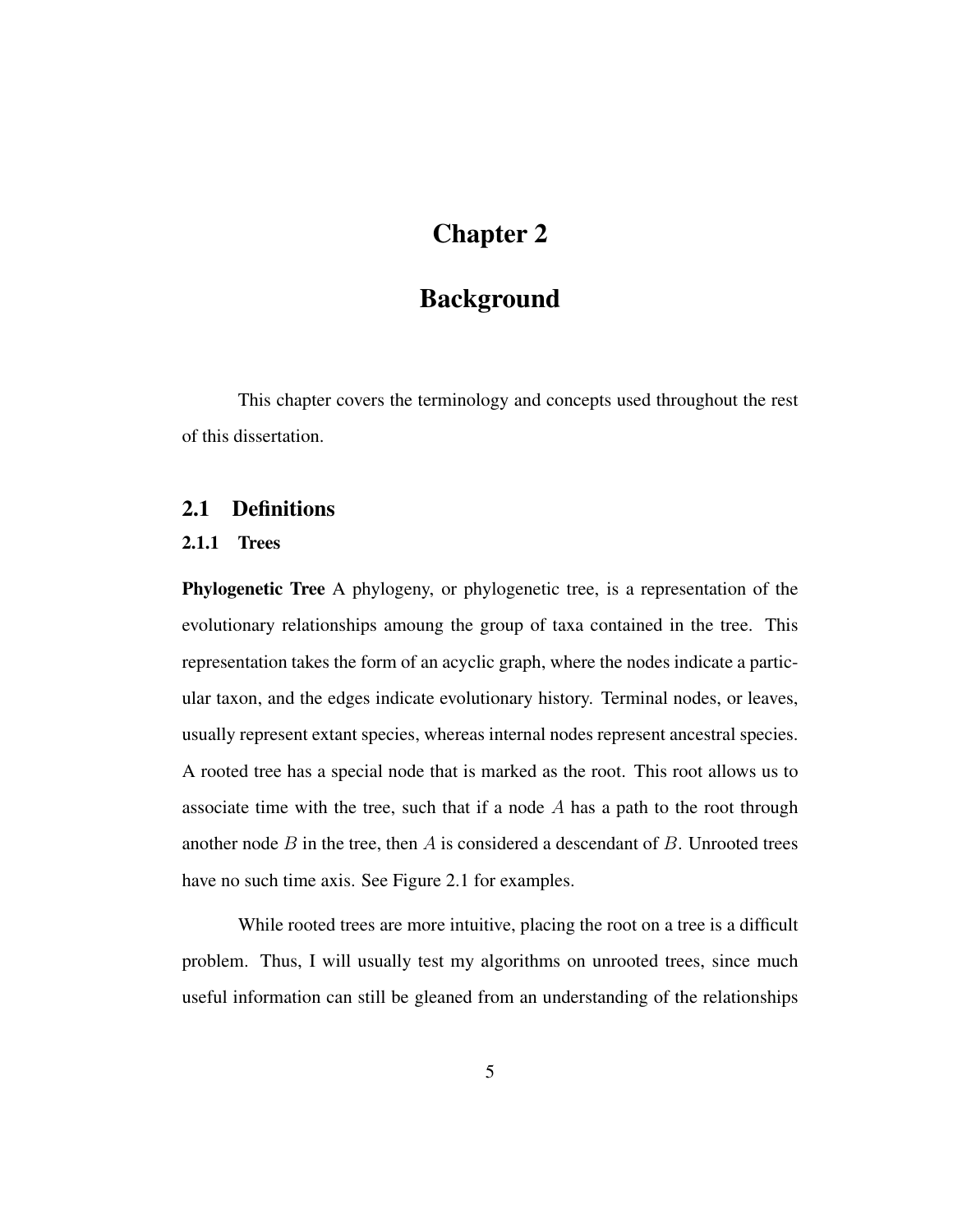# Chapter 2

# **Background**

This chapter covers the terminology and concepts used throughout the rest of this dissertation.

### 2.1 Definitions

#### 2.1.1 Trees

Phylogenetic Tree A phylogeny, or phylogenetic tree, is a representation of the evolutionary relationships amoung the group of taxa contained in the tree. This representation takes the form of an acyclic graph, where the nodes indicate a particular taxon, and the edges indicate evolutionary history. Terminal nodes, or leaves, usually represent extant species, whereas internal nodes represent ancestral species. A rooted tree has a special node that is marked as the root. This root allows us to associate time with the tree, such that if a node A has a path to the root through another node  $B$  in the tree, then  $A$  is considered a descendant of  $B$ . Unrooted trees have no such time axis. See Figure 2.1 for examples.

While rooted trees are more intuitive, placing the root on a tree is a difficult problem. Thus, I will usually test my algorithms on unrooted trees, since much useful information can still be gleaned from an understanding of the relationships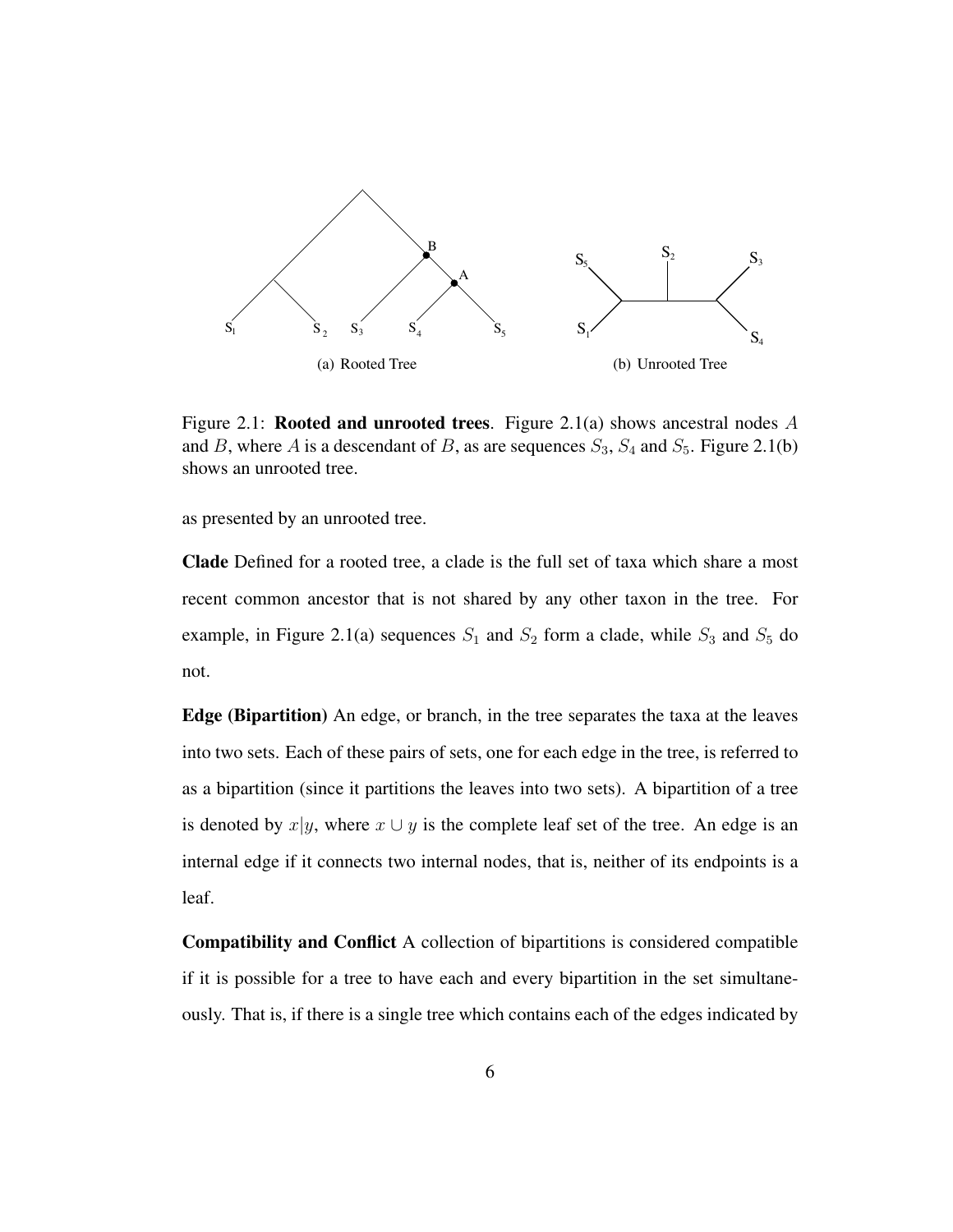

Figure 2.1: **Rooted and unrooted trees**. Figure 2.1(a) shows ancestral nodes A and B, where A is a descendant of B, as are sequences  $S_3$ ,  $S_4$  and  $S_5$ . Figure 2.1(b) shows an unrooted tree.

as presented by an unrooted tree.

Clade Defined for a rooted tree, a clade is the full set of taxa which share a most recent common ancestor that is not shared by any other taxon in the tree. For example, in Figure 2.1(a) sequences  $S_1$  and  $S_2$  form a clade, while  $S_3$  and  $S_5$  do not.

Edge (Bipartition) An edge, or branch, in the tree separates the taxa at the leaves into two sets. Each of these pairs of sets, one for each edge in the tree, is referred to as a bipartition (since it partitions the leaves into two sets). A bipartition of a tree is denoted by  $x|y$ , where  $x \cup y$  is the complete leaf set of the tree. An edge is an internal edge if it connects two internal nodes, that is, neither of its endpoints is a leaf.

Compatibility and Conflict A collection of bipartitions is considered compatible if it is possible for a tree to have each and every bipartition in the set simultaneously. That is, if there is a single tree which contains each of the edges indicated by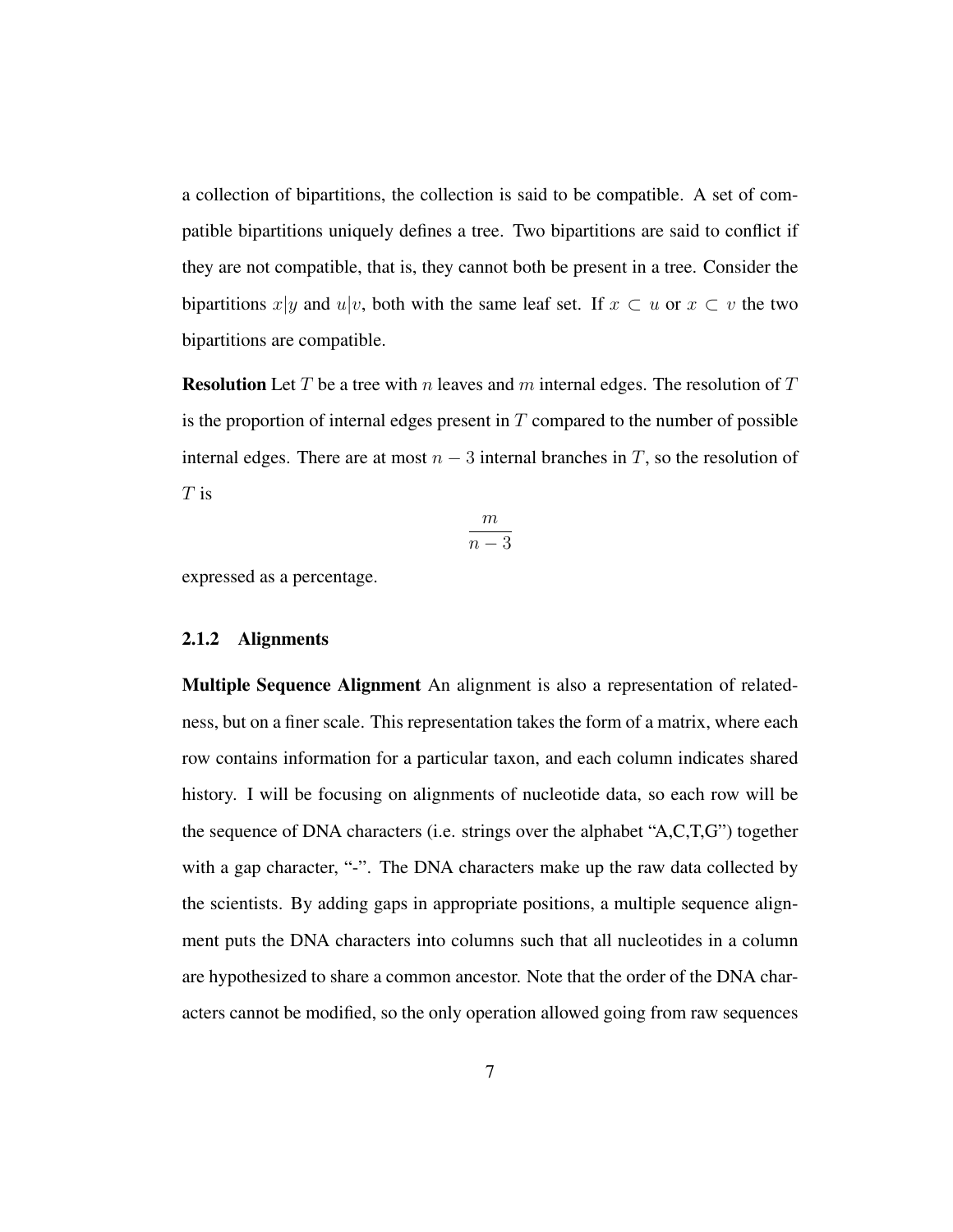a collection of bipartitions, the collection is said to be compatible. A set of compatible bipartitions uniquely defines a tree. Two bipartitions are said to conflict if they are not compatible, that is, they cannot both be present in a tree. Consider the bipartitions x|y and u|v, both with the same leaf set. If  $x \subset u$  or  $x \subset v$  the two bipartitions are compatible.

**Resolution** Let T be a tree with n leaves and m internal edges. The resolution of T is the proportion of internal edges present in  $T$  compared to the number of possible internal edges. There are at most  $n-3$  internal branches in T, so the resolution of  $T$  is

$$
\frac{m}{n-3}
$$

expressed as a percentage.

#### 2.1.2 Alignments

Multiple Sequence Alignment An alignment is also a representation of relatedness, but on a finer scale. This representation takes the form of a matrix, where each row contains information for a particular taxon, and each column indicates shared history. I will be focusing on alignments of nucleotide data, so each row will be the sequence of DNA characters (i.e. strings over the alphabet "A,C,T,G") together with a gap character, "-". The DNA characters make up the raw data collected by the scientists. By adding gaps in appropriate positions, a multiple sequence alignment puts the DNA characters into columns such that all nucleotides in a column are hypothesized to share a common ancestor. Note that the order of the DNA characters cannot be modified, so the only operation allowed going from raw sequences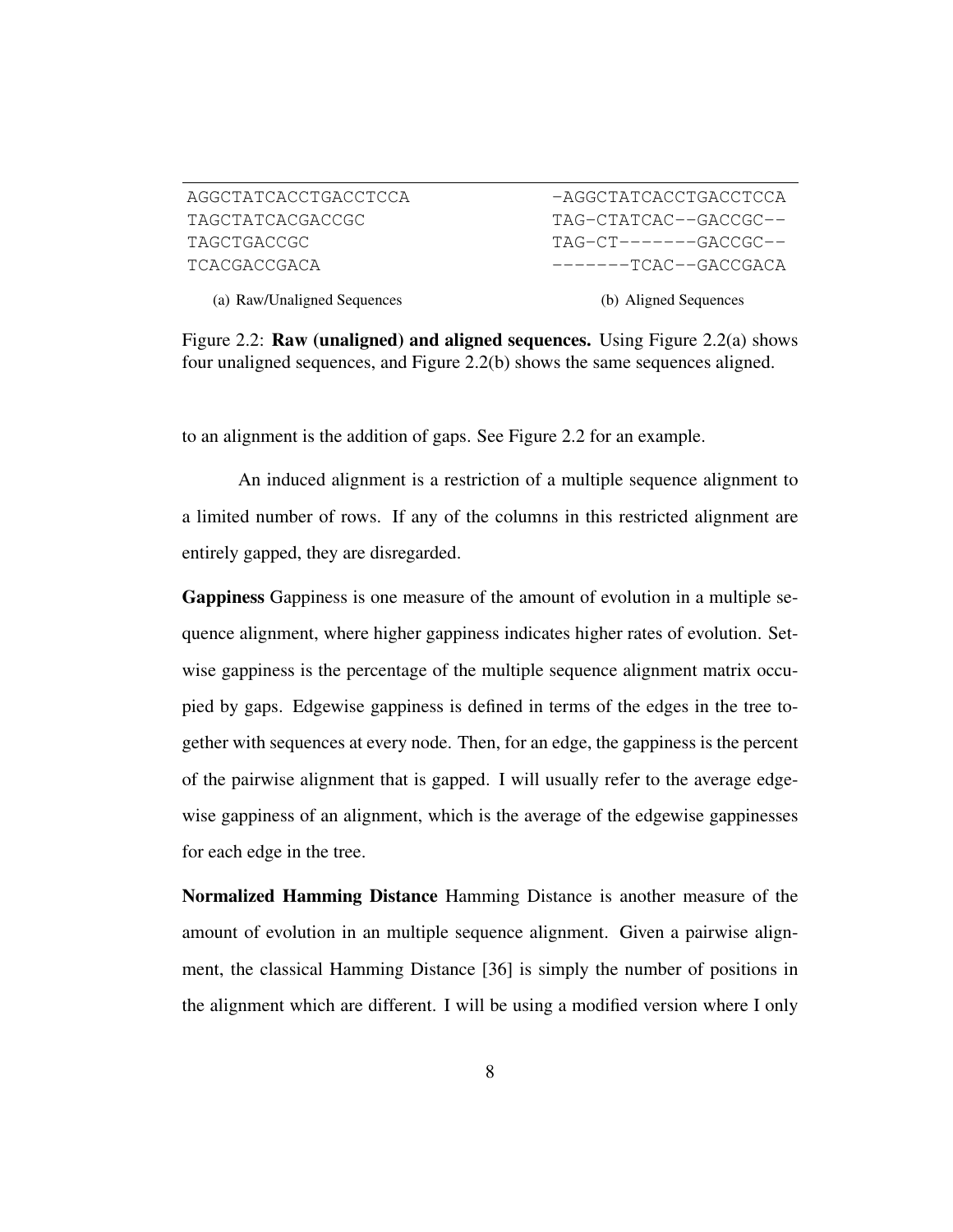| AGGCTATCACCTGACCTCCA |
|----------------------|
| TAGCTATCACGACCGC     |
| TAGCTGACCGC          |
| TCACGACCGACA         |

-AGGCTATCACCTGACCTCCA TAG-CTATCAC--GACCGC--  $TAG-CT-----GACCCGC--$ -------TCAC--GACCGACA

(a) Raw/Unaligned Sequences

(b) Aligned Sequences

Figure 2.2: Raw (unaligned) and aligned sequences. Using Figure 2.2(a) shows four unaligned sequences, and Figure 2.2(b) shows the same sequences aligned.

to an alignment is the addition of gaps. See Figure 2.2 for an example.

An induced alignment is a restriction of a multiple sequence alignment to a limited number of rows. If any of the columns in this restricted alignment are entirely gapped, they are disregarded.

Gappiness Gappiness is one measure of the amount of evolution in a multiple sequence alignment, where higher gappiness indicates higher rates of evolution. Setwise gappiness is the percentage of the multiple sequence alignment matrix occupied by gaps. Edgewise gappiness is defined in terms of the edges in the tree together with sequences at every node. Then, for an edge, the gappiness is the percent of the pairwise alignment that is gapped. I will usually refer to the average edgewise gappiness of an alignment, which is the average of the edgewise gappinesses for each edge in the tree.

Normalized Hamming Distance Hamming Distance is another measure of the amount of evolution in an multiple sequence alignment. Given a pairwise alignment, the classical Hamming Distance [36] is simply the number of positions in the alignment which are different. I will be using a modified version where I only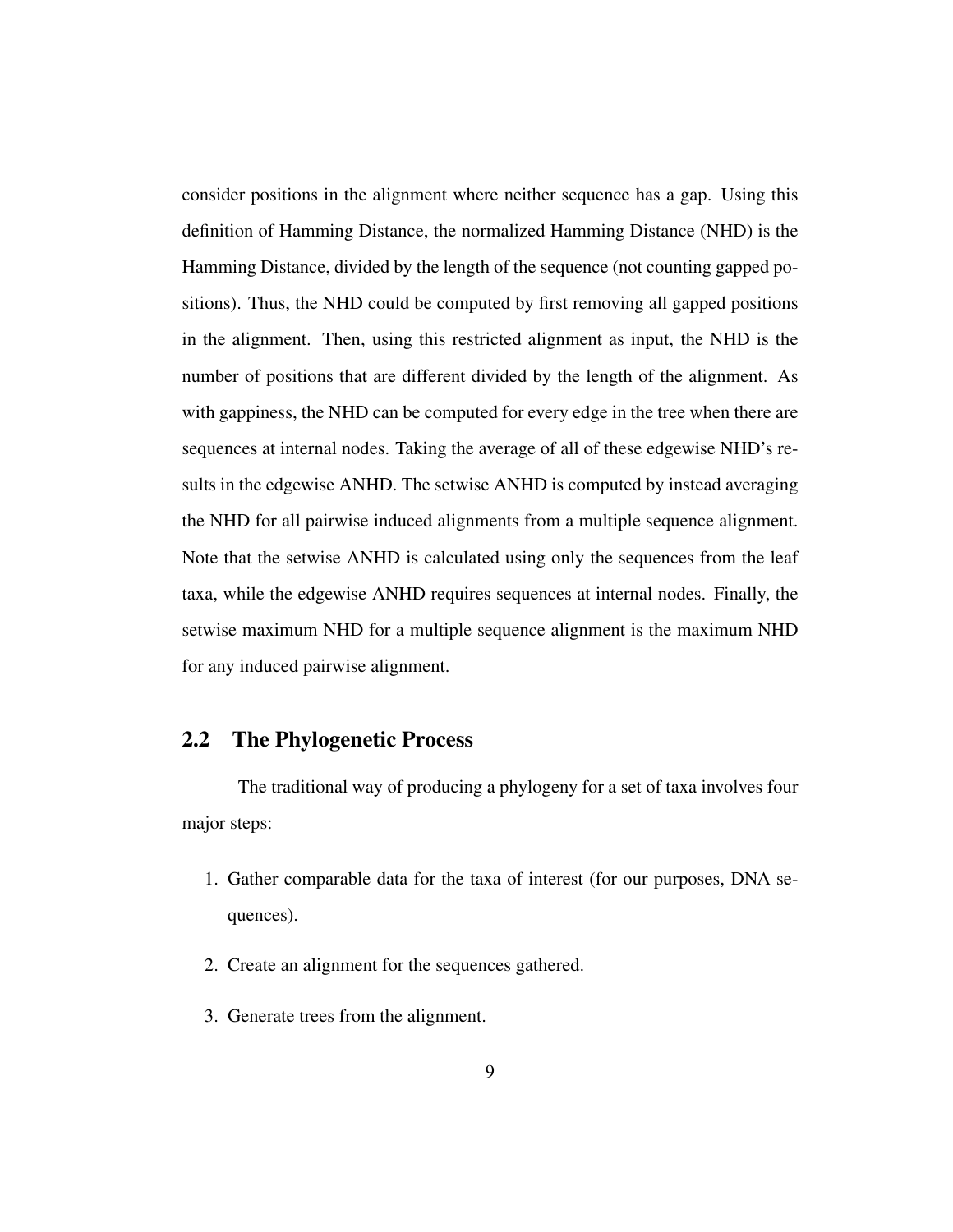consider positions in the alignment where neither sequence has a gap. Using this definition of Hamming Distance, the normalized Hamming Distance (NHD) is the Hamming Distance, divided by the length of the sequence (not counting gapped positions). Thus, the NHD could be computed by first removing all gapped positions in the alignment. Then, using this restricted alignment as input, the NHD is the number of positions that are different divided by the length of the alignment. As with gappiness, the NHD can be computed for every edge in the tree when there are sequences at internal nodes. Taking the average of all of these edgewise NHD's results in the edgewise ANHD. The setwise ANHD is computed by instead averaging the NHD for all pairwise induced alignments from a multiple sequence alignment. Note that the setwise ANHD is calculated using only the sequences from the leaf taxa, while the edgewise ANHD requires sequences at internal nodes. Finally, the setwise maximum NHD for a multiple sequence alignment is the maximum NHD for any induced pairwise alignment.

### 2.2 The Phylogenetic Process

The traditional way of producing a phylogeny for a set of taxa involves four major steps:

- 1. Gather comparable data for the taxa of interest (for our purposes, DNA sequences).
- 2. Create an alignment for the sequences gathered.
- 3. Generate trees from the alignment.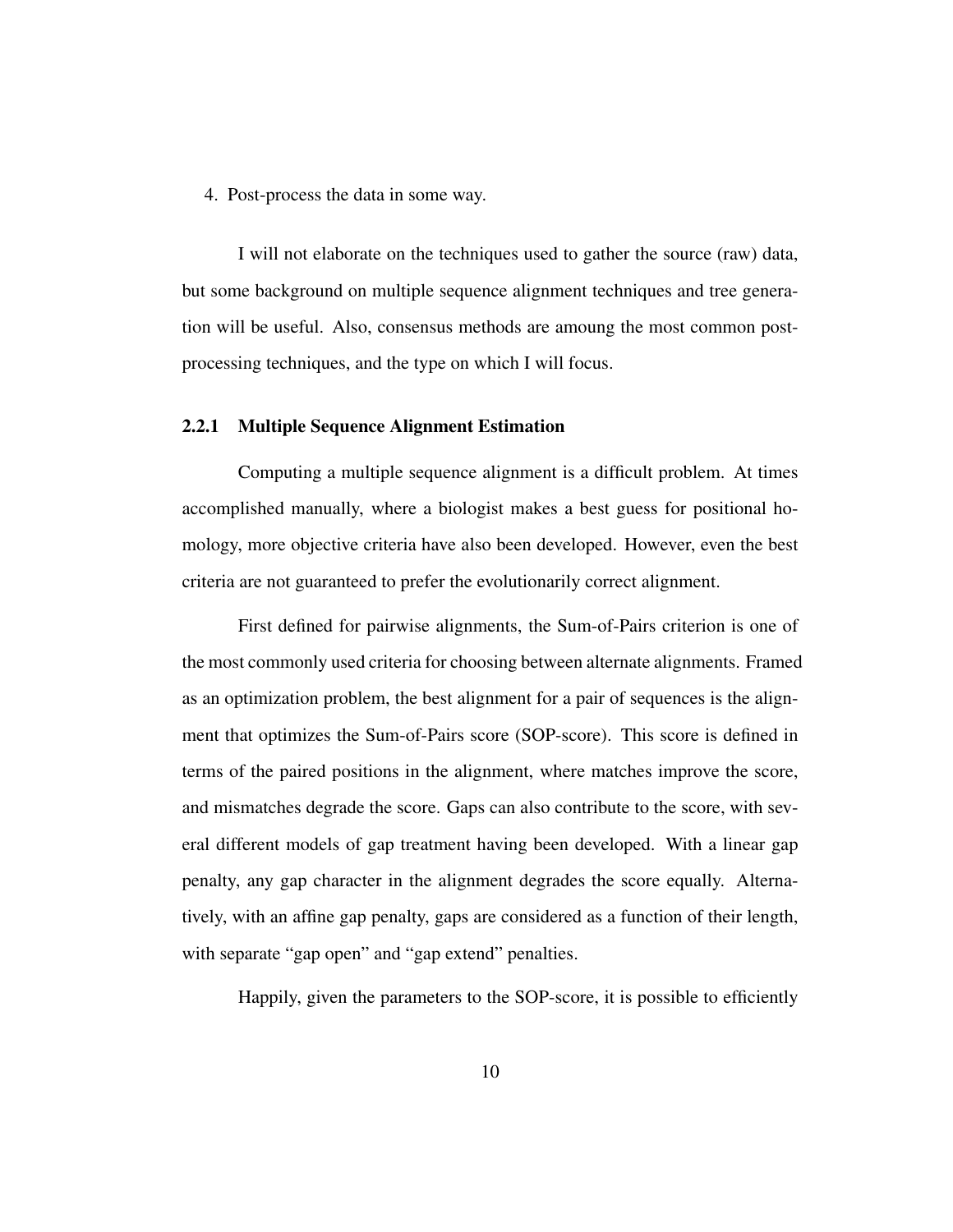4. Post-process the data in some way.

I will not elaborate on the techniques used to gather the source (raw) data, but some background on multiple sequence alignment techniques and tree generation will be useful. Also, consensus methods are amoung the most common postprocessing techniques, and the type on which I will focus.

#### 2.2.1 Multiple Sequence Alignment Estimation

Computing a multiple sequence alignment is a difficult problem. At times accomplished manually, where a biologist makes a best guess for positional homology, more objective criteria have also been developed. However, even the best criteria are not guaranteed to prefer the evolutionarily correct alignment.

First defined for pairwise alignments, the Sum-of-Pairs criterion is one of the most commonly used criteria for choosing between alternate alignments. Framed as an optimization problem, the best alignment for a pair of sequences is the alignment that optimizes the Sum-of-Pairs score (SOP-score). This score is defined in terms of the paired positions in the alignment, where matches improve the score, and mismatches degrade the score. Gaps can also contribute to the score, with several different models of gap treatment having been developed. With a linear gap penalty, any gap character in the alignment degrades the score equally. Alternatively, with an affine gap penalty, gaps are considered as a function of their length, with separate "gap open" and "gap extend" penalties.

Happily, given the parameters to the SOP-score, it is possible to efficiently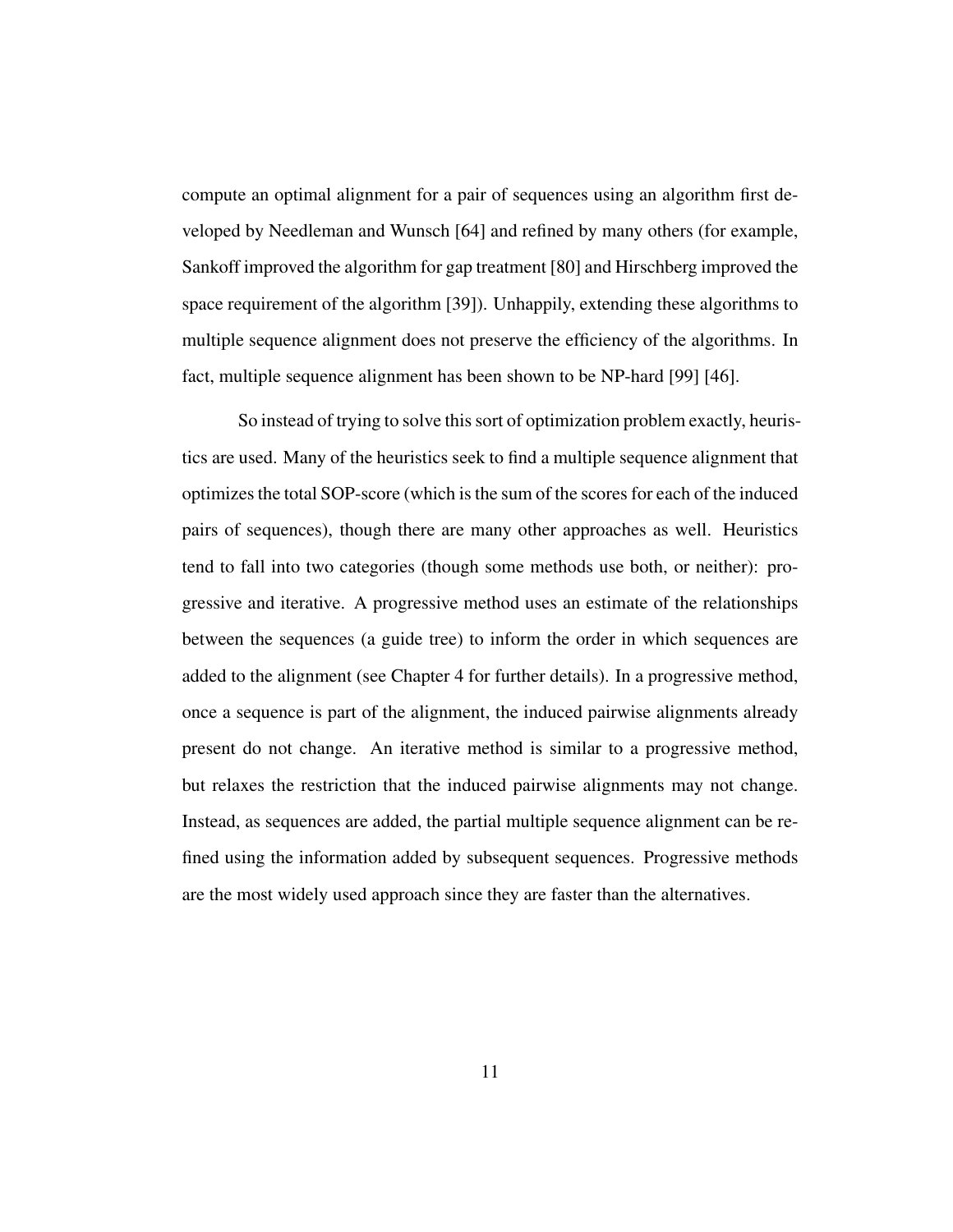compute an optimal alignment for a pair of sequences using an algorithm first developed by Needleman and Wunsch [64] and refined by many others (for example, Sankoff improved the algorithm for gap treatment [80] and Hirschberg improved the space requirement of the algorithm [39]). Unhappily, extending these algorithms to multiple sequence alignment does not preserve the efficiency of the algorithms. In fact, multiple sequence alignment has been shown to be NP-hard [99] [46].

So instead of trying to solve this sort of optimization problem exactly, heuristics are used. Many of the heuristics seek to find a multiple sequence alignment that optimizes the total SOP-score (which is the sum of the scores for each of the induced pairs of sequences), though there are many other approaches as well. Heuristics tend to fall into two categories (though some methods use both, or neither): progressive and iterative. A progressive method uses an estimate of the relationships between the sequences (a guide tree) to inform the order in which sequences are added to the alignment (see Chapter 4 for further details). In a progressive method, once a sequence is part of the alignment, the induced pairwise alignments already present do not change. An iterative method is similar to a progressive method, but relaxes the restriction that the induced pairwise alignments may not change. Instead, as sequences are added, the partial multiple sequence alignment can be refined using the information added by subsequent sequences. Progressive methods are the most widely used approach since they are faster than the alternatives.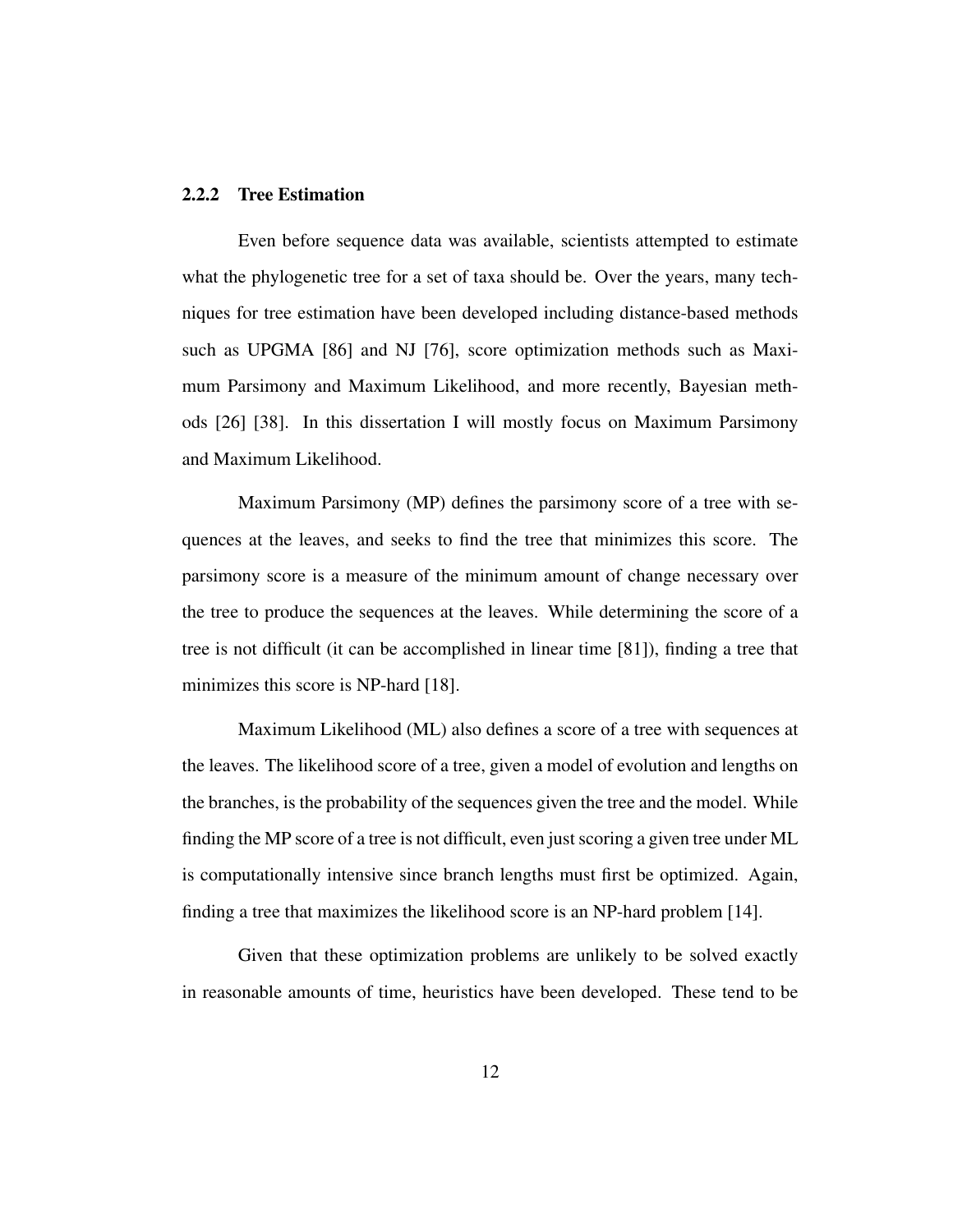#### 2.2.2 Tree Estimation

Even before sequence data was available, scientists attempted to estimate what the phylogenetic tree for a set of taxa should be. Over the years, many techniques for tree estimation have been developed including distance-based methods such as UPGMA [86] and NJ [76], score optimization methods such as Maximum Parsimony and Maximum Likelihood, and more recently, Bayesian methods [26] [38]. In this dissertation I will mostly focus on Maximum Parsimony and Maximum Likelihood.

Maximum Parsimony (MP) defines the parsimony score of a tree with sequences at the leaves, and seeks to find the tree that minimizes this score. The parsimony score is a measure of the minimum amount of change necessary over the tree to produce the sequences at the leaves. While determining the score of a tree is not difficult (it can be accomplished in linear time [81]), finding a tree that minimizes this score is NP-hard [18].

Maximum Likelihood (ML) also defines a score of a tree with sequences at the leaves. The likelihood score of a tree, given a model of evolution and lengths on the branches, is the probability of the sequences given the tree and the model. While finding the MP score of a tree is not difficult, even just scoring a given tree under ML is computationally intensive since branch lengths must first be optimized. Again, finding a tree that maximizes the likelihood score is an NP-hard problem [14].

Given that these optimization problems are unlikely to be solved exactly in reasonable amounts of time, heuristics have been developed. These tend to be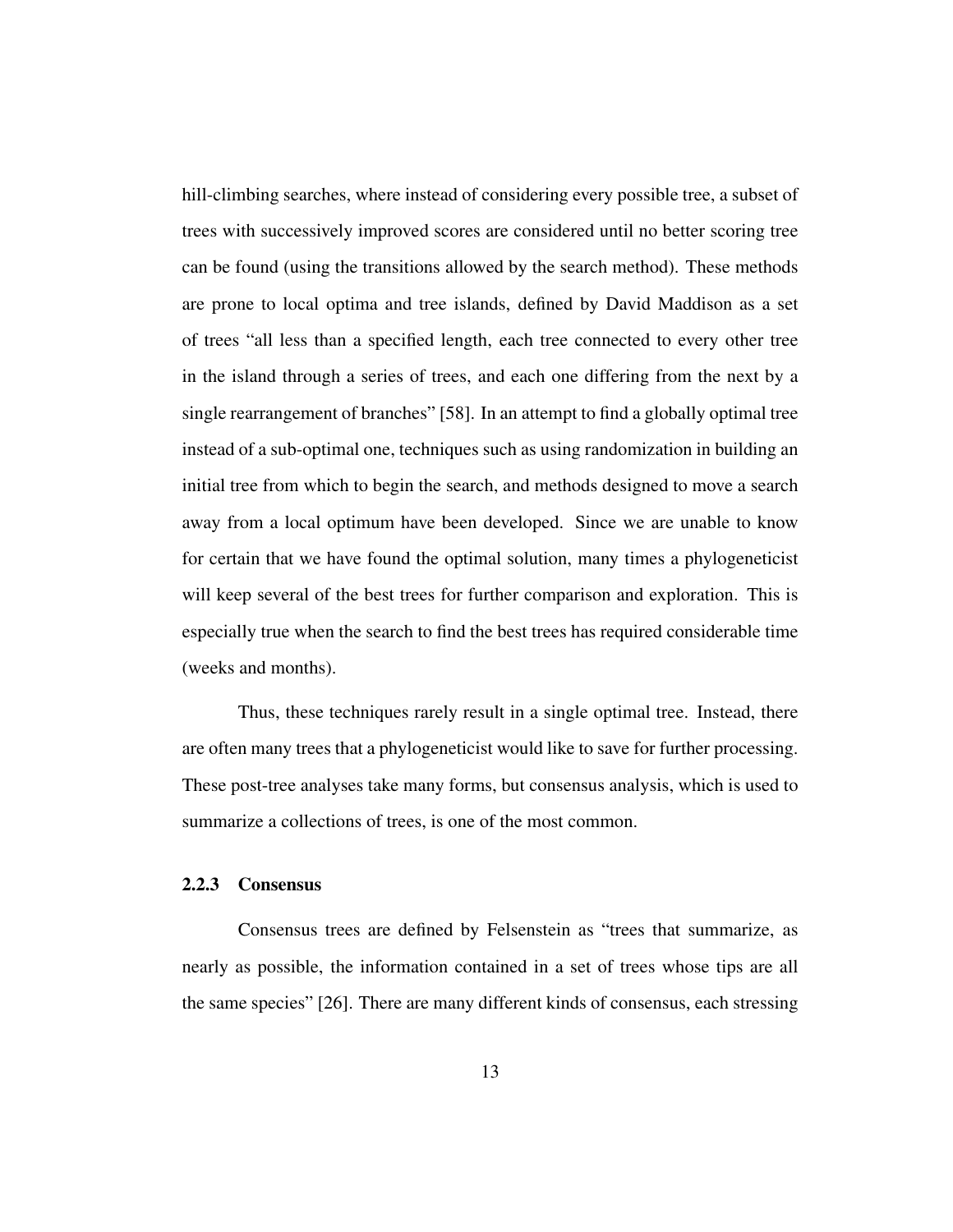hill-climbing searches, where instead of considering every possible tree, a subset of trees with successively improved scores are considered until no better scoring tree can be found (using the transitions allowed by the search method). These methods are prone to local optima and tree islands, defined by David Maddison as a set of trees "all less than a specified length, each tree connected to every other tree in the island through a series of trees, and each one differing from the next by a single rearrangement of branches" [58]. In an attempt to find a globally optimal tree instead of a sub-optimal one, techniques such as using randomization in building an initial tree from which to begin the search, and methods designed to move a search away from a local optimum have been developed. Since we are unable to know for certain that we have found the optimal solution, many times a phylogeneticist will keep several of the best trees for further comparison and exploration. This is especially true when the search to find the best trees has required considerable time (weeks and months).

Thus, these techniques rarely result in a single optimal tree. Instead, there are often many trees that a phylogeneticist would like to save for further processing. These post-tree analyses take many forms, but consensus analysis, which is used to summarize a collections of trees, is one of the most common.

#### 2.2.3 Consensus

Consensus trees are defined by Felsenstein as "trees that summarize, as nearly as possible, the information contained in a set of trees whose tips are all the same species" [26]. There are many different kinds of consensus, each stressing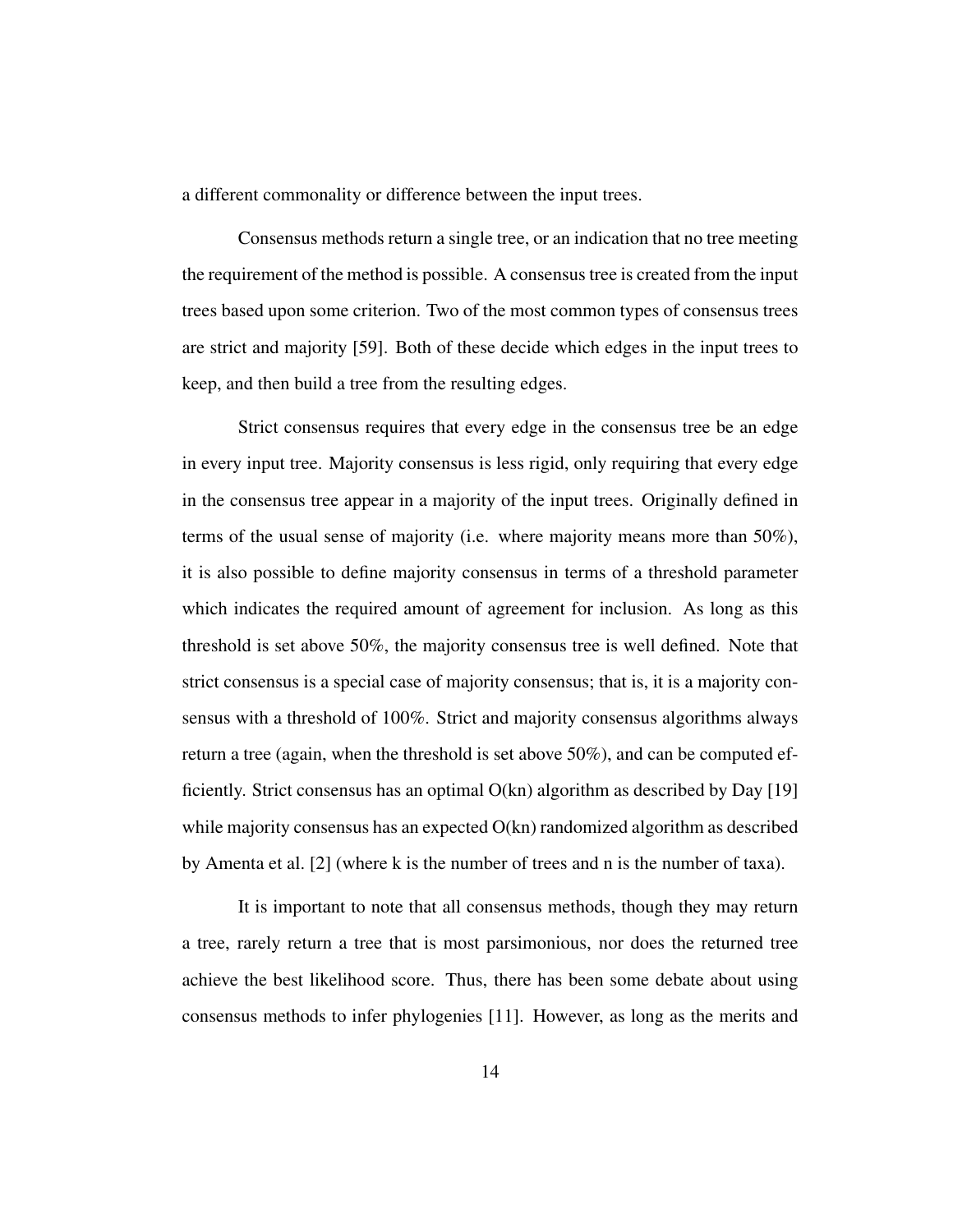a different commonality or difference between the input trees.

Consensus methods return a single tree, or an indication that no tree meeting the requirement of the method is possible. A consensus tree is created from the input trees based upon some criterion. Two of the most common types of consensus trees are strict and majority [59]. Both of these decide which edges in the input trees to keep, and then build a tree from the resulting edges.

Strict consensus requires that every edge in the consensus tree be an edge in every input tree. Majority consensus is less rigid, only requiring that every edge in the consensus tree appear in a majority of the input trees. Originally defined in terms of the usual sense of majority (i.e. where majority means more than 50%), it is also possible to define majority consensus in terms of a threshold parameter which indicates the required amount of agreement for inclusion. As long as this threshold is set above 50%, the majority consensus tree is well defined. Note that strict consensus is a special case of majority consensus; that is, it is a majority consensus with a threshold of 100%. Strict and majority consensus algorithms always return a tree (again, when the threshold is set above 50%), and can be computed efficiently. Strict consensus has an optimal  $O(kn)$  algorithm as described by Day [19] while majority consensus has an expected  $O(kn)$  randomized algorithm as described by Amenta et al. [2] (where k is the number of trees and n is the number of taxa).

It is important to note that all consensus methods, though they may return a tree, rarely return a tree that is most parsimonious, nor does the returned tree achieve the best likelihood score. Thus, there has been some debate about using consensus methods to infer phylogenies [11]. However, as long as the merits and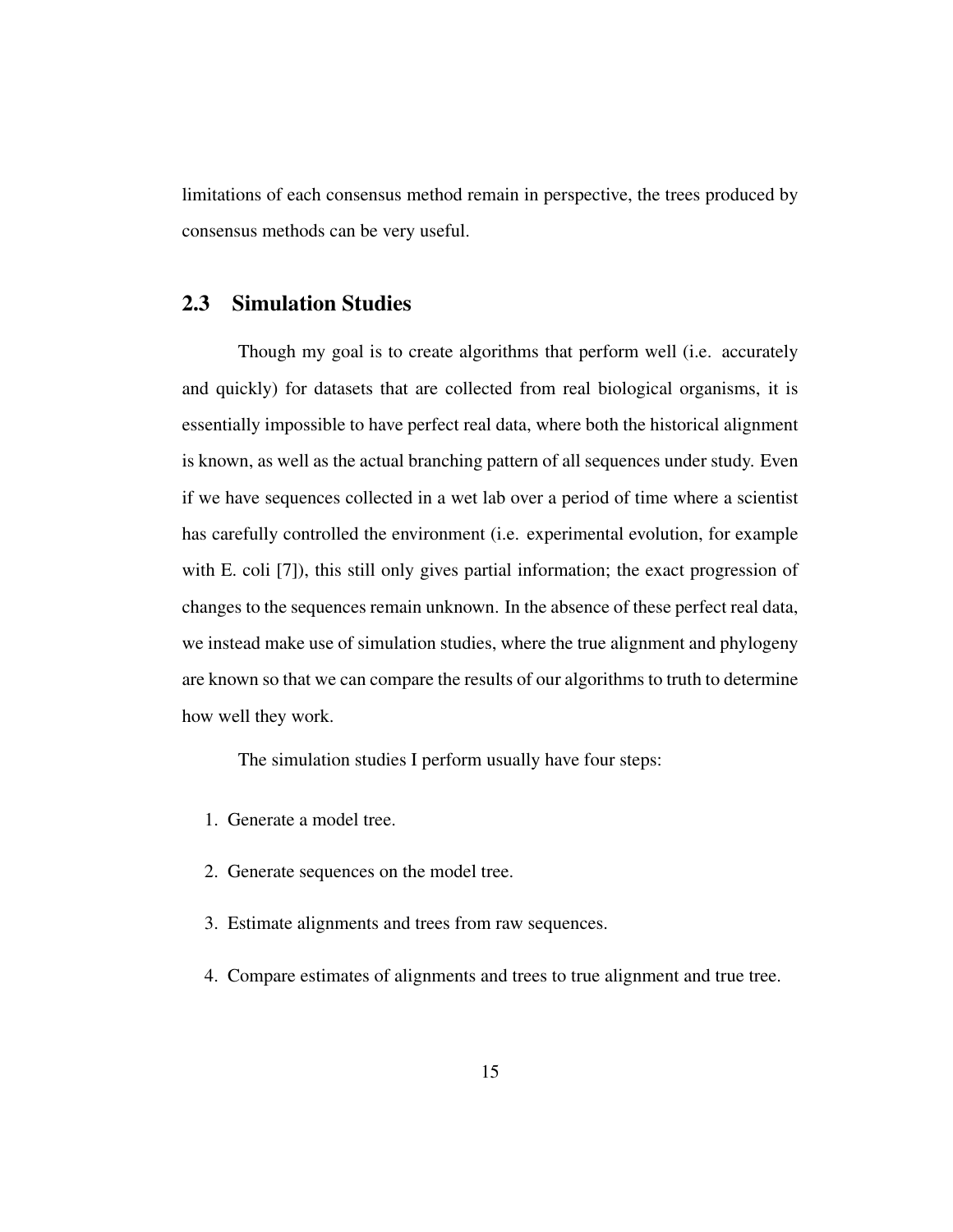limitations of each consensus method remain in perspective, the trees produced by consensus methods can be very useful.

### 2.3 Simulation Studies

Though my goal is to create algorithms that perform well (i.e. accurately and quickly) for datasets that are collected from real biological organisms, it is essentially impossible to have perfect real data, where both the historical alignment is known, as well as the actual branching pattern of all sequences under study. Even if we have sequences collected in a wet lab over a period of time where a scientist has carefully controlled the environment (i.e. experimental evolution, for example with E. coli [7]), this still only gives partial information; the exact progression of changes to the sequences remain unknown. In the absence of these perfect real data, we instead make use of simulation studies, where the true alignment and phylogeny are known so that we can compare the results of our algorithms to truth to determine how well they work.

The simulation studies I perform usually have four steps:

- 1. Generate a model tree.
- 2. Generate sequences on the model tree.
- 3. Estimate alignments and trees from raw sequences.
- 4. Compare estimates of alignments and trees to true alignment and true tree.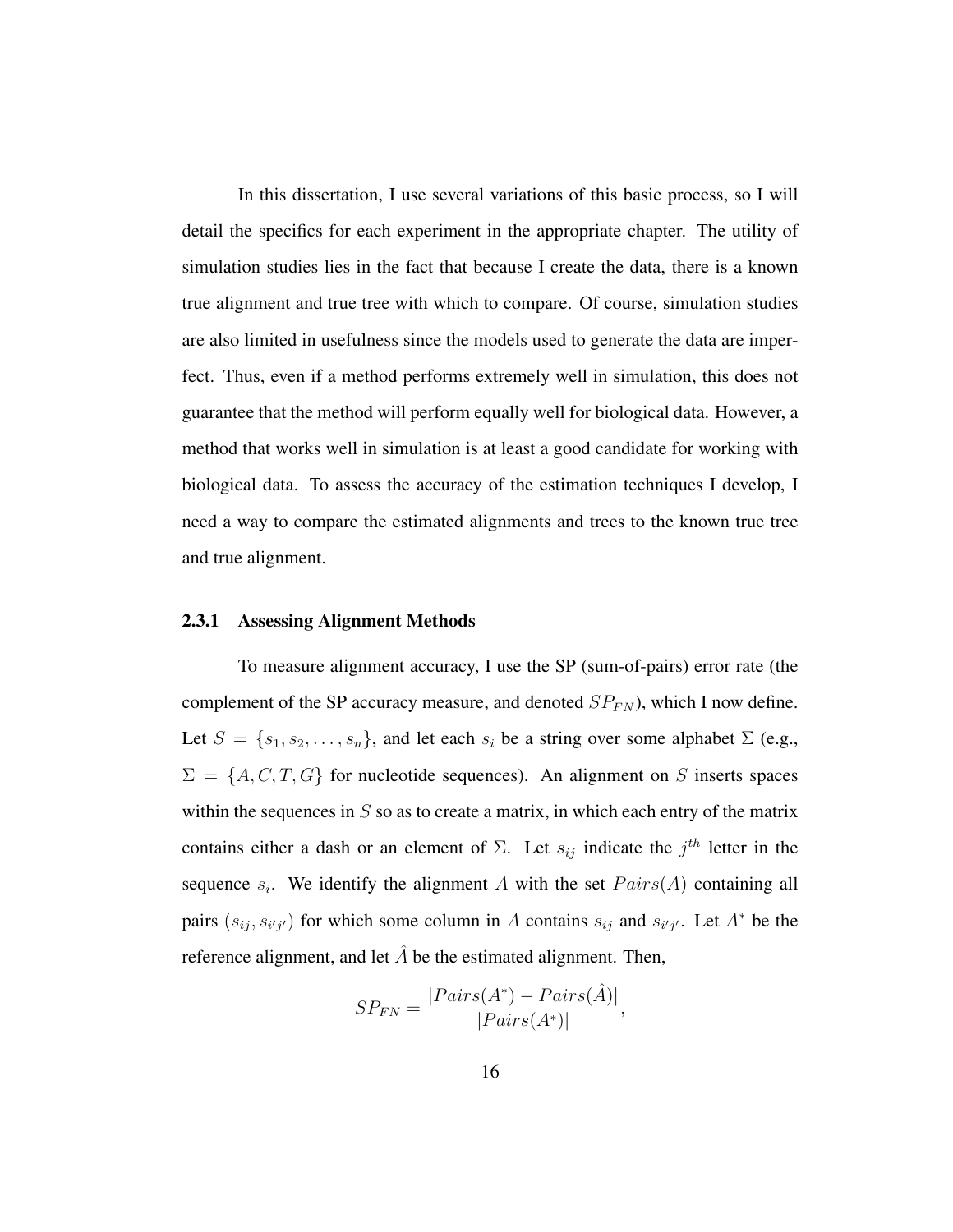In this dissertation, I use several variations of this basic process, so I will detail the specifics for each experiment in the appropriate chapter. The utility of simulation studies lies in the fact that because I create the data, there is a known true alignment and true tree with which to compare. Of course, simulation studies are also limited in usefulness since the models used to generate the data are imperfect. Thus, even if a method performs extremely well in simulation, this does not guarantee that the method will perform equally well for biological data. However, a method that works well in simulation is at least a good candidate for working with biological data. To assess the accuracy of the estimation techniques I develop, I need a way to compare the estimated alignments and trees to the known true tree and true alignment.

#### 2.3.1 Assessing Alignment Methods

To measure alignment accuracy, I use the SP (sum-of-pairs) error rate (the complement of the SP accuracy measure, and denoted  $SP_{FN}$ ), which I now define. Let  $S = \{s_1, s_2, \ldots, s_n\}$ , and let each  $s_i$  be a string over some alphabet  $\Sigma$  (e.g.,  $\Sigma = \{A, C, T, G\}$  for nucleotide sequences). An alignment on S inserts spaces within the sequences in  $S$  so as to create a matrix, in which each entry of the matrix contains either a dash or an element of  $\Sigma$ . Let  $s_{ij}$  indicate the  $j^{th}$  letter in the sequence  $s_i$ . We identify the alignment A with the set  $Pairs(A)$  containing all pairs  $(s_{ij}, s_{i'j'})$  for which some column in A contains  $s_{ij}$  and  $s_{i'j'}$ . Let  $A^*$  be the reference alignment, and let  $\hat{A}$  be the estimated alignment. Then,

$$
SP_{FN} = \frac{|Pairs(A^*) - Pairs(\hat{A})|}{|Pairs(A^*)|},
$$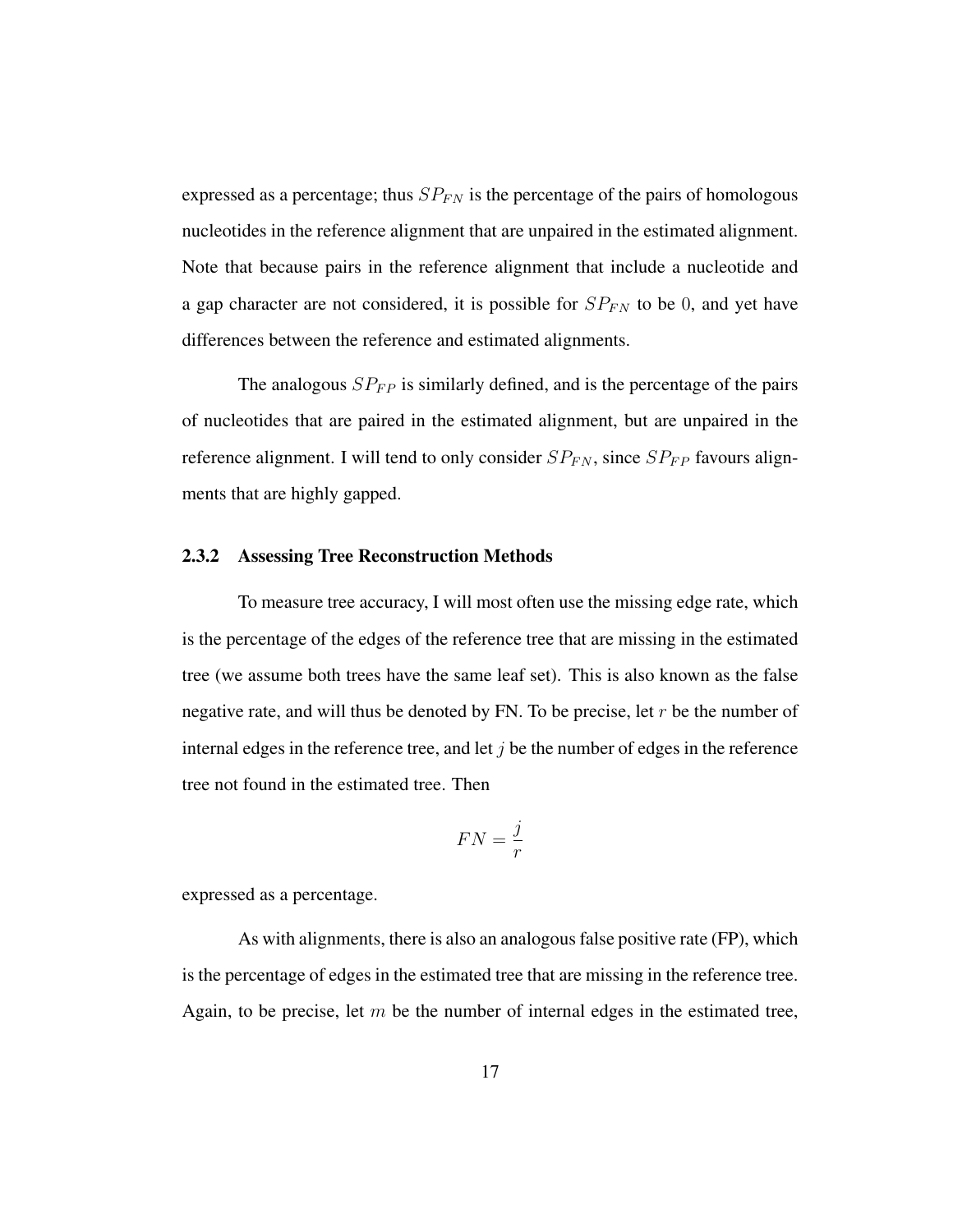expressed as a percentage; thus  $SP_{FN}$  is the percentage of the pairs of homologous nucleotides in the reference alignment that are unpaired in the estimated alignment. Note that because pairs in the reference alignment that include a nucleotide and a gap character are not considered, it is possible for  $SP_{FN}$  to be 0, and yet have differences between the reference and estimated alignments.

The analogous  $SP_{FP}$  is similarly defined, and is the percentage of the pairs of nucleotides that are paired in the estimated alignment, but are unpaired in the reference alignment. I will tend to only consider  $SP_{FN}$ , since  $SP_{FP}$  favours alignments that are highly gapped.

#### 2.3.2 Assessing Tree Reconstruction Methods

To measure tree accuracy, I will most often use the missing edge rate, which is the percentage of the edges of the reference tree that are missing in the estimated tree (we assume both trees have the same leaf set). This is also known as the false negative rate, and will thus be denoted by FN. To be precise, let  $r$  be the number of internal edges in the reference tree, and let  $j$  be the number of edges in the reference tree not found in the estimated tree. Then

$$
FN = \frac{j}{r}
$$

expressed as a percentage.

As with alignments, there is also an analogous false positive rate (FP), which is the percentage of edges in the estimated tree that are missing in the reference tree. Again, to be precise, let  $m$  be the number of internal edges in the estimated tree,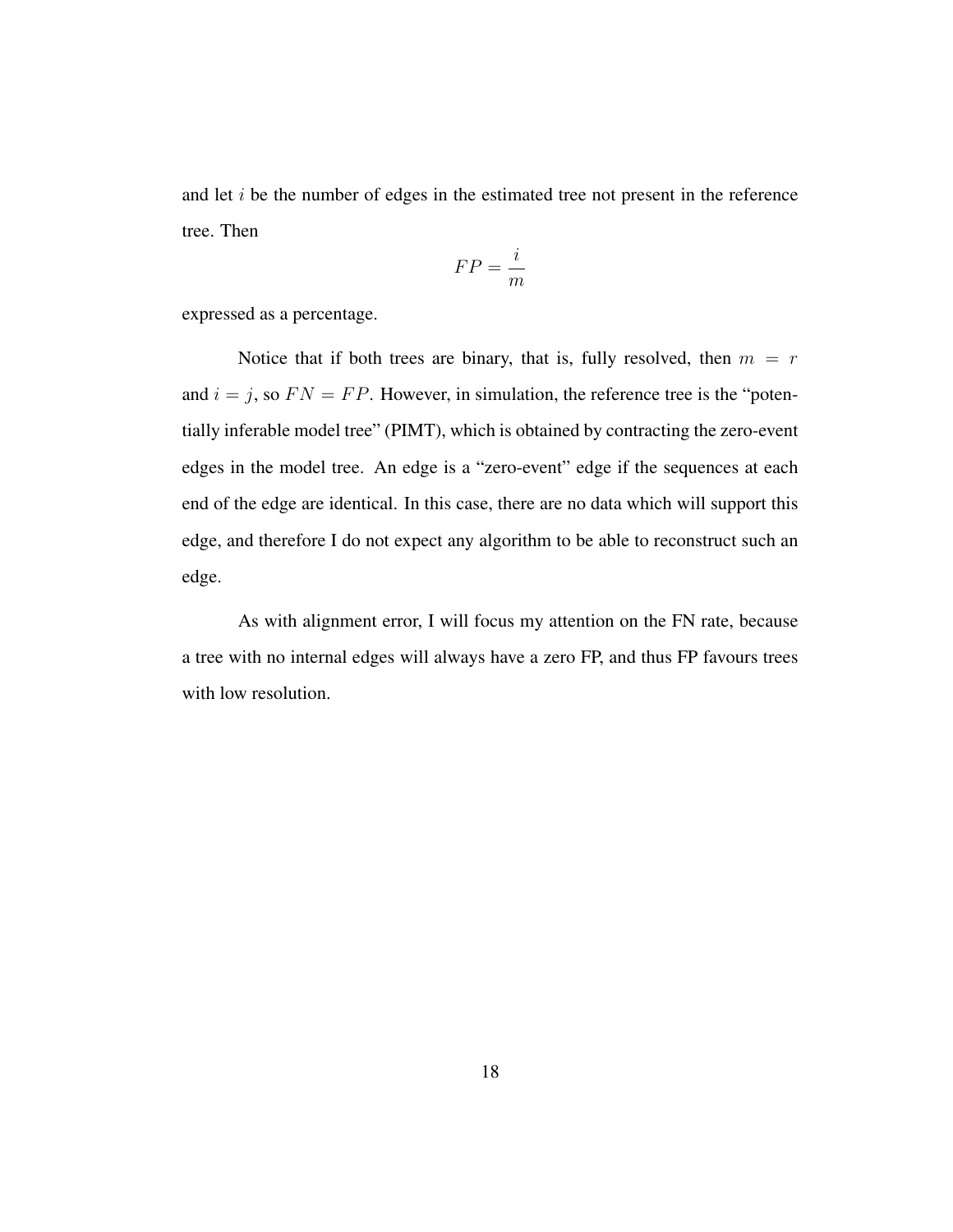and let i be the number of edges in the estimated tree not present in the reference tree. Then

$$
FP = \frac{i}{m}
$$

expressed as a percentage.

Notice that if both trees are binary, that is, fully resolved, then  $m = r$ and  $i = j$ , so  $FN = FP$ . However, in simulation, the reference tree is the "potentially inferable model tree" (PIMT), which is obtained by contracting the zero-event edges in the model tree. An edge is a "zero-event" edge if the sequences at each end of the edge are identical. In this case, there are no data which will support this edge, and therefore I do not expect any algorithm to be able to reconstruct such an edge.

As with alignment error, I will focus my attention on the FN rate, because a tree with no internal edges will always have a zero FP, and thus FP favours trees with low resolution.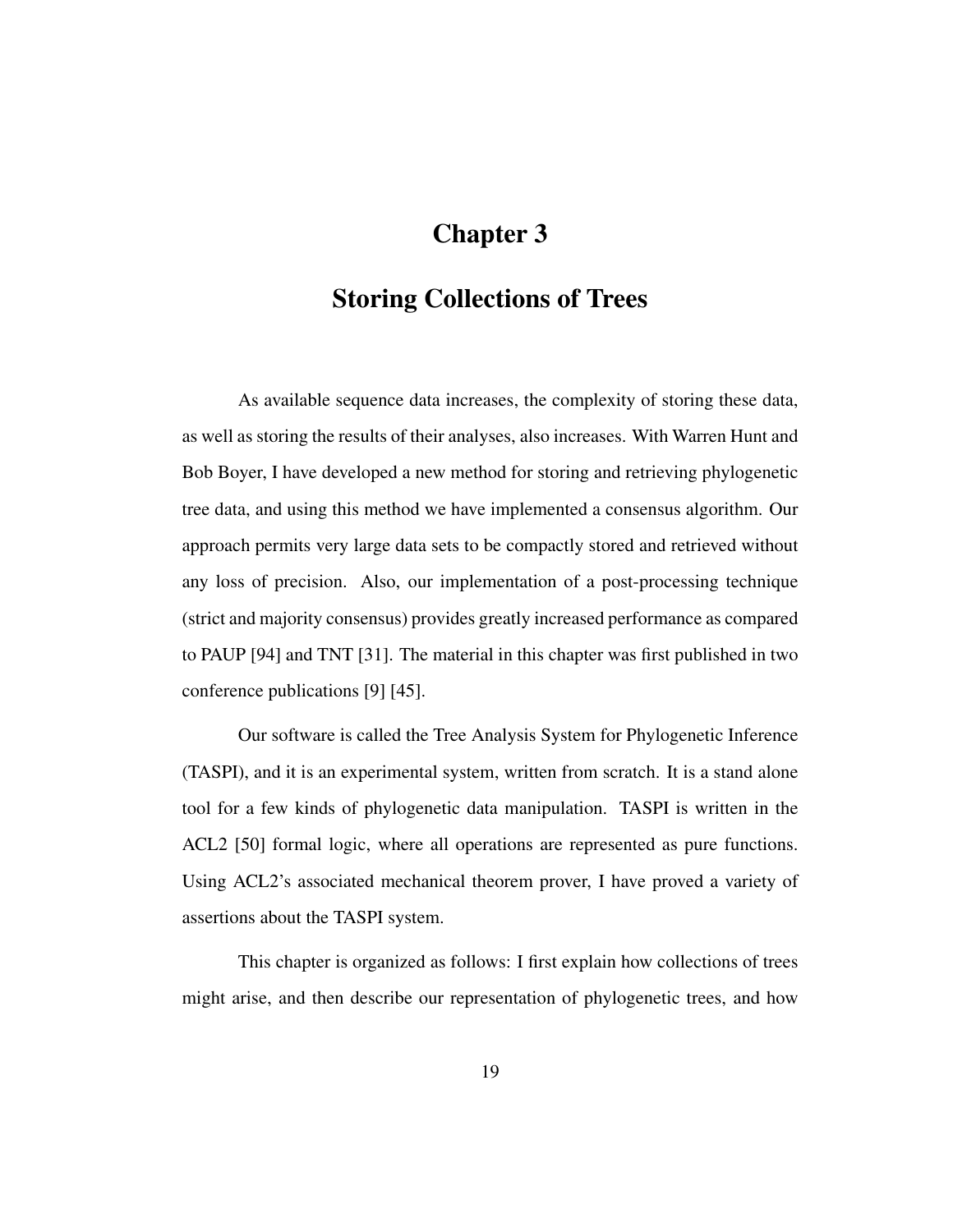# Chapter 3

### Storing Collections of Trees

As available sequence data increases, the complexity of storing these data, as well as storing the results of their analyses, also increases. With Warren Hunt and Bob Boyer, I have developed a new method for storing and retrieving phylogenetic tree data, and using this method we have implemented a consensus algorithm. Our approach permits very large data sets to be compactly stored and retrieved without any loss of precision. Also, our implementation of a post-processing technique (strict and majority consensus) provides greatly increased performance as compared to PAUP [94] and TNT [31]. The material in this chapter was first published in two conference publications [9] [45].

Our software is called the Tree Analysis System for Phylogenetic Inference (TASPI), and it is an experimental system, written from scratch. It is a stand alone tool for a few kinds of phylogenetic data manipulation. TASPI is written in the ACL2 [50] formal logic, where all operations are represented as pure functions. Using ACL2's associated mechanical theorem prover, I have proved a variety of assertions about the TASPI system.

This chapter is organized as follows: I first explain how collections of trees might arise, and then describe our representation of phylogenetic trees, and how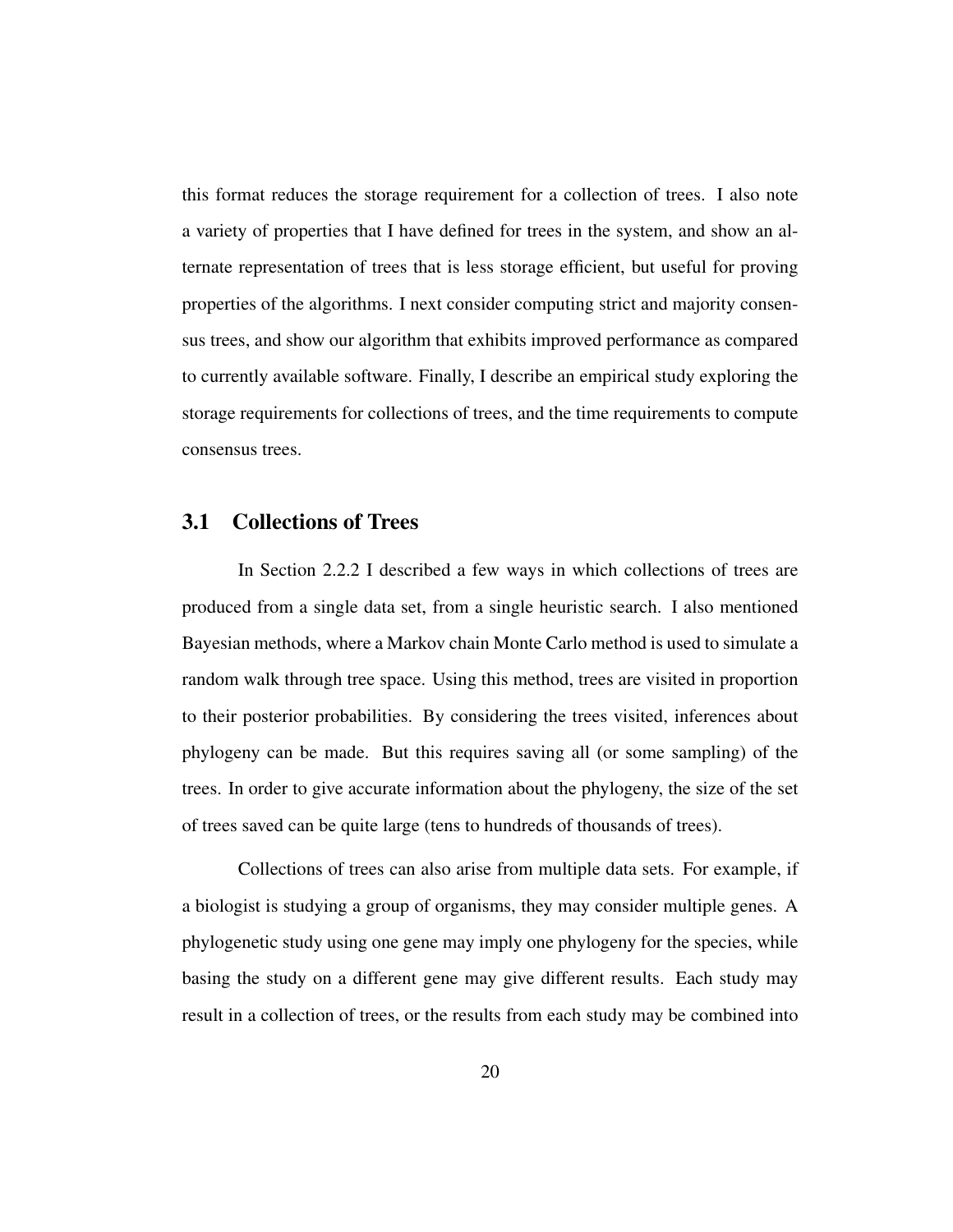this format reduces the storage requirement for a collection of trees. I also note a variety of properties that I have defined for trees in the system, and show an alternate representation of trees that is less storage efficient, but useful for proving properties of the algorithms. I next consider computing strict and majority consensus trees, and show our algorithm that exhibits improved performance as compared to currently available software. Finally, I describe an empirical study exploring the storage requirements for collections of trees, and the time requirements to compute consensus trees.

### 3.1 Collections of Trees

In Section 2.2.2 I described a few ways in which collections of trees are produced from a single data set, from a single heuristic search. I also mentioned Bayesian methods, where a Markov chain Monte Carlo method is used to simulate a random walk through tree space. Using this method, trees are visited in proportion to their posterior probabilities. By considering the trees visited, inferences about phylogeny can be made. But this requires saving all (or some sampling) of the trees. In order to give accurate information about the phylogeny, the size of the set of trees saved can be quite large (tens to hundreds of thousands of trees).

Collections of trees can also arise from multiple data sets. For example, if a biologist is studying a group of organisms, they may consider multiple genes. A phylogenetic study using one gene may imply one phylogeny for the species, while basing the study on a different gene may give different results. Each study may result in a collection of trees, or the results from each study may be combined into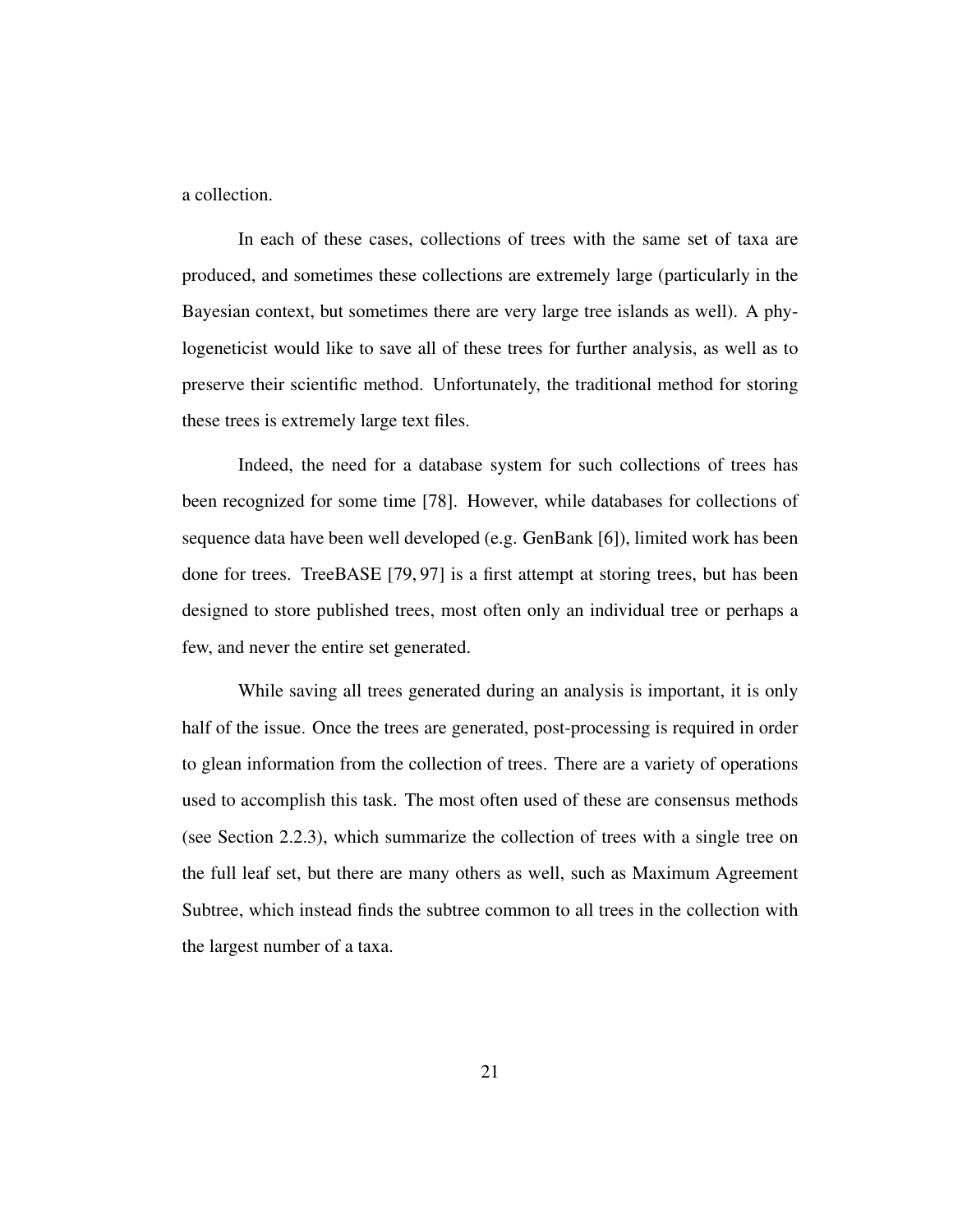a collection.

In each of these cases, collections of trees with the same set of taxa are produced, and sometimes these collections are extremely large (particularly in the Bayesian context, but sometimes there are very large tree islands as well). A phylogeneticist would like to save all of these trees for further analysis, as well as to preserve their scientific method. Unfortunately, the traditional method for storing these trees is extremely large text files.

Indeed, the need for a database system for such collections of trees has been recognized for some time [78]. However, while databases for collections of sequence data have been well developed (e.g. GenBank [6]), limited work has been done for trees. TreeBASE [79, 97] is a first attempt at storing trees, but has been designed to store published trees, most often only an individual tree or perhaps a few, and never the entire set generated.

While saving all trees generated during an analysis is important, it is only half of the issue. Once the trees are generated, post-processing is required in order to glean information from the collection of trees. There are a variety of operations used to accomplish this task. The most often used of these are consensus methods (see Section 2.2.3), which summarize the collection of trees with a single tree on the full leaf set, but there are many others as well, such as Maximum Agreement Subtree, which instead finds the subtree common to all trees in the collection with the largest number of a taxa.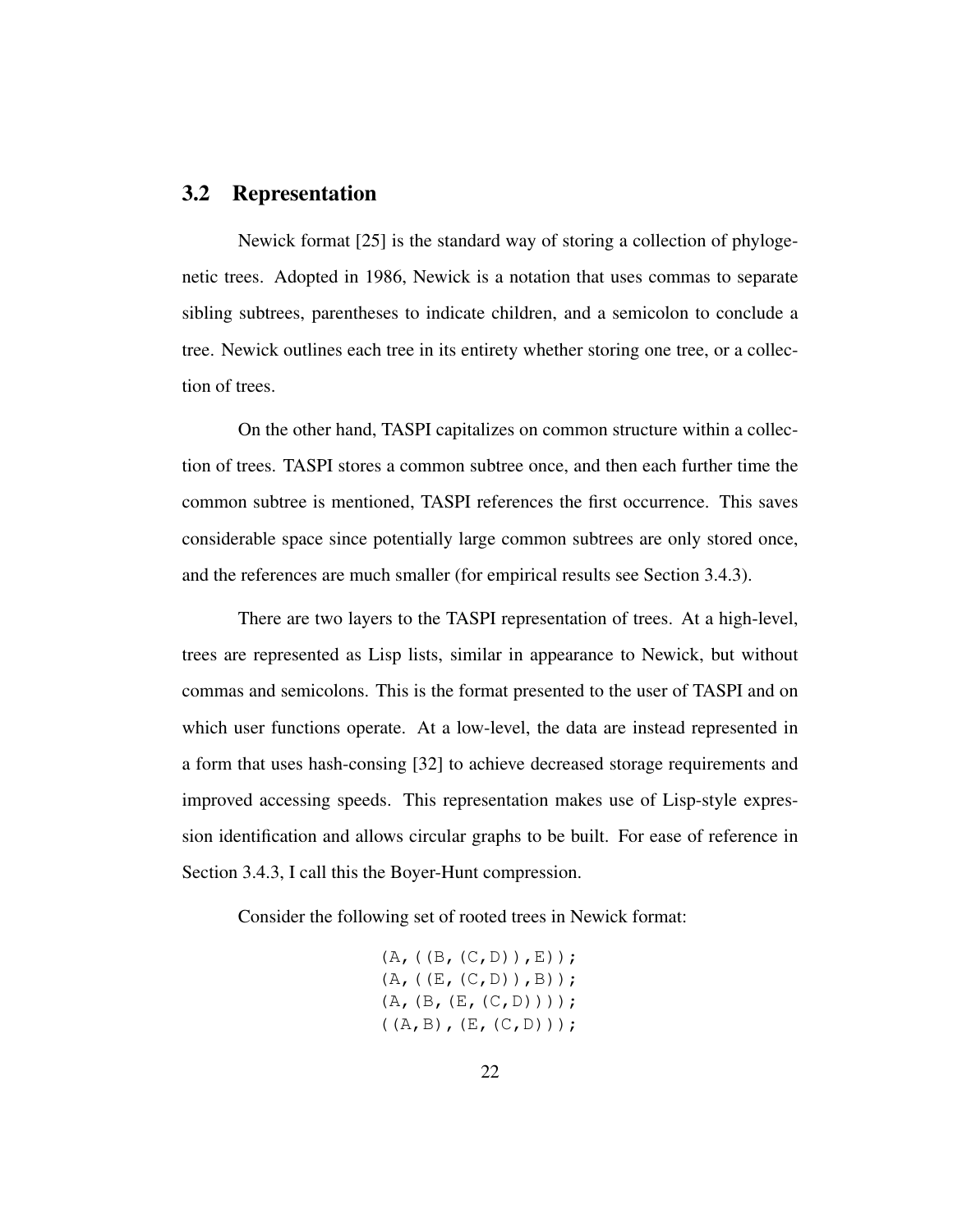### 3.2 Representation

Newick format [25] is the standard way of storing a collection of phylogenetic trees. Adopted in 1986, Newick is a notation that uses commas to separate sibling subtrees, parentheses to indicate children, and a semicolon to conclude a tree. Newick outlines each tree in its entirety whether storing one tree, or a collection of trees.

On the other hand, TASPI capitalizes on common structure within a collection of trees. TASPI stores a common subtree once, and then each further time the common subtree is mentioned, TASPI references the first occurrence. This saves considerable space since potentially large common subtrees are only stored once, and the references are much smaller (for empirical results see Section 3.4.3).

There are two layers to the TASPI representation of trees. At a high-level, trees are represented as Lisp lists, similar in appearance to Newick, but without commas and semicolons. This is the format presented to the user of TASPI and on which user functions operate. At a low-level, the data are instead represented in a form that uses hash-consing [32] to achieve decreased storage requirements and improved accessing speeds. This representation makes use of Lisp-style expression identification and allows circular graphs to be built. For ease of reference in Section 3.4.3, I call this the Boyer-Hunt compression.

Consider the following set of rooted trees in Newick format:

 $(A, ((B, (C, D)) , E))$ ;  $(A, ((E, (C, D))), B))$ ;  $(A, (B, (E, (C, D))))$ ;  $((A, B), (E, (C, D)))$ ;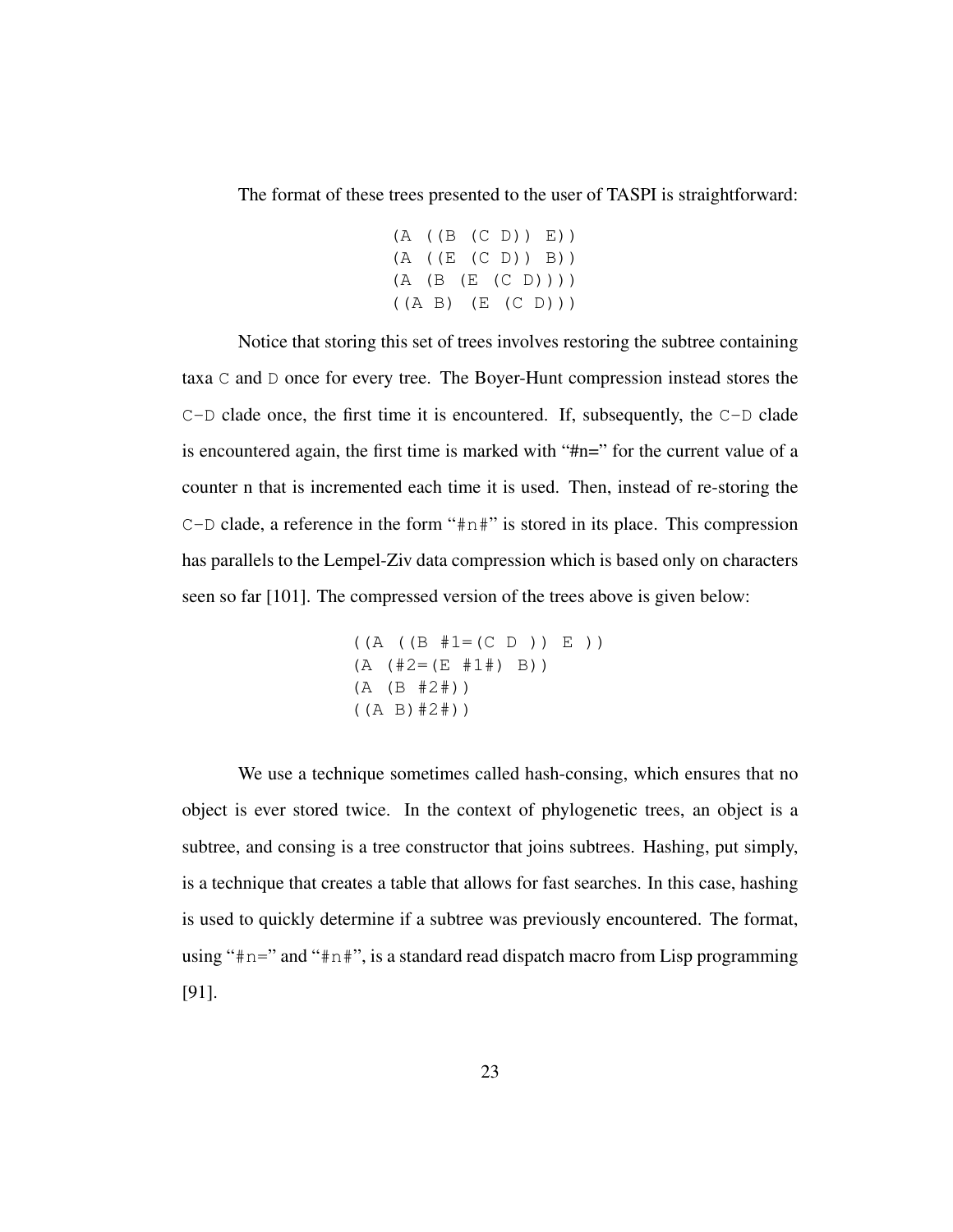The format of these trees presented to the user of TASPI is straightforward:

(A ((B (C D)) E)) (A ((E (C D)) B)) (A (B (E (C D)))) ((A B) (E (C D)))

Notice that storing this set of trees involves restoring the subtree containing taxa C and D once for every tree. The Boyer-Hunt compression instead stores the  $C-D$  clade once, the first time it is encountered. If, subsequently, the  $C-D$  clade is encountered again, the first time is marked with "#n=" for the current value of a counter n that is incremented each time it is used. Then, instead of re-storing the C-D clade, a reference in the form "#n#" is stored in its place. This compression has parallels to the Lempel-Ziv data compression which is based only on characters seen so far [101]. The compressed version of the trees above is given below:

```
((A ((B #1=(C D)) E))(A (#2= (E #1#) B))(A (B #2#))
((A B)#2#))
```
We use a technique sometimes called hash-consing, which ensures that no object is ever stored twice. In the context of phylogenetic trees, an object is a subtree, and consing is a tree constructor that joins subtrees. Hashing, put simply, is a technique that creates a table that allows for fast searches. In this case, hashing is used to quickly determine if a subtree was previously encountered. The format, using " $\#n="$  and " $\#n$ ", is a standard read dispatch macro from Lisp programming [91].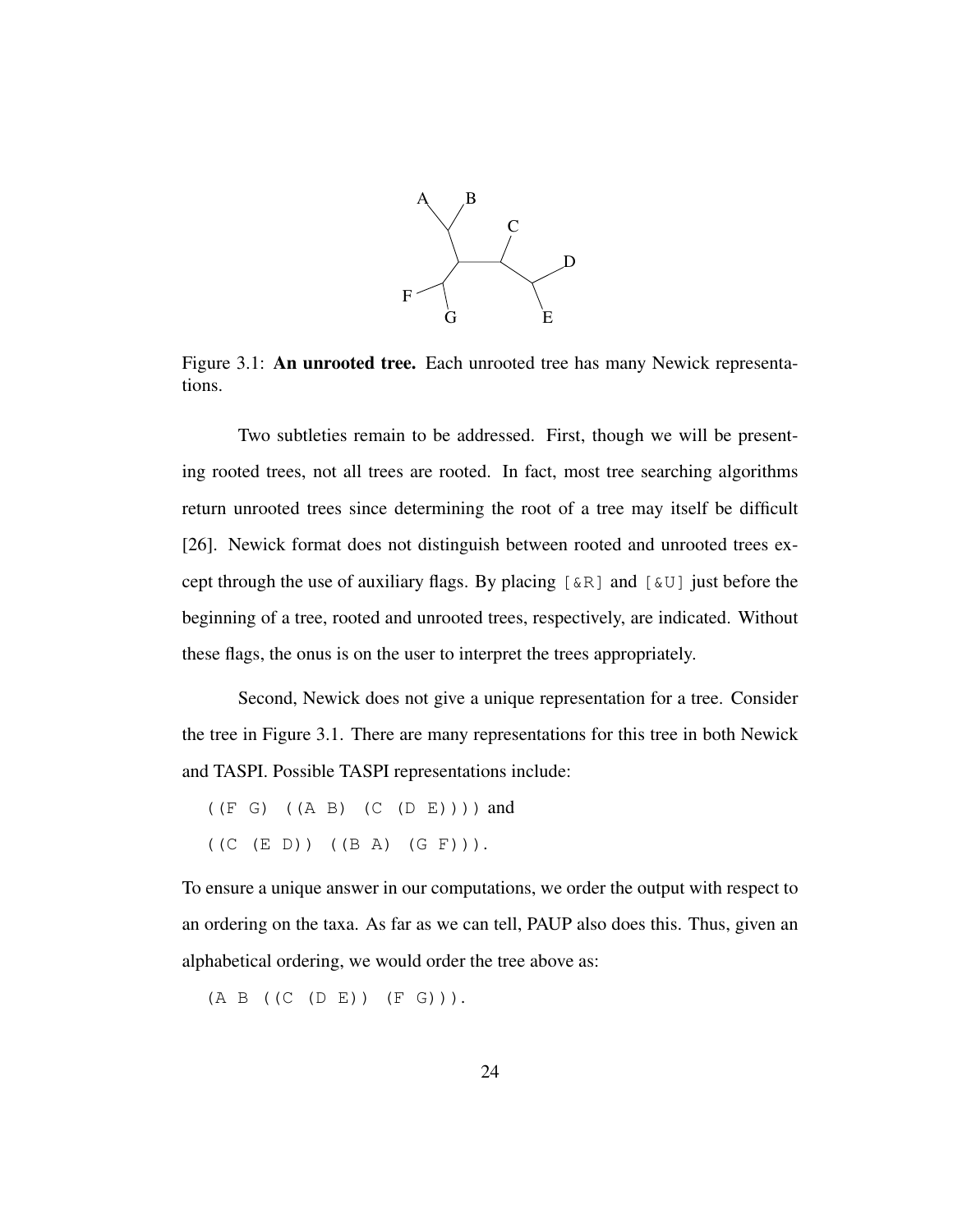

Figure 3.1: An unrooted tree. Each unrooted tree has many Newick representations.

Two subtleties remain to be addressed. First, though we will be presenting rooted trees, not all trees are rooted. In fact, most tree searching algorithms return unrooted trees since determining the root of a tree may itself be difficult [26]. Newick format does not distinguish between rooted and unrooted trees except through the use of auxiliary flags. By placing  $[\&R]$  and  $[\&U]$  just before the beginning of a tree, rooted and unrooted trees, respectively, are indicated. Without these flags, the onus is on the user to interpret the trees appropriately.

Second, Newick does not give a unique representation for a tree. Consider the tree in Figure 3.1. There are many representations for this tree in both Newick and TASPI. Possible TASPI representations include:

 $((E \ G) ((A \ B) (C (D E)))$  and  $((C (E D)) ((B A) (G F))).$ 

To ensure a unique answer in our computations, we order the output with respect to an ordering on the taxa. As far as we can tell, PAUP also does this. Thus, given an alphabetical ordering, we would order the tree above as:

(A B ((C (D E)) (F G))).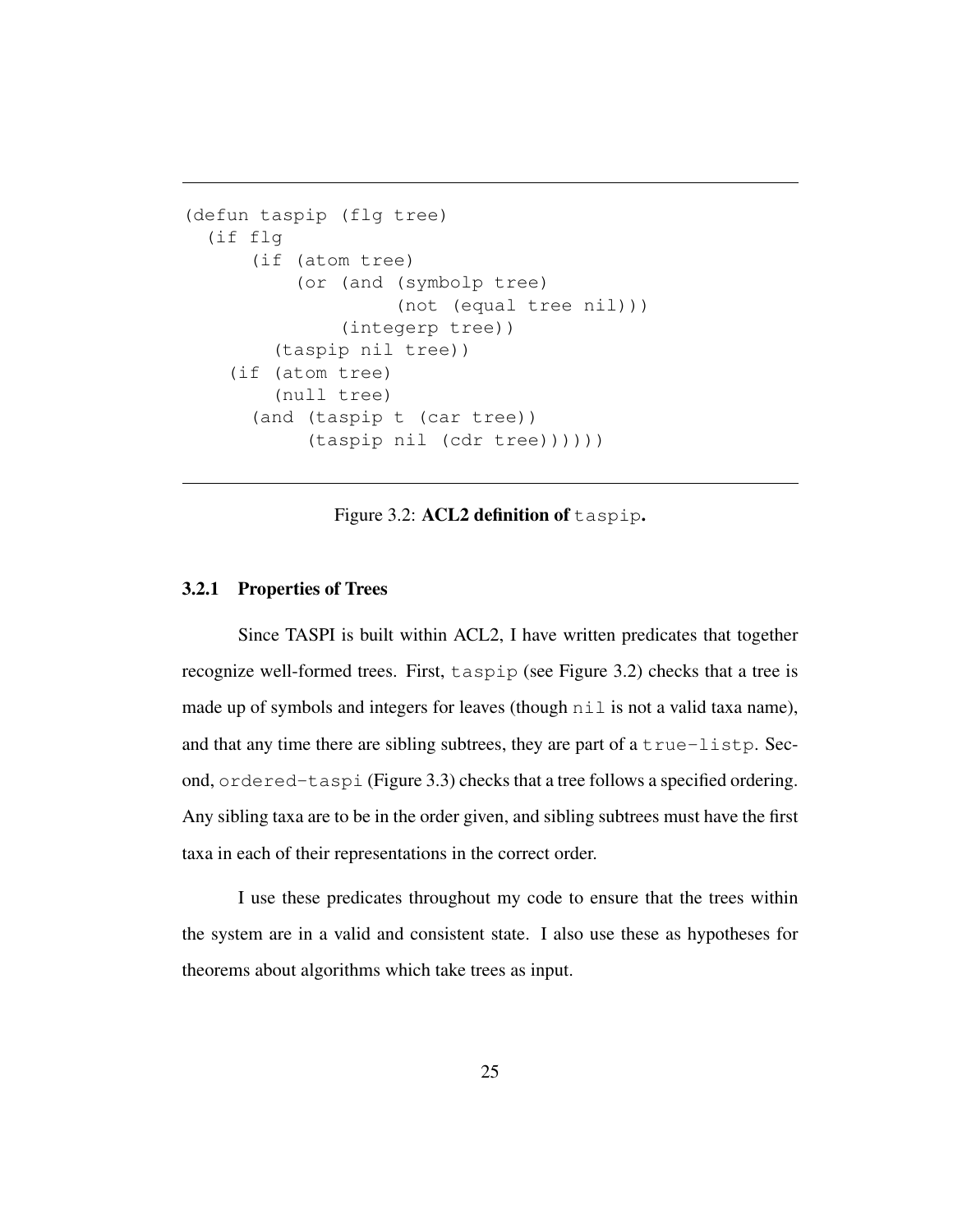```
(defun taspip (flg tree)
  (if flg
      (if (atom tree)
          (or (and (symbolp tree)
                   (not (equal tree nil)))
              (integerp tree))
        (taspip nil tree))
    (if (atom tree)
        (null tree)
      (and (taspip t (car tree))
           (taspip nil (cdr tree))))))
```
Figure 3.2: ACL2 definition of taspip.

#### 3.2.1 Properties of Trees

Since TASPI is built within ACL2, I have written predicates that together recognize well-formed trees. First, taspip (see Figure 3.2) checks that a tree is made up of symbols and integers for leaves (though  $n \in I$  is not a valid taxa name), and that any time there are sibling subtrees, they are part of a true-listp. Second, ordered-taspi (Figure 3.3) checks that a tree follows a specified ordering. Any sibling taxa are to be in the order given, and sibling subtrees must have the first taxa in each of their representations in the correct order.

I use these predicates throughout my code to ensure that the trees within the system are in a valid and consistent state. I also use these as hypotheses for theorems about algorithms which take trees as input.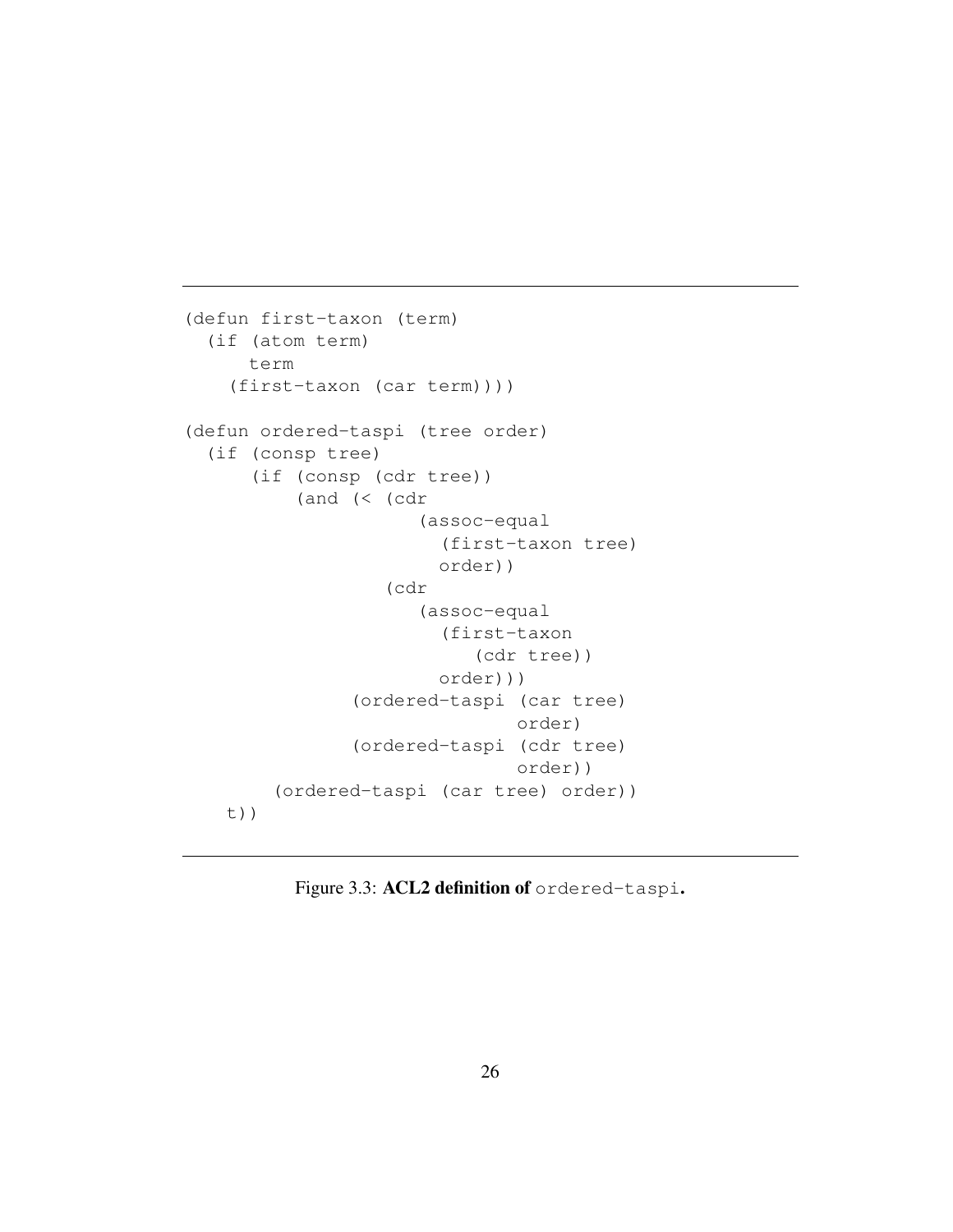```
(defun first-taxon (term)
  (if (atom term)
     term
    (first-taxon (car term))))
(defun ordered-taspi (tree order)
  (if (consp tree)
      (if (consp (cdr tree))
          (and (< (cdr
                      (assoc-equal
                        (first-taxon tree)
                        order))
                   (cdr
                      (assoc-equal
                        (first-taxon
                           (cdr tree))
                        order)))
               (ordered-taspi (car tree)
                               order)
               (ordered-taspi (cdr tree)
                               order))
        (ordered-taspi (car tree) order))
   t))
```
Figure 3.3: ACL2 definition of ordered-taspi.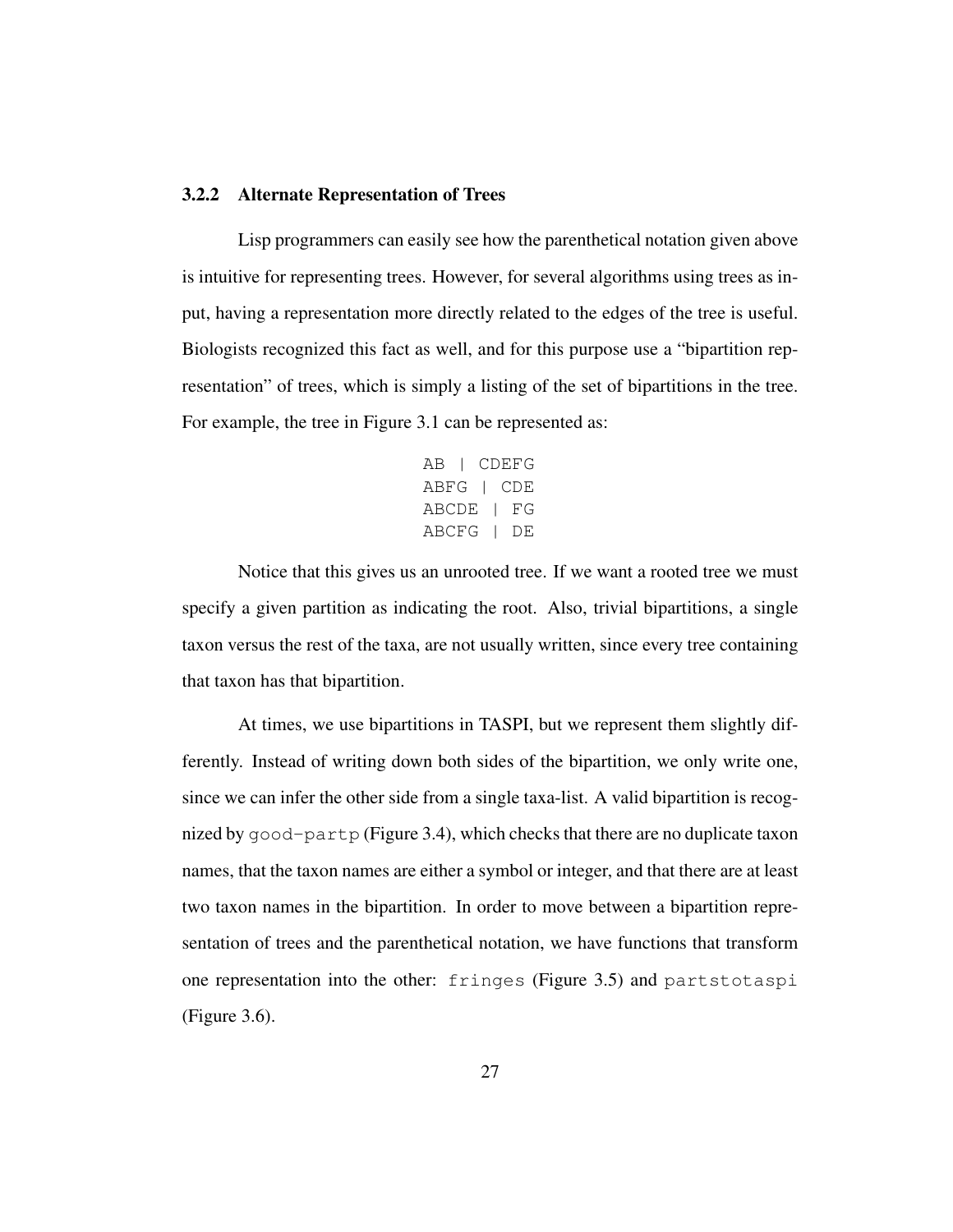#### 3.2.2 Alternate Representation of Trees

Lisp programmers can easily see how the parenthetical notation given above is intuitive for representing trees. However, for several algorithms using trees as input, having a representation more directly related to the edges of the tree is useful. Biologists recognized this fact as well, and for this purpose use a "bipartition representation" of trees, which is simply a listing of the set of bipartitions in the tree. For example, the tree in Figure 3.1 can be represented as:

```
AB | CDEFG
ABFG | CDE
ABCDE | FG
ABCFG | DE
```
Notice that this gives us an unrooted tree. If we want a rooted tree we must specify a given partition as indicating the root. Also, trivial bipartitions, a single taxon versus the rest of the taxa, are not usually written, since every tree containing that taxon has that bipartition.

At times, we use bipartitions in TASPI, but we represent them slightly differently. Instead of writing down both sides of the bipartition, we only write one, since we can infer the other side from a single taxa-list. A valid bipartition is recognized by good-partp (Figure 3.4), which checks that there are no duplicate taxon names, that the taxon names are either a symbol or integer, and that there are at least two taxon names in the bipartition. In order to move between a bipartition representation of trees and the parenthetical notation, we have functions that transform one representation into the other: fringes (Figure 3.5) and partstotaspi (Figure 3.6).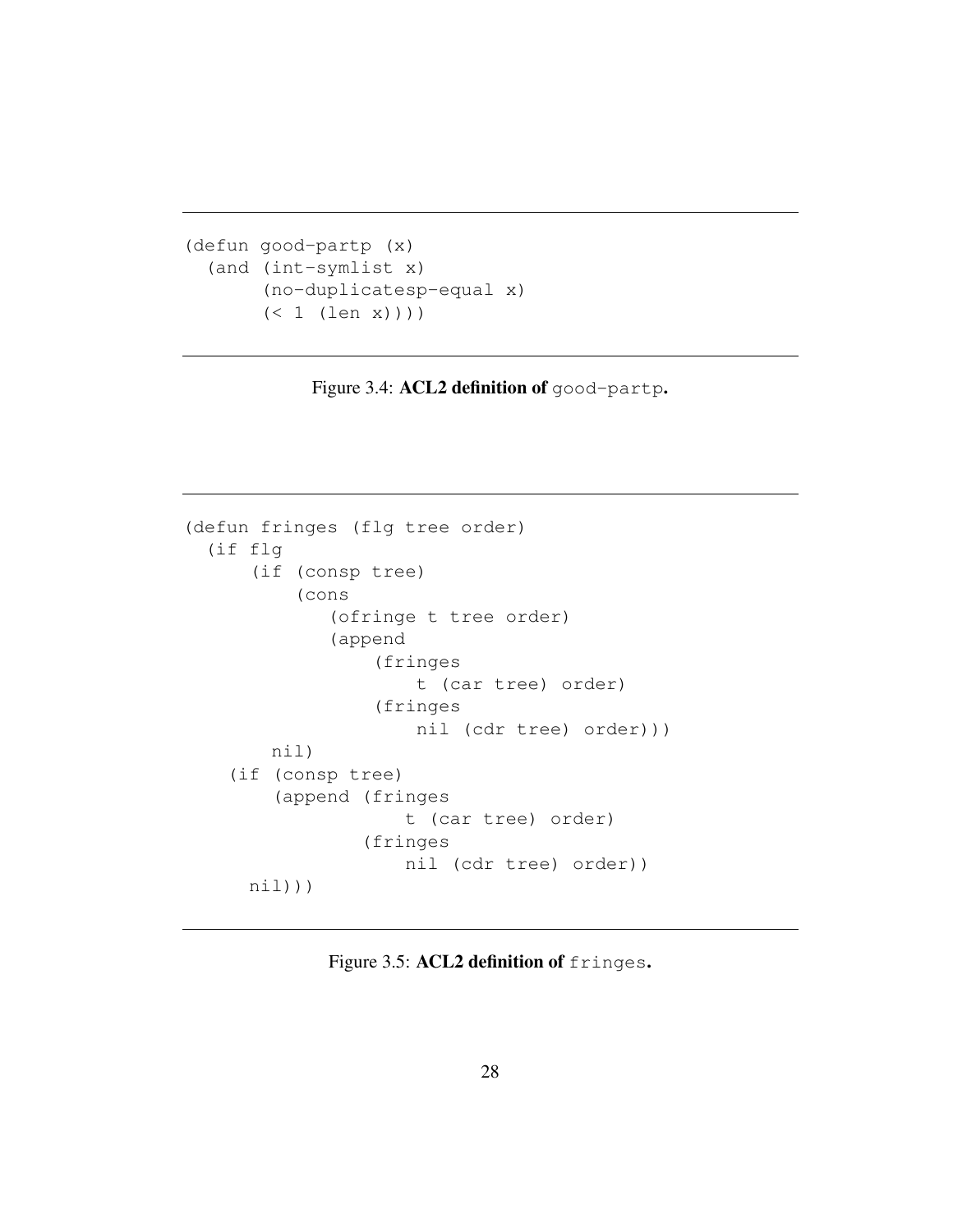```
(defun good-partp (x)
  (and (int-symlist x)
       (no-duplicatesp-equal x)
       (< 1 (len x)))
```
Figure 3.4: ACL2 definition of good-partp.

```
(defun fringes (flg tree order)
  (if flg
      (if (consp tree)
          (cons
             (ofringe t tree order)
             (append
                  (fringes
                     t (car tree) order)
                  (fringes
                     nil (cdr tree) order)))
        nil)
    (if (consp tree)
        (append (fringes
                    t (car tree) order)
                 (fringes
                    nil (cdr tree) order))
     nil)))
```
Figure 3.5: ACL2 definition of fringes.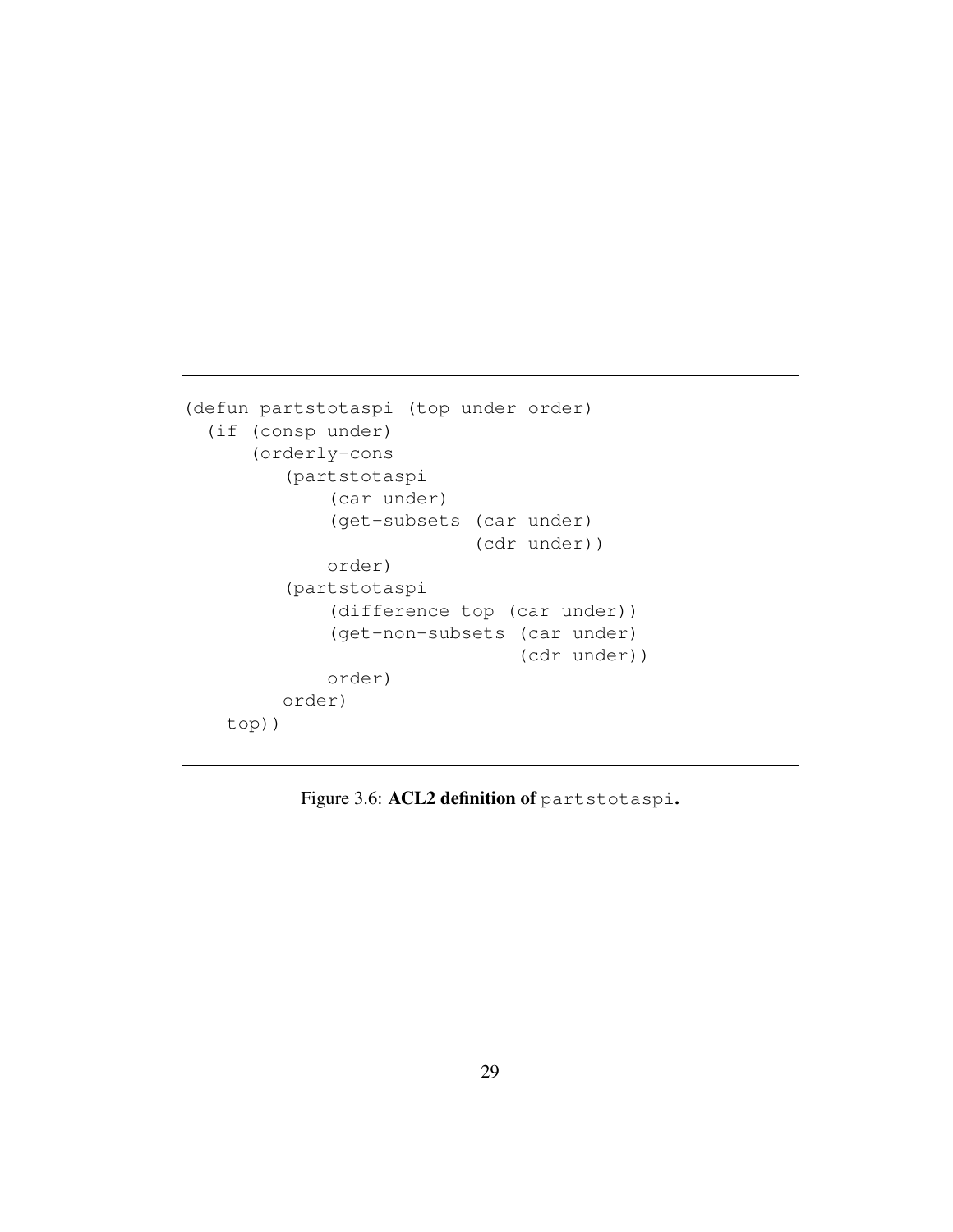```
(defun partstotaspi (top under order)
 (if (consp under)
      (orderly-cons
         (partstotaspi
             (car under)
             (get-subsets (car under)
                           (cdr under))
             order)
         (partstotaspi
             (difference top (car under))
             (get-non-subsets (car under)
                               (cdr under))
             order)
         order)
   top))
```
Figure 3.6: ACL2 definition of partstotaspi.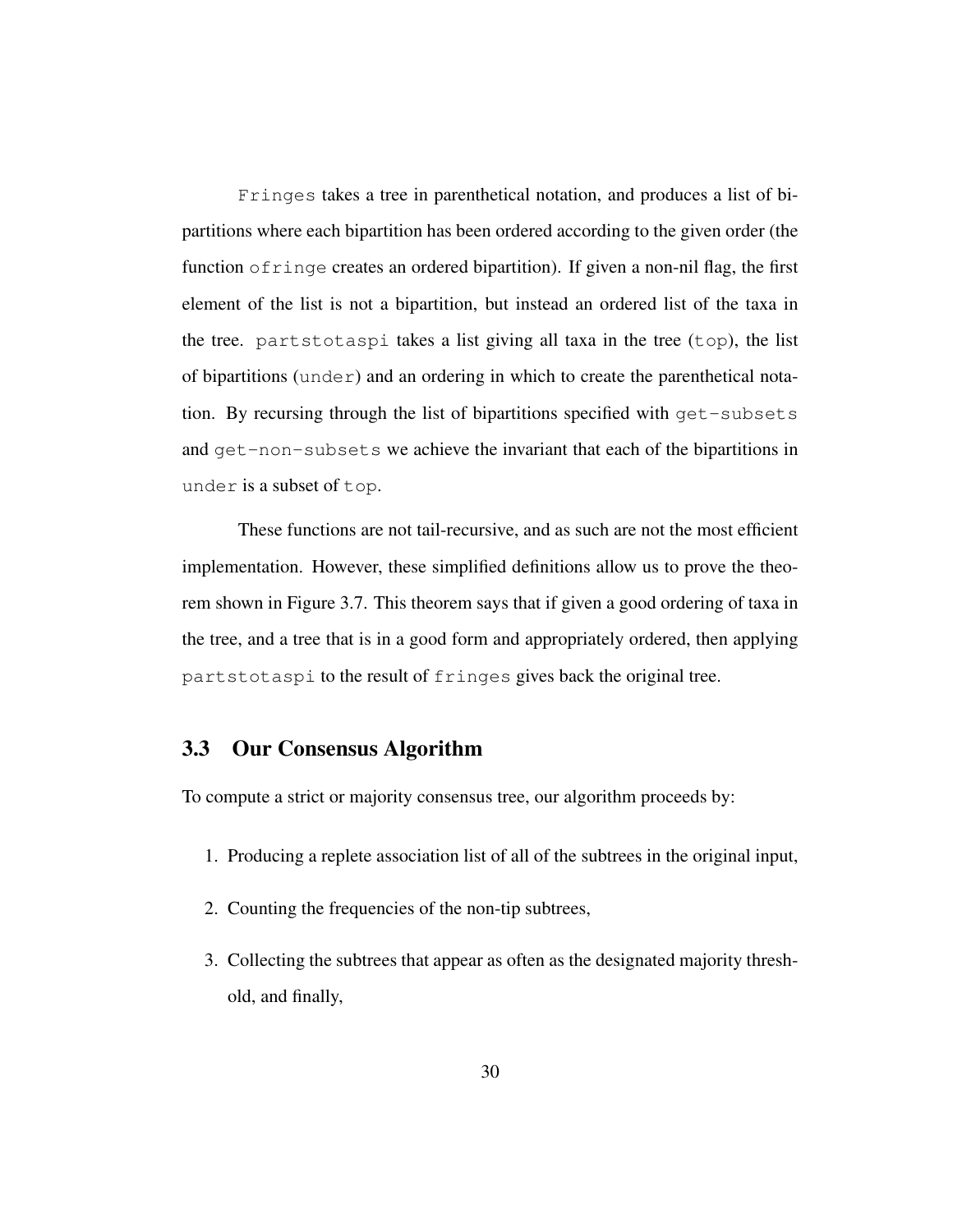Fringes takes a tree in parenthetical notation, and produces a list of bipartitions where each bipartition has been ordered according to the given order (the function ofringe creates an ordered bipartition). If given a non-nil flag, the first element of the list is not a bipartition, but instead an ordered list of the taxa in the tree. partstotaspi takes a list giving all taxa in the tree (top), the list of bipartitions (under) and an ordering in which to create the parenthetical notation. By recursing through the list of bipartitions specified with get-subsets and get-non-subsets we achieve the invariant that each of the bipartitions in under is a subset of top.

These functions are not tail-recursive, and as such are not the most efficient implementation. However, these simplified definitions allow us to prove the theorem shown in Figure 3.7. This theorem says that if given a good ordering of taxa in the tree, and a tree that is in a good form and appropriately ordered, then applying partstotaspi to the result of fringes gives back the original tree.

## 3.3 Our Consensus Algorithm

To compute a strict or majority consensus tree, our algorithm proceeds by:

- 1. Producing a replete association list of all of the subtrees in the original input,
- 2. Counting the frequencies of the non-tip subtrees,
- 3. Collecting the subtrees that appear as often as the designated majority threshold, and finally,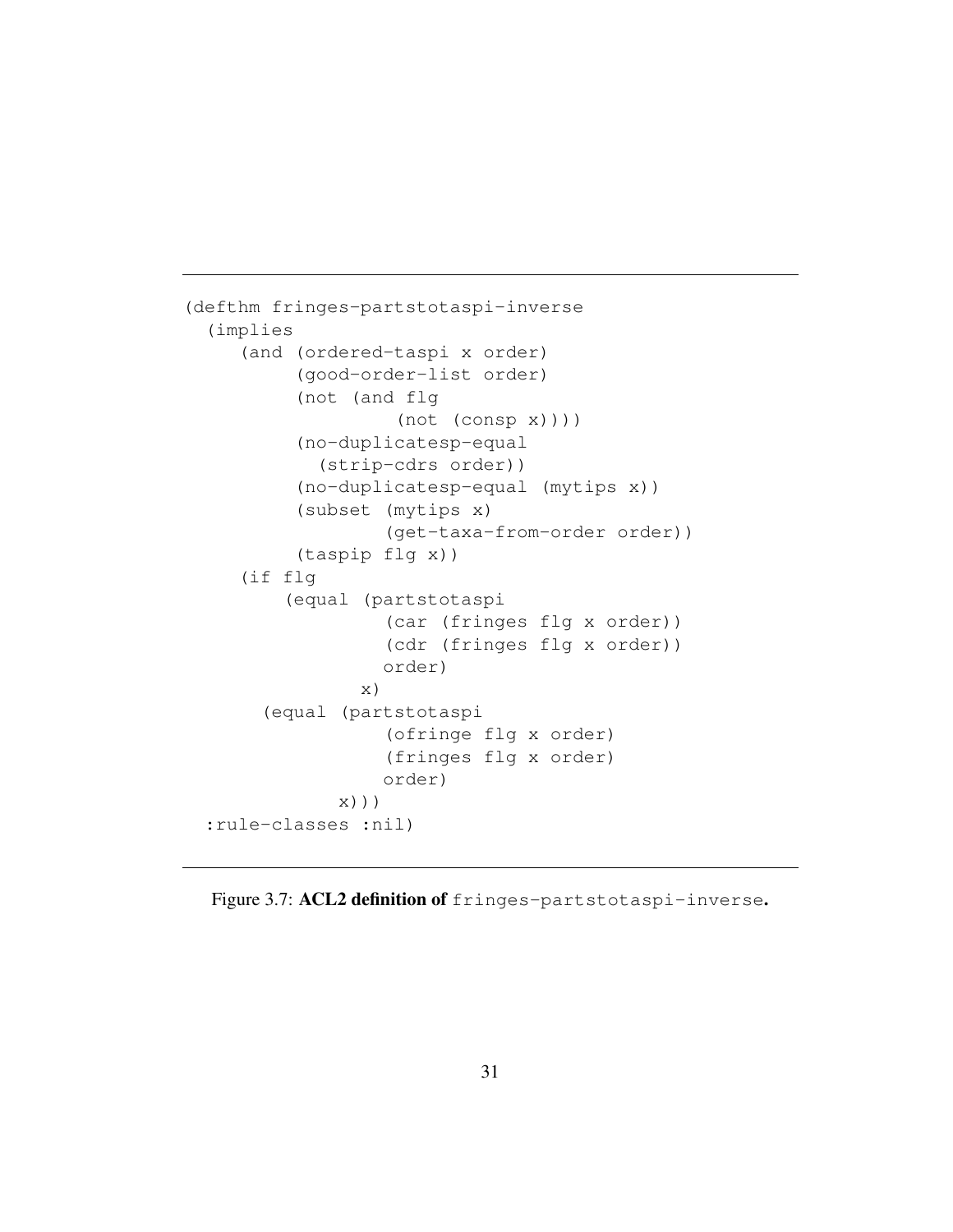```
(defthm fringes-partstotaspi-inverse
  (implies
     (and (ordered-taspi x order)
          (good-order-list order)
          (not (and flg
                    (\text{not } (\text{consp } x))))(no-duplicatesp-equal
             (strip-cdrs order))
          (no-duplicatesp-equal (mytips x))
          (subset (mytips x)
                   (get-taxa-from-order order))
          (taspip flg x))
     (if flg
         (equal (partstotaspi
                   (car (fringes flg x order))
                   (cdr (fringes flg x order))
                   order)
                 x)
       (equal (partstotaspi
                   (ofringe flg x order)
                   (fringes flg x order)
                   order)
              x)))
  :rule-classes :nil)
```
Figure 3.7: ACL2 definition of fringes-partstotaspi-inverse.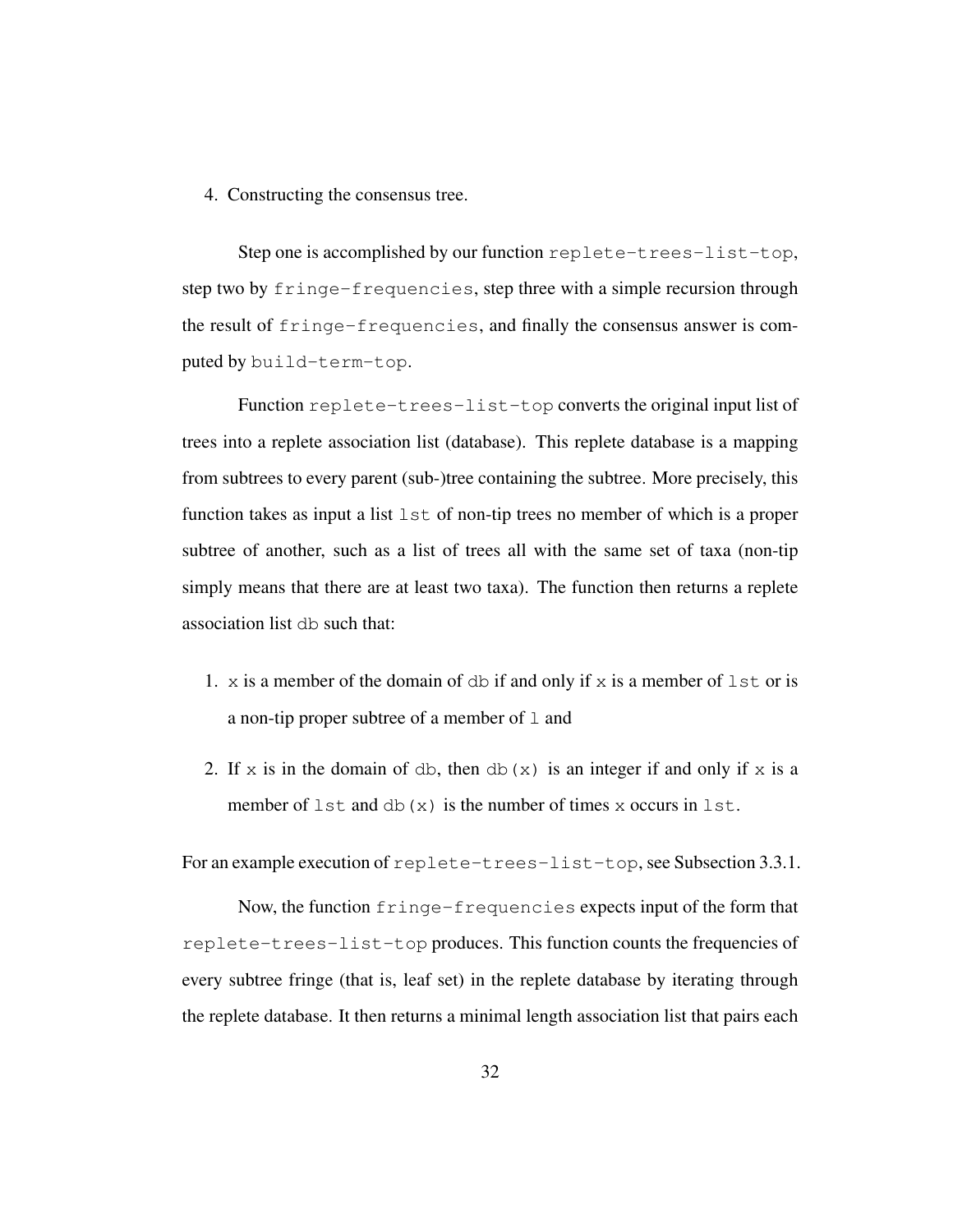4. Constructing the consensus tree.

Step one is accomplished by our function replete-trees-list-top, step two by fringe-frequencies, step three with a simple recursion through the result of fringe-frequencies, and finally the consensus answer is computed by build-term-top.

Function replete-trees-list-top converts the original input list of trees into a replete association list (database). This replete database is a mapping from subtrees to every parent (sub-)tree containing the subtree. More precisely, this function takes as input a list  $1st$  of non-tip trees no member of which is a proper subtree of another, such as a list of trees all with the same set of taxa (non-tip simply means that there are at least two taxa). The function then returns a replete association list db such that:

- 1. x is a member of the domain of db if and only if x is a member of  $1st$  or is a non-tip proper subtree of a member of  $\perp$  and
- 2. If x is in the domain of db, then db(x) is an integer if and only if x is a member of  $1st$  and db(x) is the number of times x occurs in  $1st$ .

For an example execution of replete-trees-list-top, see Subsection 3.3.1.

Now, the function fringe-frequencies expects input of the form that replete-trees-list-top produces. This function counts the frequencies of every subtree fringe (that is, leaf set) in the replete database by iterating through the replete database. It then returns a minimal length association list that pairs each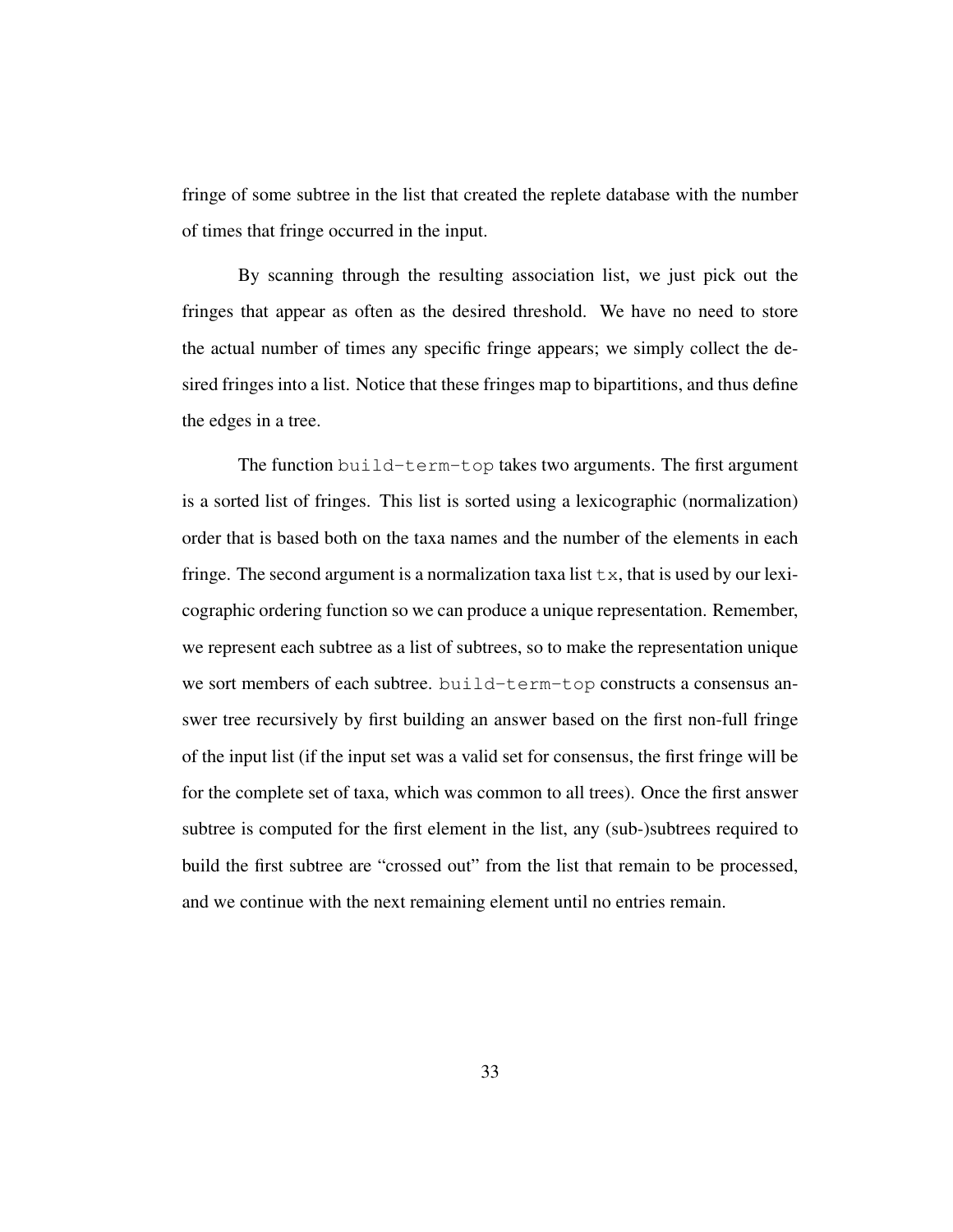fringe of some subtree in the list that created the replete database with the number of times that fringe occurred in the input.

By scanning through the resulting association list, we just pick out the fringes that appear as often as the desired threshold. We have no need to store the actual number of times any specific fringe appears; we simply collect the desired fringes into a list. Notice that these fringes map to bipartitions, and thus define the edges in a tree.

The function build-term-top takes two arguments. The first argument is a sorted list of fringes. This list is sorted using a lexicographic (normalization) order that is based both on the taxa names and the number of the elements in each fringe. The second argument is a normalization taxa list  $\pm x$ , that is used by our lexicographic ordering function so we can produce a unique representation. Remember, we represent each subtree as a list of subtrees, so to make the representation unique we sort members of each subtree. build-term-top constructs a consensus answer tree recursively by first building an answer based on the first non-full fringe of the input list (if the input set was a valid set for consensus, the first fringe will be for the complete set of taxa, which was common to all trees). Once the first answer subtree is computed for the first element in the list, any (sub-)subtrees required to build the first subtree are "crossed out" from the list that remain to be processed, and we continue with the next remaining element until no entries remain.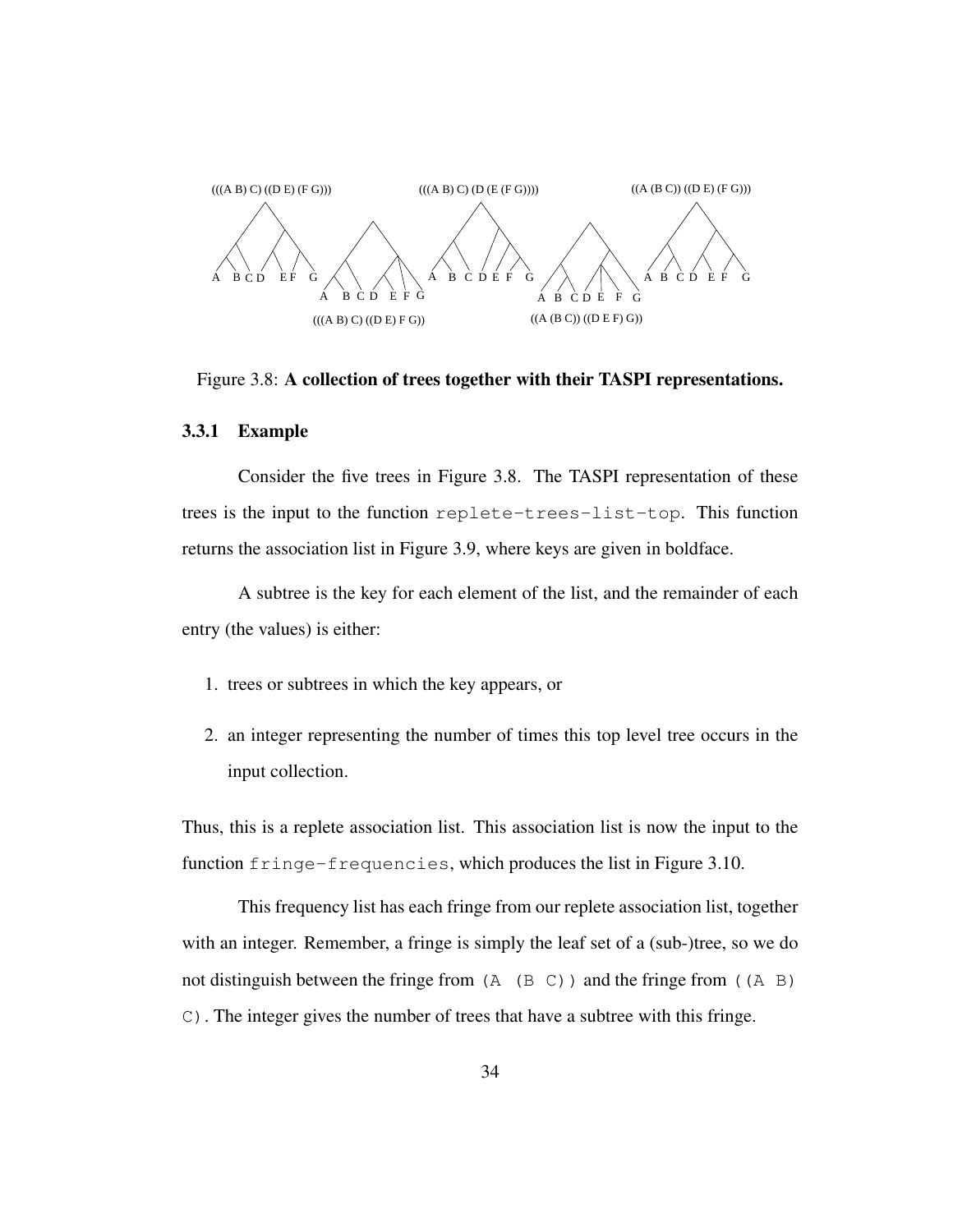

Figure 3.8: A collection of trees together with their TASPI representations.

#### 3.3.1 Example

Consider the five trees in Figure 3.8. The TASPI representation of these trees is the input to the function replete-trees-list-top. This function returns the association list in Figure 3.9, where keys are given in boldface.

A subtree is the key for each element of the list, and the remainder of each entry (the values) is either:

- 1. trees or subtrees in which the key appears, or
- 2. an integer representing the number of times this top level tree occurs in the input collection.

Thus, this is a replete association list. This association list is now the input to the function fringe-frequencies, which produces the list in Figure 3.10.

This frequency list has each fringe from our replete association list, together with an integer. Remember, a fringe is simply the leaf set of a (sub-)tree, so we do not distinguish between the fringe from  $(A \ (B \ C))$  and the fringe from  $((A \ B)$ C). The integer gives the number of trees that have a subtree with this fringe.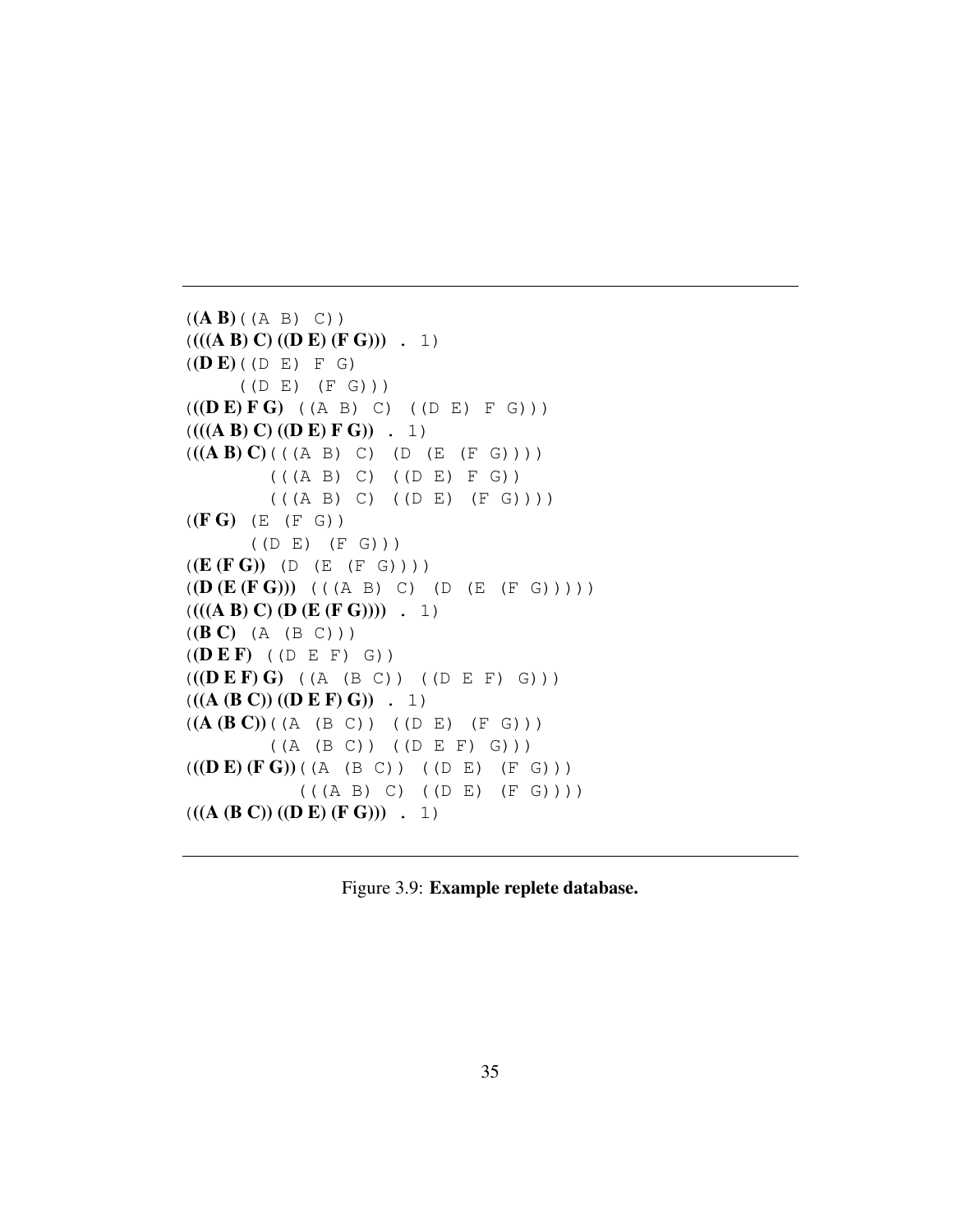```
((A B)((A B) C))(((A B) C) ((D E) (F G))) . 1)
((D E)(D E) F G)((D E) (F G)))
(((<b>D</b> E) F G) ((A B) C) ((D E) F G)))(((A B) C) ((D E) F G)) . 1)
(((A B) C)((A B) C) (B (A B) C)(((A B) C) ((D E) F G))
        (( (A B) C) (( D E) (F G)))((F G) (E (F G)))((D E) (F G)))
((E (F G)) (D (E (F G))))
((D (E (FG)))) ((A B) C) (D (E (F G))))(((A B) C) (D (E (F G)))) . 1)
((B C) (A (B C)))((D E F) ((D E F) G))(((<b>D</b> E F) G) ((A (B C)) ((D E F) G)))(((A (B C)) ((D E F) G)) . 1)
((A (B C)) ((A (B C)) (D E) (F G)))((A (B C)) ((D E F) G)))
(((<b>D</b> E) (<b>F</b> G)) ((A (B C)) ((D E) (F G)))(( (A B) C) (( D E) (F G))))(((A (B C)) ((D E) (F G))) . 1)
```
Figure 3.9: Example replete database.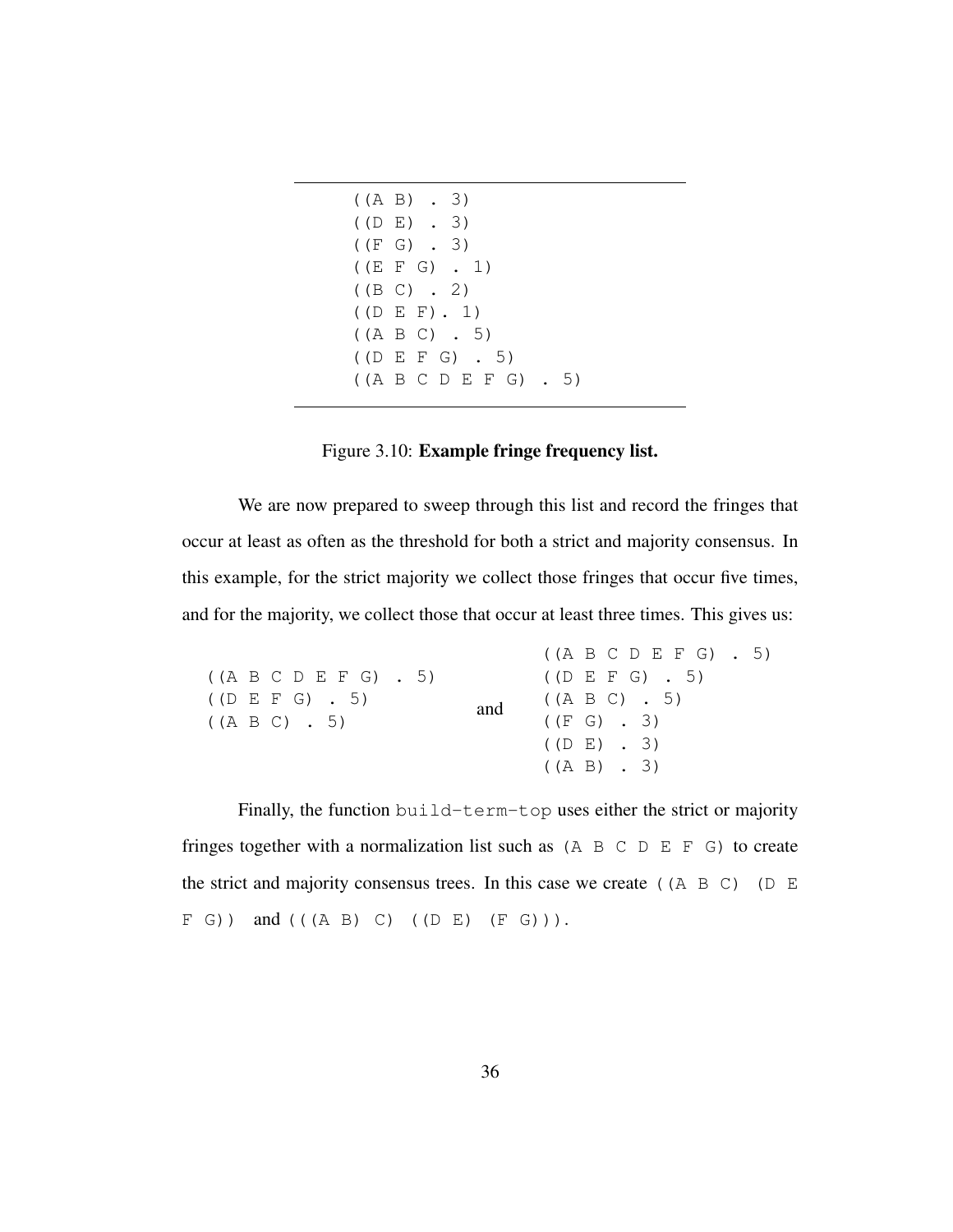| $((A \ B) \ A \ 3)$     |                  |                     |  |
|-------------------------|------------------|---------------------|--|
| $($ (DE) . 3)           |                  |                     |  |
| $((F G)$ . 3)           |                  |                     |  |
| $((E F G)$ . 1)         |                  |                     |  |
| ((B C) . 2)             |                  |                     |  |
| $($ (DEF). 1)           |                  |                     |  |
| $((A \ B \ C) \ A \ 5)$ |                  |                     |  |
|                         | $($ (DEFG). 5)   |                     |  |
|                         | ((A B C D E F G) | 5)<br>$\sim$ $\sim$ |  |

## Figure 3.10: Example fringe frequency list.

We are now prepared to sweep through this list and record the fringes that occur at least as often as the threshold for both a strict and majority consensus. In this example, for the strict majority we collect those fringes that occur five times, and for the majority, we collect those that occur at least three times. This gives us:

|                                     |     | $((A \ B \ C \ D \ E \ F \ G)$ . 5) |  |
|-------------------------------------|-----|-------------------------------------|--|
| $((A \ B \ C \ D \ E \ F \ G)$ , 5) |     | $($ (D E F G) $\,$ . 5)             |  |
| $($ (D E F G) $\,$ 5)               | and | $((A \ B \ C) \ \ . \ \ 5)$         |  |
| $((A \ B \ C) \ \ . \ \ 5)$         |     | ((F G) . 3)                         |  |
|                                     |     | $($ (DE) . 3)                       |  |
|                                     |     | $((A \ B) \ A \ 3)$                 |  |

Finally, the function build-term-top uses either the strict or majority fringes together with a normalization list such as  $(A \ B \ C \ D \ E \ F \ G)$  to create the strict and majority consensus trees. In this case we create ((A B C) (D E  $F(G)$ ) and (((A B) C) ((D E) (F G))).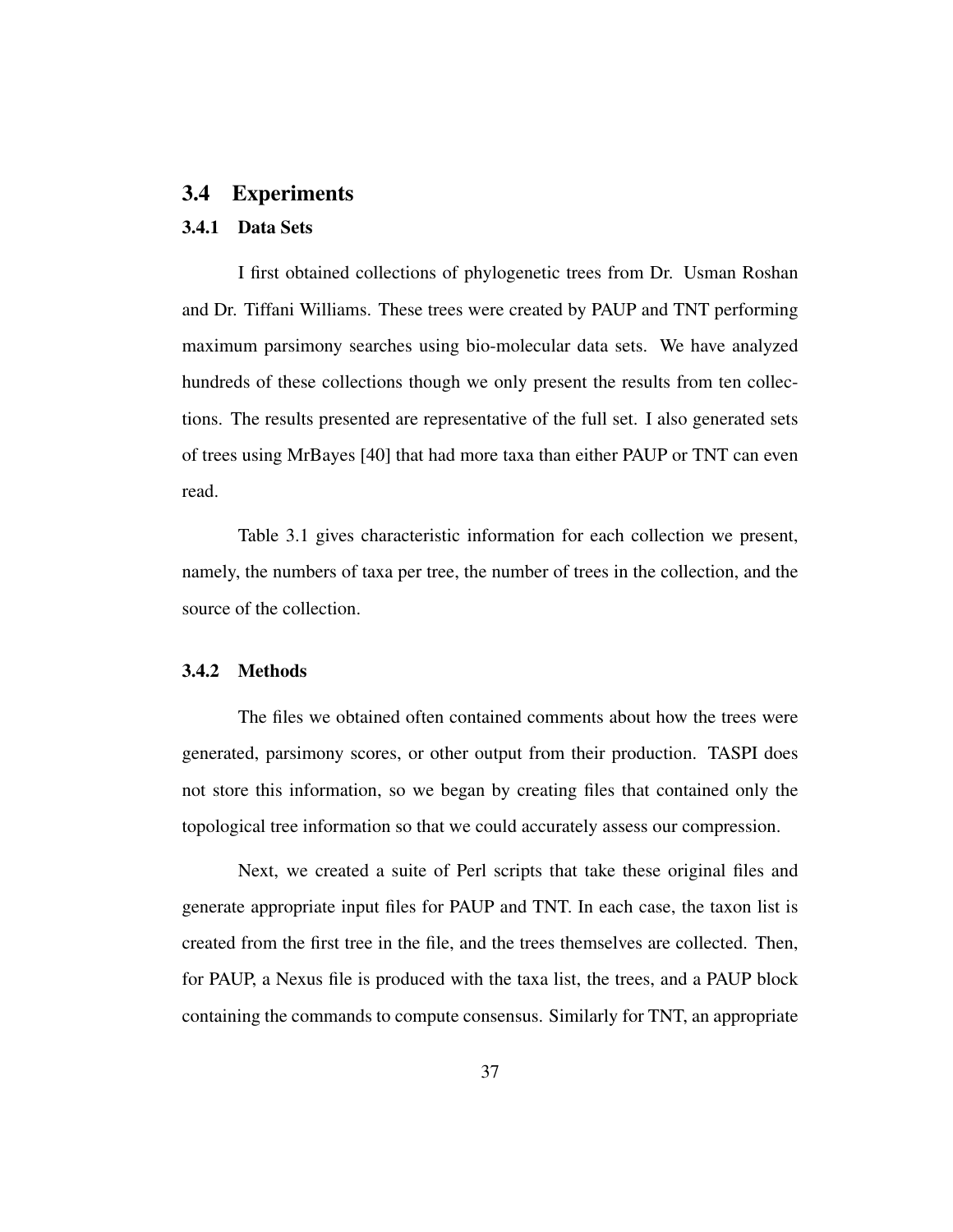#### 3.4 Experiments

#### 3.4.1 Data Sets

I first obtained collections of phylogenetic trees from Dr. Usman Roshan and Dr. Tiffani Williams. These trees were created by PAUP and TNT performing maximum parsimony searches using bio-molecular data sets. We have analyzed hundreds of these collections though we only present the results from ten collections. The results presented are representative of the full set. I also generated sets of trees using MrBayes [40] that had more taxa than either PAUP or TNT can even read.

Table 3.1 gives characteristic information for each collection we present, namely, the numbers of taxa per tree, the number of trees in the collection, and the source of the collection.

#### 3.4.2 Methods

The files we obtained often contained comments about how the trees were generated, parsimony scores, or other output from their production. TASPI does not store this information, so we began by creating files that contained only the topological tree information so that we could accurately assess our compression.

Next, we created a suite of Perl scripts that take these original files and generate appropriate input files for PAUP and TNT. In each case, the taxon list is created from the first tree in the file, and the trees themselves are collected. Then, for PAUP, a Nexus file is produced with the taxa list, the trees, and a PAUP block containing the commands to compute consensus. Similarly for TNT, an appropriate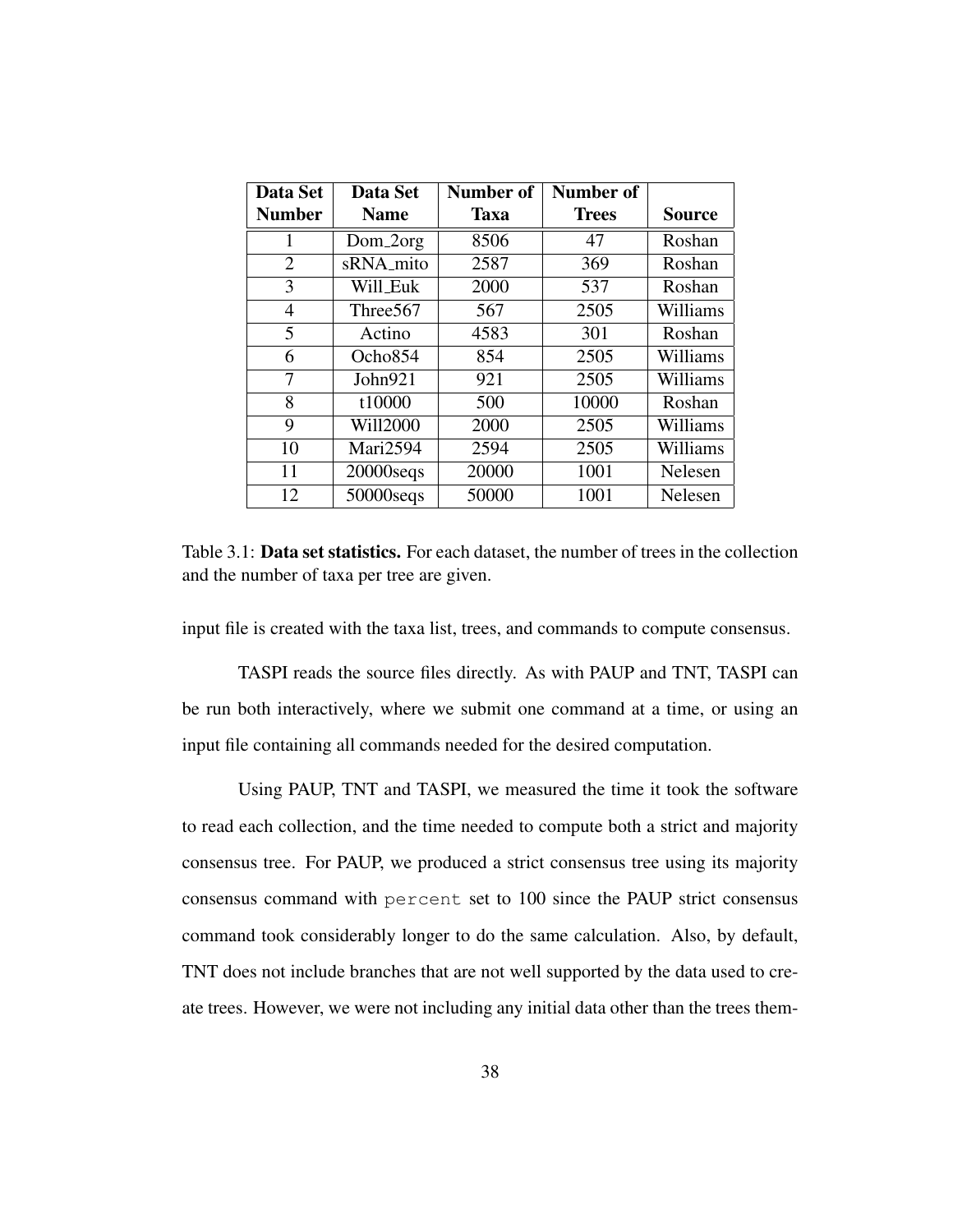| Data Set       | <b>Data Set</b> | Number of<br>Number of |              |               |
|----------------|-----------------|------------------------|--------------|---------------|
| <b>Number</b>  | <b>Name</b>     | <b>Taxa</b>            | <b>Trees</b> | <b>Source</b> |
|                | Dom_2org        | 8506                   | 47           | Roshan        |
| $\overline{2}$ | sRNA_mito       | 2587                   | 369          | Roshan        |
| 3              | Will_Euk        | 2000                   | 537          | Roshan        |
| $\overline{4}$ | Three567        | 567                    | 2505         | Williams      |
| 5              | Actino          | 4583                   | 301          | Roshan        |
| 6              | Ocho854         | 854                    | 2505         | Williams      |
| 7              | John921         | 921                    | 2505         | Williams      |
| 8              | t10000          | 500                    | 10000        | Roshan        |
| 9              | <b>Will2000</b> | 2000                   | 2505         | Williams      |
| 10             | Mari2594        | 2594                   | 2505         | Williams      |
| 11             | $20000$ seqs    | 20000                  | 1001         | Nelesen       |
| 12             | $50000$ seqs    | 50000                  | 1001         | Nelesen       |

Table 3.1: Data set statistics. For each dataset, the number of trees in the collection and the number of taxa per tree are given.

input file is created with the taxa list, trees, and commands to compute consensus.

TASPI reads the source files directly. As with PAUP and TNT, TASPI can be run both interactively, where we submit one command at a time, or using an input file containing all commands needed for the desired computation.

Using PAUP, TNT and TASPI, we measured the time it took the software to read each collection, and the time needed to compute both a strict and majority consensus tree. For PAUP, we produced a strict consensus tree using its majority consensus command with percent set to 100 since the PAUP strict consensus command took considerably longer to do the same calculation. Also, by default, TNT does not include branches that are not well supported by the data used to create trees. However, we were not including any initial data other than the trees them-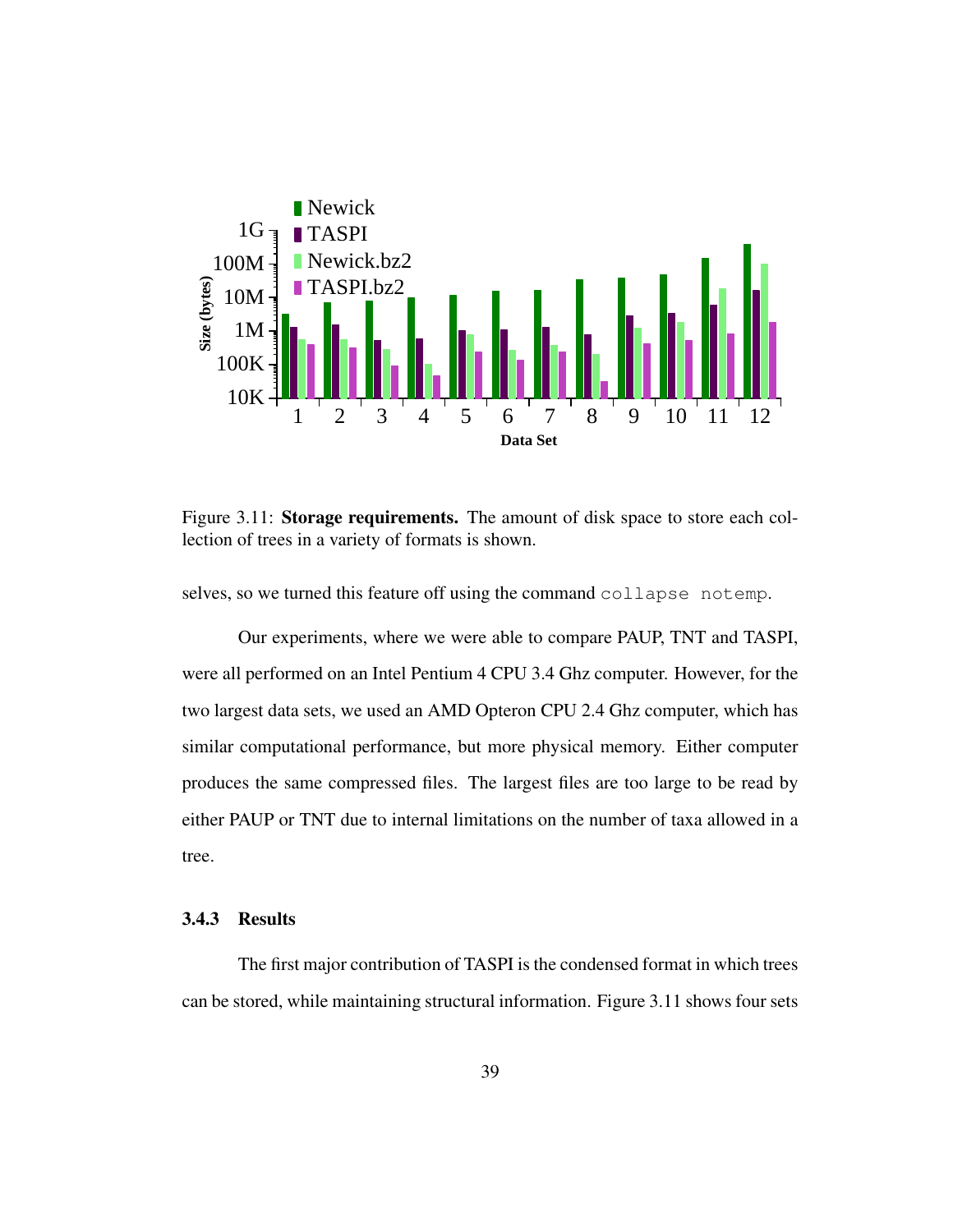

Figure 3.11: Storage requirements. The amount of disk space to store each collection of trees in a variety of formats is shown.

selves, so we turned this feature off using the command collapse notemp.

Our experiments, where we were able to compare PAUP, TNT and TASPI, were all performed on an Intel Pentium 4 CPU 3.4 Ghz computer. However, for the two largest data sets, we used an AMD Opteron CPU 2.4 Ghz computer, which has similar computational performance, but more physical memory. Either computer produces the same compressed files. The largest files are too large to be read by either PAUP or TNT due to internal limitations on the number of taxa allowed in a tree.

#### 3.4.3 Results

The first major contribution of TASPI is the condensed format in which trees can be stored, while maintaining structural information. Figure 3.11 shows four sets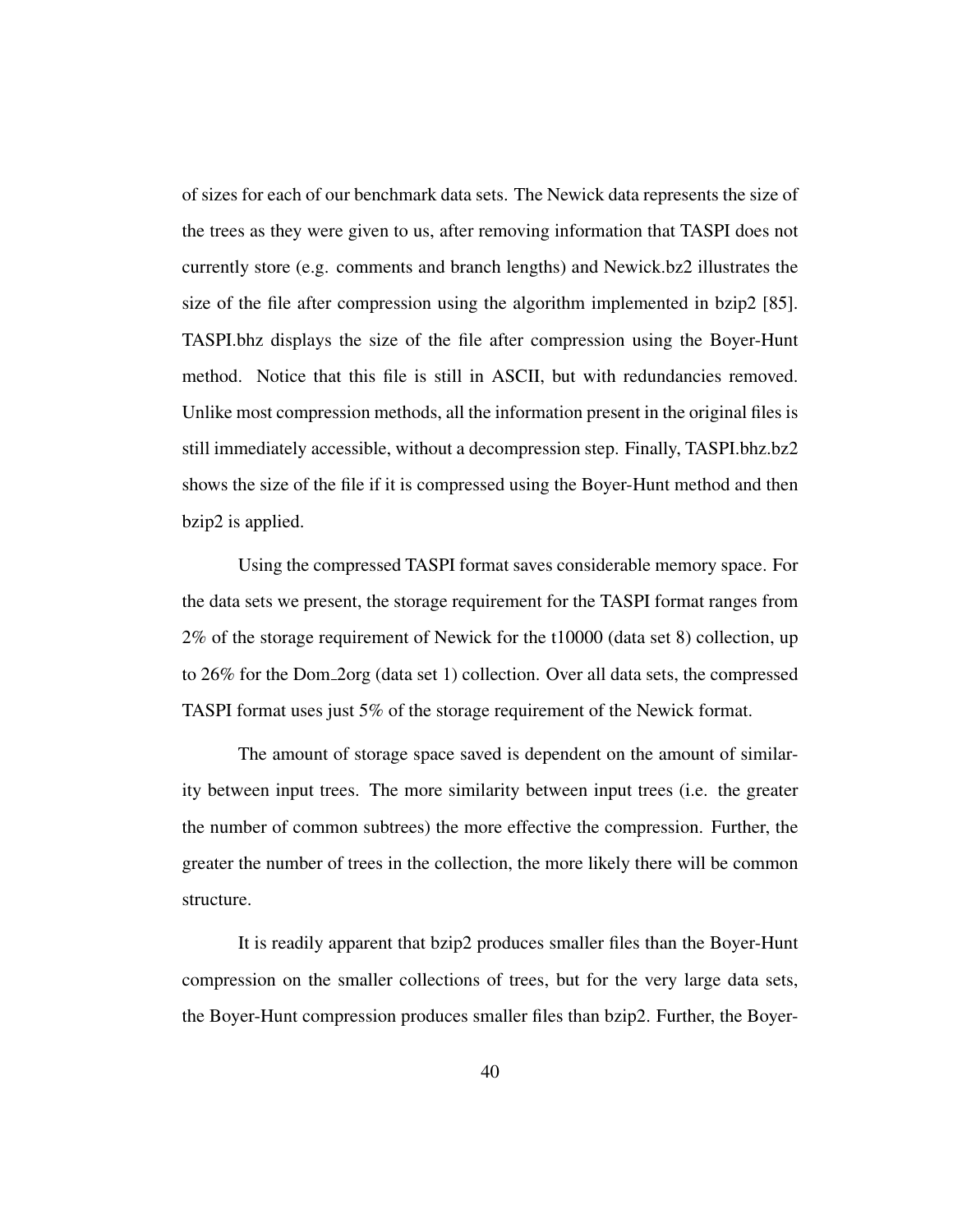of sizes for each of our benchmark data sets. The Newick data represents the size of the trees as they were given to us, after removing information that TASPI does not currently store (e.g. comments and branch lengths) and Newick.bz2 illustrates the size of the file after compression using the algorithm implemented in bzip2  $[85]$ . TASPI.bhz displays the size of the file after compression using the Boyer-Hunt method. Notice that this file is still in ASCII, but with redundancies removed. Unlike most compression methods, all the information present in the original files is still immediately accessible, without a decompression step. Finally, TASPI.bhz.bz2 shows the size of the file if it is compressed using the Boyer-Hunt method and then bzip2 is applied.

Using the compressed TASPI format saves considerable memory space. For the data sets we present, the storage requirement for the TASPI format ranges from 2% of the storage requirement of Newick for the t10000 (data set 8) collection, up to 26% for the Dom 2org (data set 1) collection. Over all data sets, the compressed TASPI format uses just 5% of the storage requirement of the Newick format.

The amount of storage space saved is dependent on the amount of similarity between input trees. The more similarity between input trees (i.e. the greater the number of common subtrees) the more effective the compression. Further, the greater the number of trees in the collection, the more likely there will be common structure.

It is readily apparent that bzip2 produces smaller files than the Boyer-Hunt compression on the smaller collections of trees, but for the very large data sets, the Boyer-Hunt compression produces smaller files than bzip2. Further, the Boyer-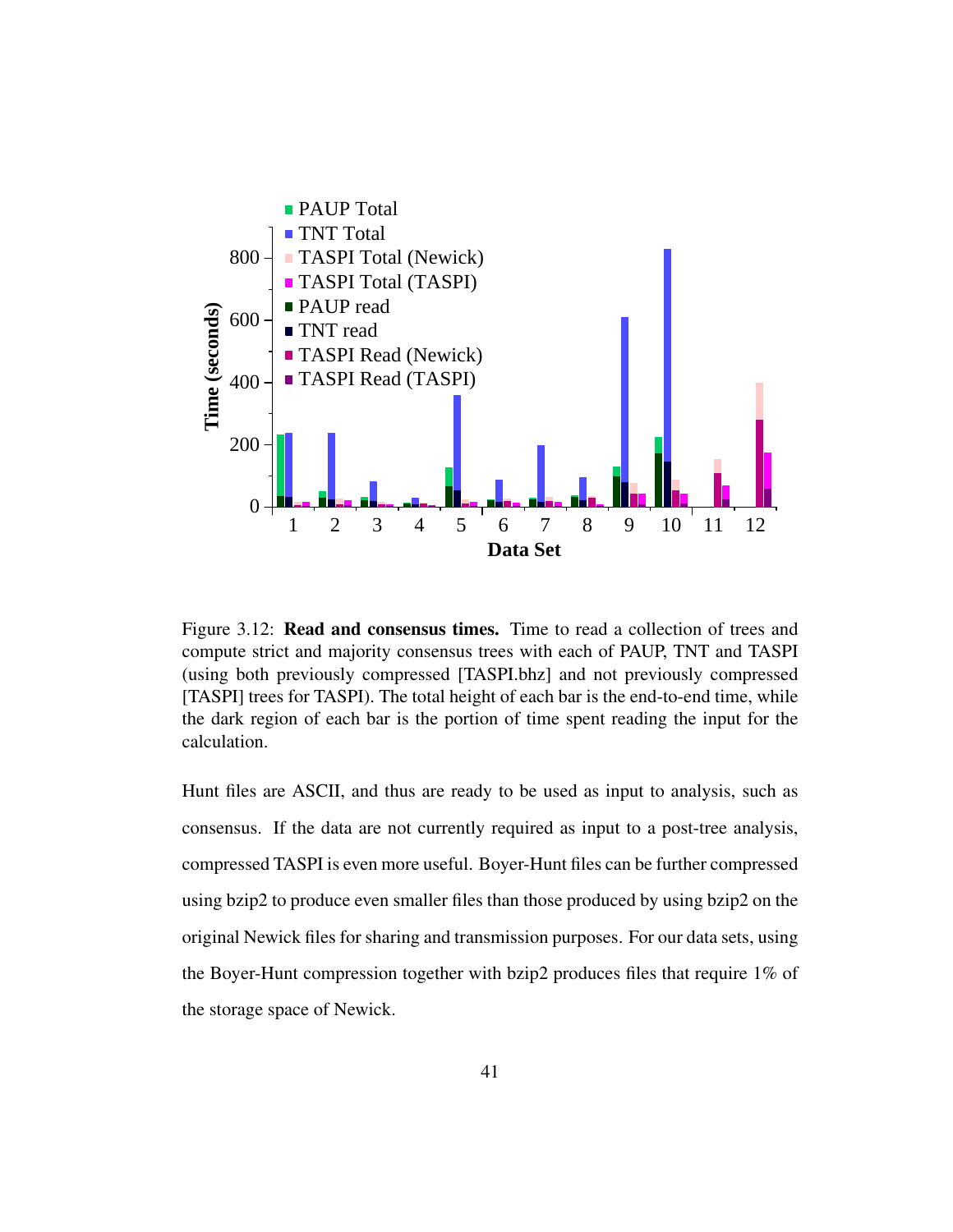

Figure 3.12: Read and consensus times. Time to read a collection of trees and compute strict and majority consensus trees with each of PAUP, TNT and TASPI (using both previously compressed [TASPI.bhz] and not previously compressed [TASPI] trees for TASPI). The total height of each bar is the end-to-end time, while the dark region of each bar is the portion of time spent reading the input for the calculation.

Hunt files are ASCII, and thus are ready to be used as input to analysis, such as consensus. If the data are not currently required as input to a post-tree analysis, compressed TASPI is even more useful. Boyer-Hunt files can be further compressed using bzip2 to produce even smaller files than those produced by using bzip2 on the original Newick files for sharing and transmission purposes. For our data sets, using the Boyer-Hunt compression together with bzip2 produces files that require 1% of the storage space of Newick.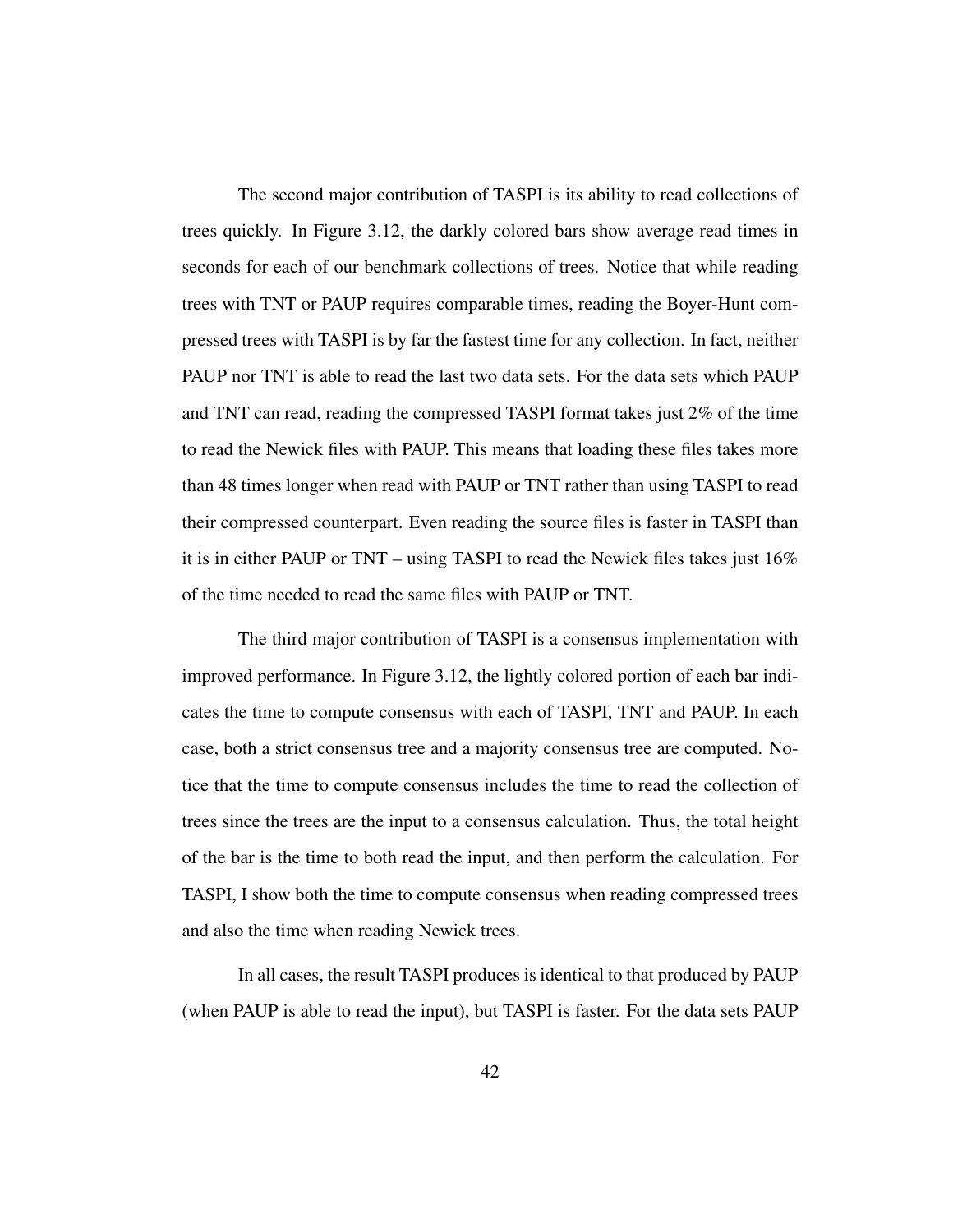The second major contribution of TASPI is its ability to read collections of trees quickly. In Figure 3.12, the darkly colored bars show average read times in seconds for each of our benchmark collections of trees. Notice that while reading trees with TNT or PAUP requires comparable times, reading the Boyer-Hunt compressed trees with TASPI is by far the fastest time for any collection. In fact, neither PAUP nor TNT is able to read the last two data sets. For the data sets which PAUP and TNT can read, reading the compressed TASPI format takes just 2% of the time to read the Newick files with PAUP. This means that loading these files takes more than 48 times longer when read with PAUP or TNT rather than using TASPI to read their compressed counterpart. Even reading the source files is faster in TASPI than it is in either PAUP or TNT – using TASPI to read the Newick files takes just 16% of the time needed to read the same files with PAUP or TNT.

The third major contribution of TASPI is a consensus implementation with improved performance. In Figure 3.12, the lightly colored portion of each bar indicates the time to compute consensus with each of TASPI, TNT and PAUP. In each case, both a strict consensus tree and a majority consensus tree are computed. Notice that the time to compute consensus includes the time to read the collection of trees since the trees are the input to a consensus calculation. Thus, the total height of the bar is the time to both read the input, and then perform the calculation. For TASPI, I show both the time to compute consensus when reading compressed trees and also the time when reading Newick trees.

In all cases, the result TASPI produces is identical to that produced by PAUP (when PAUP is able to read the input), but TASPI is faster. For the data sets PAUP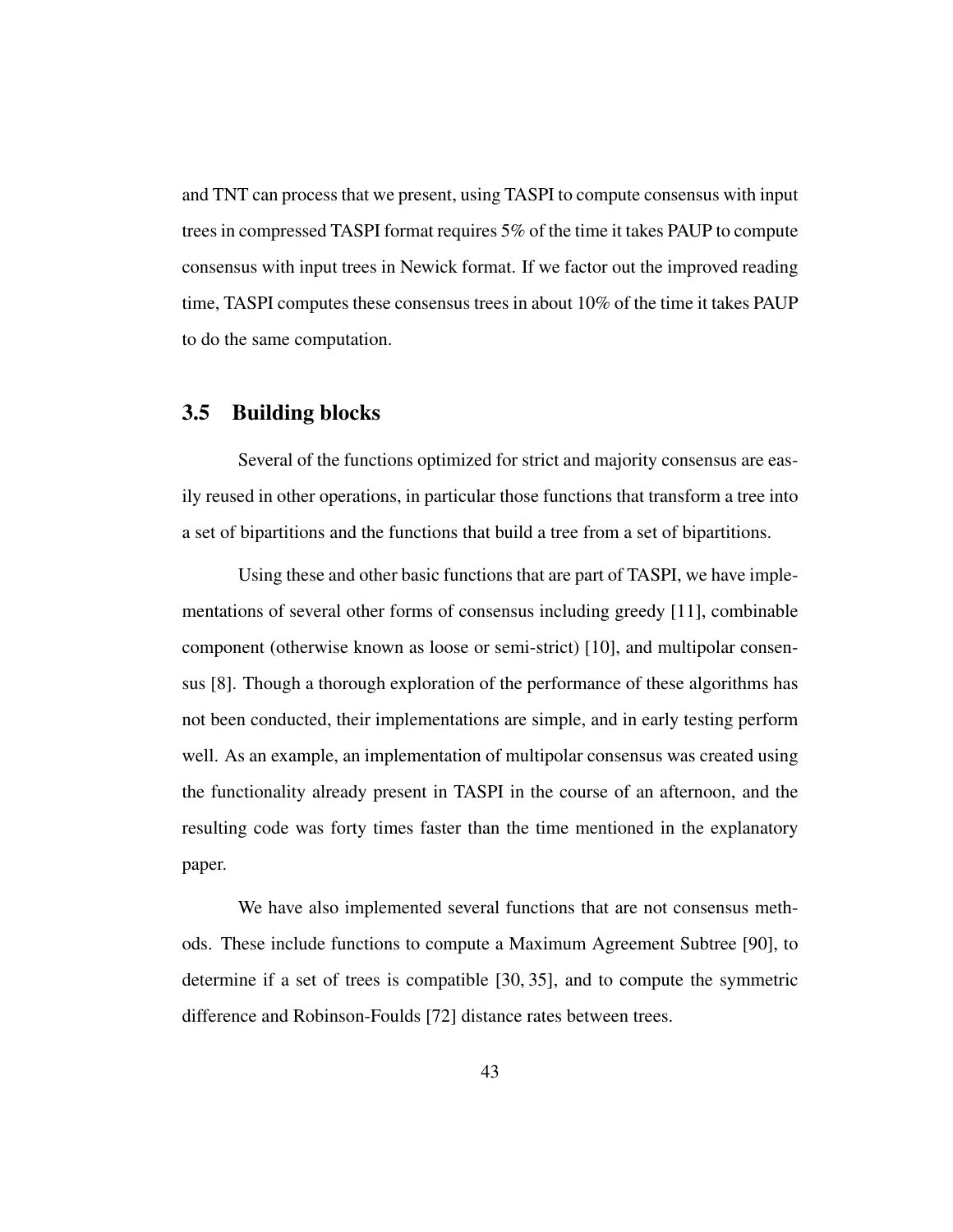and TNT can process that we present, using TASPI to compute consensus with input trees in compressed TASPI format requires 5% of the time it takes PAUP to compute consensus with input trees in Newick format. If we factor out the improved reading time, TASPI computes these consensus trees in about 10% of the time it takes PAUP to do the same computation.

#### 3.5 Building blocks

Several of the functions optimized for strict and majority consensus are easily reused in other operations, in particular those functions that transform a tree into a set of bipartitions and the functions that build a tree from a set of bipartitions.

Using these and other basic functions that are part of TASPI, we have implementations of several other forms of consensus including greedy [11], combinable component (otherwise known as loose or semi-strict) [10], and multipolar consensus [8]. Though a thorough exploration of the performance of these algorithms has not been conducted, their implementations are simple, and in early testing perform well. As an example, an implementation of multipolar consensus was created using the functionality already present in TASPI in the course of an afternoon, and the resulting code was forty times faster than the time mentioned in the explanatory paper.

We have also implemented several functions that are not consensus methods. These include functions to compute a Maximum Agreement Subtree [90], to determine if a set of trees is compatible [30, 35], and to compute the symmetric difference and Robinson-Foulds [72] distance rates between trees.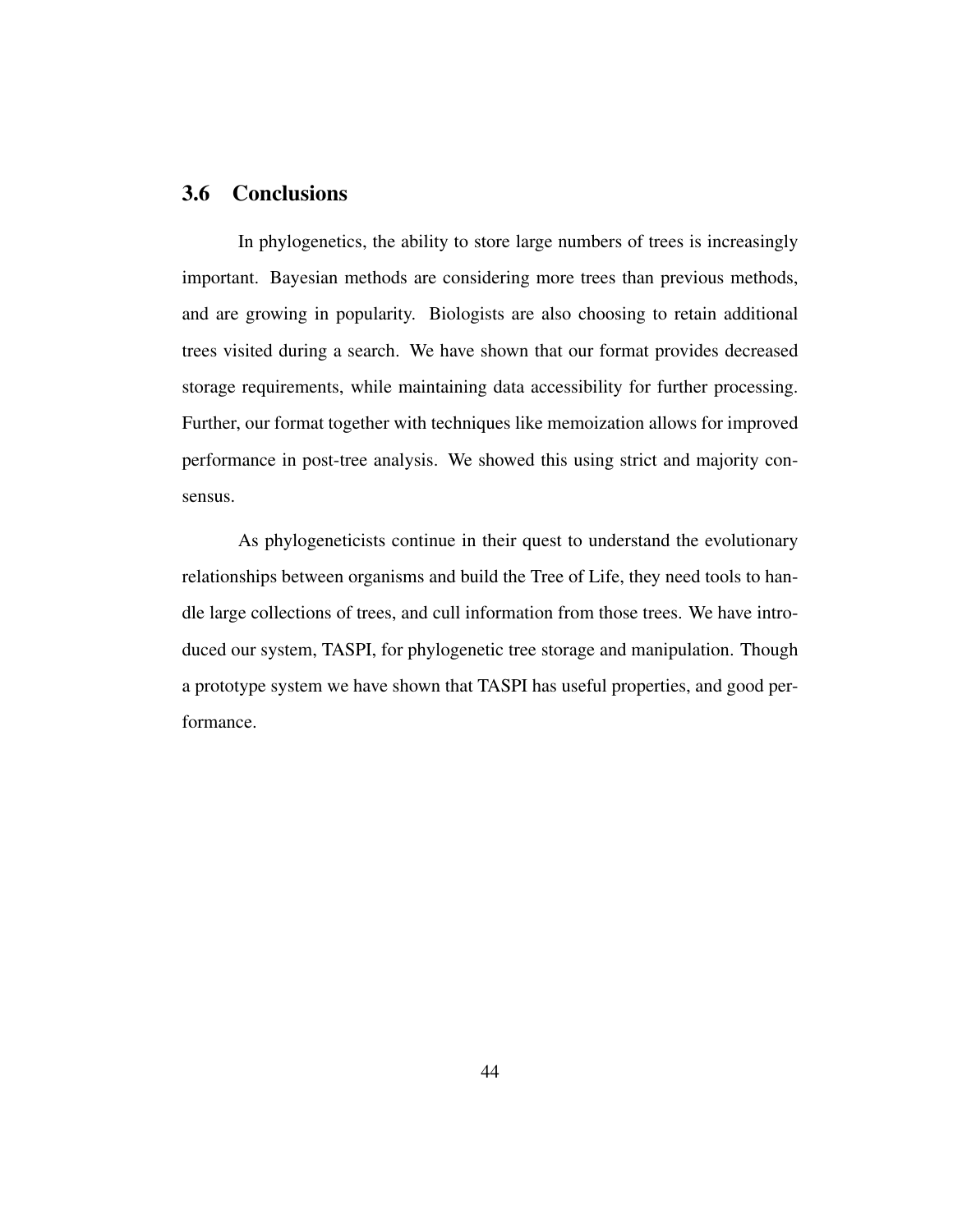## 3.6 Conclusions

In phylogenetics, the ability to store large numbers of trees is increasingly important. Bayesian methods are considering more trees than previous methods, and are growing in popularity. Biologists are also choosing to retain additional trees visited during a search. We have shown that our format provides decreased storage requirements, while maintaining data accessibility for further processing. Further, our format together with techniques like memoization allows for improved performance in post-tree analysis. We showed this using strict and majority consensus.

As phylogeneticists continue in their quest to understand the evolutionary relationships between organisms and build the Tree of Life, they need tools to handle large collections of trees, and cull information from those trees. We have introduced our system, TASPI, for phylogenetic tree storage and manipulation. Though a prototype system we have shown that TASPI has useful properties, and good performance.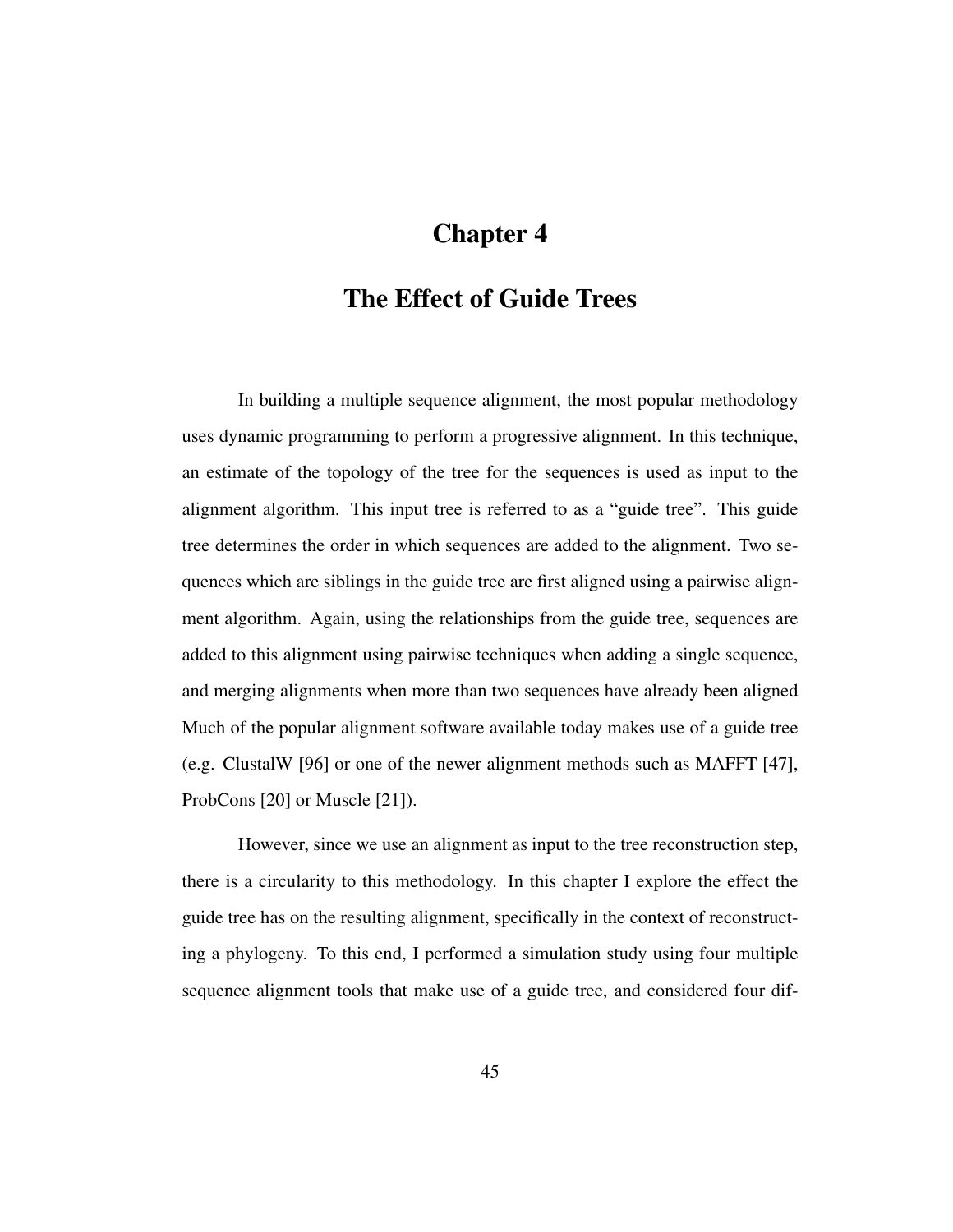# Chapter 4

## The Effect of Guide Trees

In building a multiple sequence alignment, the most popular methodology uses dynamic programming to perform a progressive alignment. In this technique, an estimate of the topology of the tree for the sequences is used as input to the alignment algorithm. This input tree is referred to as a "guide tree". This guide tree determines the order in which sequences are added to the alignment. Two sequences which are siblings in the guide tree are first aligned using a pairwise alignment algorithm. Again, using the relationships from the guide tree, sequences are added to this alignment using pairwise techniques when adding a single sequence, and merging alignments when more than two sequences have already been aligned Much of the popular alignment software available today makes use of a guide tree (e.g. ClustalW [96] or one of the newer alignment methods such as MAFFT [47], ProbCons [20] or Muscle [21]).

However, since we use an alignment as input to the tree reconstruction step, there is a circularity to this methodology. In this chapter I explore the effect the guide tree has on the resulting alignment, specifically in the context of reconstructing a phylogeny. To this end, I performed a simulation study using four multiple sequence alignment tools that make use of a guide tree, and considered four dif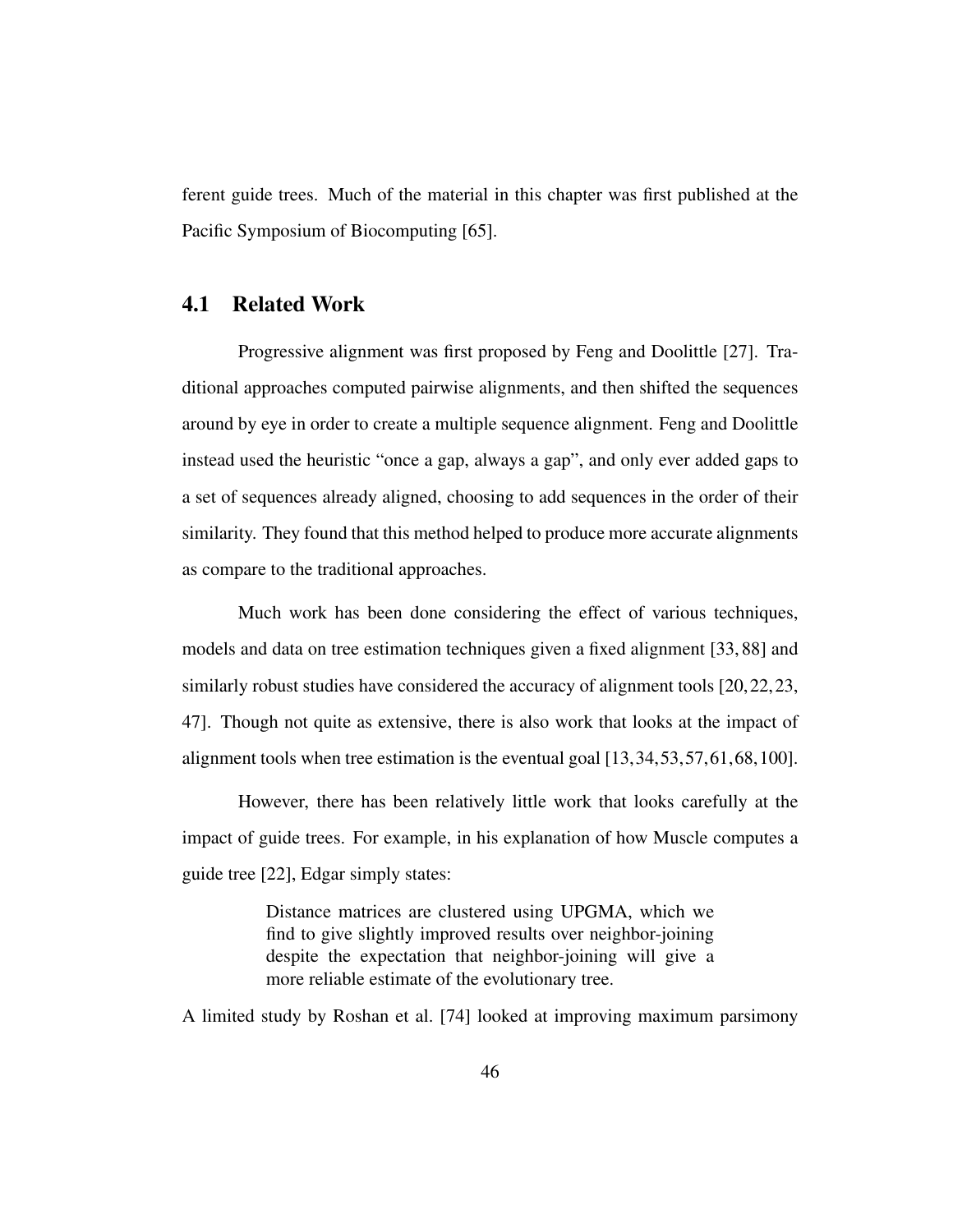ferent guide trees. Much of the material in this chapter was first published at the Pacific Symposium of Biocomputing [65].

## 4.1 Related Work

Progressive alignment was first proposed by Feng and Doolittle [27]. Traditional approaches computed pairwise alignments, and then shifted the sequences around by eye in order to create a multiple sequence alignment. Feng and Doolittle instead used the heuristic "once a gap, always a gap", and only ever added gaps to a set of sequences already aligned, choosing to add sequences in the order of their similarity. They found that this method helped to produce more accurate alignments as compare to the traditional approaches.

Much work has been done considering the effect of various techniques, models and data on tree estimation techniques given a fixed alignment [33, 88] and similarly robust studies have considered the accuracy of alignment tools [20,22,23, 47]. Though not quite as extensive, there is also work that looks at the impact of alignment tools when tree estimation is the eventual goal [13,34,53,57,61,68,100].

However, there has been relatively little work that looks carefully at the impact of guide trees. For example, in his explanation of how Muscle computes a guide tree [22], Edgar simply states:

> Distance matrices are clustered using UPGMA, which we find to give slightly improved results over neighbor-joining despite the expectation that neighbor-joining will give a more reliable estimate of the evolutionary tree.

A limited study by Roshan et al. [74] looked at improving maximum parsimony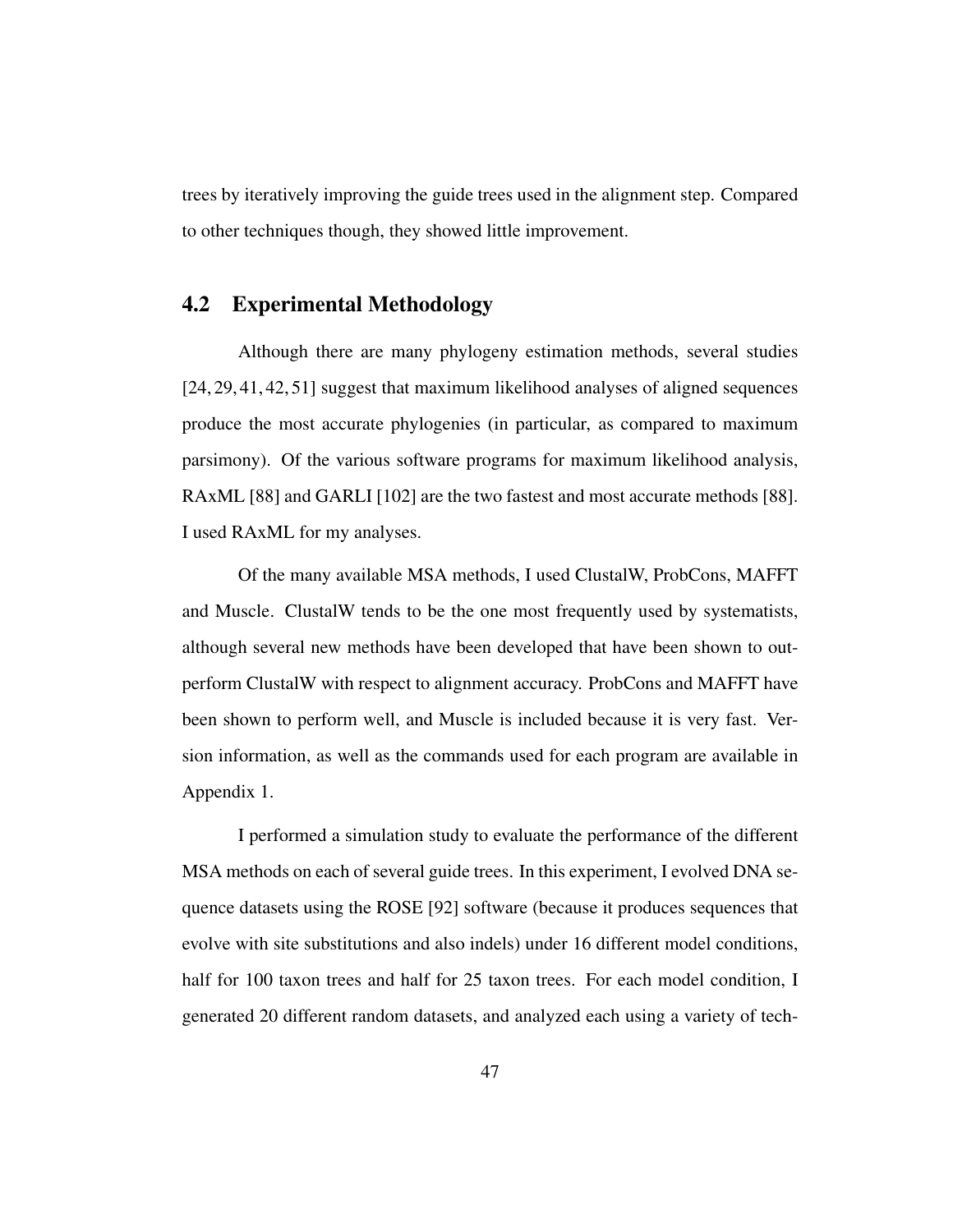trees by iteratively improving the guide trees used in the alignment step. Compared to other techniques though, they showed little improvement.

## 4.2 Experimental Methodology

Although there are many phylogeny estimation methods, several studies [24, 29, 41, 42, 51] suggest that maximum likelihood analyses of aligned sequences produce the most accurate phylogenies (in particular, as compared to maximum parsimony). Of the various software programs for maximum likelihood analysis, RAxML [88] and GARLI [102] are the two fastest and most accurate methods [88]. I used RAxML for my analyses.

Of the many available MSA methods, I used ClustalW, ProbCons, MAFFT and Muscle. ClustalW tends to be the one most frequently used by systematists, although several new methods have been developed that have been shown to outperform ClustalW with respect to alignment accuracy. ProbCons and MAFFT have been shown to perform well, and Muscle is included because it is very fast. Version information, as well as the commands used for each program are available in Appendix 1.

I performed a simulation study to evaluate the performance of the different MSA methods on each of several guide trees. In this experiment, I evolved DNA sequence datasets using the ROSE [92] software (because it produces sequences that evolve with site substitutions and also indels) under 16 different model conditions, half for 100 taxon trees and half for 25 taxon trees. For each model condition, I generated 20 different random datasets, and analyzed each using a variety of tech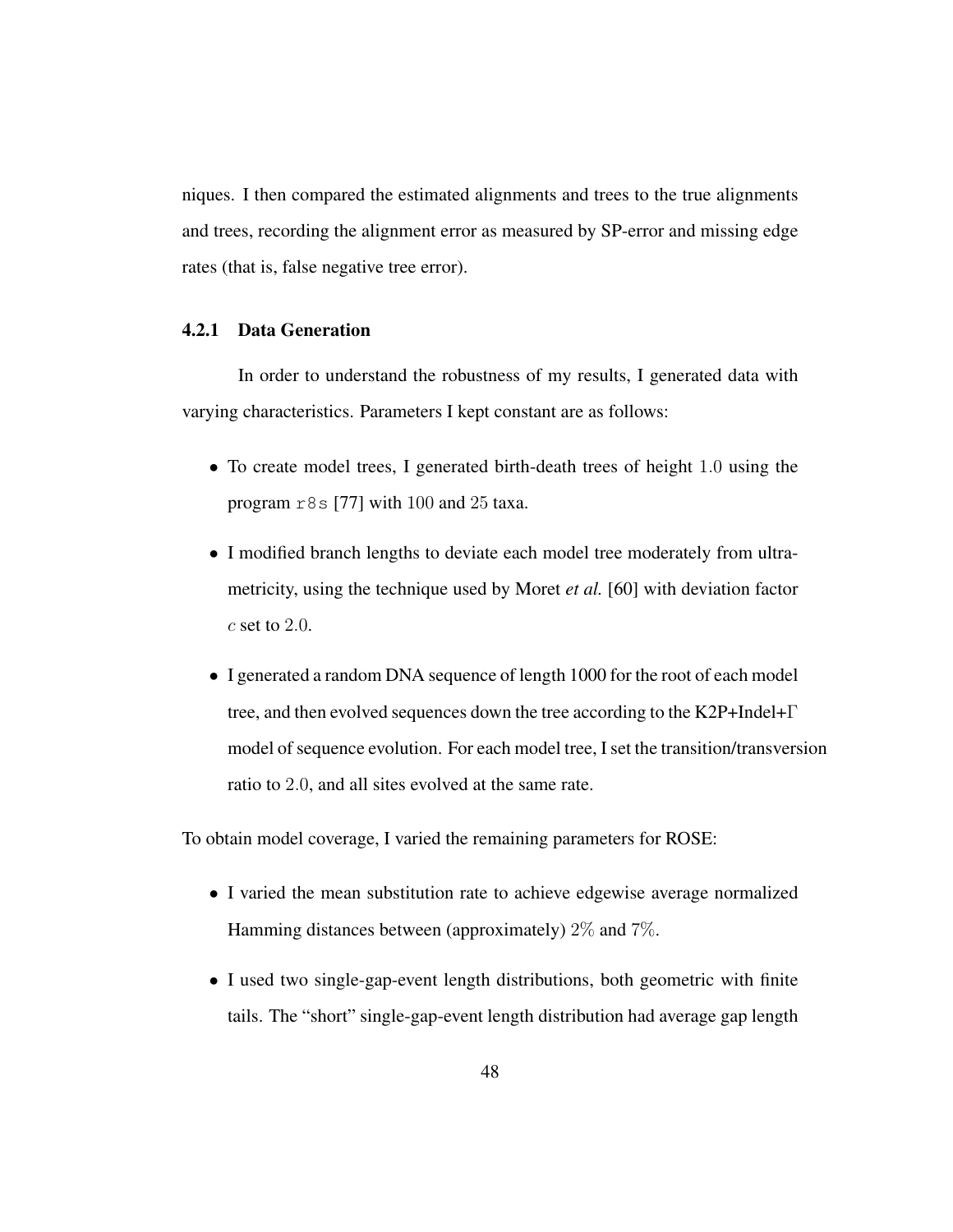niques. I then compared the estimated alignments and trees to the true alignments and trees, recording the alignment error as measured by SP-error and missing edge rates (that is, false negative tree error).

#### 4.2.1 Data Generation

In order to understand the robustness of my results, I generated data with varying characteristics. Parameters I kept constant are as follows:

- To create model trees, I generated birth-death trees of height 1.0 using the program  $r8s$  [77] with 100 and 25 taxa.
- I modified branch lengths to deviate each model tree moderately from ultrametricity, using the technique used by Moret *et al.* [60] with deviation factor  $c$  set to  $2.0$ .
- I generated a random DNA sequence of length 1000 for the root of each model tree, and then evolved sequences down the tree according to the K2P+Indel+Γ model of sequence evolution. For each model tree, I set the transition/transversion ratio to 2.0, and all sites evolved at the same rate.

To obtain model coverage, I varied the remaining parameters for ROSE:

- I varied the mean substitution rate to achieve edgewise average normalized Hamming distances between (approximately) 2% and 7%.
- I used two single-gap-event length distributions, both geometric with finite tails. The "short" single-gap-event length distribution had average gap length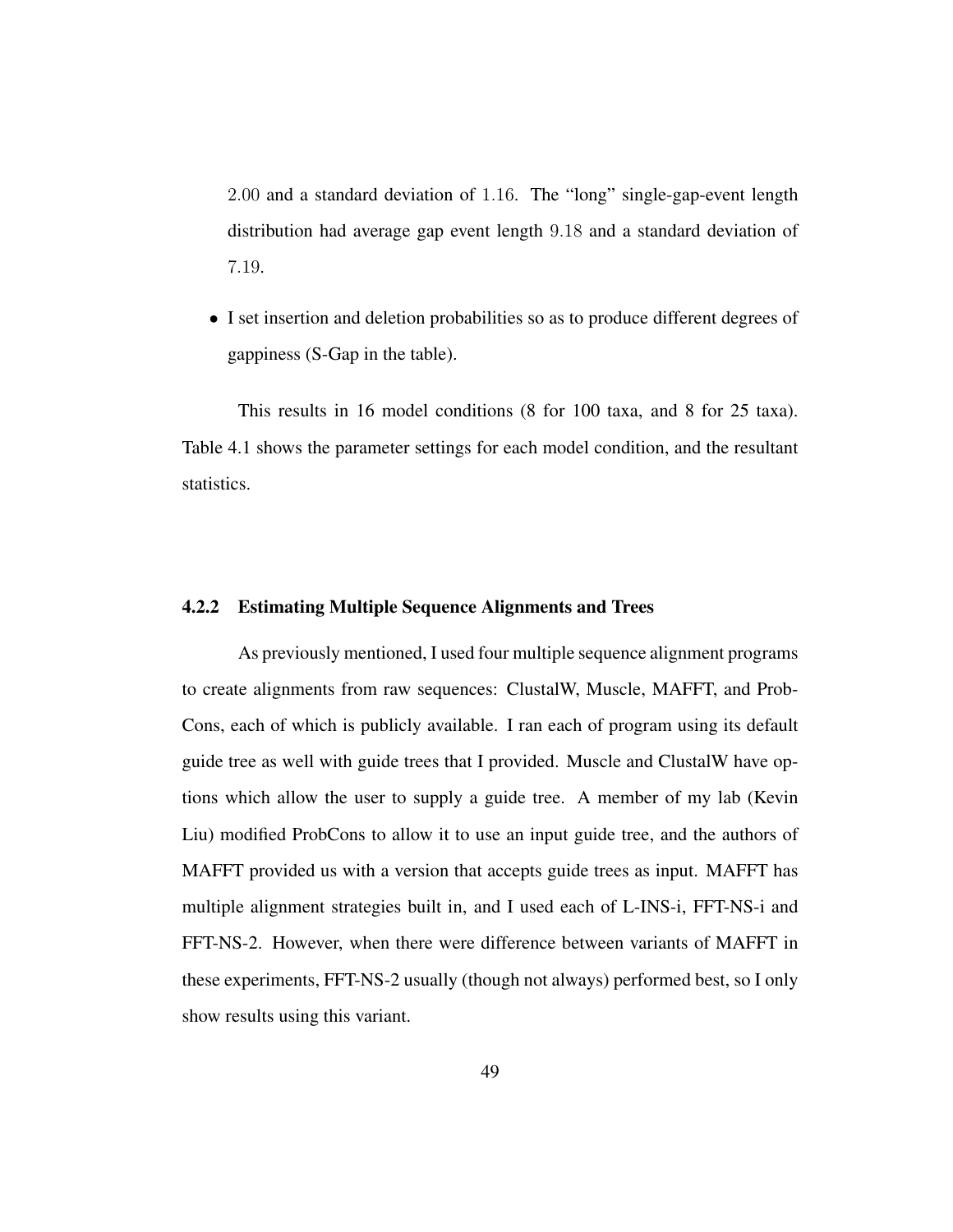2.00 and a standard deviation of 1.16. The "long" single-gap-event length distribution had average gap event length 9.18 and a standard deviation of 7.19.

• I set insertion and deletion probabilities so as to produce different degrees of gappiness (S-Gap in the table).

This results in 16 model conditions (8 for 100 taxa, and 8 for 25 taxa). Table 4.1 shows the parameter settings for each model condition, and the resultant statistics.

#### 4.2.2 Estimating Multiple Sequence Alignments and Trees

As previously mentioned, I used four multiple sequence alignment programs to create alignments from raw sequences: ClustalW, Muscle, MAFFT, and Prob-Cons, each of which is publicly available. I ran each of program using its default guide tree as well with guide trees that I provided. Muscle and ClustalW have options which allow the user to supply a guide tree. A member of my lab (Kevin Liu) modified ProbCons to allow it to use an input guide tree, and the authors of MAFFT provided us with a version that accepts guide trees as input. MAFFT has multiple alignment strategies built in, and I used each of L-INS-i, FFT-NS-i and FFT-NS-2. However, when there were difference between variants of MAFFT in these experiments, FFT-NS-2 usually (though not always) performed best, so I only show results using this variant.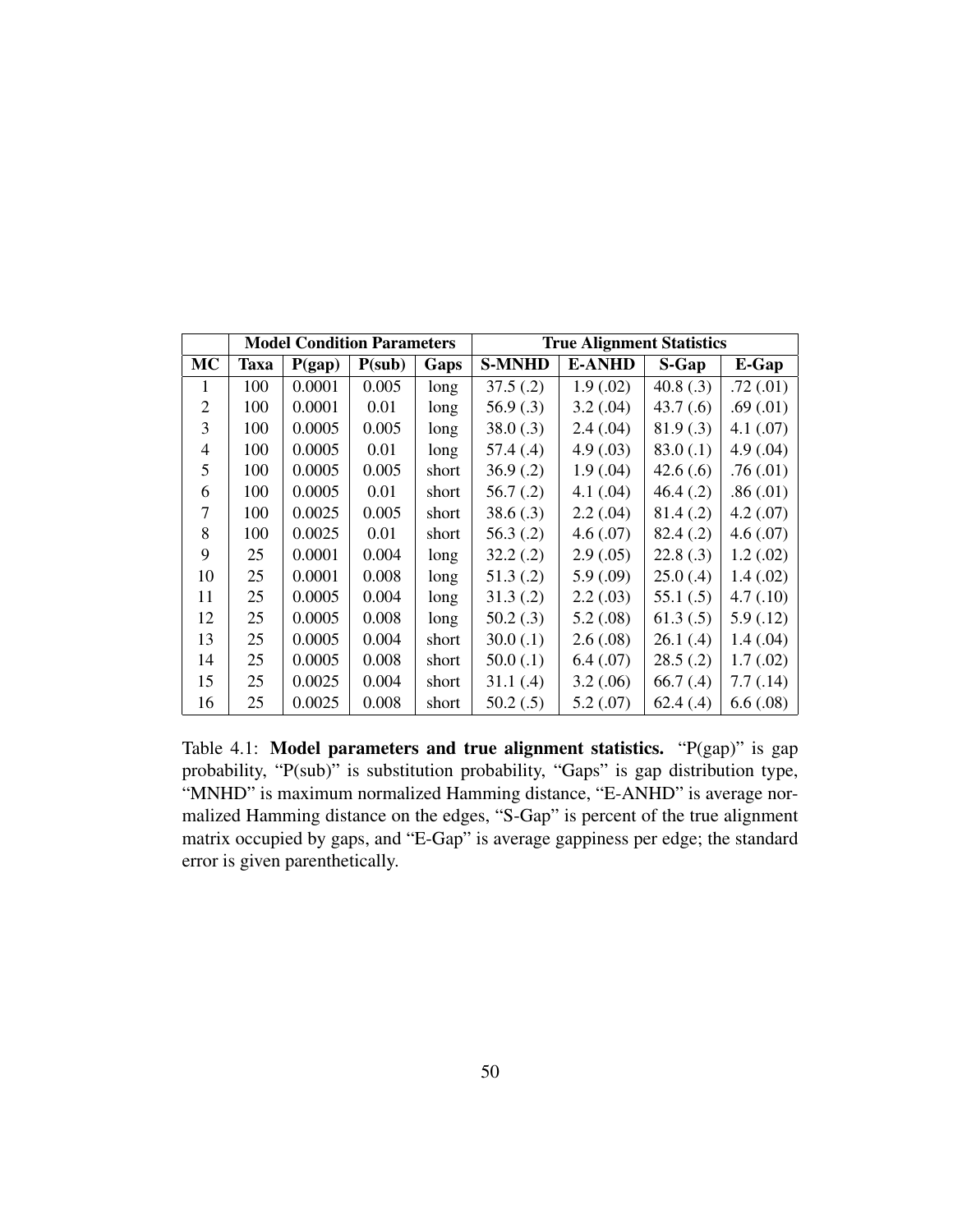|           | <b>Model Condition Parameters</b> |        |        |       | <b>True Alignment Statistics</b> |               |             |               |
|-----------|-----------------------------------|--------|--------|-------|----------------------------------|---------------|-------------|---------------|
| <b>MC</b> | <b>Taxa</b>                       | P(gap) | P(sub) | Gaps  | <b>S-MNHD</b>                    | <b>E-ANHD</b> | S-Gap       | E-Gap         |
| 1         | 100                               | 0.0001 | 0.005  | long  | 37.5(.2)                         | 1.9(0.02)     | 40.8 $(.3)$ | .72(01)       |
| 2         | 100                               | 0.0001 | 0.01   | long  | 56.9(.3)                         | 3.2(.04)      | 43.7(0.6)   | .69(.01)      |
| 3         | 100                               | 0.0005 | 0.005  | long  | 38.0(.3)                         | 2.4(.04)      | 81.9(.3)    | $4.1 \,(.07)$ |
| 4         | 100                               | 0.0005 | 0.01   | long  | 57.4(0.4)                        | 4.9(0.03)     | 83.0(.1)    | 4.9(0.04)     |
| 5         | 100                               | 0.0005 | 0.005  | short | 36.9(0.2)                        | 1.9(.04)      | 42.6(.6)    | .76(0.01)     |
| 6         | 100                               | 0.0005 | 0.01   | short | 56.7(.2)                         | 4.1(.04)      | 46.4(0.2)   | .86(.01)      |
| 7         | 100                               | 0.0025 | 0.005  | short | 38.6(.3)                         | 2.2(.04)      | 81.4(.2)    | 4.2(.07)      |
| 8         | 100                               | 0.0025 | 0.01   | short | 56.3(.2)                         | 4.6(.07)      | 82.4(.2)    | 4.6(.07)      |
| 9         | 25                                | 0.0001 | 0.004  | long  | 32.2(.2)                         | 2.9(.05)      | 22.8(.3)    | 1.2(02)       |
| 10        | 25                                | 0.0001 | 0.008  | long  | 51.3(.2)                         | 5.9(.09)      | 25.0(0.4)   | 1.4(02)       |
| 11        | 25                                | 0.0005 | 0.004  | long  | 31.3(.2)                         | 2.2(.03)      | 55.1(.5)    | 4.7(0.10)     |
| 12        | 25                                | 0.0005 | 0.008  | long  | 50.2(.3)                         | 5.2(.08)      | 61.3(.5)    | 5.9(0.12)     |
| 13        | 25                                | 0.0005 | 0.004  | short | $30.0$ (.1)                      | 2.6(.08)      | 26.1(0.4)   | 1.4(0.04)     |
| 14        | 25                                | 0.0005 | 0.008  | short | $50.0$ (.1)                      | 6.4(07)       | 28.5(.2)    | 1.7(02)       |
| 15        | 25                                | 0.0025 | 0.004  | short | 31.1(4)                          | 3.2(.06)      | 66.7(0.4)   | 7.7(0.14)     |
| 16        | 25                                | 0.0025 | 0.008  | short | 50.2(.5)                         | 5.2(.07)      | 62.4(.4)    | 6.6(.08)      |

Table 4.1: Model parameters and true alignment statistics. "P(gap)" is gap probability, "P(sub)" is substitution probability, "Gaps" is gap distribution type, "MNHD" is maximum normalized Hamming distance, "E-ANHD" is average normalized Hamming distance on the edges, "S-Gap" is percent of the true alignment matrix occupied by gaps, and "E-Gap" is average gappiness per edge; the standard error is given parenthetically.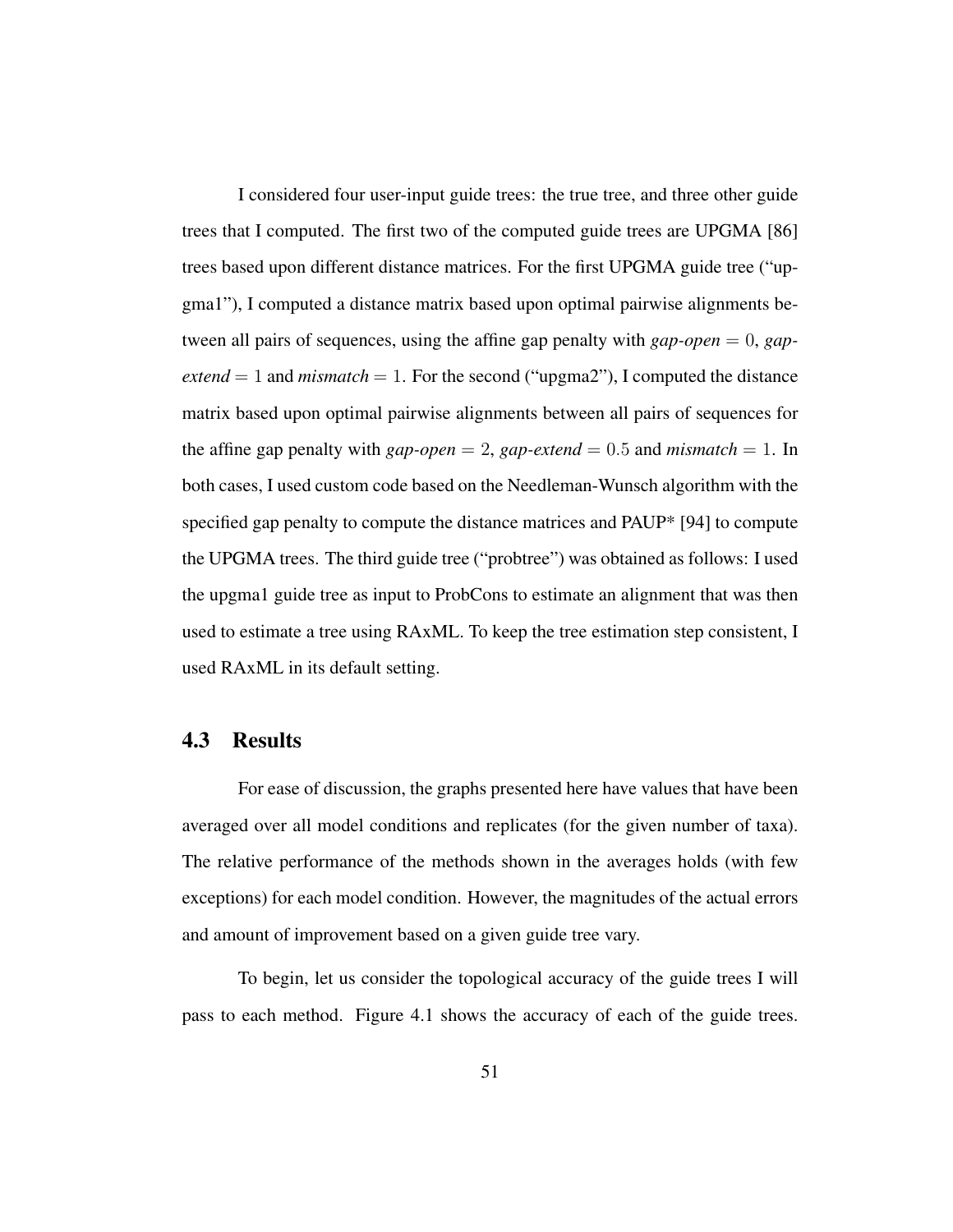I considered four user-input guide trees: the true tree, and three other guide trees that I computed. The first two of the computed guide trees are UPGMA [86] trees based upon different distance matrices. For the first UPGMA guide tree ("upgma1"), I computed a distance matrix based upon optimal pairwise alignments between all pairs of sequences, using the affine gap penalty with *gap-open* = 0, *gap* $extend = 1$  and  $mismatch = 1$ . For the second ("upgma2"), I computed the distance matrix based upon optimal pairwise alignments between all pairs of sequences for the affine gap penalty with  $gap\text{-}open = 2$ ,  $gap\text{-}extend = 0.5$  and  $mismatch = 1$ . In both cases, I used custom code based on the Needleman-Wunsch algorithm with the specified gap penalty to compute the distance matrices and PAUP\* [94] to compute the UPGMA trees. The third guide tree ("probtree") was obtained as follows: I used the upgma1 guide tree as input to ProbCons to estimate an alignment that was then used to estimate a tree using RAxML. To keep the tree estimation step consistent, I used RAxML in its default setting.

## 4.3 Results

For ease of discussion, the graphs presented here have values that have been averaged over all model conditions and replicates (for the given number of taxa). The relative performance of the methods shown in the averages holds (with few exceptions) for each model condition. However, the magnitudes of the actual errors and amount of improvement based on a given guide tree vary.

To begin, let us consider the topological accuracy of the guide trees I will pass to each method. Figure 4.1 shows the accuracy of each of the guide trees.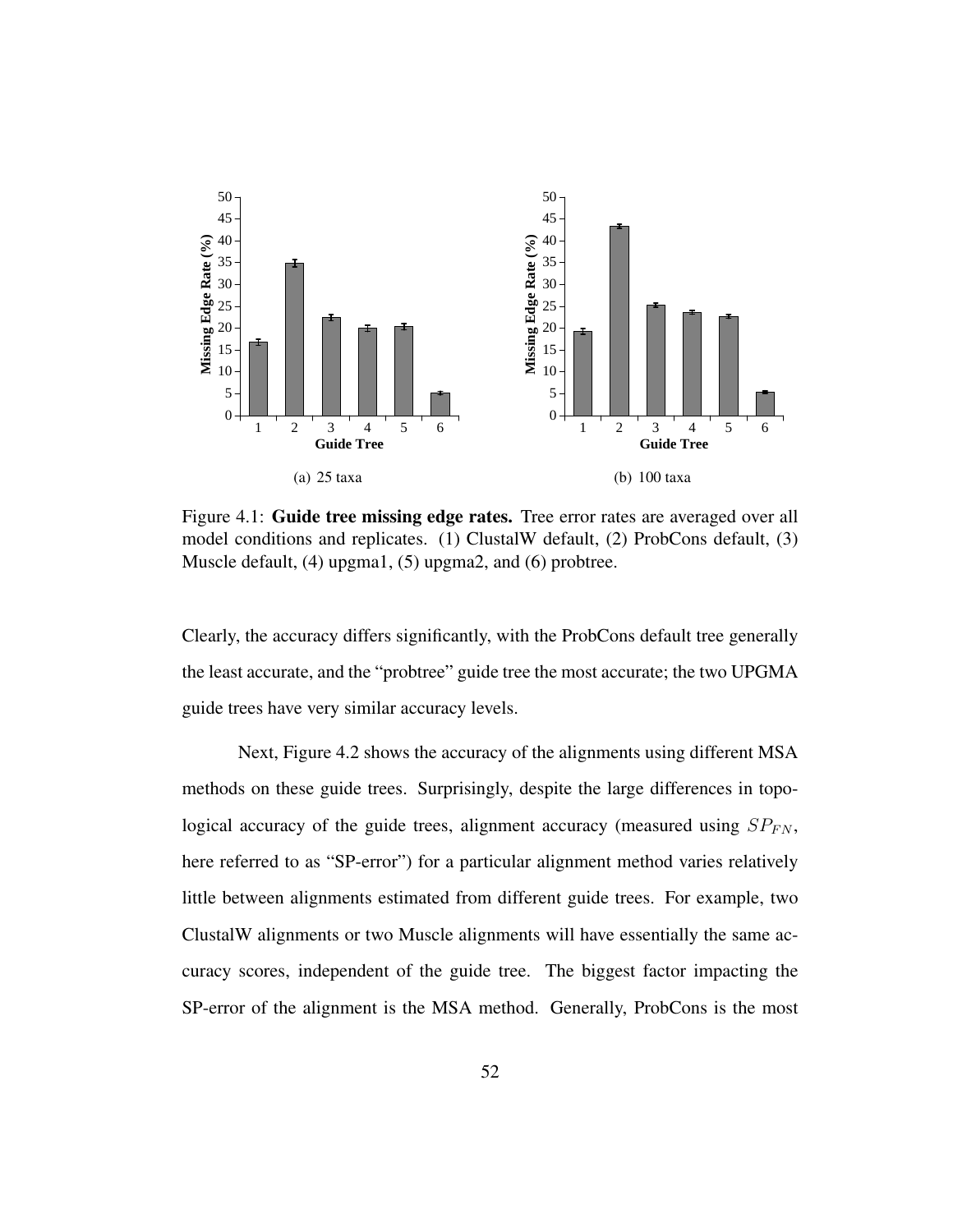

Figure 4.1: Guide tree missing edge rates. Tree error rates are averaged over all model conditions and replicates. (1) ClustalW default, (2) ProbCons default, (3) Muscle default, (4) upgma1, (5) upgma2, and (6) probtree.

Clearly, the accuracy differs significantly, with the ProbCons default tree generally the least accurate, and the "probtree" guide tree the most accurate; the two UPGMA guide trees have very similar accuracy levels.

Next, Figure 4.2 shows the accuracy of the alignments using different MSA methods on these guide trees. Surprisingly, despite the large differences in topological accuracy of the guide trees, alignment accuracy (measured using  $SP_{FN}$ , here referred to as "SP-error") for a particular alignment method varies relatively little between alignments estimated from different guide trees. For example, two ClustalW alignments or two Muscle alignments will have essentially the same accuracy scores, independent of the guide tree. The biggest factor impacting the SP-error of the alignment is the MSA method. Generally, ProbCons is the most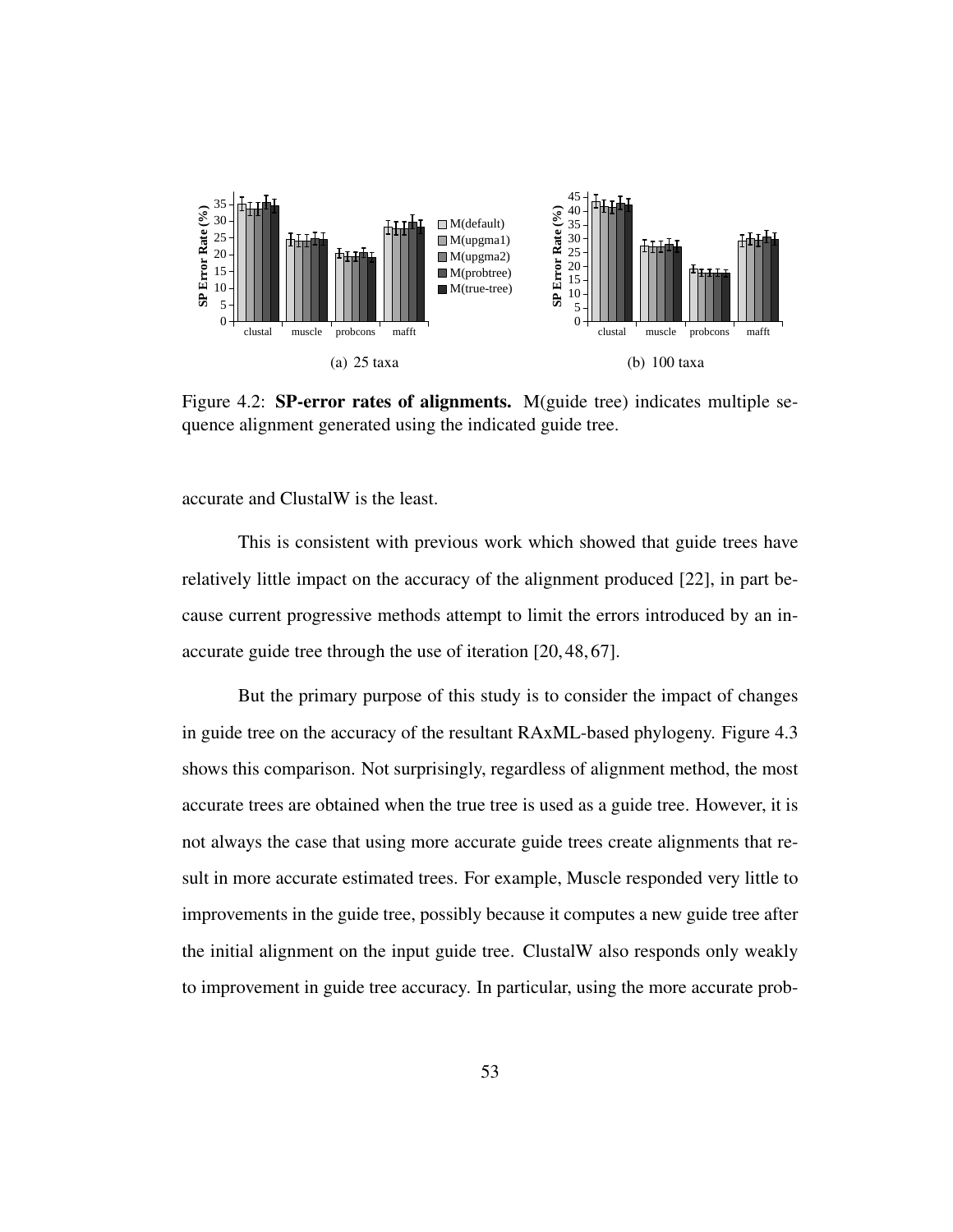

Figure 4.2: **SP-error rates of alignments.** M(guide tree) indicates multiple sequence alignment generated using the indicated guide tree.

accurate and ClustalW is the least.

This is consistent with previous work which showed that guide trees have relatively little impact on the accuracy of the alignment produced [22], in part because current progressive methods attempt to limit the errors introduced by an inaccurate guide tree through the use of iteration [20, 48, 67].

But the primary purpose of this study is to consider the impact of changes in guide tree on the accuracy of the resultant RAxML-based phylogeny. Figure 4.3 shows this comparison. Not surprisingly, regardless of alignment method, the most accurate trees are obtained when the true tree is used as a guide tree. However, it is not always the case that using more accurate guide trees create alignments that result in more accurate estimated trees. For example, Muscle responded very little to improvements in the guide tree, possibly because it computes a new guide tree after the initial alignment on the input guide tree. ClustalW also responds only weakly to improvement in guide tree accuracy. In particular, using the more accurate prob-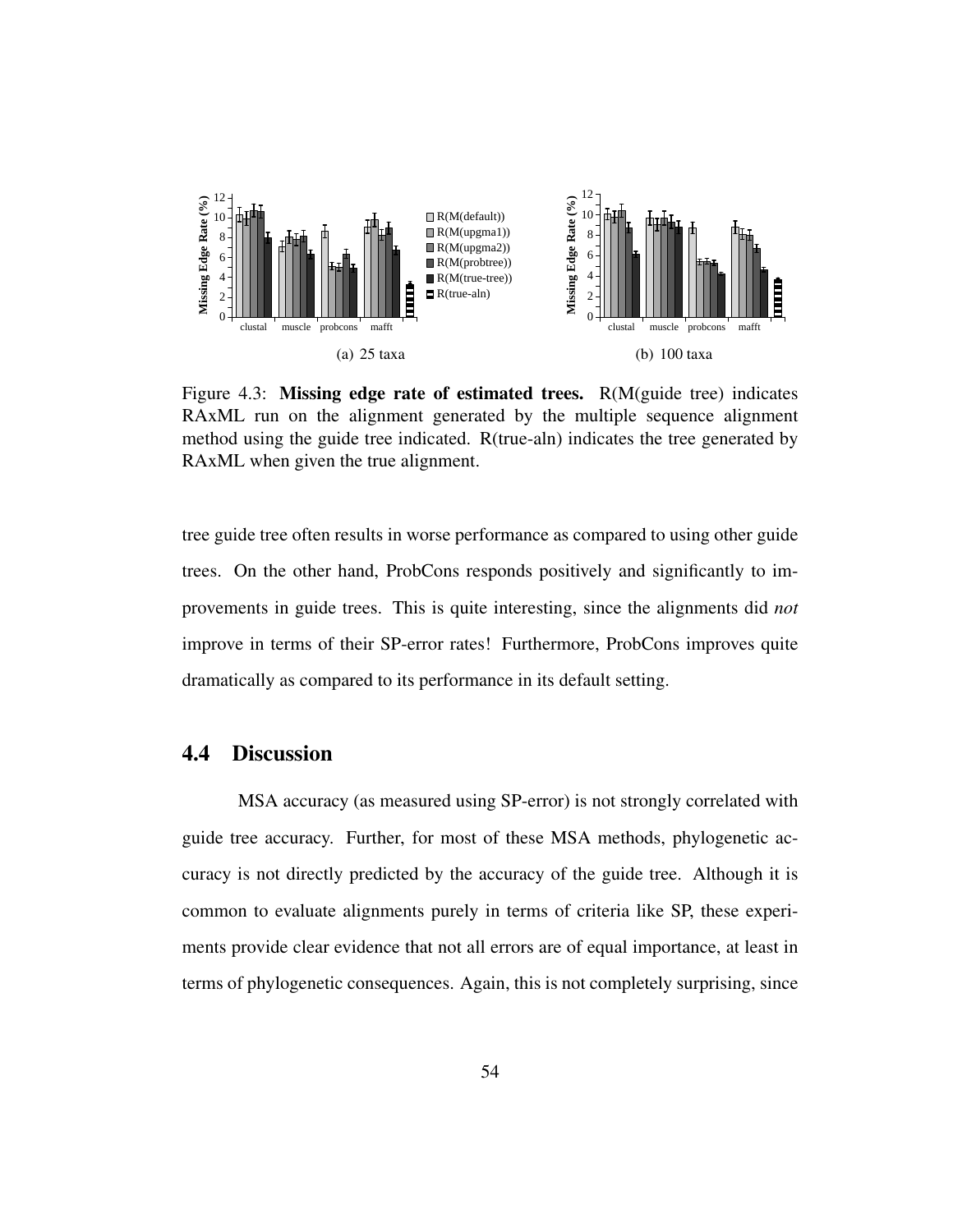

Figure 4.3: Missing edge rate of estimated trees. R(M(guide tree) indicates RAxML run on the alignment generated by the multiple sequence alignment method using the guide tree indicated. R(true-aln) indicates the tree generated by RAxML when given the true alignment.

tree guide tree often results in worse performance as compared to using other guide trees. On the other hand, ProbCons responds positively and significantly to improvements in guide trees. This is quite interesting, since the alignments did *not* improve in terms of their SP-error rates! Furthermore, ProbCons improves quite dramatically as compared to its performance in its default setting.

## 4.4 Discussion

MSA accuracy (as measured using SP-error) is not strongly correlated with guide tree accuracy. Further, for most of these MSA methods, phylogenetic accuracy is not directly predicted by the accuracy of the guide tree. Although it is common to evaluate alignments purely in terms of criteria like SP, these experiments provide clear evidence that not all errors are of equal importance, at least in terms of phylogenetic consequences. Again, this is not completely surprising, since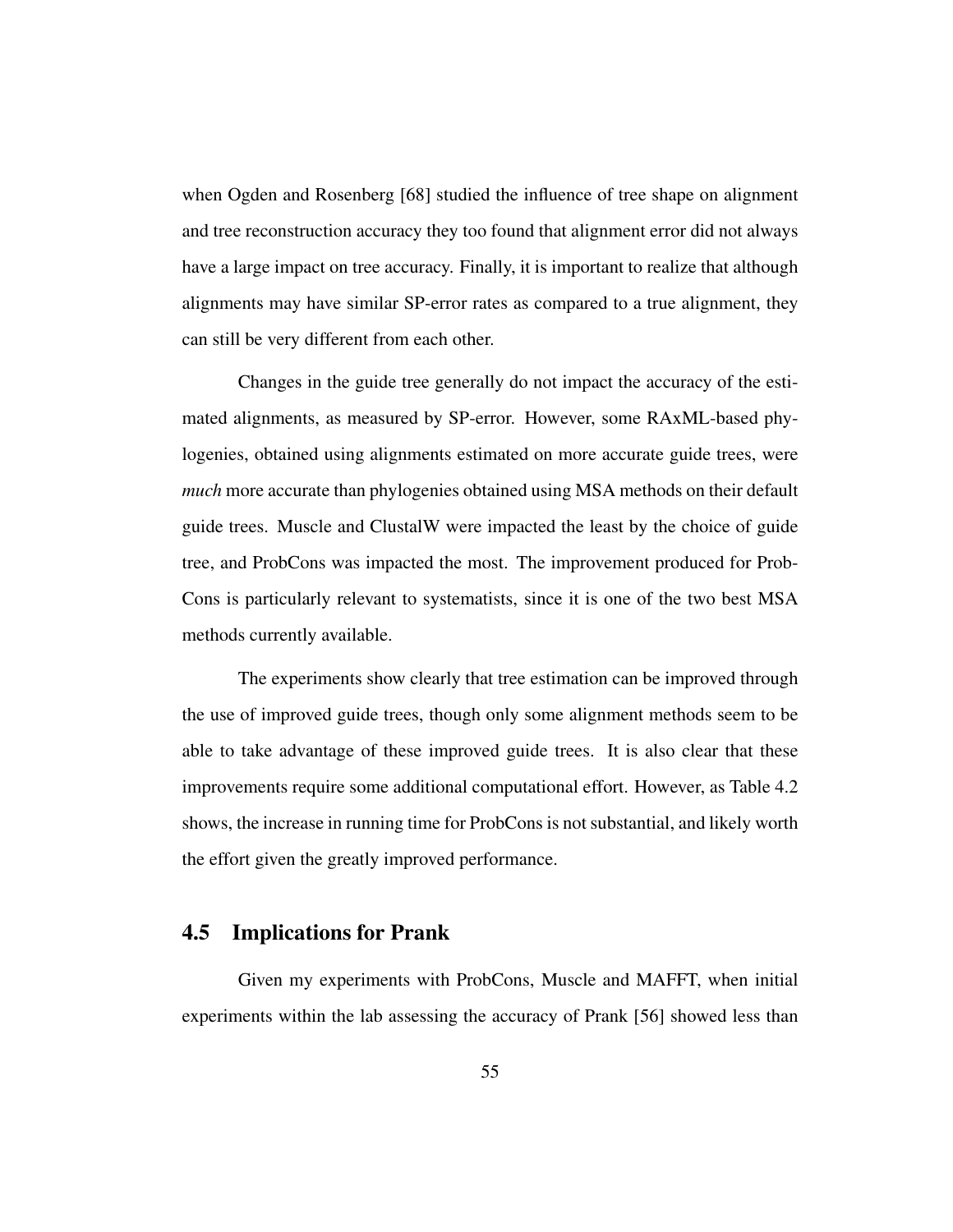when Ogden and Rosenberg [68] studied the influence of tree shape on alignment and tree reconstruction accuracy they too found that alignment error did not always have a large impact on tree accuracy. Finally, it is important to realize that although alignments may have similar SP-error rates as compared to a true alignment, they can still be very different from each other.

Changes in the guide tree generally do not impact the accuracy of the estimated alignments, as measured by SP-error. However, some RAxML-based phylogenies, obtained using alignments estimated on more accurate guide trees, were *much* more accurate than phylogenies obtained using MSA methods on their default guide trees. Muscle and ClustalW were impacted the least by the choice of guide tree, and ProbCons was impacted the most. The improvement produced for Prob-Cons is particularly relevant to systematists, since it is one of the two best MSA methods currently available.

The experiments show clearly that tree estimation can be improved through the use of improved guide trees, though only some alignment methods seem to be able to take advantage of these improved guide trees. It is also clear that these improvements require some additional computational effort. However, as Table 4.2 shows, the increase in running time for ProbCons is not substantial, and likely worth the effort given the greatly improved performance.

## 4.5 Implications for Prank

Given my experiments with ProbCons, Muscle and MAFFT, when initial experiments within the lab assessing the accuracy of Prank [56] showed less than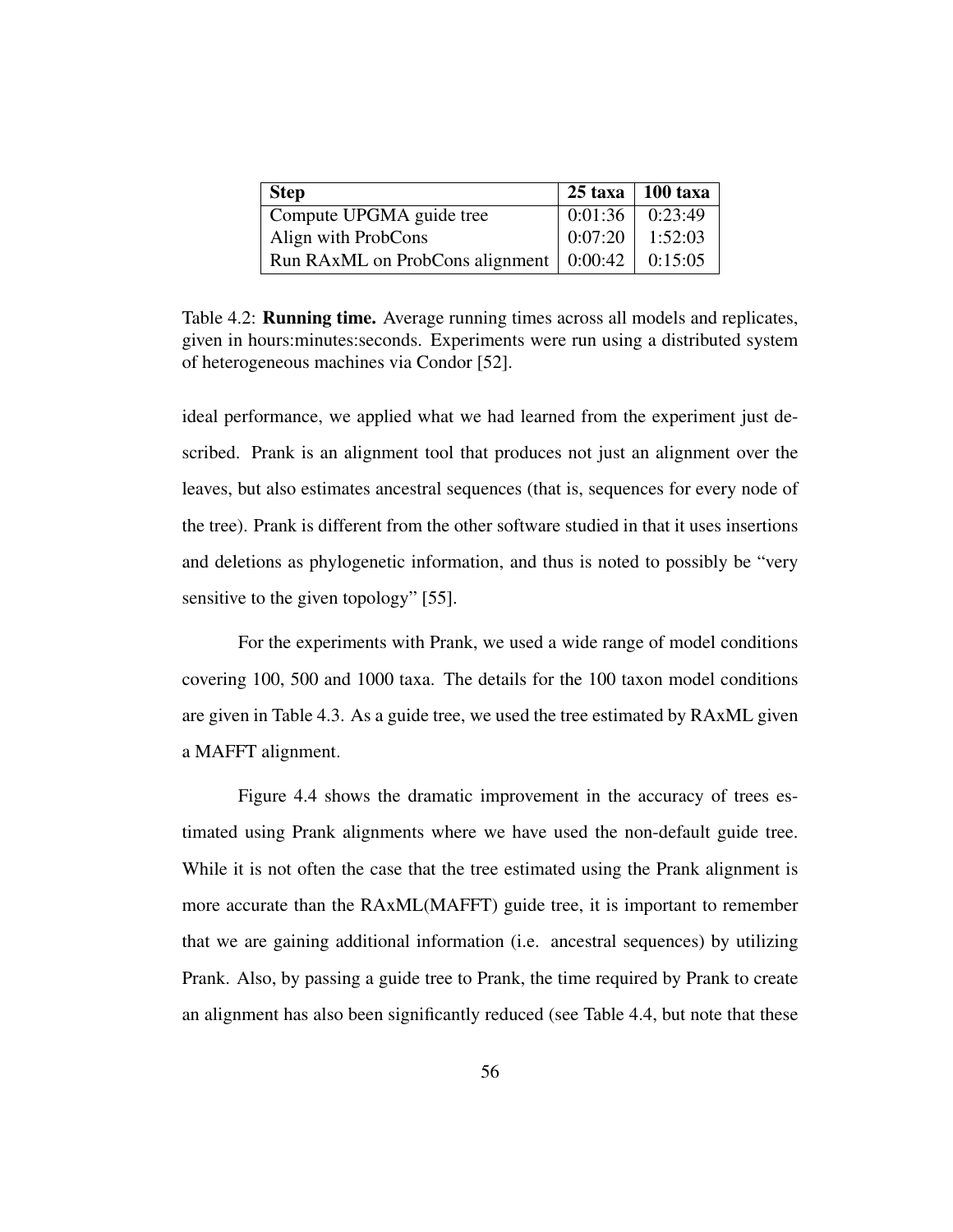| <b>Step</b>                                           |         | $25 \text{ taxa}$ 100 taxa |
|-------------------------------------------------------|---------|----------------------------|
| Compute UPGMA guide tree                              | 0:01:36 | 0:23:49                    |
| Align with ProbCons                                   | 0:07:20 | 1:52:03                    |
| Run RAxML on ProbCons alignment $\vert 0:00:42 \vert$ |         | 0:15:05                    |

Table 4.2: **Running time.** Average running times across all models and replicates, given in hours:minutes:seconds. Experiments were run using a distributed system of heterogeneous machines via Condor [52].

ideal performance, we applied what we had learned from the experiment just described. Prank is an alignment tool that produces not just an alignment over the leaves, but also estimates ancestral sequences (that is, sequences for every node of the tree). Prank is different from the other software studied in that it uses insertions and deletions as phylogenetic information, and thus is noted to possibly be "very sensitive to the given topology" [55].

For the experiments with Prank, we used a wide range of model conditions covering 100, 500 and 1000 taxa. The details for the 100 taxon model conditions are given in Table 4.3. As a guide tree, we used the tree estimated by RAxML given a MAFFT alignment.

Figure 4.4 shows the dramatic improvement in the accuracy of trees estimated using Prank alignments where we have used the non-default guide tree. While it is not often the case that the tree estimated using the Prank alignment is more accurate than the RAxML(MAFFT) guide tree, it is important to remember that we are gaining additional information (i.e. ancestral sequences) by utilizing Prank. Also, by passing a guide tree to Prank, the time required by Prank to create an alignment has also been significantly reduced (see Table 4.4, but note that these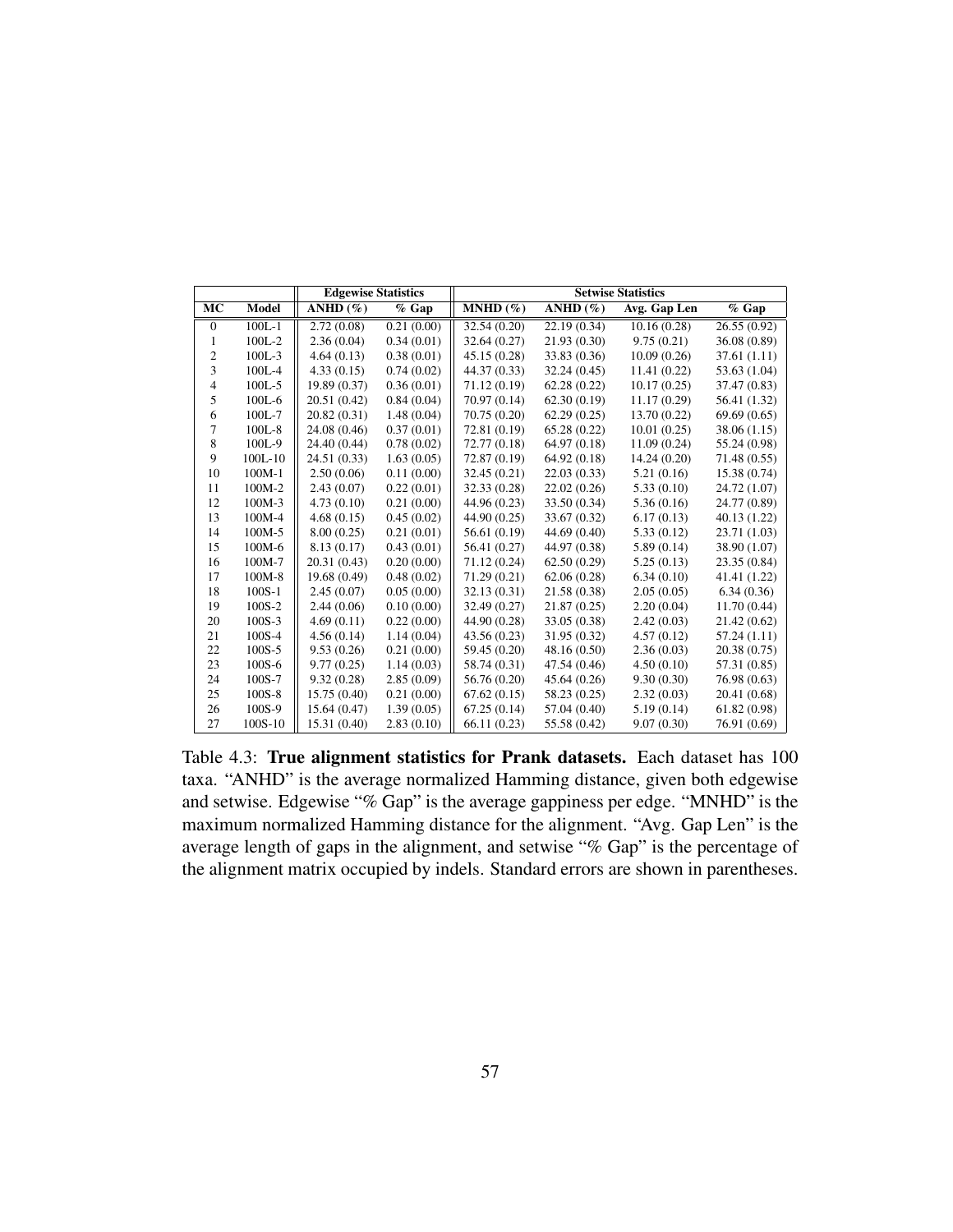|                        |            | <b>Edgewise Statistics</b> |            |              | <b>Setwise Statistics</b> |              |              |
|------------------------|------------|----------------------------|------------|--------------|---------------------------|--------------|--------------|
| $\overline{\text{MC}}$ | Model      | ANHD $(\% )$               | $%$ Gap    | $MNHD(\%)$   | ANHD $(\% )$              | Avg. Gap Len | $%$ Gap      |
| $\theta$               | $100L - 1$ | 2.72(0.08)                 | 0.21(0.00) | 32.54 (0.20) | 22.19 (0.34)              | 10.16(0.28)  | 26.55(0.92)  |
| 1                      | $100L - 2$ | 2.36(0.04)                 | 0.34(0.01) | 32.64 (0.27) | 21.93 (0.30)              | 9.75(0.21)   | 36.08 (0.89) |
| 2                      | $100L - 3$ | 4.64(0.13)                 | 0.38(0.01) | 45.15 (0.28) | 33.83 (0.36)              | 10.09(0.26)  | 37.61 (1.11) |
| 3                      | $100L-4$   | 4.33(0.15)                 | 0.74(0.02) | 44.37 (0.33) | 32.24(0.45)               | 11.41(0.22)  | 53.63 (1.04) |
| 4                      | $100L - 5$ | 19.89 (0.37)               | 0.36(0.01) | 71.12 (0.19) | 62.28(0.22)               | 10.17(0.25)  | 37.47 (0.83) |
| 5                      | $100L-6$   | 20.51 (0.42)               | 0.84(0.04) | 70.97 (0.14) | 62.30(0.19)               | 11.17(0.29)  | 56.41 (1.32) |
| 6                      | 100L-7     | 20.82 (0.31)               | 1.48(0.04) | 70.75 (0.20) | 62.29(0.25)               | 13.70(0.22)  | 69.69(0.65)  |
| 7                      | $100L-8$   | 24.08 (0.46)               | 0.37(0.01) | 72.81 (0.19) | 65.28 (0.22)              | 10.01(0.25)  | 38.06 (1.15) |
| 8                      | 100L-9     | 24.40 (0.44)               | 0.78(0.02) | 72.77 (0.18) | 64.97 (0.18)              | 11.09(0.24)  | 55.24 (0.98) |
| 9                      | $100L-10$  | 24.51 (0.33)               | 1.63(0.05) | 72.87 (0.19) | 64.92 (0.18)              | 14.24 (0.20) | 71.48 (0.55) |
| 10                     | $100M-1$   | 2.50(0.06)                 | 0.11(0.00) | 32.45(0.21)  | 22.03(0.33)               | 5.21(0.16)   | 15.38 (0.74) |
| 11                     | 100M-2     | 2.43(0.07)                 | 0.22(0.01) | 32.33 (0.28) | 22.02(0.26)               | 5.33(0.10)   | 24.72 (1.07) |
| 12                     | 100M-3     | 4.73(0.10)                 | 0.21(0.00) | 44.96 (0.23) | 33.50 (0.34)              | 5.36(0.16)   | 24.77 (0.89) |
| 13                     | 100M-4     | 4.68(0.15)                 | 0.45(0.02) | 44.90 (0.25) | 33.67 (0.32)              | 6.17(0.13)   | 40.13 (1.22) |
| 14                     | 100M-5     | 8.00(0.25)                 | 0.21(0.01) | 56.61 (0.19) | 44.69 (0.40)              | 5.33(0.12)   | 23.71 (1.03) |
| 15                     | 100M-6     | 8.13 (0.17)                | 0.43(0.01) | 56.41 (0.27) | 44.97 (0.38)              | 5.89(0.14)   | 38.90 (1.07) |
| 16                     | 100M-7     | 20.31 (0.43)               | 0.20(0.00) | 71.12 (0.24) | 62.50(0.29)               | 5.25(0.13)   | 23.35 (0.84) |
| 17                     | 100M-8     | 19.68 (0.49)               | 0.48(0.02) | 71.29(0.21)  | 62.06(0.28)               | 6.34(0.10)   | 41.41 (1.22) |
| 18                     | $100S-1$   | 2.45(0.07)                 | 0.05(0.00) | 32.13 (0.31) | 21.58 (0.38)              | 2.05(0.05)   | 6.34(0.36)   |
| 19                     | 100S-2     | 2.44(0.06)                 | 0.10(0.00) | 32.49 (0.27) | 21.87(0.25)               | 2.20(0.04)   | 11.70(0.44)  |
| 20                     | $100S - 3$ | 4.69(0.11)                 | 0.22(0.00) | 44.90 (0.28) | 33.05 (0.38)              | 2.42(0.03)   | 21.42 (0.62) |
| 21                     | 100S-4     | 4.56(0.14)                 | 1.14(0.04) | 43.56 (0.23) | 31.95 (0.32)              | 4.57(0.12)   | 57.24 (1.11) |
| 22                     | $100S - 5$ | 9.53(0.26)                 | 0.21(0.00) | 59.45 (0.20) | 48.16 (0.50)              | 2.36(0.03)   | 20.38 (0.75) |
| 23                     | $100S - 6$ | 9.77(0.25)                 | 1.14(0.03) | 58.74 (0.31) | 47.54 (0.46)              | 4.50(0.10)   | 57.31 (0.85) |
| 24                     | 100S-7     | 9.32(0.28)                 | 2.85(0.09) | 56.76 (0.20) | 45.64 (0.26)              | 9.30(0.30)   | 76.98 (0.63) |
| 25                     | $100S - 8$ | 15.75 (0.40)               | 0.21(0.00) | 67.62(0.15)  | 58.23 (0.25)              | 2.32(0.03)   | 20.41 (0.68) |
| 26                     | 100S-9     | 15.64 (0.47)               | 1.39(0.05) | 67.25(0.14)  | 57.04 (0.40)              | 5.19(0.14)   | 61.82 (0.98) |
| 27                     | 100S-10    | 15.31 (0.40)               | 2.83(0.10) | 66.11(0.23)  | 55.58 (0.42)              | 9.07(0.30)   | 76.91 (0.69) |

Table 4.3: True alignment statistics for Prank datasets. Each dataset has 100 taxa. "ANHD" is the average normalized Hamming distance, given both edgewise and setwise. Edgewise "% Gap" is the average gappiness per edge. "MNHD" is the maximum normalized Hamming distance for the alignment. "Avg. Gap Len" is the average length of gaps in the alignment, and setwise "% Gap" is the percentage of the alignment matrix occupied by indels. Standard errors are shown in parentheses.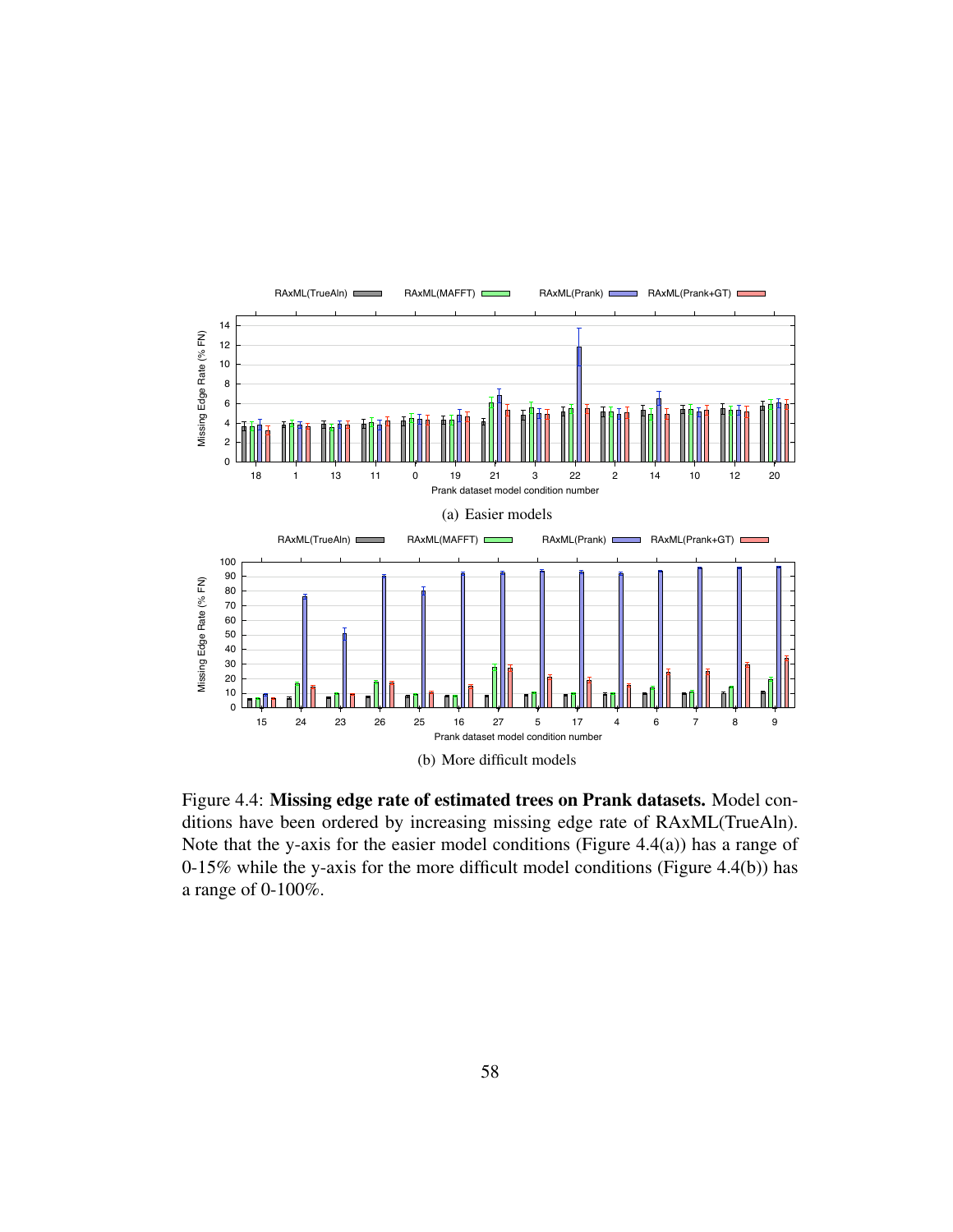

Figure 4.4: Missing edge rate of estimated trees on Prank datasets. Model conditions have been ordered by increasing missing edge rate of RAxML(TrueAln). Note that the y-axis for the easier model conditions (Figure 4.4(a)) has a range of 0-15% while the y-axis for the more difficult model conditions (Figure 4.4(b)) has a range of 0-100%.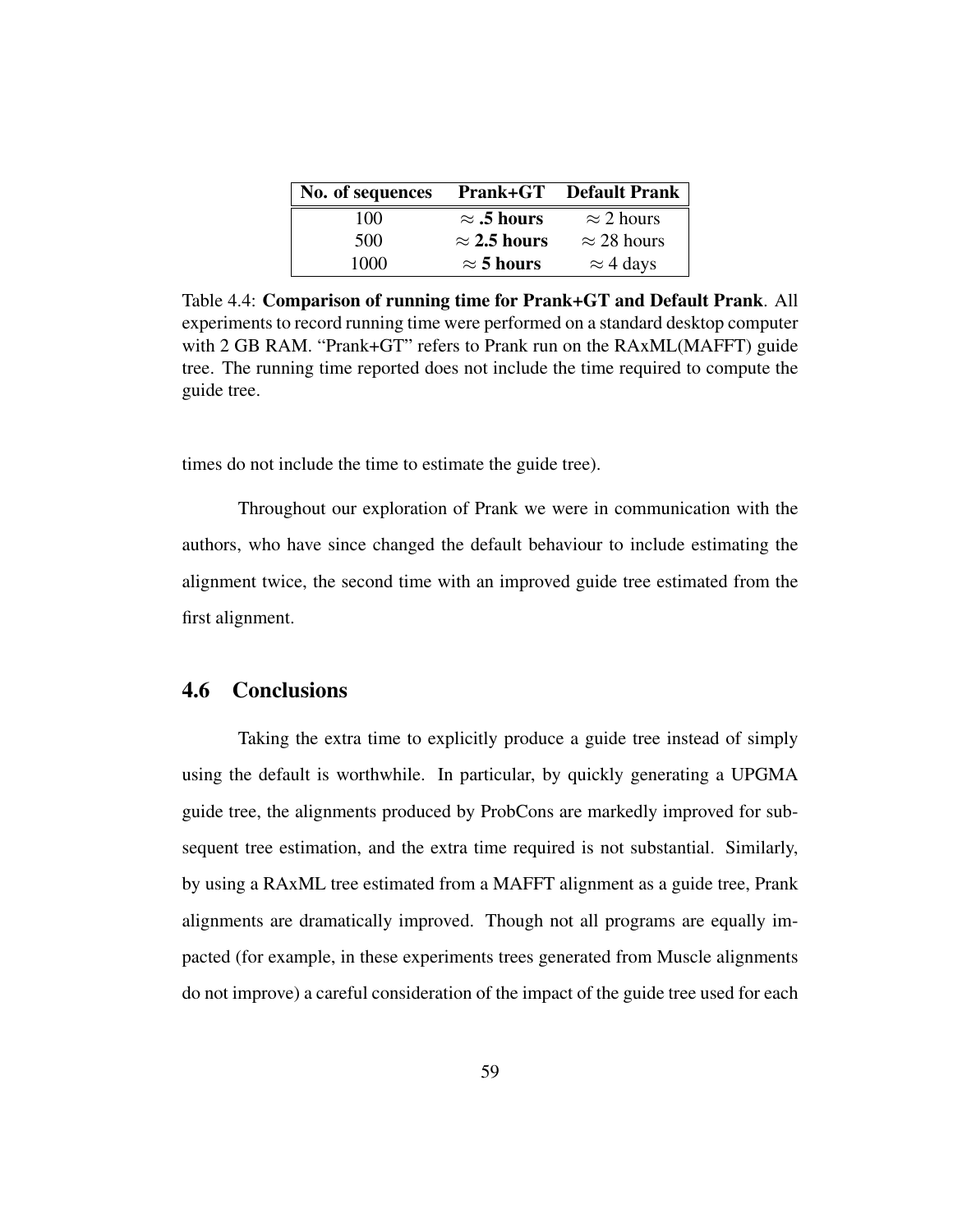| No. of sequences |                     | <b>Prank+GT</b> Default Prank |
|------------------|---------------------|-------------------------------|
| 100              | $\approx$ .5 hours  | $\approx$ 2 hours             |
| 500              | $\approx$ 2.5 hours | $\approx$ 28 hours            |
| 1000             | $\approx$ 5 hours   | $\approx$ 4 days              |

Table 4.4: Comparison of running time for Prank+GT and Default Prank. All experiments to record running time were performed on a standard desktop computer with 2 GB RAM. "Prank+GT" refers to Prank run on the RAxML(MAFFT) guide tree. The running time reported does not include the time required to compute the guide tree.

times do not include the time to estimate the guide tree).

Throughout our exploration of Prank we were in communication with the authors, who have since changed the default behaviour to include estimating the alignment twice, the second time with an improved guide tree estimated from the first alignment.

## 4.6 Conclusions

Taking the extra time to explicitly produce a guide tree instead of simply using the default is worthwhile. In particular, by quickly generating a UPGMA guide tree, the alignments produced by ProbCons are markedly improved for subsequent tree estimation, and the extra time required is not substantial. Similarly, by using a RAxML tree estimated from a MAFFT alignment as a guide tree, Prank alignments are dramatically improved. Though not all programs are equally impacted (for example, in these experiments trees generated from Muscle alignments do not improve) a careful consideration of the impact of the guide tree used for each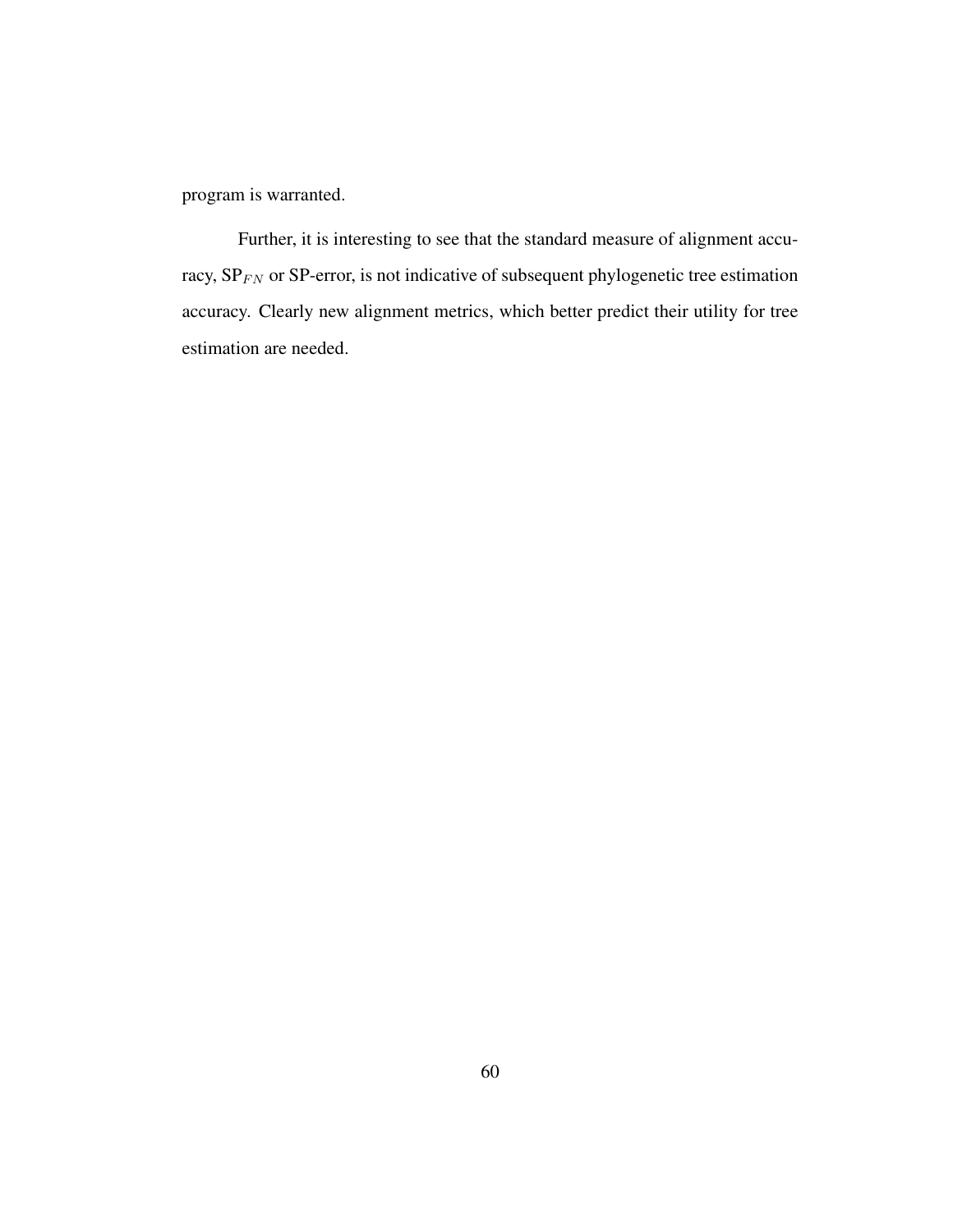program is warranted.

Further, it is interesting to see that the standard measure of alignment accuracy,  $SP_{FN}$  or  $SP$ -error, is not indicative of subsequent phylogenetic tree estimation accuracy. Clearly new alignment metrics, which better predict their utility for tree estimation are needed.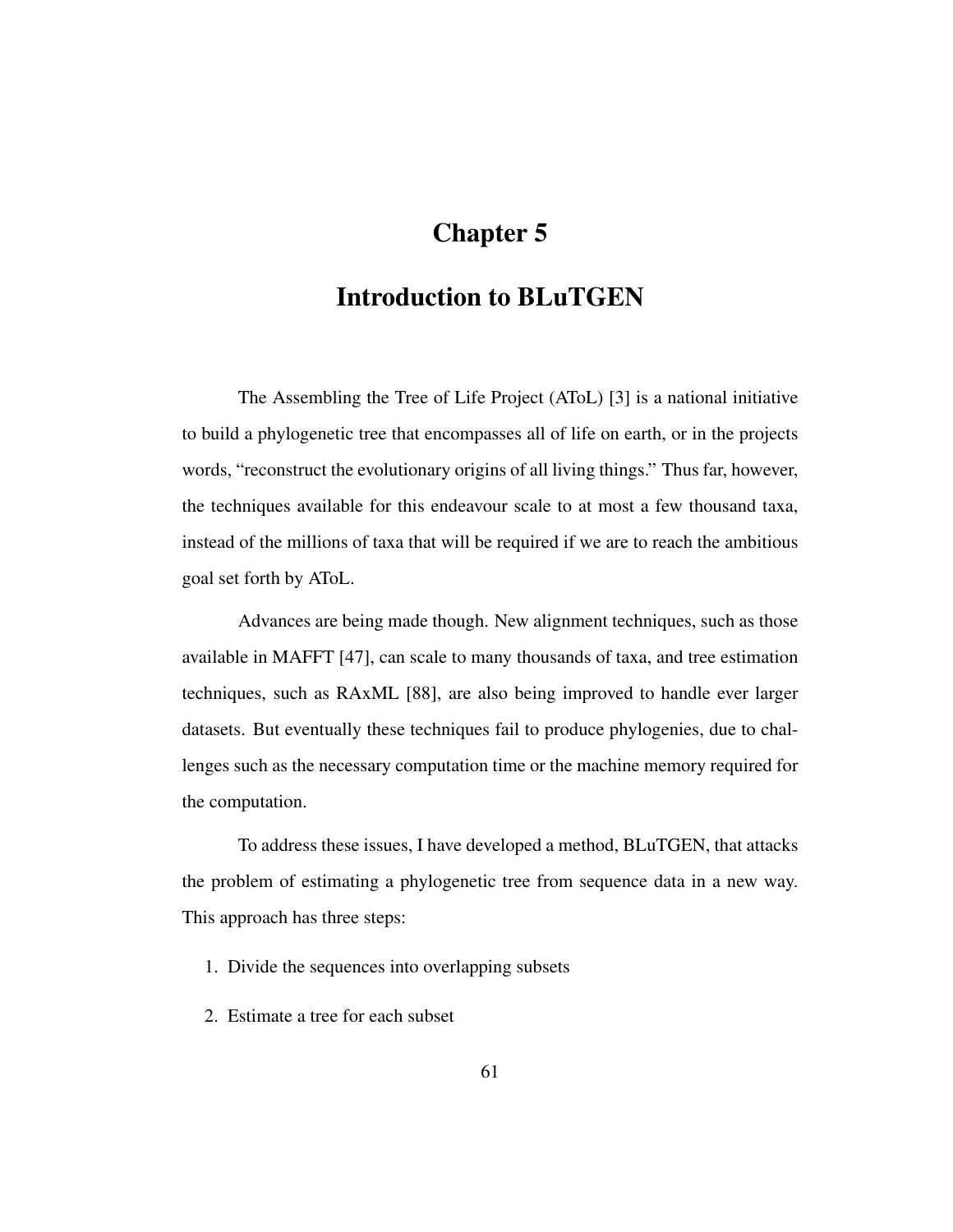# Chapter 5

## Introduction to BLuTGEN

The Assembling the Tree of Life Project (AToL) [3] is a national initiative to build a phylogenetic tree that encompasses all of life on earth, or in the projects words, "reconstruct the evolutionary origins of all living things." Thus far, however, the techniques available for this endeavour scale to at most a few thousand taxa, instead of the millions of taxa that will be required if we are to reach the ambitious goal set forth by AToL.

Advances are being made though. New alignment techniques, such as those available in MAFFT [47], can scale to many thousands of taxa, and tree estimation techniques, such as RAxML [88], are also being improved to handle ever larger datasets. But eventually these techniques fail to produce phylogenies, due to challenges such as the necessary computation time or the machine memory required for the computation.

To address these issues, I have developed a method, BLuTGEN, that attacks the problem of estimating a phylogenetic tree from sequence data in a new way. This approach has three steps:

- 1. Divide the sequences into overlapping subsets
- 2. Estimate a tree for each subset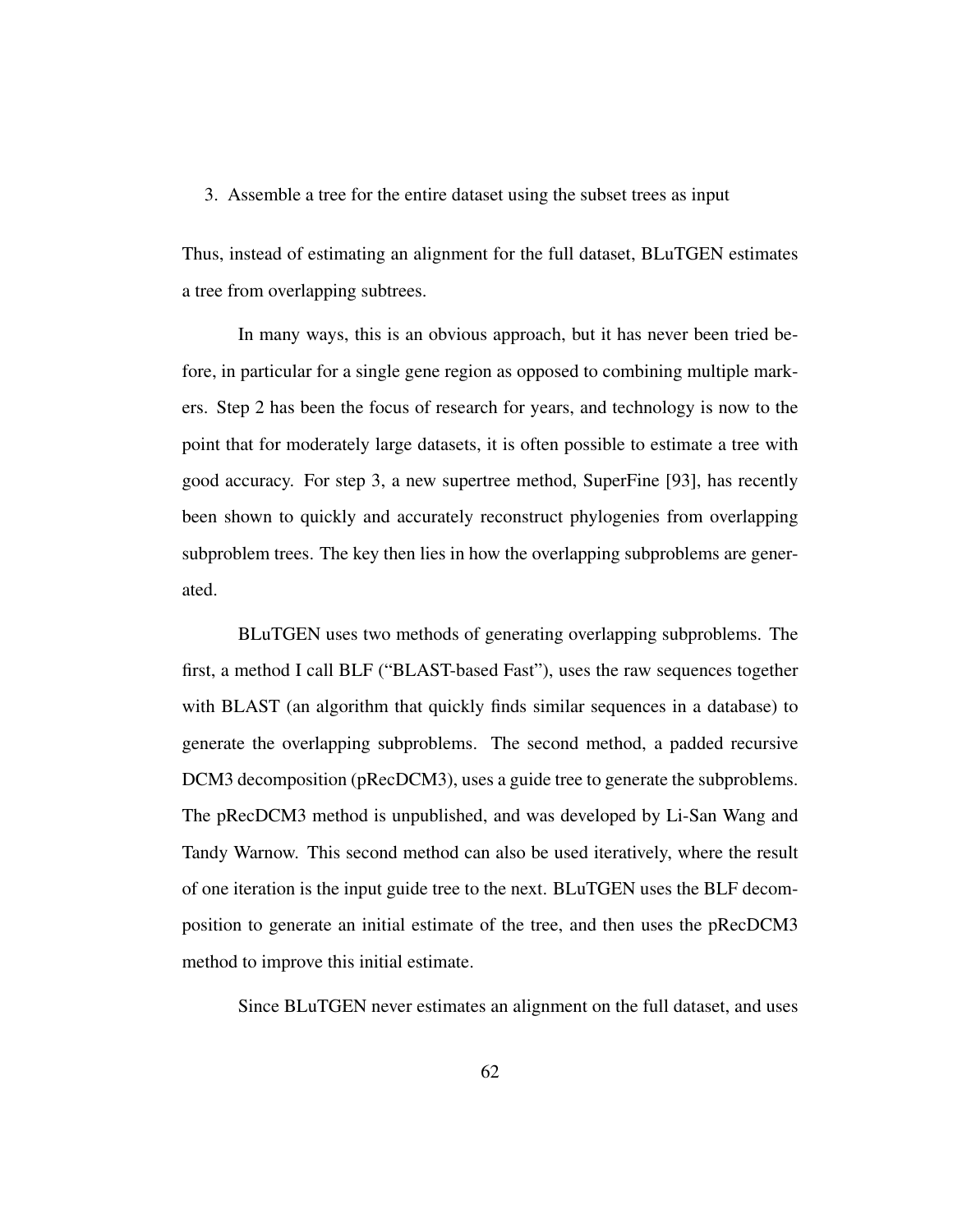#### 3. Assemble a tree for the entire dataset using the subset trees as input

Thus, instead of estimating an alignment for the full dataset, BLuTGEN estimates a tree from overlapping subtrees.

In many ways, this is an obvious approach, but it has never been tried before, in particular for a single gene region as opposed to combining multiple markers. Step 2 has been the focus of research for years, and technology is now to the point that for moderately large datasets, it is often possible to estimate a tree with good accuracy. For step 3, a new supertree method, SuperFine [93], has recently been shown to quickly and accurately reconstruct phylogenies from overlapping subproblem trees. The key then lies in how the overlapping subproblems are generated.

BLuTGEN uses two methods of generating overlapping subproblems. The first, a method I call BLF ("BLAST-based Fast"), uses the raw sequences together with BLAST (an algorithm that quickly finds similar sequences in a database) to generate the overlapping subproblems. The second method, a padded recursive DCM3 decomposition (pRecDCM3), uses a guide tree to generate the subproblems. The pRecDCM3 method is unpublished, and was developed by Li-San Wang and Tandy Warnow. This second method can also be used iteratively, where the result of one iteration is the input guide tree to the next. BLuTGEN uses the BLF decomposition to generate an initial estimate of the tree, and then uses the pRecDCM3 method to improve this initial estimate.

Since BLuTGEN never estimates an alignment on the full dataset, and uses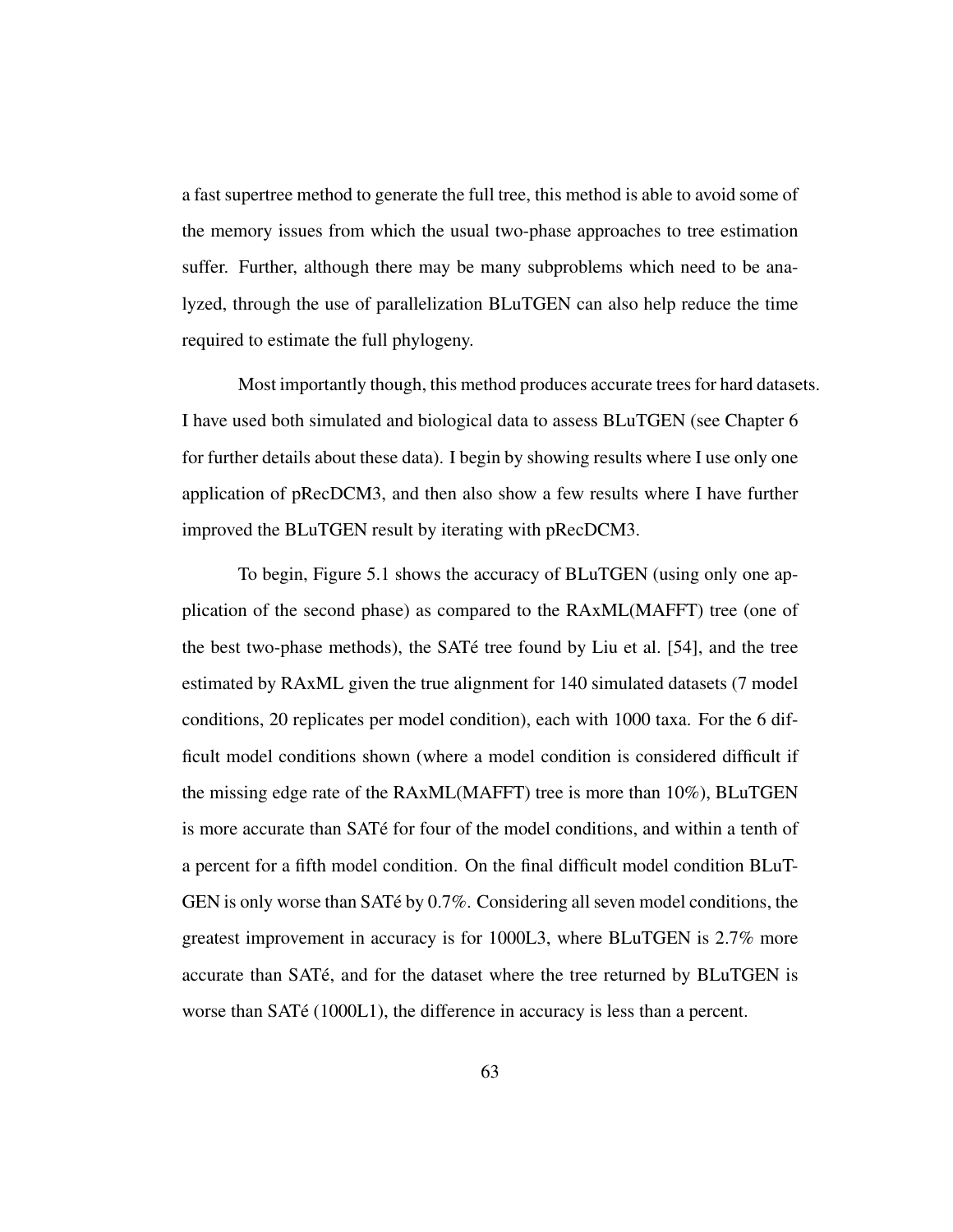a fast supertree method to generate the full tree, this method is able to avoid some of the memory issues from which the usual two-phase approaches to tree estimation suffer. Further, although there may be many subproblems which need to be analyzed, through the use of parallelization BLuTGEN can also help reduce the time required to estimate the full phylogeny.

Most importantly though, this method produces accurate trees for hard datasets. I have used both simulated and biological data to assess BLuTGEN (see Chapter 6 for further details about these data). I begin by showing results where I use only one application of pRecDCM3, and then also show a few results where I have further improved the BLuTGEN result by iterating with pRecDCM3.

To begin, Figure 5.1 shows the accuracy of BLuTGEN (using only one application of the second phase) as compared to the RAxML(MAFFT) tree (one of the best two-phase methods), the SAT $\acute{\text{e}}$  tree found by Liu et al. [54], and the tree estimated by RAxML given the true alignment for 140 simulated datasets (7 model conditions, 20 replicates per model condition), each with 1000 taxa. For the 6 difficult model conditions shown (where a model condition is considered difficult if the missing edge rate of the RAxML(MAFFT) tree is more than 10%), BLuTGEN is more accurate than SAT<sub>e</sub> for four of the model conditions, and within a tenth of a percent for a fifth model condition. On the final difficult model condition BLuT-GEN is only worse than SATé by 0.7%. Considering all seven model conditions, the greatest improvement in accuracy is for 1000L3, where BLuTGEN is 2.7% more accurate than SATé, and for the dataset where the tree returned by BLuTGEN is worse than  $SATé (1000L1)$ , the difference in accuracy is less than a percent.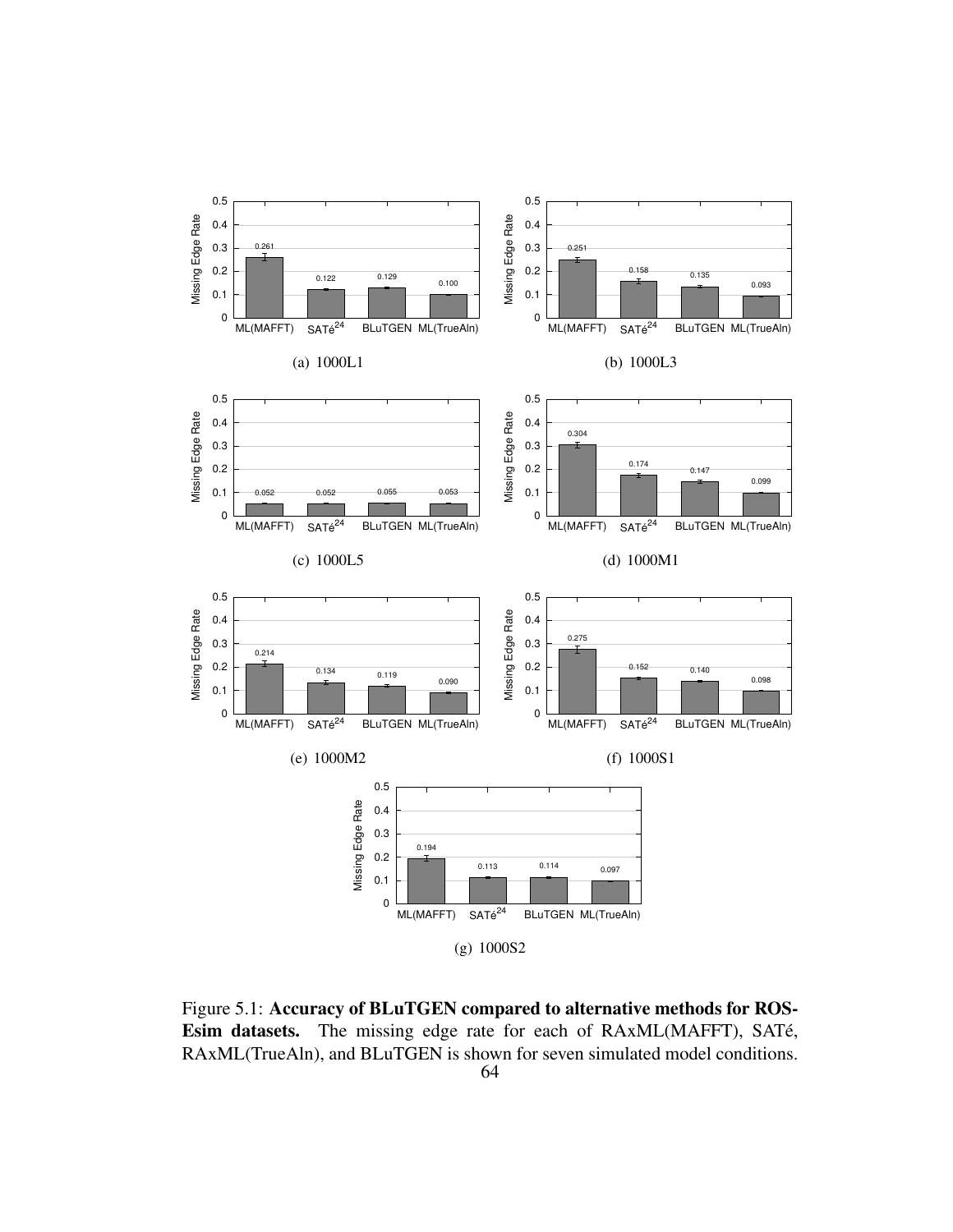

Figure 5.1: Accuracy of BLuTGEN compared to alternative methods for ROS-Esim datasets. The missing edge rate for each of RAxML(MAFFT), SATé, RAxML(TrueAln), and BLuTGEN is shown for seven simulated model conditions.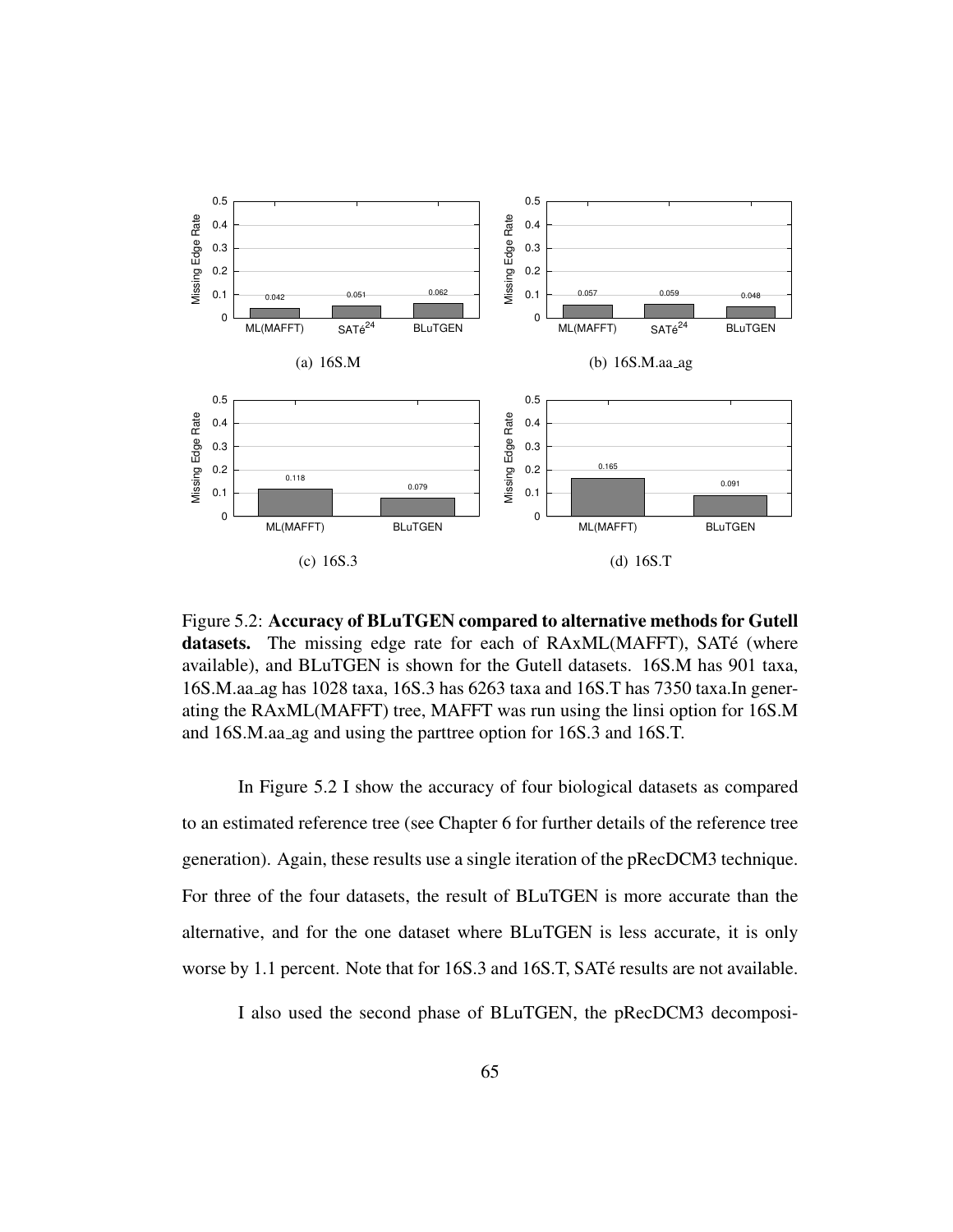

Figure 5.2: Accuracy of BLuTGEN compared to alternative methods for Gutell datasets. The missing edge rate for each of RAxML(MAFFT), SATé (where available), and BLuTGEN is shown for the Gutell datasets. 16S.M has 901 taxa, 16S.M.aa ag has 1028 taxa, 16S.3 has 6263 taxa and 16S.T has 7350 taxa.In generating the RAxML(MAFFT) tree, MAFFT was run using the linsi option for 16S.M and 16S.M.aa ag and using the parttree option for 16S.3 and 16S.T.

In Figure 5.2 I show the accuracy of four biological datasets as compared to an estimated reference tree (see Chapter 6 for further details of the reference tree generation). Again, these results use a single iteration of the pRecDCM3 technique. For three of the four datasets, the result of BLuTGEN is more accurate than the alternative, and for the one dataset where BLuTGEN is less accurate, it is only worse by 1.1 percent. Note that for 16S.3 and 16S.T, SATé results are not available.

I also used the second phase of BLuTGEN, the pRecDCM3 decomposi-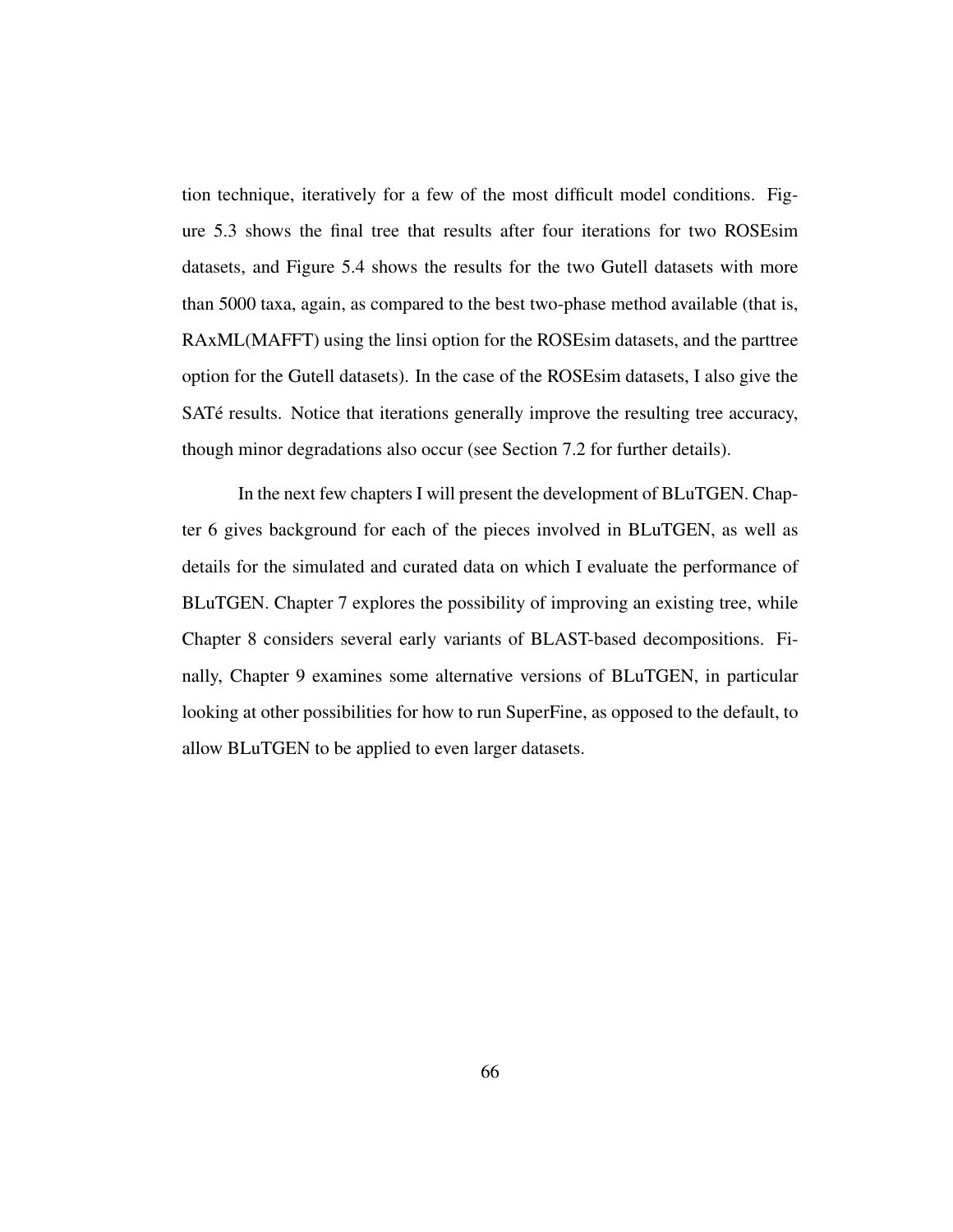tion technique, iteratively for a few of the most difficult model conditions. Figure 5.3 shows the final tree that results after four iterations for two ROSEsim datasets, and Figure 5.4 shows the results for the two Gutell datasets with more than 5000 taxa, again, as compared to the best two-phase method available (that is, RAxML(MAFFT) using the linsi option for the ROSEsim datasets, and the parttree option for the Gutell datasets). In the case of the ROSEsim datasets, I also give the SATé results. Notice that iterations generally improve the resulting tree accuracy, though minor degradations also occur (see Section 7.2 for further details).

In the next few chapters I will present the development of BLuTGEN. Chapter 6 gives background for each of the pieces involved in BLuTGEN, as well as details for the simulated and curated data on which I evaluate the performance of BLuTGEN. Chapter 7 explores the possibility of improving an existing tree, while Chapter 8 considers several early variants of BLAST-based decompositions. Finally, Chapter 9 examines some alternative versions of BLuTGEN, in particular looking at other possibilities for how to run SuperFine, as opposed to the default, to allow BLuTGEN to be applied to even larger datasets.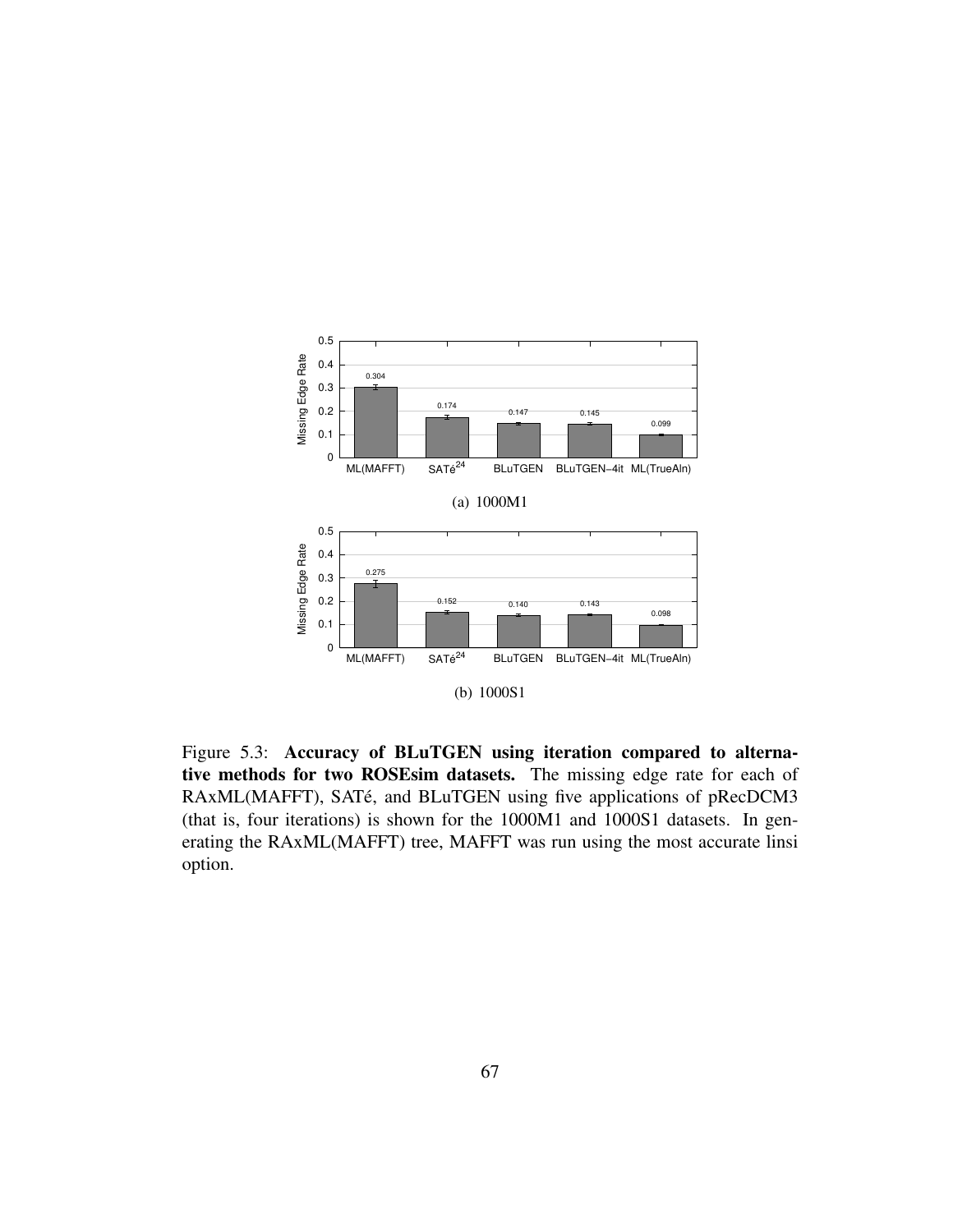

Figure 5.3: Accuracy of BLuTGEN using iteration compared to alternative methods for two ROSEsim datasets. The missing edge rate for each of RAxML(MAFFT), SATé, and BLuTGEN using five applications of pRecDCM3 (that is, four iterations) is shown for the 1000M1 and 1000S1 datasets. In generating the RAxML(MAFFT) tree, MAFFT was run using the most accurate linsi option.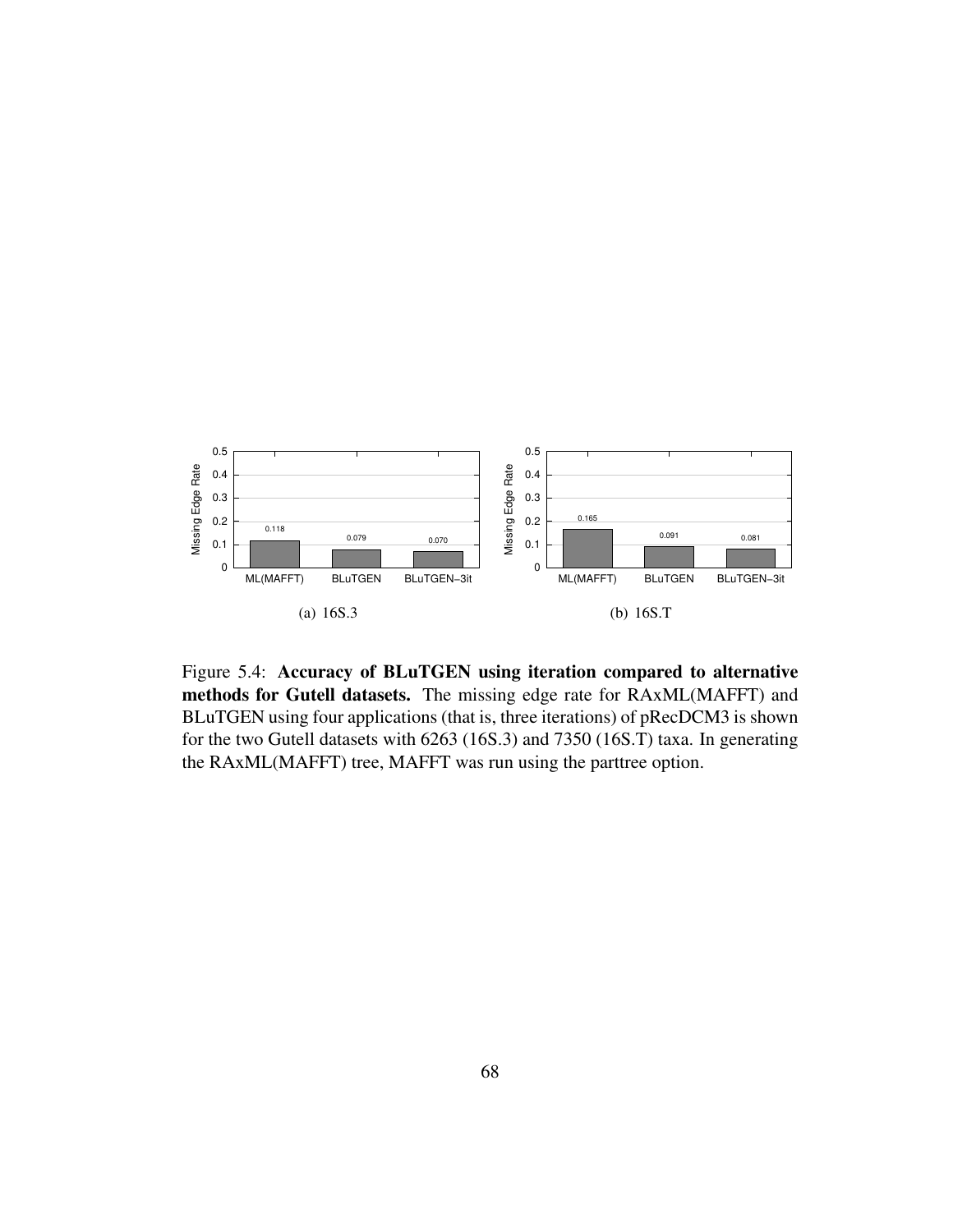

Figure 5.4: Accuracy of BLuTGEN using iteration compared to alternative methods for Gutell datasets. The missing edge rate for RAxML(MAFFT) and BLuTGEN using four applications (that is, three iterations) of pRecDCM3 is shown for the two Gutell datasets with 6263 (16S.3) and 7350 (16S.T) taxa. In generating the RAxML(MAFFT) tree, MAFFT was run using the parttree option.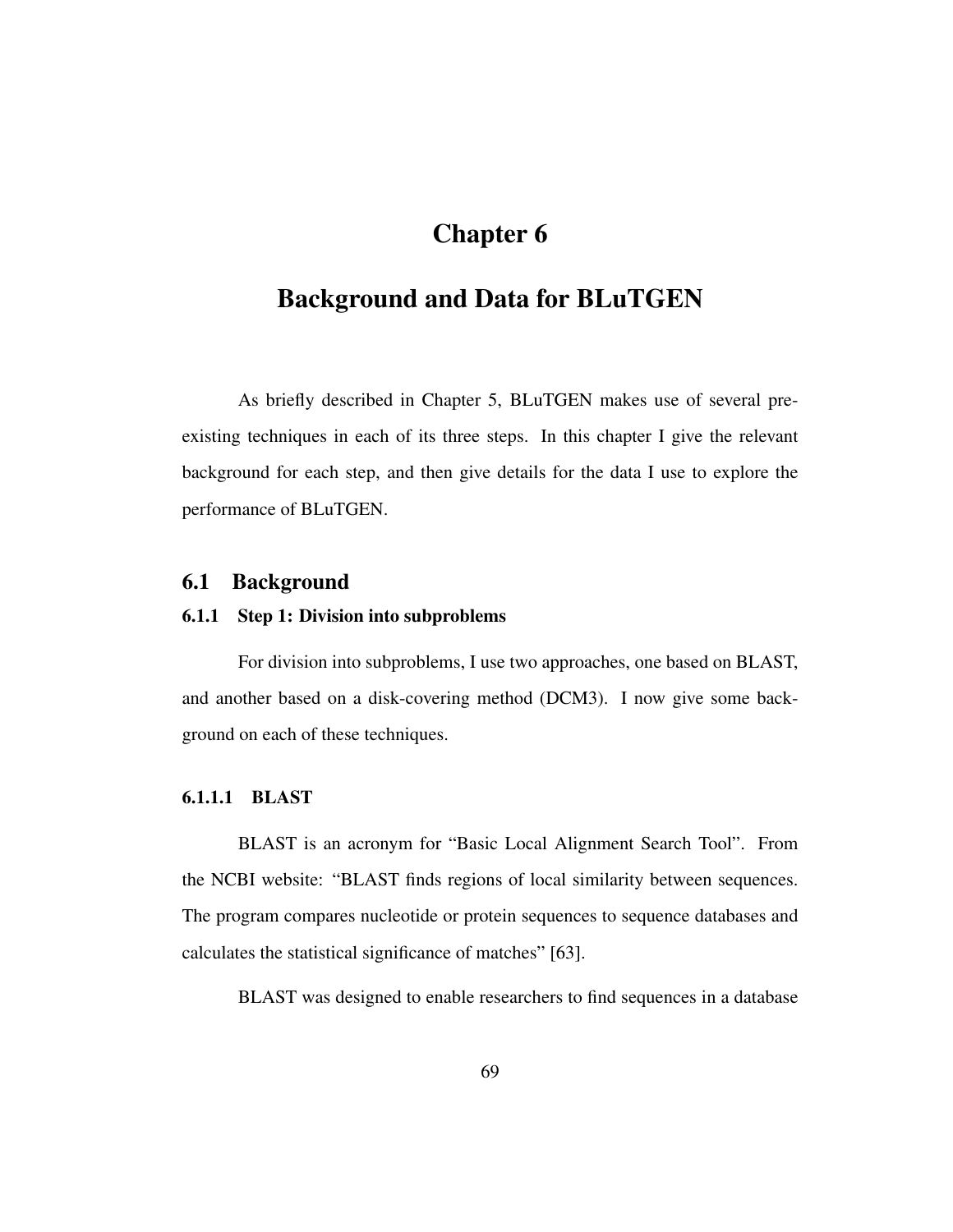# Chapter 6

# Background and Data for BLuTGEN

As briefly described in Chapter 5, BLuTGEN makes use of several preexisting techniques in each of its three steps. In this chapter I give the relevant background for each step, and then give details for the data I use to explore the performance of BLuTGEN.

## 6.1 Background

### 6.1.1 Step 1: Division into subproblems

For division into subproblems, I use two approaches, one based on BLAST, and another based on a disk-covering method (DCM3). I now give some background on each of these techniques.

### 6.1.1.1 BLAST

BLAST is an acronym for "Basic Local Alignment Search Tool". From the NCBI website: "BLAST finds regions of local similarity between sequences. The program compares nucleotide or protein sequences to sequence databases and calculates the statistical significance of matches" [63].

BLAST was designed to enable researchers to find sequences in a database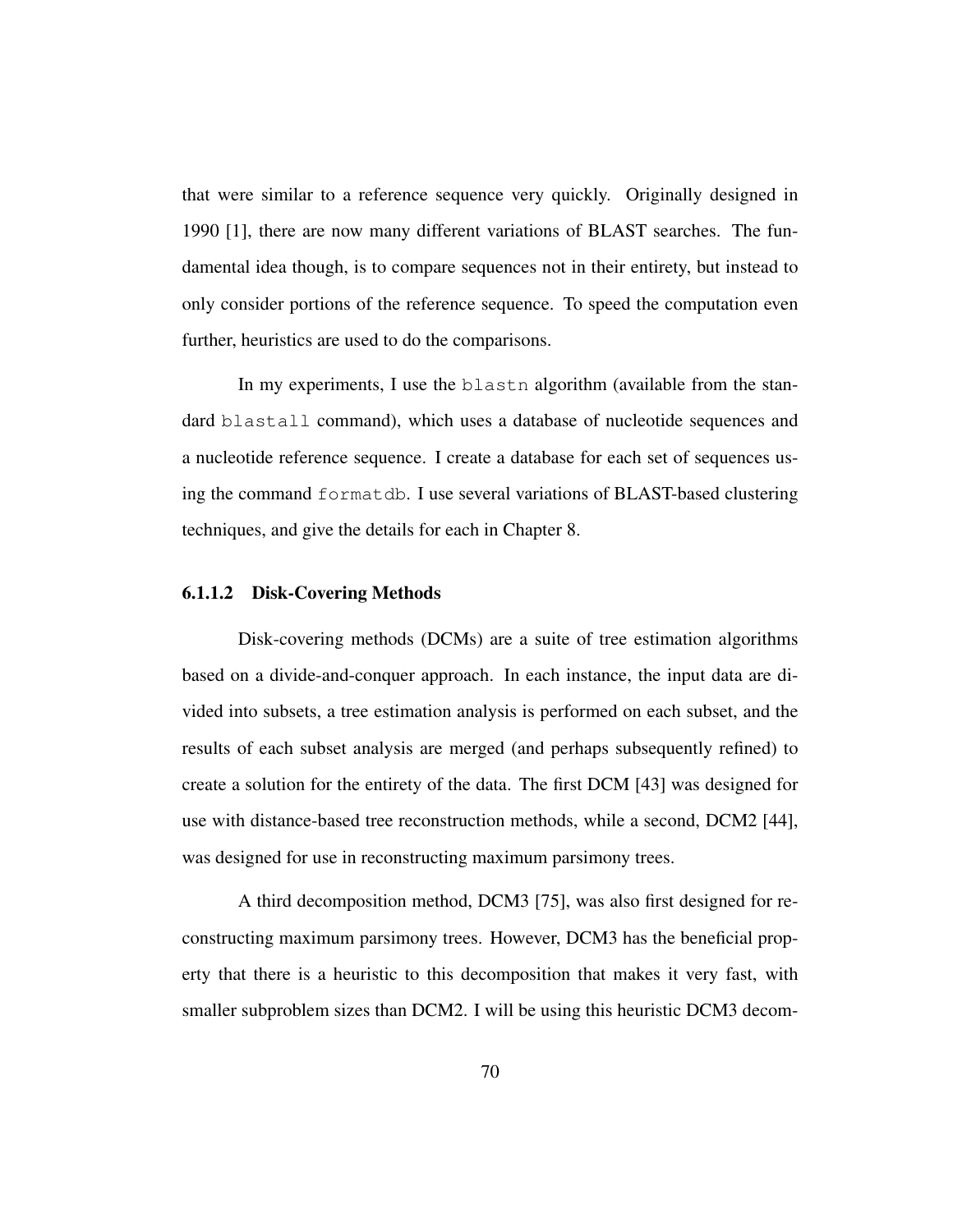that were similar to a reference sequence very quickly. Originally designed in 1990 [1], there are now many different variations of BLAST searches. The fundamental idea though, is to compare sequences not in their entirety, but instead to only consider portions of the reference sequence. To speed the computation even further, heuristics are used to do the comparisons.

In my experiments, I use the blastn algorithm (available from the standard blastall command), which uses a database of nucleotide sequences and a nucleotide reference sequence. I create a database for each set of sequences using the command formatdb. I use several variations of BLAST-based clustering techniques, and give the details for each in Chapter 8.

#### 6.1.1.2 Disk-Covering Methods

Disk-covering methods (DCMs) are a suite of tree estimation algorithms based on a divide-and-conquer approach. In each instance, the input data are divided into subsets, a tree estimation analysis is performed on each subset, and the results of each subset analysis are merged (and perhaps subsequently refined) to create a solution for the entirety of the data. The first DCM [43] was designed for use with distance-based tree reconstruction methods, while a second, DCM2 [44], was designed for use in reconstructing maximum parsimony trees.

A third decomposition method, DCM3 [75], was also first designed for reconstructing maximum parsimony trees. However, DCM3 has the beneficial property that there is a heuristic to this decomposition that makes it very fast, with smaller subproblem sizes than DCM2. I will be using this heuristic DCM3 decom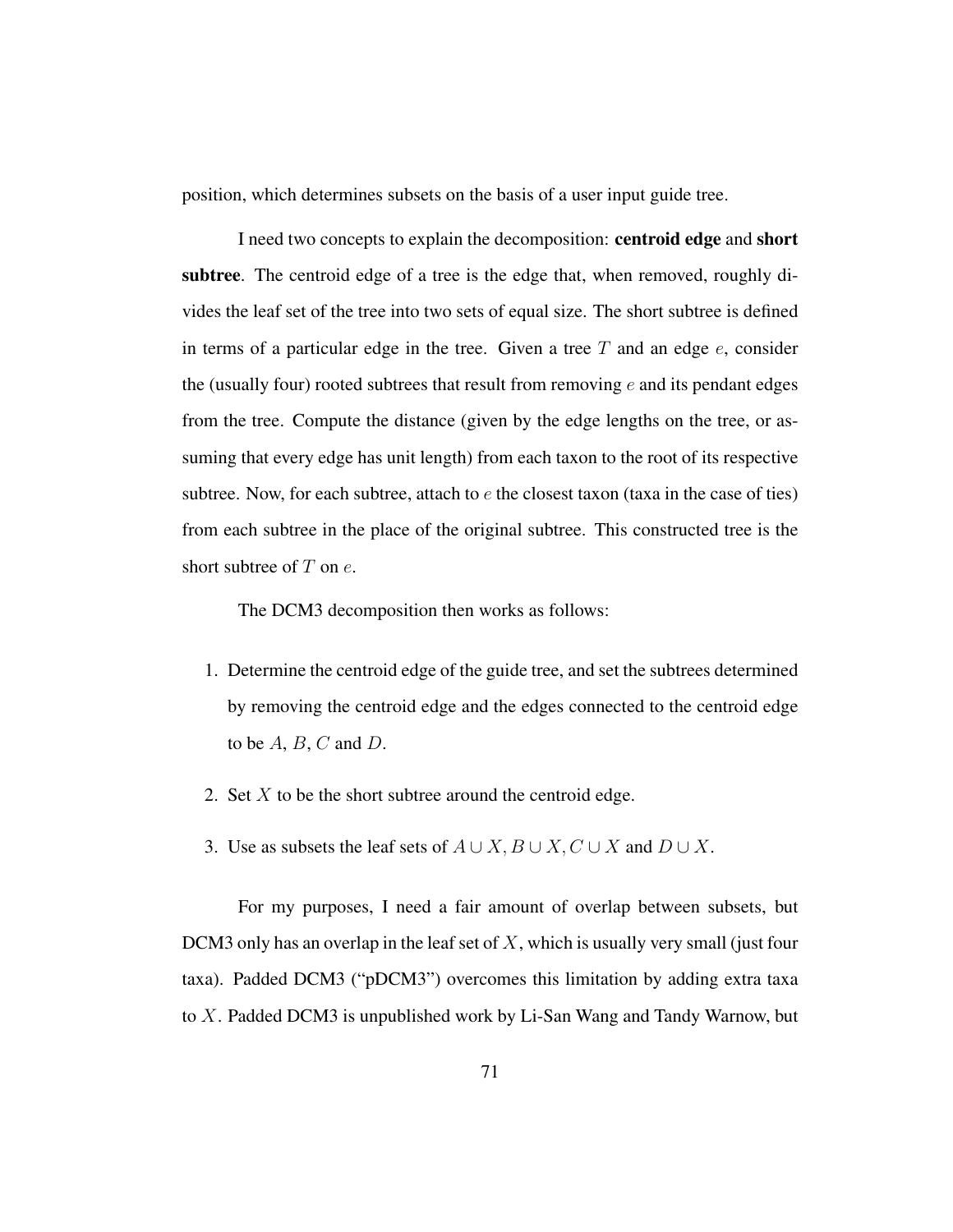position, which determines subsets on the basis of a user input guide tree.

I need two concepts to explain the decomposition: centroid edge and short subtree. The centroid edge of a tree is the edge that, when removed, roughly divides the leaf set of the tree into two sets of equal size. The short subtree is defined in terms of a particular edge in the tree. Given a tree  $T$  and an edge  $e$ , consider the (usually four) rooted subtrees that result from removing  $e$  and its pendant edges from the tree. Compute the distance (given by the edge lengths on the tree, or assuming that every edge has unit length) from each taxon to the root of its respective subtree. Now, for each subtree, attach to  $e$  the closest taxon (taxa in the case of ties) from each subtree in the place of the original subtree. This constructed tree is the short subtree of  $T$  on  $e$ .

The DCM3 decomposition then works as follows:

- 1. Determine the centroid edge of the guide tree, and set the subtrees determined by removing the centroid edge and the edges connected to the centroid edge to be  $A, B, C$  and  $D$ .
- 2. Set  $X$  to be the short subtree around the centroid edge.
- 3. Use as subsets the leaf sets of  $A \cup X$ ,  $B \cup X$ ,  $C \cup X$  and  $D \cup X$ .

For my purposes, I need a fair amount of overlap between subsets, but DCM3 only has an overlap in the leaf set of  $X$ , which is usually very small (just four taxa). Padded DCM3 ("pDCM3") overcomes this limitation by adding extra taxa to X. Padded DCM3 is unpublished work by Li-San Wang and Tandy Warnow, but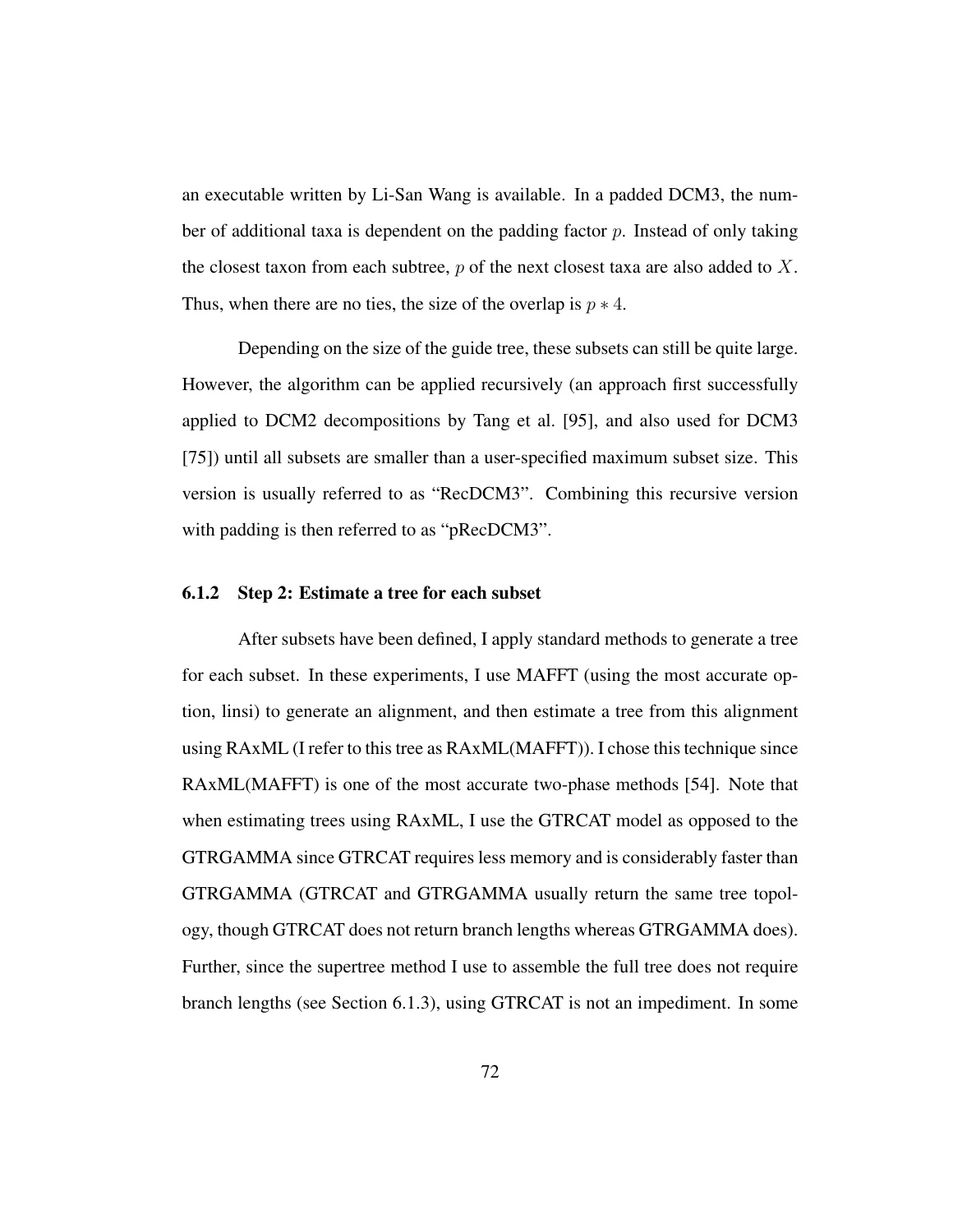an executable written by Li-San Wang is available. In a padded DCM3, the number of additional taxa is dependent on the padding factor  $p$ . Instead of only taking the closest taxon from each subtree,  $p$  of the next closest taxa are also added to  $X$ . Thus, when there are no ties, the size of the overlap is  $p \ast 4$ .

Depending on the size of the guide tree, these subsets can still be quite large. However, the algorithm can be applied recursively (an approach first successfully applied to DCM2 decompositions by Tang et al. [95], and also used for DCM3 [75]) until all subsets are smaller than a user-specified maximum subset size. This version is usually referred to as "RecDCM3". Combining this recursive version with padding is then referred to as "pRecDCM3".

### 6.1.2 Step 2: Estimate a tree for each subset

After subsets have been defined, I apply standard methods to generate a tree for each subset. In these experiments, I use MAFFT (using the most accurate option, linsi) to generate an alignment, and then estimate a tree from this alignment using RAxML (I refer to this tree as RAxML(MAFFT)). I chose this technique since RAxML(MAFFT) is one of the most accurate two-phase methods [54]. Note that when estimating trees using RAxML, I use the GTRCAT model as opposed to the GTRGAMMA since GTRCAT requires less memory and is considerably faster than GTRGAMMA (GTRCAT and GTRGAMMA usually return the same tree topology, though GTRCAT does not return branch lengths whereas GTRGAMMA does). Further, since the supertree method I use to assemble the full tree does not require branch lengths (see Section 6.1.3), using GTRCAT is not an impediment. In some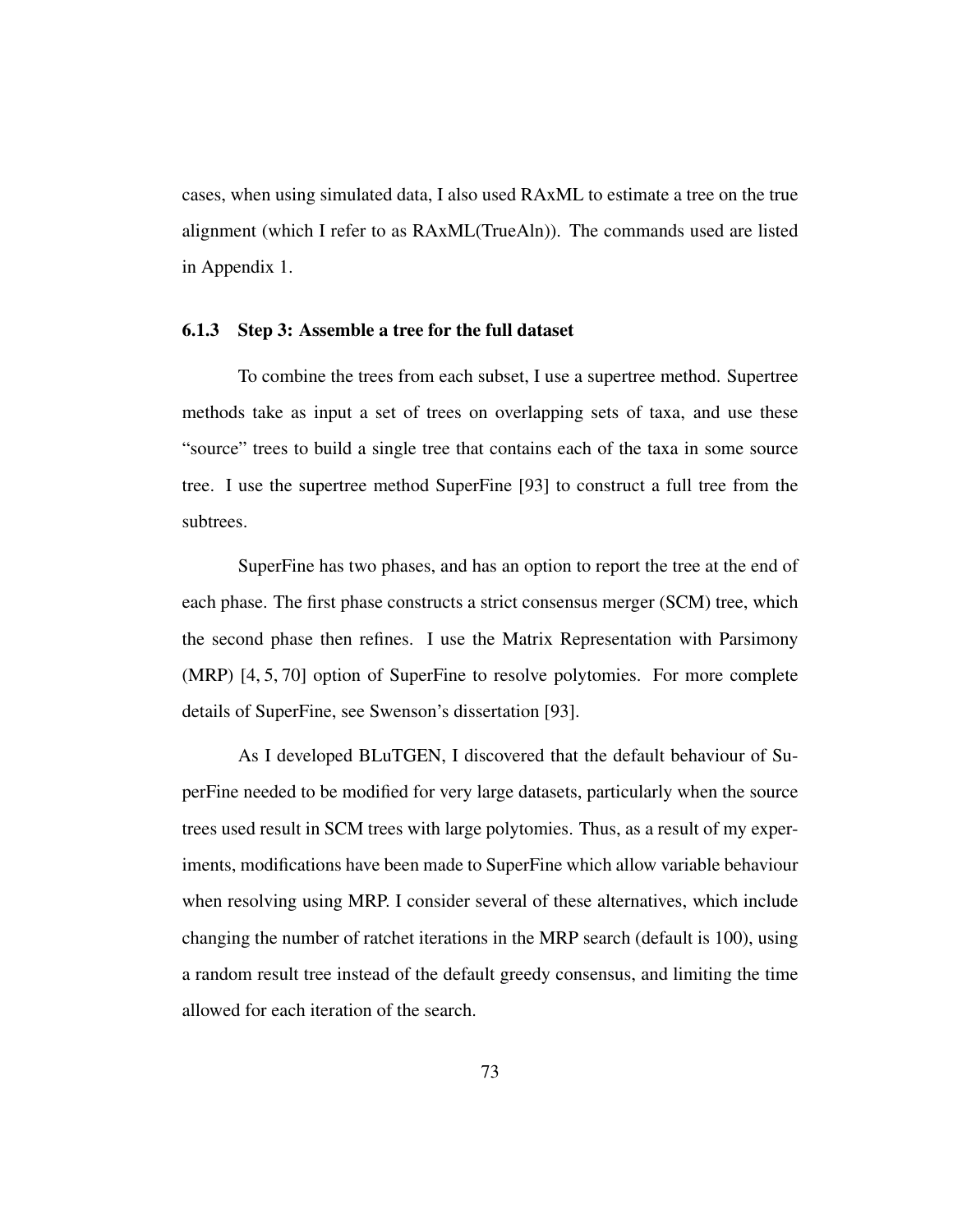cases, when using simulated data, I also used RAxML to estimate a tree on the true alignment (which I refer to as RAxML(TrueAln)). The commands used are listed in Appendix 1.

### 6.1.3 Step 3: Assemble a tree for the full dataset

To combine the trees from each subset, I use a supertree method. Supertree methods take as input a set of trees on overlapping sets of taxa, and use these "source" trees to build a single tree that contains each of the taxa in some source tree. I use the supertree method SuperFine [93] to construct a full tree from the subtrees.

SuperFine has two phases, and has an option to report the tree at the end of each phase. The first phase constructs a strict consensus merger (SCM) tree, which the second phase then refines. I use the Matrix Representation with Parsimony (MRP) [4, 5, 70] option of SuperFine to resolve polytomies. For more complete details of SuperFine, see Swenson's dissertation [93].

As I developed BLuTGEN, I discovered that the default behaviour of SuperFine needed to be modified for very large datasets, particularly when the source trees used result in SCM trees with large polytomies. Thus, as a result of my experiments, modifications have been made to SuperFine which allow variable behaviour when resolving using MRP. I consider several of these alternatives, which include changing the number of ratchet iterations in the MRP search (default is 100), using a random result tree instead of the default greedy consensus, and limiting the time allowed for each iteration of the search.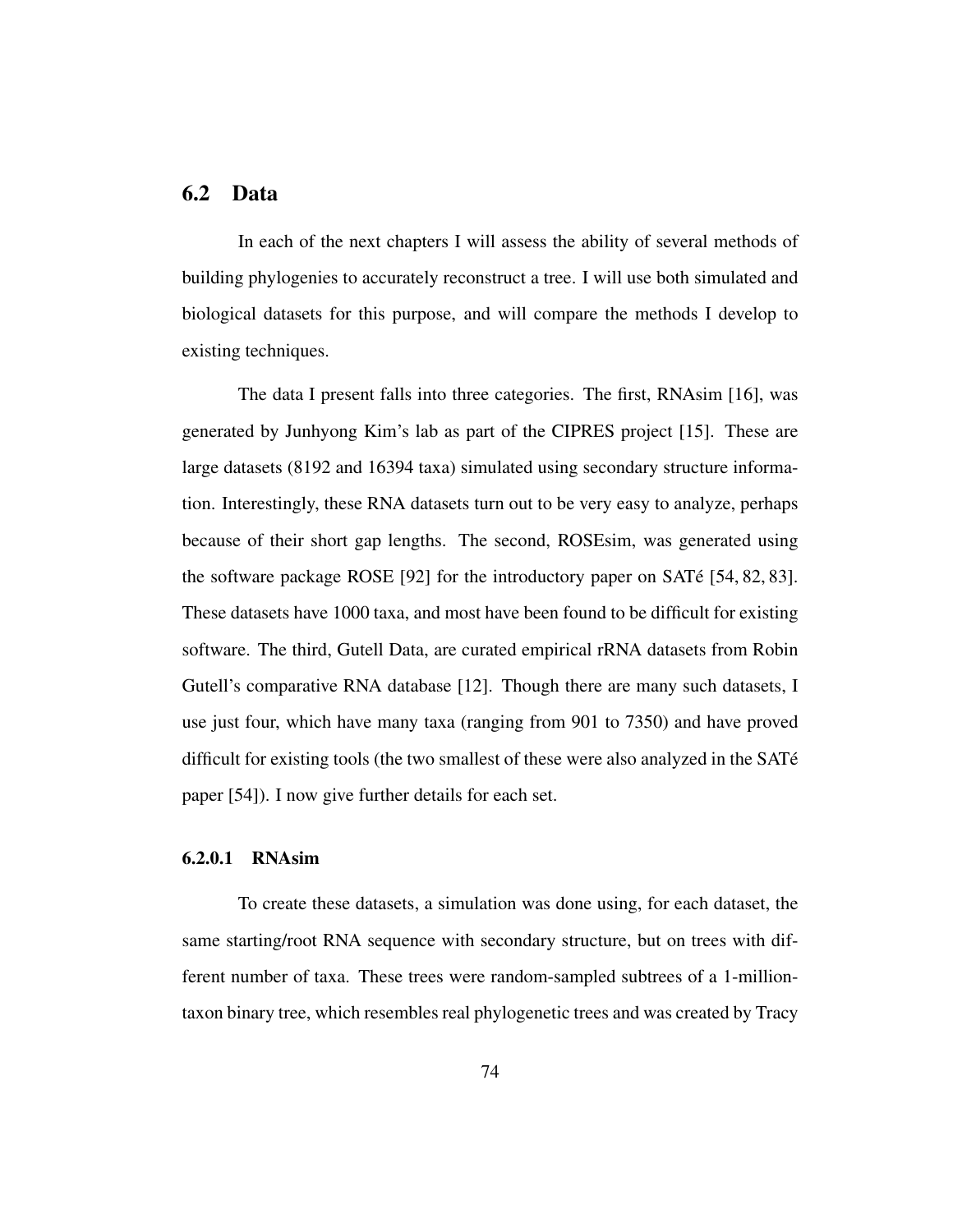# 6.2 Data

In each of the next chapters I will assess the ability of several methods of building phylogenies to accurately reconstruct a tree. I will use both simulated and biological datasets for this purpose, and will compare the methods I develop to existing techniques.

The data I present falls into three categories. The first, RNAsim [16], was generated by Junhyong Kim's lab as part of the CIPRES project [15]. These are large datasets (8192 and 16394 taxa) simulated using secondary structure information. Interestingly, these RNA datasets turn out to be very easy to analyze, perhaps because of their short gap lengths. The second, ROSEsim, was generated using the software package ROSE [92] for the introductory paper on SATe [54, 82, 83]. ´ These datasets have 1000 taxa, and most have been found to be difficult for existing software. The third, Gutell Data, are curated empirical rRNA datasets from Robin Gutell's comparative RNA database [12]. Though there are many such datasets, I use just four, which have many taxa (ranging from 901 to 7350) and have proved difficult for existing tools (the two smallest of these were also analyzed in the SAT $\acute{\rm{e}}$ paper [54]). I now give further details for each set.

### 6.2.0.1 RNAsim

To create these datasets, a simulation was done using, for each dataset, the same starting/root RNA sequence with secondary structure, but on trees with different number of taxa. These trees were random-sampled subtrees of a 1-milliontaxon binary tree, which resembles real phylogenetic trees and was created by Tracy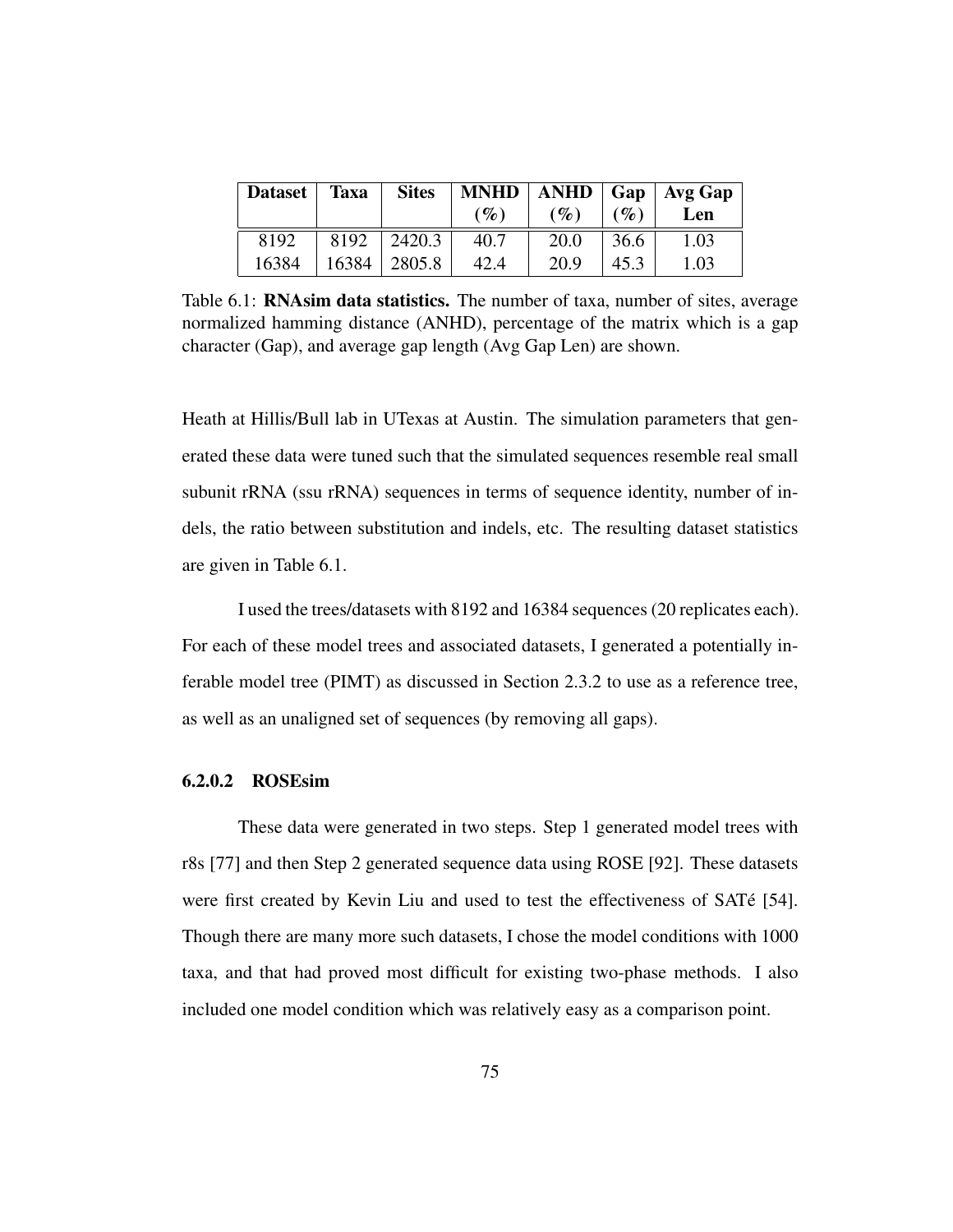| Dataset | <b>Taxa</b> | <b>Sites</b>     |        |        |        | $MNHD$   ANHD   Gap   Avg Gap |
|---------|-------------|------------------|--------|--------|--------|-------------------------------|
|         |             |                  | $(\%)$ | $(\%)$ | $($ %) | Len                           |
| 8192    |             | $8192$   2420.3  | 40.7   | 20.0   | 36.6   | 1.03                          |
| 16384   |             | $16384$   2805.8 | 42.4   | 20.9   | 45.3   | 1.03                          |

Table 6.1: RNAsim data statistics. The number of taxa, number of sites, average normalized hamming distance (ANHD), percentage of the matrix which is a gap character (Gap), and average gap length (Avg Gap Len) are shown.

Heath at Hillis/Bull lab in UTexas at Austin. The simulation parameters that generated these data were tuned such that the simulated sequences resemble real small subunit rRNA (ssu rRNA) sequences in terms of sequence identity, number of indels, the ratio between substitution and indels, etc. The resulting dataset statistics are given in Table 6.1.

I used the trees/datasets with 8192 and 16384 sequences (20 replicates each). For each of these model trees and associated datasets, I generated a potentially inferable model tree (PIMT) as discussed in Section 2.3.2 to use as a reference tree, as well as an unaligned set of sequences (by removing all gaps).

### 6.2.0.2 ROSEsim

These data were generated in two steps. Step 1 generated model trees with r8s [77] and then Step 2 generated sequence data using ROSE [92]. These datasets were first created by Kevin Liu and used to test the effectiveness of SATé [54]. Though there are many more such datasets, I chose the model conditions with 1000 taxa, and that had proved most difficult for existing two-phase methods. I also included one model condition which was relatively easy as a comparison point.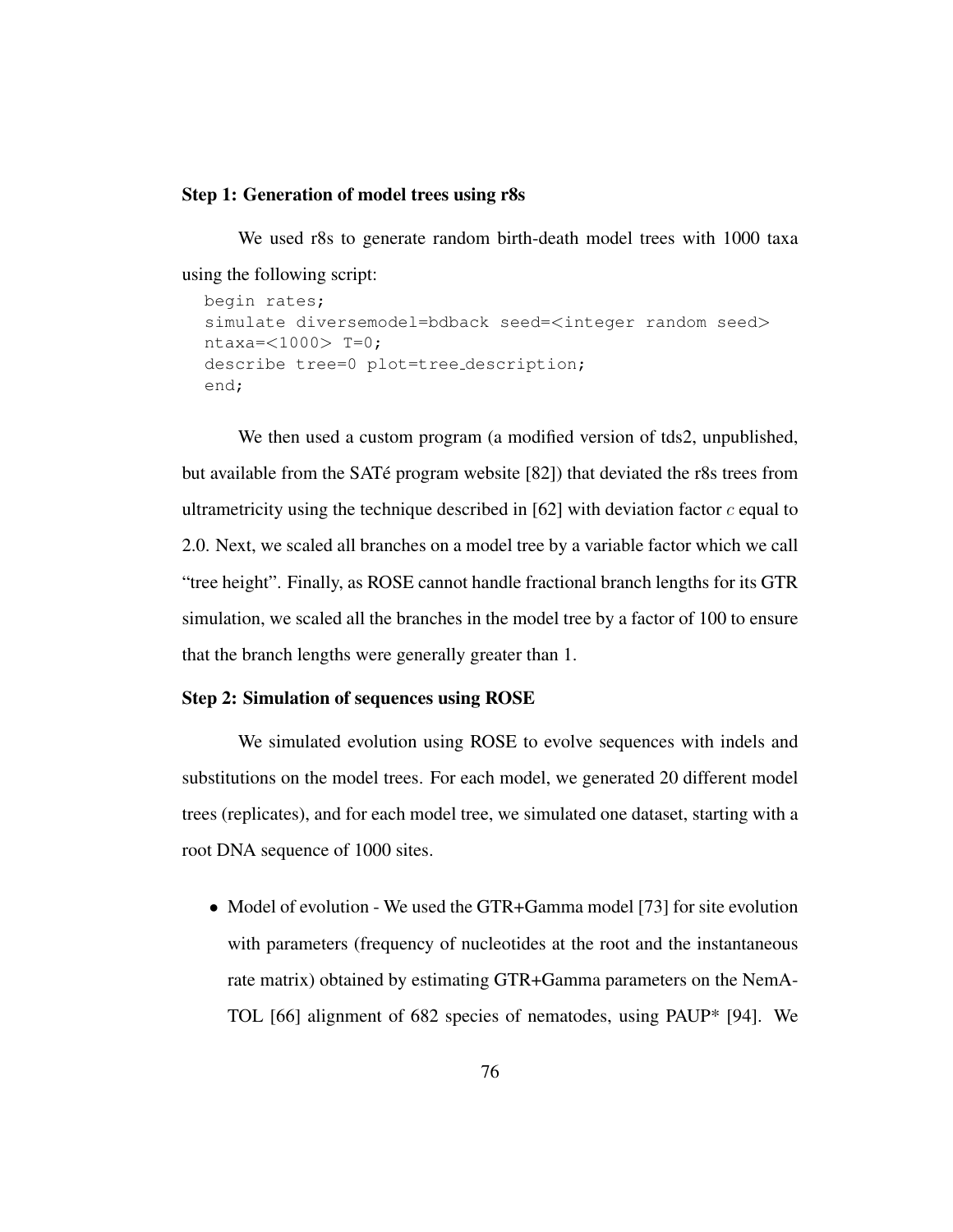#### Step 1: Generation of model trees using r8s

We used r8s to generate random birth-death model trees with 1000 taxa using the following script: begin rates;

```
simulate diversemodel=bdback seed=<integer random seed>
ntaxa = <1000> T=0;
describe tree=0 plot=tree description;
end;
```
We then used a custom program (a modified version of tds2, unpublished, but available from the SAT $\acute{\text{e}}$  program website [82]) that deviated the r8s trees from ultrametricity using the technique described in  $[62]$  with deviation factor c equal to 2.0. Next, we scaled all branches on a model tree by a variable factor which we call "tree height". Finally, as ROSE cannot handle fractional branch lengths for its GTR simulation, we scaled all the branches in the model tree by a factor of 100 to ensure that the branch lengths were generally greater than 1.

#### Step 2: Simulation of sequences using ROSE

We simulated evolution using ROSE to evolve sequences with indels and substitutions on the model trees. For each model, we generated 20 different model trees (replicates), and for each model tree, we simulated one dataset, starting with a root DNA sequence of 1000 sites.

• Model of evolution - We used the GTR+Gamma model [73] for site evolution with parameters (frequency of nucleotides at the root and the instantaneous rate matrix) obtained by estimating GTR+Gamma parameters on the NemA-TOL [66] alignment of 682 species of nematodes, using PAUP\* [94]. We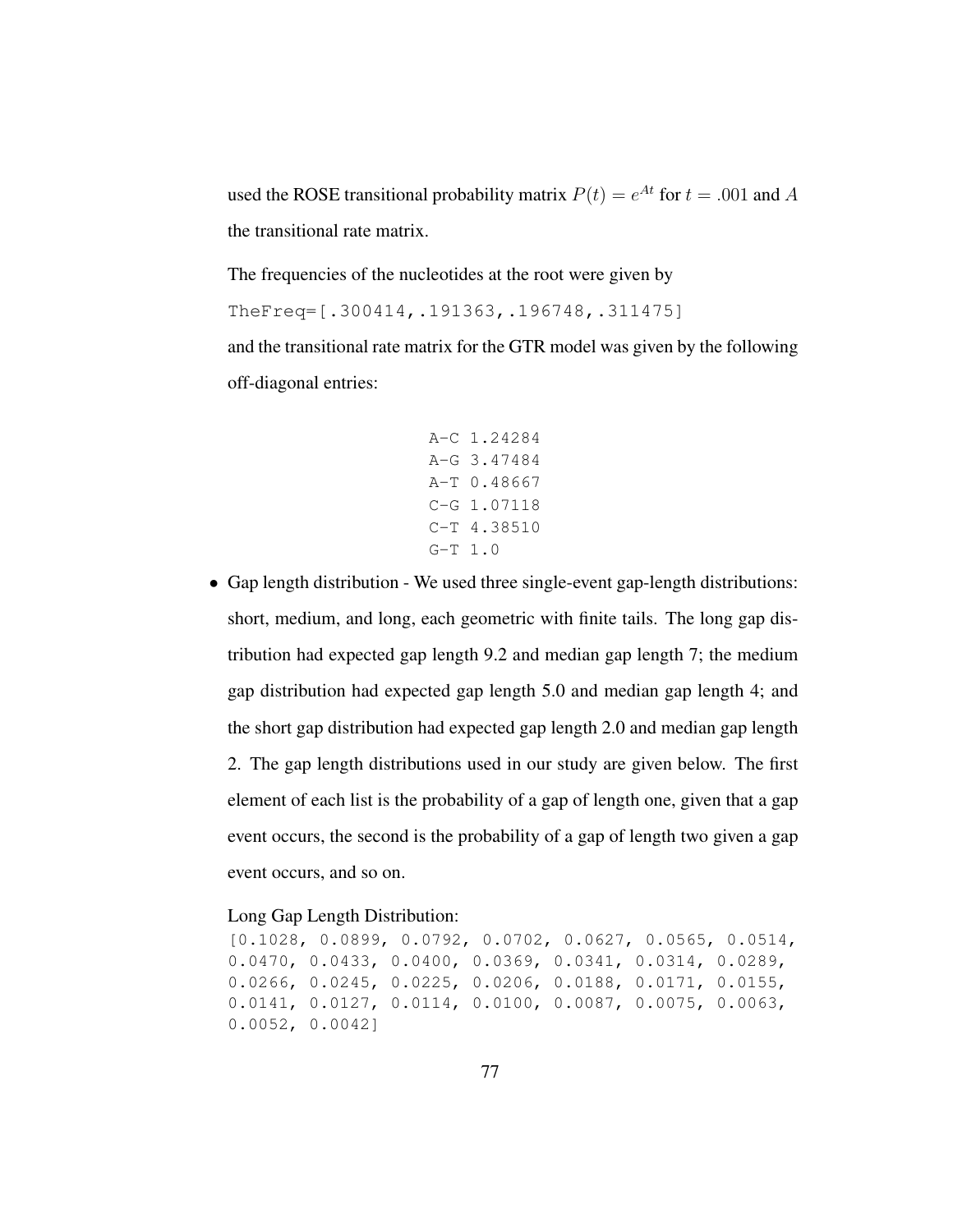used the ROSE transitional probability matrix  $P(t) = e^{At}$  for  $t = .001$  and A the transitional rate matrix.

The frequencies of the nucleotides at the root were given by TheFreq=[.300414,.191363,.196748,.311475] and the transitional rate matrix for the GTR model was given by the following off-diagonal entries:

```
A-C 1.24284
A-G 3.47484
A-T 0.48667
C-G 1.07118
C-T 4.38510
G-T 1.0
```
• Gap length distribution - We used three single-event gap-length distributions: short, medium, and long, each geometric with finite tails. The long gap distribution had expected gap length 9.2 and median gap length 7; the medium gap distribution had expected gap length 5.0 and median gap length 4; and the short gap distribution had expected gap length 2.0 and median gap length 2. The gap length distributions used in our study are given below. The first element of each list is the probability of a gap of length one, given that a gap event occurs, the second is the probability of a gap of length two given a gap event occurs, and so on.

#### Long Gap Length Distribution:

[0.1028, 0.0899, 0.0792, 0.0702, 0.0627, 0.0565, 0.0514, 0.0470, 0.0433, 0.0400, 0.0369, 0.0341, 0.0314, 0.0289, 0.0266, 0.0245, 0.0225, 0.0206, 0.0188, 0.0171, 0.0155, 0.0141, 0.0127, 0.0114, 0.0100, 0.0087, 0.0075, 0.0063, 0.0052, 0.0042]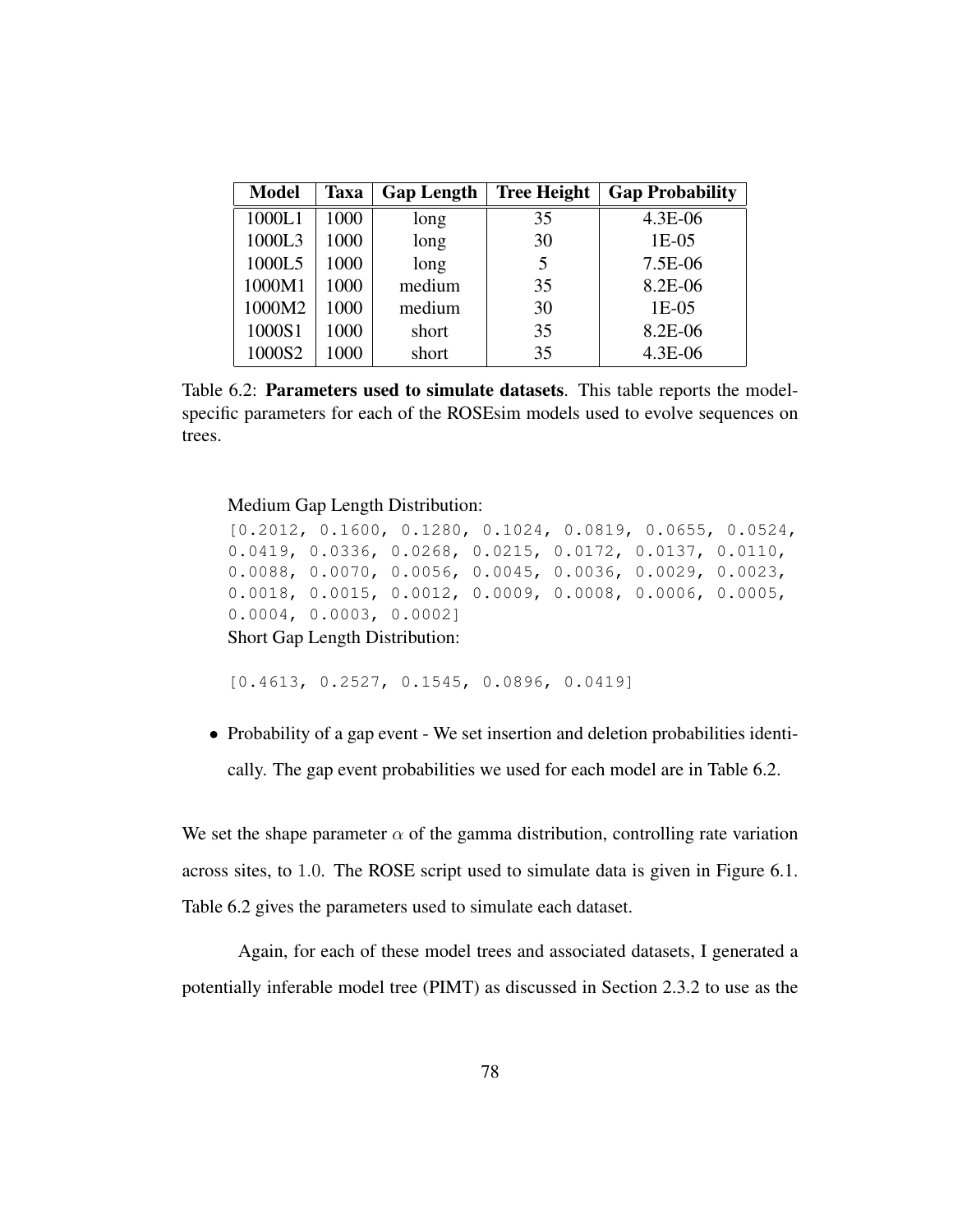| <b>Model</b> | <b>Taxa</b> | <b>Gap Length</b> | <b>Tree Height</b> | <b>Gap Probability</b> |
|--------------|-------------|-------------------|--------------------|------------------------|
| 1000L1       | 1000        | long              | 35                 | 4.3E-06                |
| 1000L3       | 1000        | long              | 30                 | $1E-05$                |
| 1000L5       | 1000        | long              | 5                  | 7.5E-06                |
| 1000M1       | 1000        | medium            | 35                 | 8.2E-06                |
| 1000M2       | 1000        | medium            | 30                 | $1E-05$                |
| 1000S1       | 1000        | short             | 35                 | 8.2E-06                |
| 1000S2       | 1000        | short             | 35                 | 4.3E-06                |

Table 6.2: Parameters used to simulate datasets. This table reports the modelspecific parameters for each of the ROSEsim models used to evolve sequences on trees.

Medium Gap Length Distribution:

```
[0.2012, 0.1600, 0.1280, 0.1024, 0.0819, 0.0655, 0.0524,
0.0419, 0.0336, 0.0268, 0.0215, 0.0172, 0.0137, 0.0110,
0.0088, 0.0070, 0.0056, 0.0045, 0.0036, 0.0029, 0.0023,
0.0018, 0.0015, 0.0012, 0.0009, 0.0008, 0.0006, 0.0005,
0.0004, 0.0003, 0.0002]
Short Gap Length Distribution:
```
[0.4613, 0.2527, 0.1545, 0.0896, 0.0419]

• Probability of a gap event - We set insertion and deletion probabilities identically. The gap event probabilities we used for each model are in Table 6.2.

We set the shape parameter  $\alpha$  of the gamma distribution, controlling rate variation across sites, to 1.0. The ROSE script used to simulate data is given in Figure 6.1. Table 6.2 gives the parameters used to simulate each dataset.

Again, for each of these model trees and associated datasets, I generated a potentially inferable model tree (PIMT) as discussed in Section 2.3.2 to use as the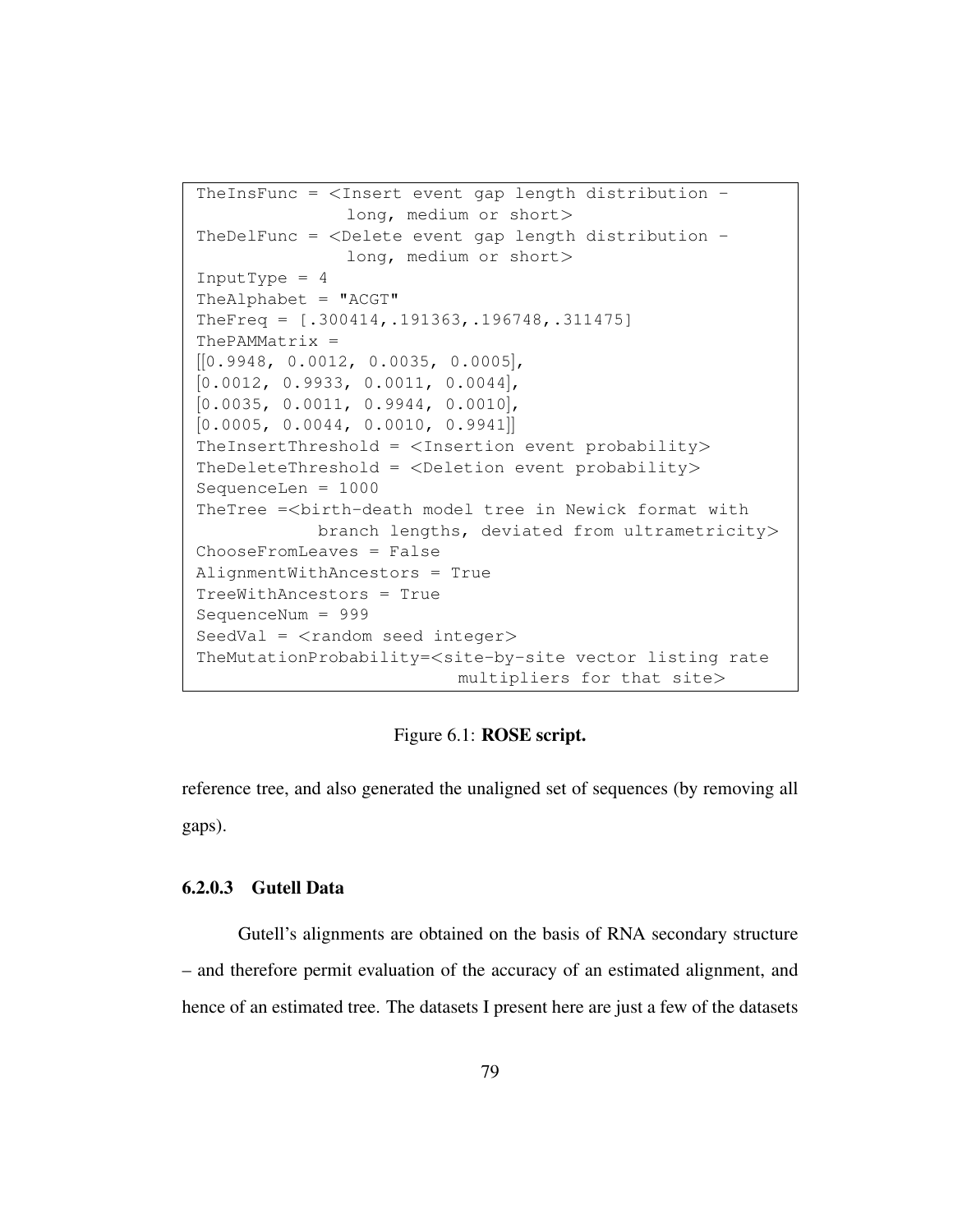```
TheInsFunc = \langleInsert event gap length distribution -
               long, medium or short>
TheDelFunc = <Delete event gap length distribution -
               long, medium or short>
InputType = 4The Alphabet = "ACGT"TheFreq = [.300414,.191363,.196748,.311475]
ThePAMMatrix =
[[0.9948, 0.0012, 0.0035, 0.0005],
[0.0012, 0.9933, 0.0011, 0.0044],[0.0035, 0.0011, 0.9944, 0.0010],[0.0005, 0.0044, 0.0010, 0.9941]]
TheInsertThreshold = \langleInsertion event probability>
TheDeleteThreshold = <Deletion event probability>
SequenceLen = 1000
TheTree =<birth-death model tree in Newick format with
            branch lengths, deviated from ultrametricity>
ChooseFromLeaves = False
AlignmentWithAncestors = True
TreeWithAncestors = True
SequenceNum = 999
SeedVal = \langlerandom seed integer>
TheMutationProbability=<site-by-site vector listing rate
                          multipliers for that site>
```
## Figure 6.1: ROSE script.

reference tree, and also generated the unaligned set of sequences (by removing all gaps).

### 6.2.0.3 Gutell Data

Gutell's alignments are obtained on the basis of RNA secondary structure – and therefore permit evaluation of the accuracy of an estimated alignment, and hence of an estimated tree. The datasets I present here are just a few of the datasets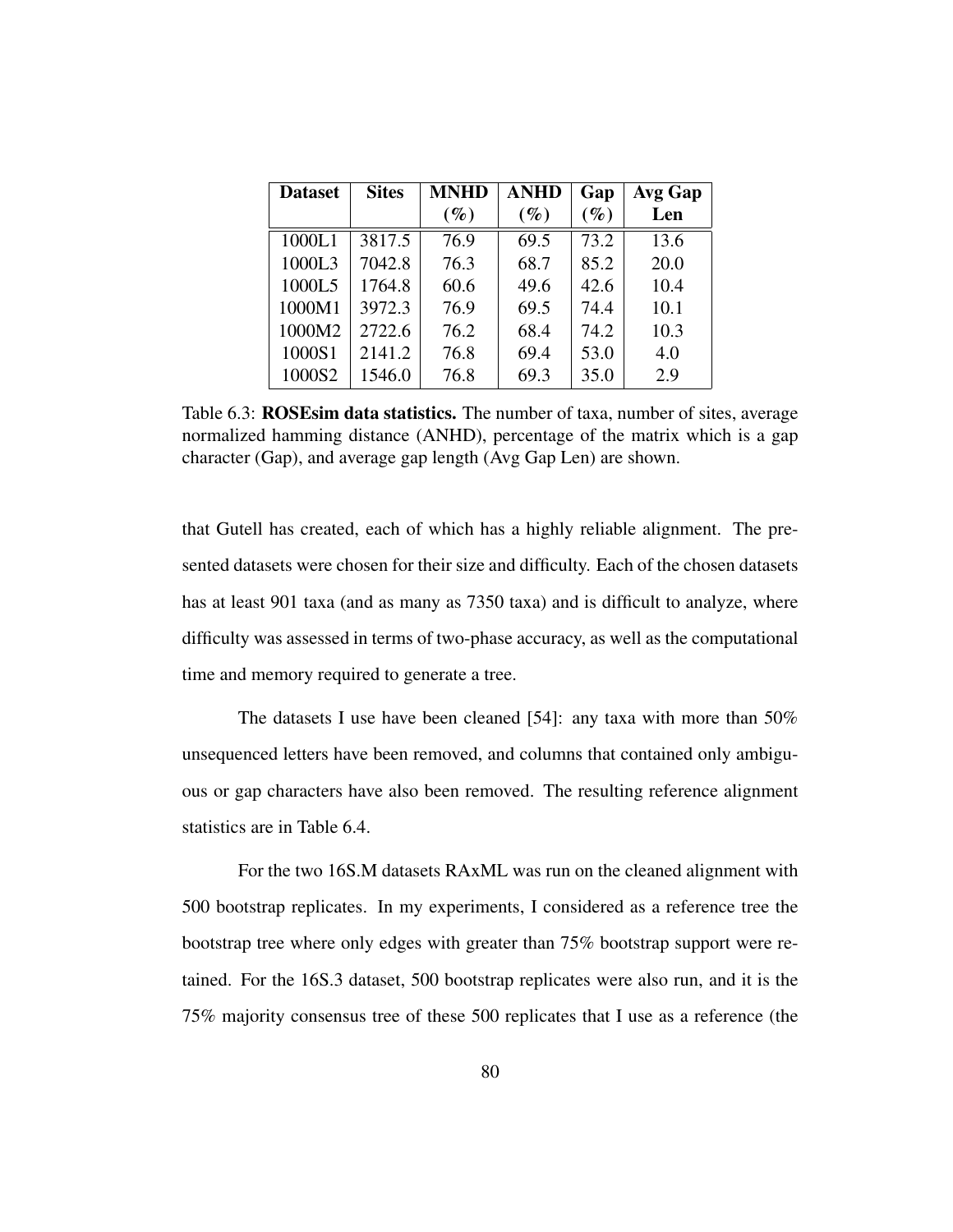| <b>Dataset</b> | <b>Sites</b> | <b>MNHD</b> | <b>ANHD</b> | Gap    | Avg Gap |
|----------------|--------------|-------------|-------------|--------|---------|
|                |              | $(\%)$      | $(\%)$      | $(\%)$ | Len     |
| 1000L1         | 3817.5       | 76.9        | 69.5        | 73.2   | 13.6    |
| 1000L3         | 7042.8       | 76.3        | 68.7        | 85.2   | 20.0    |
| 1000L5         | 1764.8       | 60.6        | 49.6        | 42.6   | 10.4    |
| 1000M1         | 3972.3       | 76.9        | 69.5        | 74.4   | 10.1    |
| 1000M2         | 2722.6       | 76.2        | 68.4        | 74.2   | 10.3    |
| 1000S1         | 2141.2       | 76.8        | 69.4        | 53.0   | 4.0     |
| 1000S2         | 1546.0       | 76.8        | 69.3        | 35.0   | 2.9     |

Table 6.3: ROSEsim data statistics. The number of taxa, number of sites, average normalized hamming distance (ANHD), percentage of the matrix which is a gap character (Gap), and average gap length (Avg Gap Len) are shown.

that Gutell has created, each of which has a highly reliable alignment. The presented datasets were chosen for their size and difficulty. Each of the chosen datasets has at least 901 taxa (and as many as 7350 taxa) and is difficult to analyze, where difficulty was assessed in terms of two-phase accuracy, as well as the computational time and memory required to generate a tree.

The datasets I use have been cleaned [54]: any taxa with more than 50% unsequenced letters have been removed, and columns that contained only ambiguous or gap characters have also been removed. The resulting reference alignment statistics are in Table 6.4.

For the two 16S.M datasets RAxML was run on the cleaned alignment with 500 bootstrap replicates. In my experiments, I considered as a reference tree the bootstrap tree where only edges with greater than 75% bootstrap support were retained. For the 16S.3 dataset, 500 bootstrap replicates were also run, and it is the 75% majority consensus tree of these 500 replicates that I use as a reference (the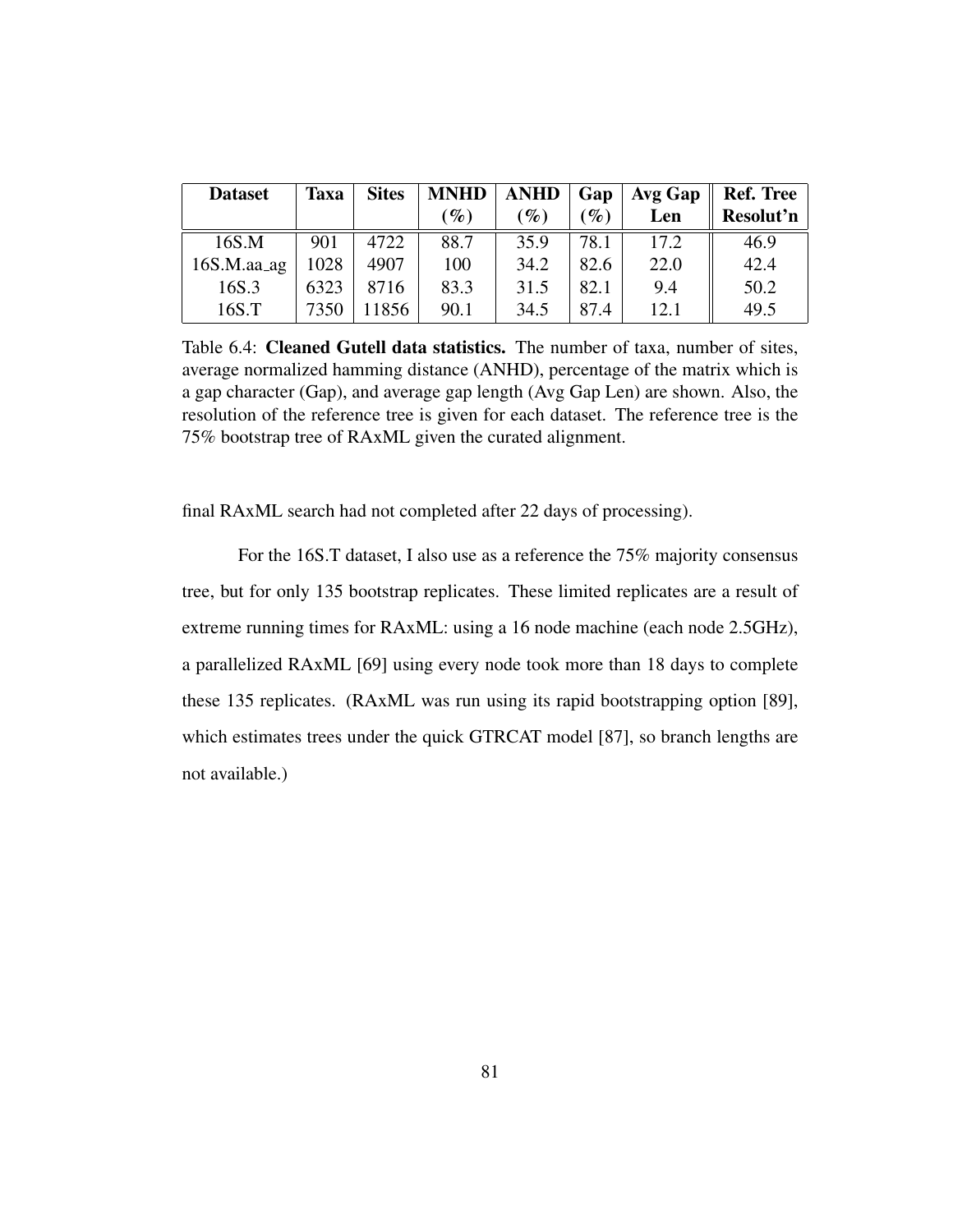| <b>Dataset</b> | <b>Taxa</b> | <b>Sites</b> |                 | $MNHD$   ANHD   Gap |                 | <b>Avg Gap</b> | <b>Ref. Tree</b> |
|----------------|-------------|--------------|-----------------|---------------------|-----------------|----------------|------------------|
|                |             |              | $\mathscr{G}_o$ | $\mathscr{G}_o$     | $\mathscr{G}_o$ | Len            | Resolut'n        |
| 16S.M          | 901         | 4722         | 88.7            | 35.9                | 78.1            | 17.2           | 46.9             |
| $16S.M.$ aa_ag | 1028        | 4907         | 100             | 34.2                | 82.6            | 22.0           | 42.4             |
| 16S.3          | 6323        | 8716         | 83.3            | 31.5                | 82.1            | 9.4            | 50.2             |
| 16S.T          | 7350        | 11856        | 90.1            | 34.5                | 87.4            | 12.1           | 49.5             |

Table 6.4: Cleaned Gutell data statistics. The number of taxa, number of sites, average normalized hamming distance (ANHD), percentage of the matrix which is a gap character (Gap), and average gap length (Avg Gap Len) are shown. Also, the resolution of the reference tree is given for each dataset. The reference tree is the 75% bootstrap tree of RAxML given the curated alignment.

final RAxML search had not completed after 22 days of processing).

For the 16S.T dataset, I also use as a reference the 75% majority consensus tree, but for only 135 bootstrap replicates. These limited replicates are a result of extreme running times for RAxML: using a 16 node machine (each node 2.5GHz), a parallelized RAxML [69] using every node took more than 18 days to complete these 135 replicates. (RAxML was run using its rapid bootstrapping option [89], which estimates trees under the quick GTRCAT model [87], so branch lengths are not available.)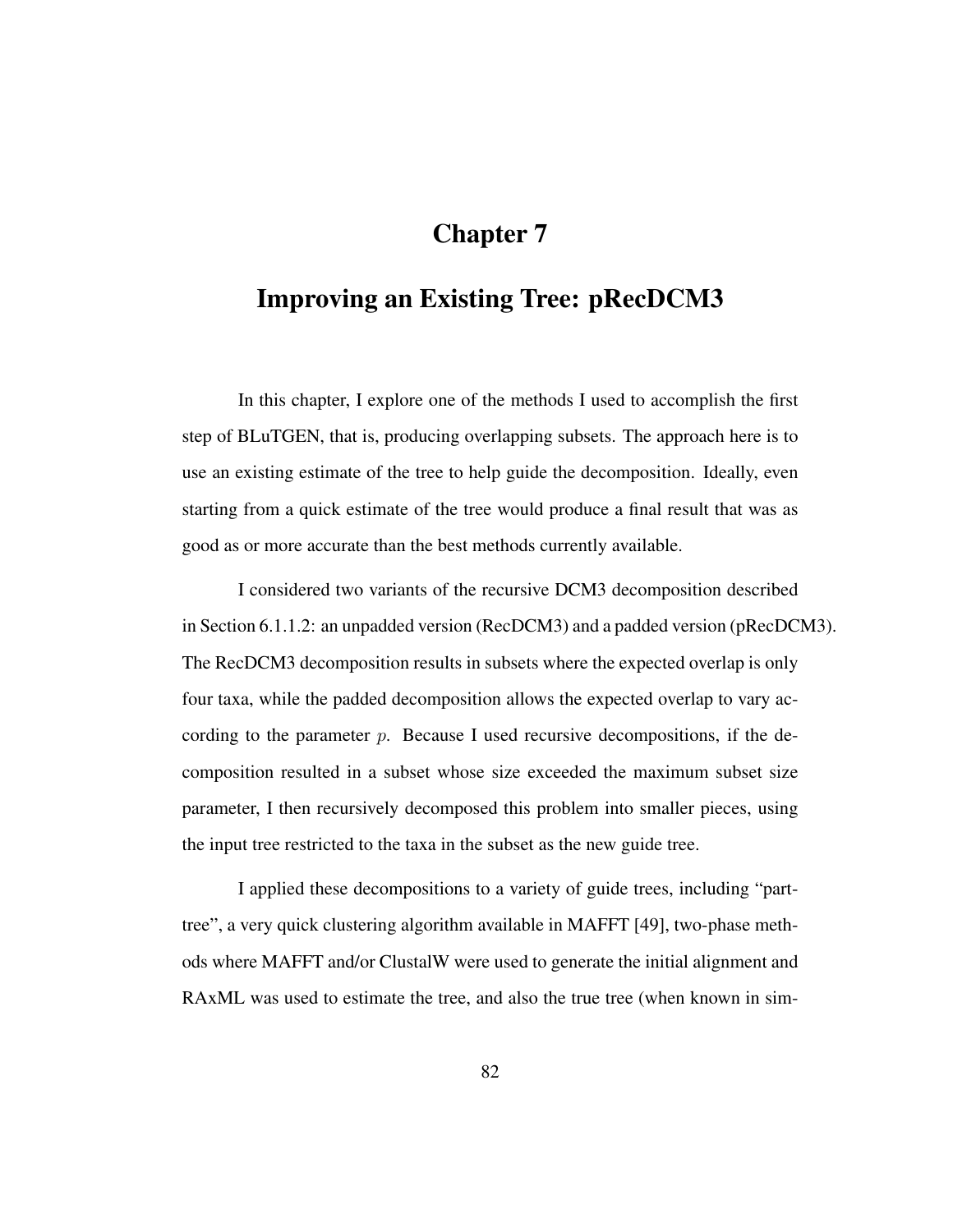# Chapter 7

# Improving an Existing Tree: pRecDCM3

In this chapter, I explore one of the methods I used to accomplish the first step of BLuTGEN, that is, producing overlapping subsets. The approach here is to use an existing estimate of the tree to help guide the decomposition. Ideally, even starting from a quick estimate of the tree would produce a final result that was as good as or more accurate than the best methods currently available.

I considered two variants of the recursive DCM3 decomposition described in Section 6.1.1.2: an unpadded version (RecDCM3) and a padded version (pRecDCM3). The RecDCM3 decomposition results in subsets where the expected overlap is only four taxa, while the padded decomposition allows the expected overlap to vary according to the parameter p. Because I used recursive decompositions, if the decomposition resulted in a subset whose size exceeded the maximum subset size parameter, I then recursively decomposed this problem into smaller pieces, using the input tree restricted to the taxa in the subset as the new guide tree.

I applied these decompositions to a variety of guide trees, including "parttree", a very quick clustering algorithm available in MAFFT [49], two-phase methods where MAFFT and/or ClustalW were used to generate the initial alignment and RAxML was used to estimate the tree, and also the true tree (when known in sim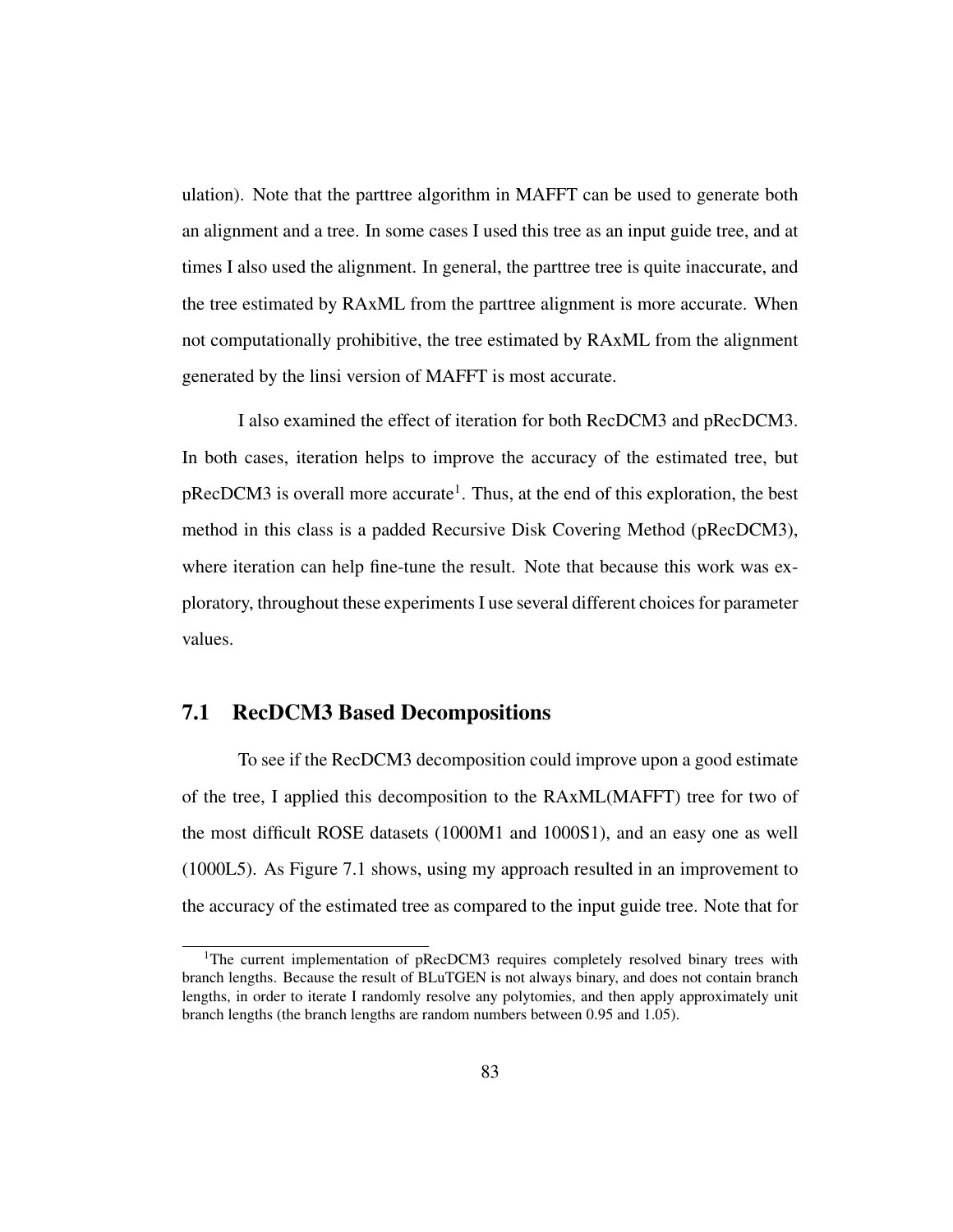ulation). Note that the parttree algorithm in MAFFT can be used to generate both an alignment and a tree. In some cases I used this tree as an input guide tree, and at times I also used the alignment. In general, the parttree tree is quite inaccurate, and the tree estimated by RAxML from the parttree alignment is more accurate. When not computationally prohibitive, the tree estimated by RAxML from the alignment generated by the linsi version of MAFFT is most accurate.

I also examined the effect of iteration for both RecDCM3 and pRecDCM3. In both cases, iteration helps to improve the accuracy of the estimated tree, but pRecDCM3 is overall more accurate<sup>1</sup>. Thus, at the end of this exploration, the best method in this class is a padded Recursive Disk Covering Method (pRecDCM3), where iteration can help fine-tune the result. Note that because this work was exploratory, throughout these experiments I use several different choices for parameter values.

# 7.1 RecDCM3 Based Decompositions

To see if the RecDCM3 decomposition could improve upon a good estimate of the tree, I applied this decomposition to the RAxML(MAFFT) tree for two of the most difficult ROSE datasets (1000M1 and 1000S1), and an easy one as well (1000L5). As Figure 7.1 shows, using my approach resulted in an improvement to the accuracy of the estimated tree as compared to the input guide tree. Note that for

<sup>&</sup>lt;sup>1</sup>The current implementation of pRecDCM3 requires completely resolved binary trees with branch lengths. Because the result of BLuTGEN is not always binary, and does not contain branch lengths, in order to iterate I randomly resolve any polytomies, and then apply approximately unit branch lengths (the branch lengths are random numbers between 0.95 and 1.05).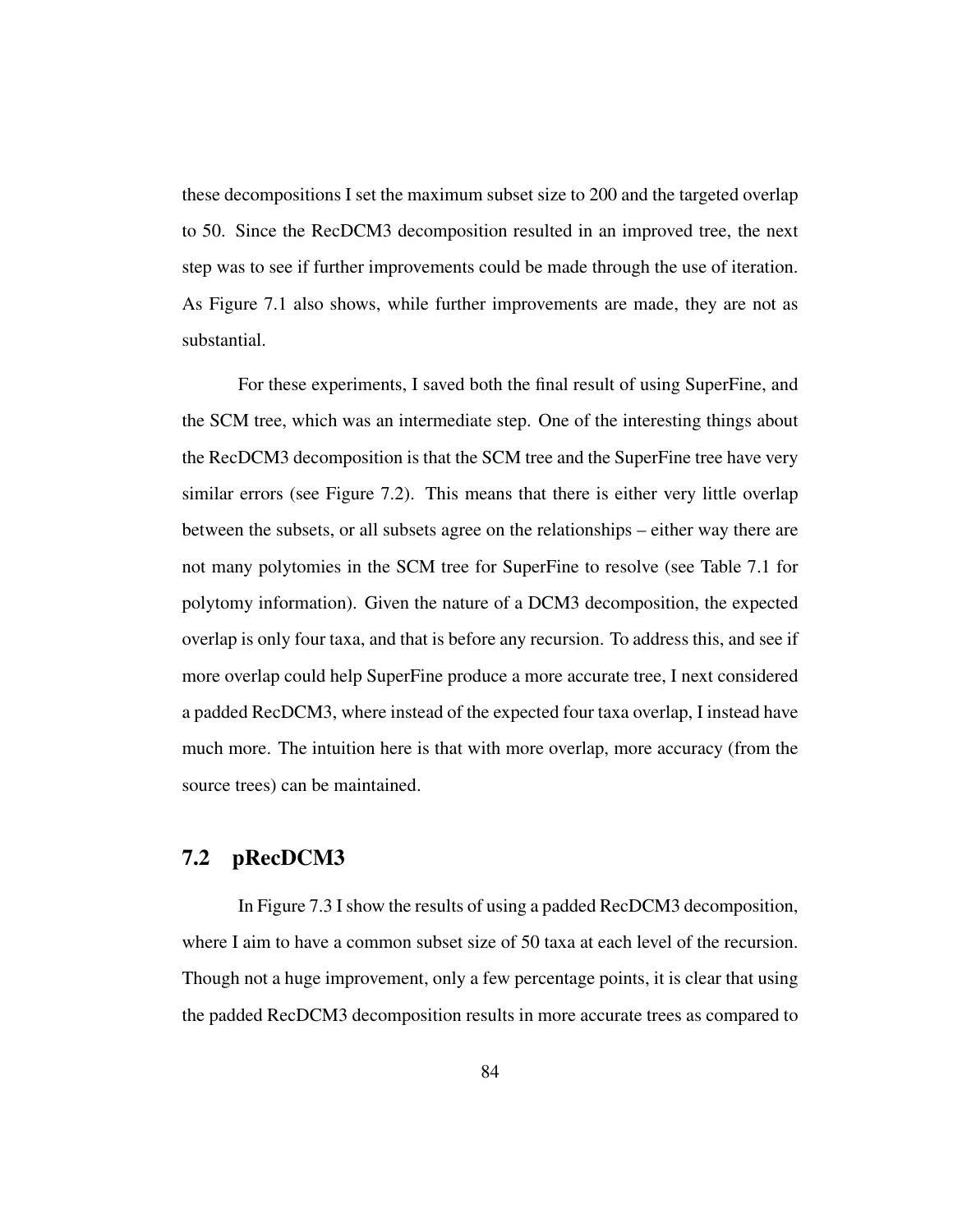these decompositions I set the maximum subset size to 200 and the targeted overlap to 50. Since the RecDCM3 decomposition resulted in an improved tree, the next step was to see if further improvements could be made through the use of iteration. As Figure 7.1 also shows, while further improvements are made, they are not as substantial.

For these experiments, I saved both the final result of using SuperFine, and the SCM tree, which was an intermediate step. One of the interesting things about the RecDCM3 decomposition is that the SCM tree and the SuperFine tree have very similar errors (see Figure 7.2). This means that there is either very little overlap between the subsets, or all subsets agree on the relationships – either way there are not many polytomies in the SCM tree for SuperFine to resolve (see Table 7.1 for polytomy information). Given the nature of a DCM3 decomposition, the expected overlap is only four taxa, and that is before any recursion. To address this, and see if more overlap could help SuperFine produce a more accurate tree, I next considered a padded RecDCM3, where instead of the expected four taxa overlap, I instead have much more. The intuition here is that with more overlap, more accuracy (from the source trees) can be maintained.

# 7.2 pRecDCM3

In Figure 7.3 I show the results of using a padded RecDCM3 decomposition, where I aim to have a common subset size of 50 taxa at each level of the recursion. Though not a huge improvement, only a few percentage points, it is clear that using the padded RecDCM3 decomposition results in more accurate trees as compared to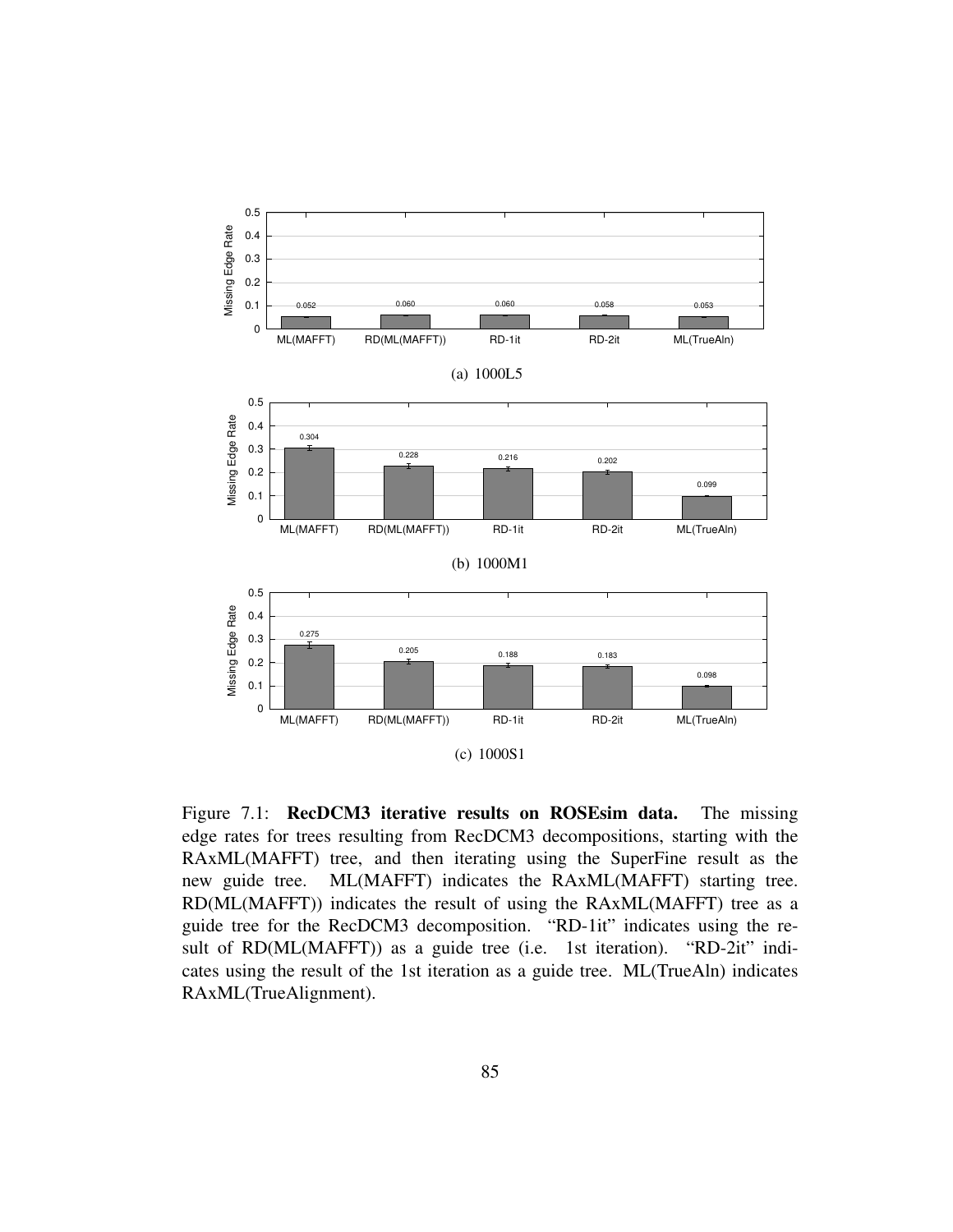

Figure 7.1: **RecDCM3 iterative results on ROSEsim data.** The missing edge rates for trees resulting from RecDCM3 decompositions, starting with the RAxML(MAFFT) tree, and then iterating using the SuperFine result as the new guide tree. ML(MAFFT) indicates the RAxML(MAFFT) starting tree. RD(ML(MAFFT)) indicates the result of using the RAxML(MAFFT) tree as a guide tree for the RecDCM3 decomposition. "RD-1it" indicates using the result of RD(ML(MAFFT)) as a guide tree (i.e. 1st iteration). "RD-2it" indicates using the result of the 1st iteration as a guide tree. ML(TrueAln) indicates RAxML(TrueAlignment).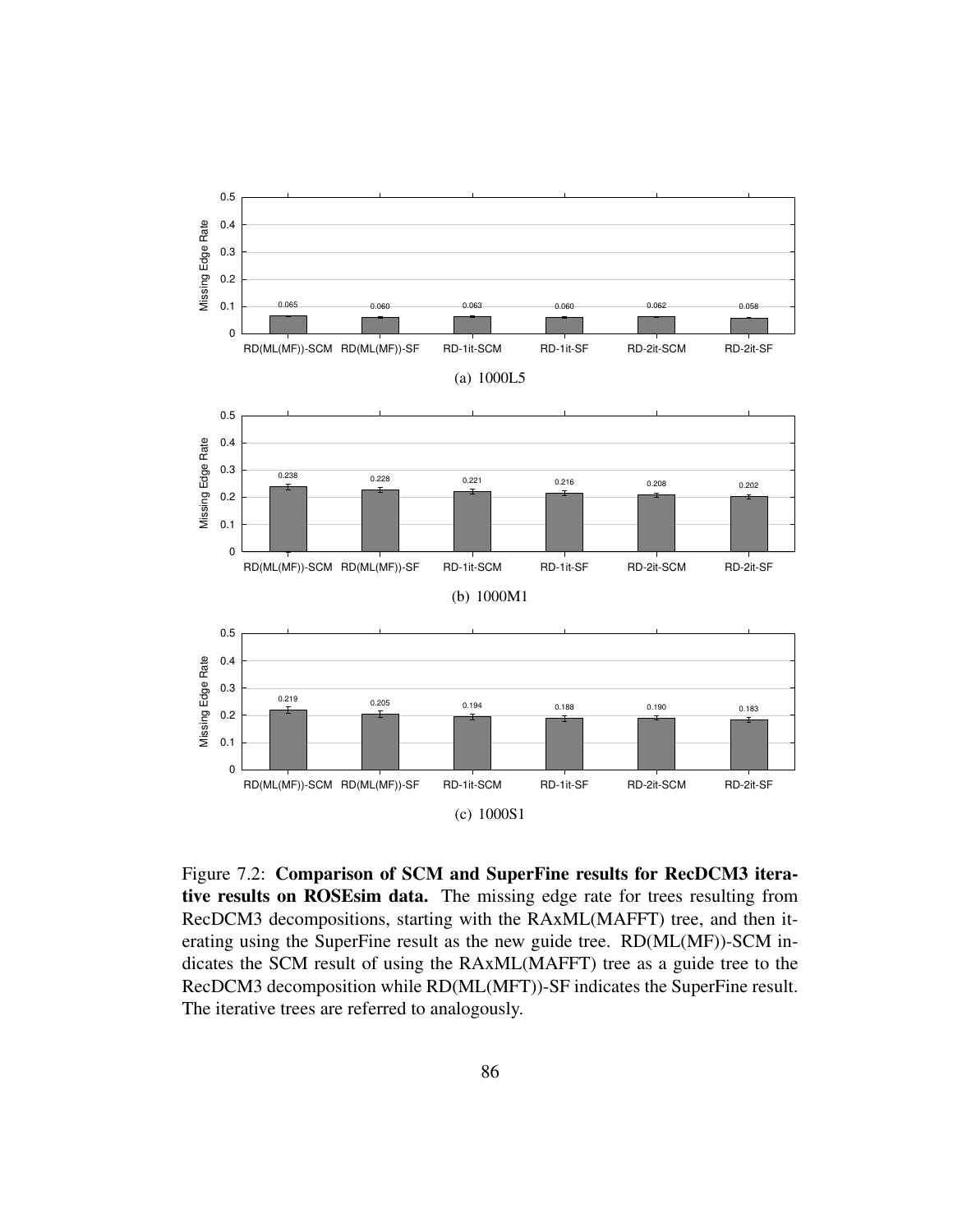

Figure 7.2: Comparison of SCM and SuperFine results for RecDCM3 iterative results on ROSEsim data. The missing edge rate for trees resulting from RecDCM3 decompositions, starting with the RAxML(MAFFT) tree, and then iterating using the SuperFine result as the new guide tree. RD(ML(MF))-SCM indicates the SCM result of using the RAxML(MAFFT) tree as a guide tree to the RecDCM3 decomposition while RD(ML(MFT))-SF indicates the SuperFine result. The iterative trees are referred to analogously.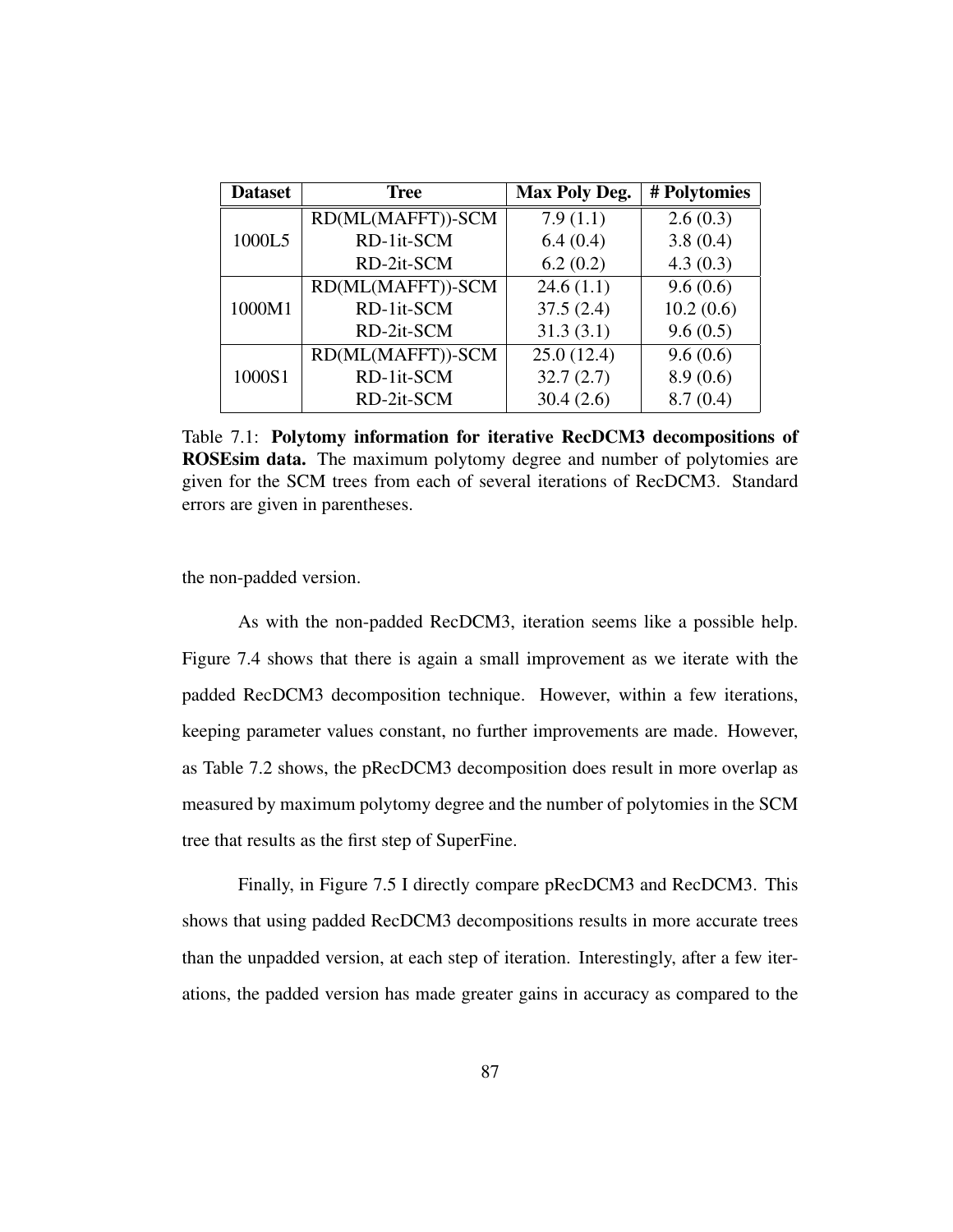| <b>Dataset</b> | <b>Tree</b>       | <b>Max Poly Deg.</b> | # Polytomies |
|----------------|-------------------|----------------------|--------------|
|                | RD(ML(MAFFT))-SCM | 7.9(1.1)             | 2.6(0.3)     |
| 1000L5         | RD-1it-SCM        | 6.4(0.4)             | 3.8(0.4)     |
|                | RD-2it-SCM        | 6.2(0.2)             | 4.3(0.3)     |
| 1000M1         | RD(ML(MAFFT))-SCM | 24.6(1.1)            | 9.6(0.6)     |
|                | RD-1it-SCM        | 37.5(2.4)            | 10.2(0.6)    |
|                | RD-2it-SCM        | 31.3(3.1)            | 9.6(0.5)     |
| 1000S1         | RD(ML(MAFFT))-SCM | 25.0(12.4)           | 9.6(0.6)     |
|                | RD-1it-SCM        | 32.7(2.7)            | 8.9(0.6)     |
|                | RD-2it-SCM        | 30.4(2.6)            | 8.7(0.4)     |

Table 7.1: Polytomy information for iterative RecDCM3 decompositions of ROSEsim data. The maximum polytomy degree and number of polytomies are given for the SCM trees from each of several iterations of RecDCM3. Standard errors are given in parentheses.

the non-padded version.

As with the non-padded RecDCM3, iteration seems like a possible help. Figure 7.4 shows that there is again a small improvement as we iterate with the padded RecDCM3 decomposition technique. However, within a few iterations, keeping parameter values constant, no further improvements are made. However, as Table 7.2 shows, the pRecDCM3 decomposition does result in more overlap as measured by maximum polytomy degree and the number of polytomies in the SCM tree that results as the first step of SuperFine.

Finally, in Figure 7.5 I directly compare pRecDCM3 and RecDCM3. This shows that using padded RecDCM3 decompositions results in more accurate trees than the unpadded version, at each step of iteration. Interestingly, after a few iterations, the padded version has made greater gains in accuracy as compared to the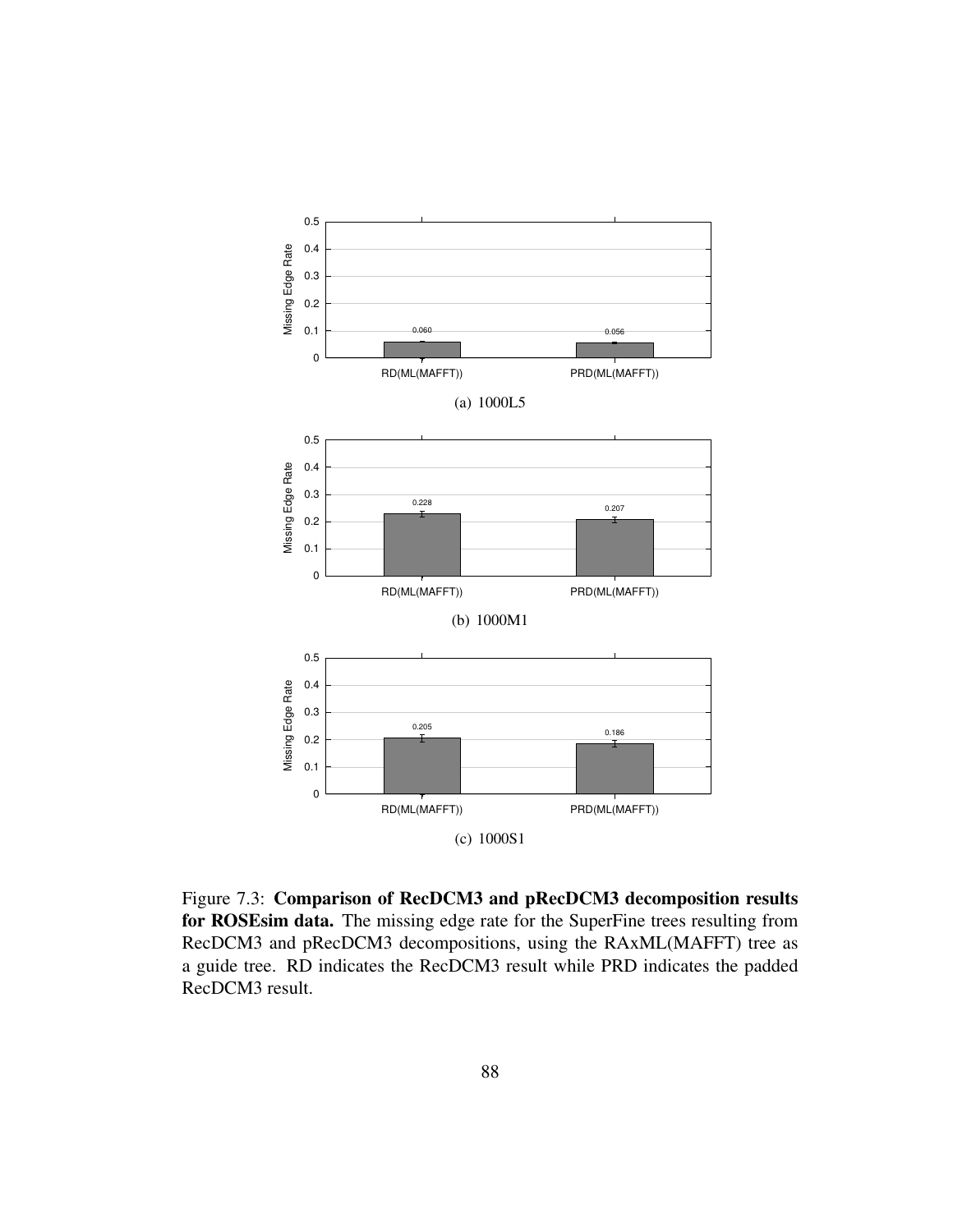

Figure 7.3: Comparison of RecDCM3 and pRecDCM3 decomposition results for ROSEsim data. The missing edge rate for the SuperFine trees resulting from RecDCM3 and pRecDCM3 decompositions, using the RAxML(MAFFT) tree as a guide tree. RD indicates the RecDCM3 result while PRD indicates the padded RecDCM3 result.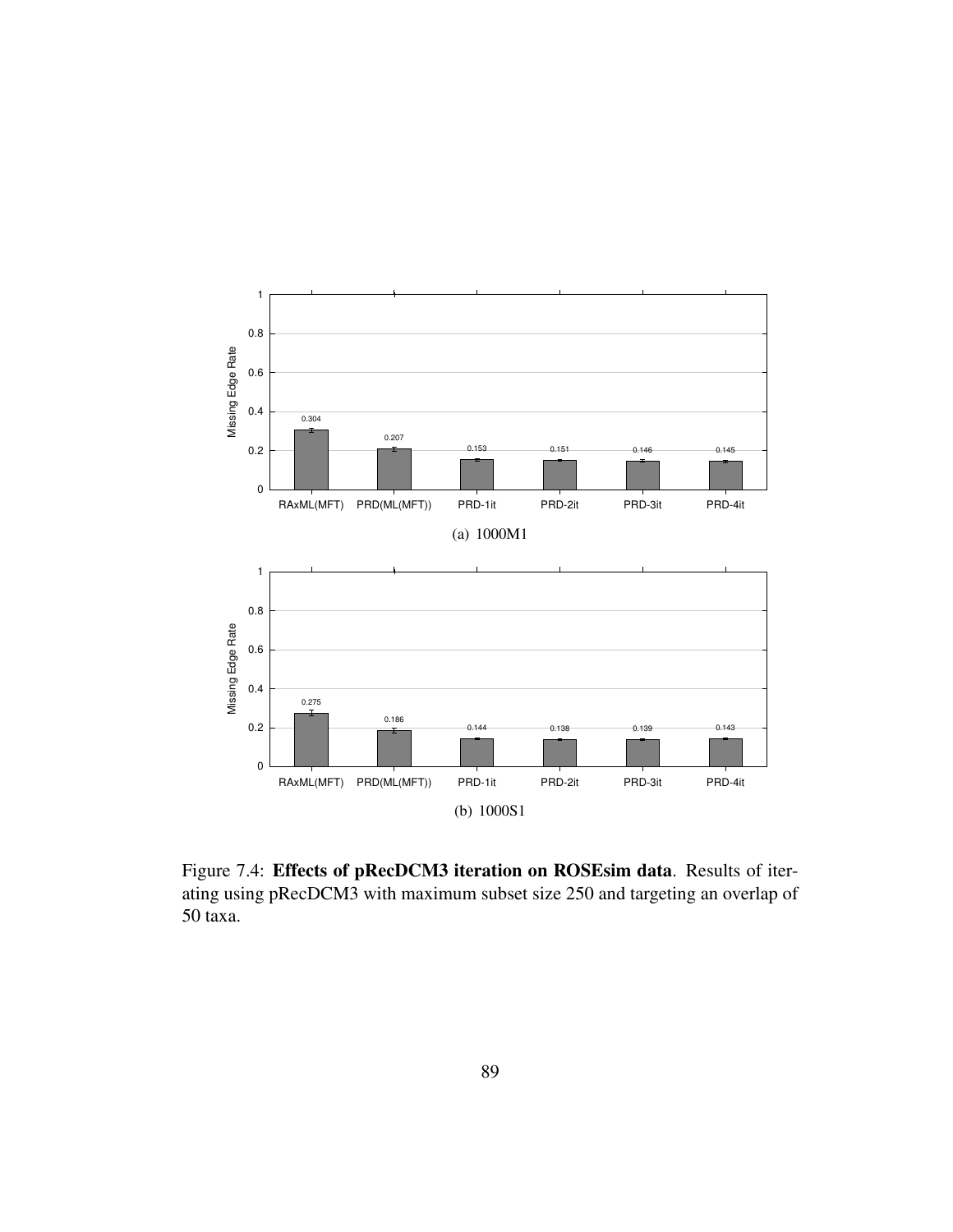

Figure 7.4: Effects of pRecDCM3 iteration on ROSEsim data. Results of iterating using pRecDCM3 with maximum subset size 250 and targeting an overlap of 50 taxa.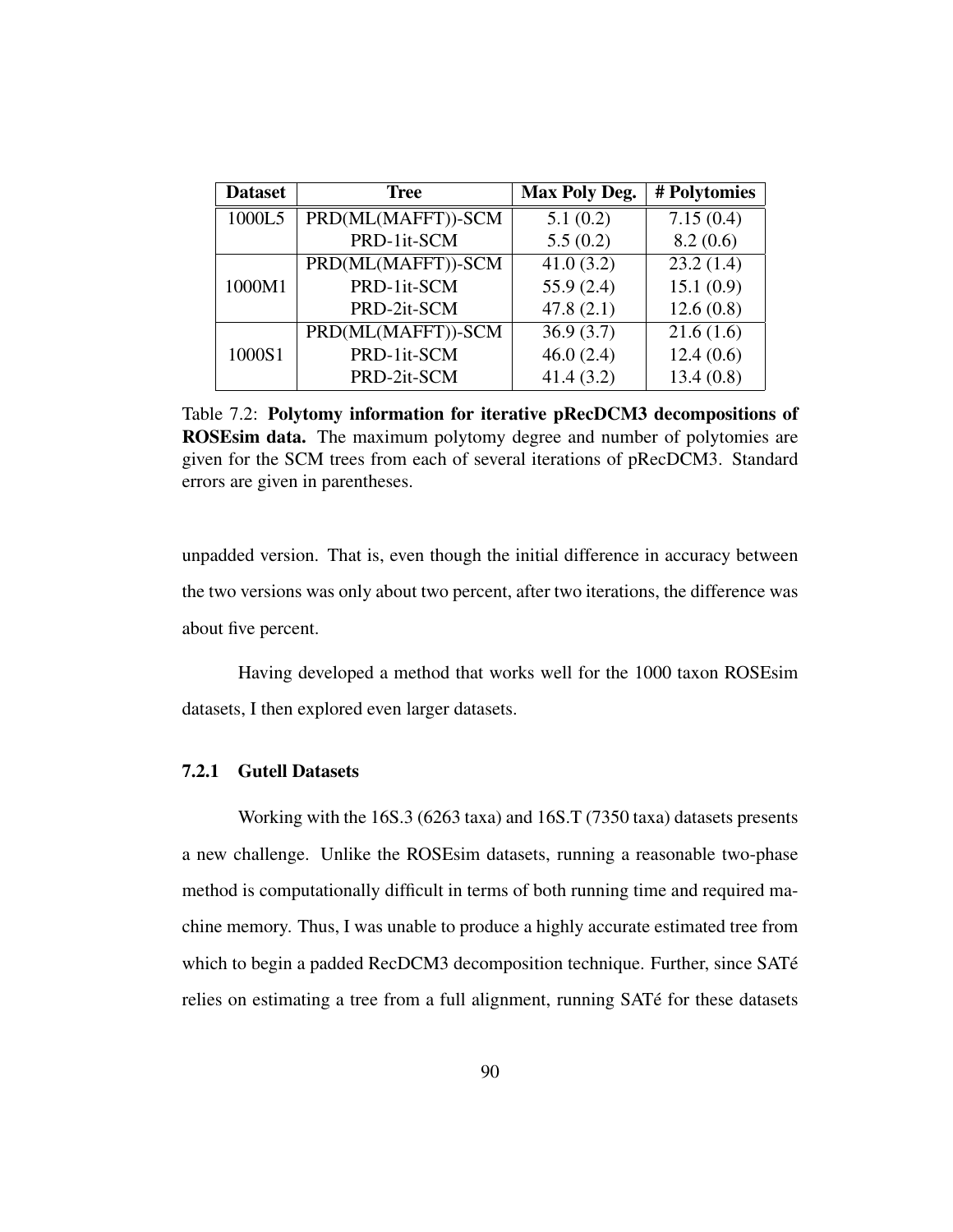| <b>Dataset</b> | <b>Tree</b>        | <b>Max Poly Deg.</b> | # Polytomies |
|----------------|--------------------|----------------------|--------------|
| 1000L5         | PRD(ML(MAFFT))-SCM | 5.1(0.2)             | 7.15(0.4)    |
|                | PRD-1it-SCM        | 5.5(0.2)             | 8.2(0.6)     |
|                | PRD(ML(MAFFT))-SCM | 41.0(3.2)            | 23.2(1.4)    |
| 1000M1         | PRD-1it-SCM        | 55.9(2.4)            | 15.1(0.9)    |
|                | PRD-2it-SCM        | 47.8(2.1)            | 12.6(0.8)    |
|                | PRD(ML(MAFFT))-SCM | 36.9(3.7)            | 21.6(1.6)    |
| 1000S1         | PRD-1it-SCM        | 46.0(2.4)            | 12.4(0.6)    |
|                | PRD-2it-SCM        | 41.4(3.2)            | 13.4(0.8)    |

Table 7.2: Polytomy information for iterative pRecDCM3 decompositions of ROSEsim data. The maximum polytomy degree and number of polytomies are given for the SCM trees from each of several iterations of pRecDCM3. Standard errors are given in parentheses.

unpadded version. That is, even though the initial difference in accuracy between the two versions was only about two percent, after two iterations, the difference was about five percent.

Having developed a method that works well for the 1000 taxon ROSEsim datasets, I then explored even larger datasets.

## 7.2.1 Gutell Datasets

Working with the 16S.3 (6263 taxa) and 16S.T (7350 taxa) datasets presents a new challenge. Unlike the ROSEsim datasets, running a reasonable two-phase method is computationally difficult in terms of both running time and required machine memory. Thus, I was unable to produce a highly accurate estimated tree from which to begin a padded RecDCM3 decomposition technique. Further, since SATé relies on estimating a tree from a full alignment, running SATé for these datasets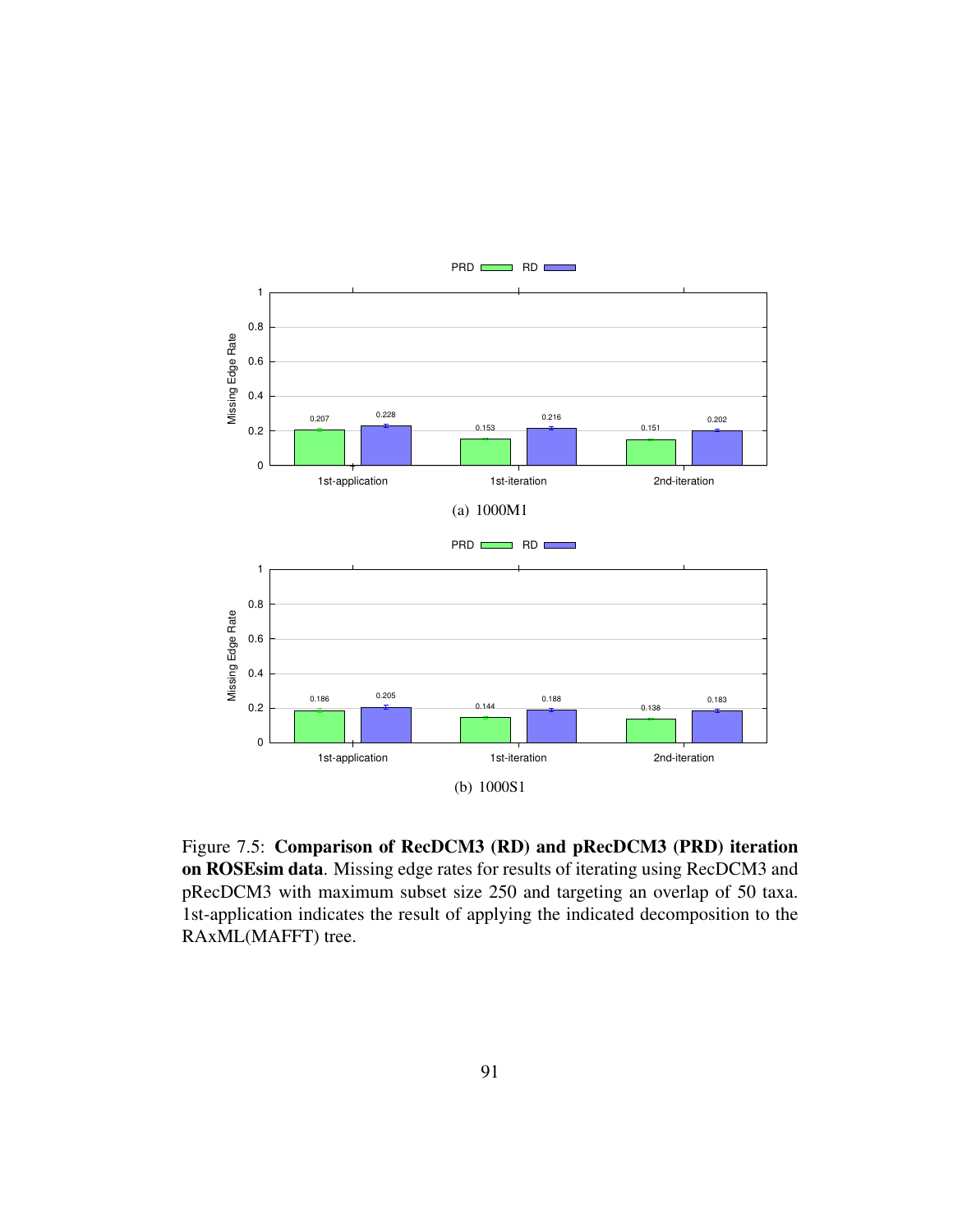

Figure 7.5: Comparison of RecDCM3 (RD) and pRecDCM3 (PRD) iteration on ROSEsim data. Missing edge rates for results of iterating using RecDCM3 and pRecDCM3 with maximum subset size 250 and targeting an overlap of 50 taxa. 1st-application indicates the result of applying the indicated decomposition to the RAxML(MAFFT) tree.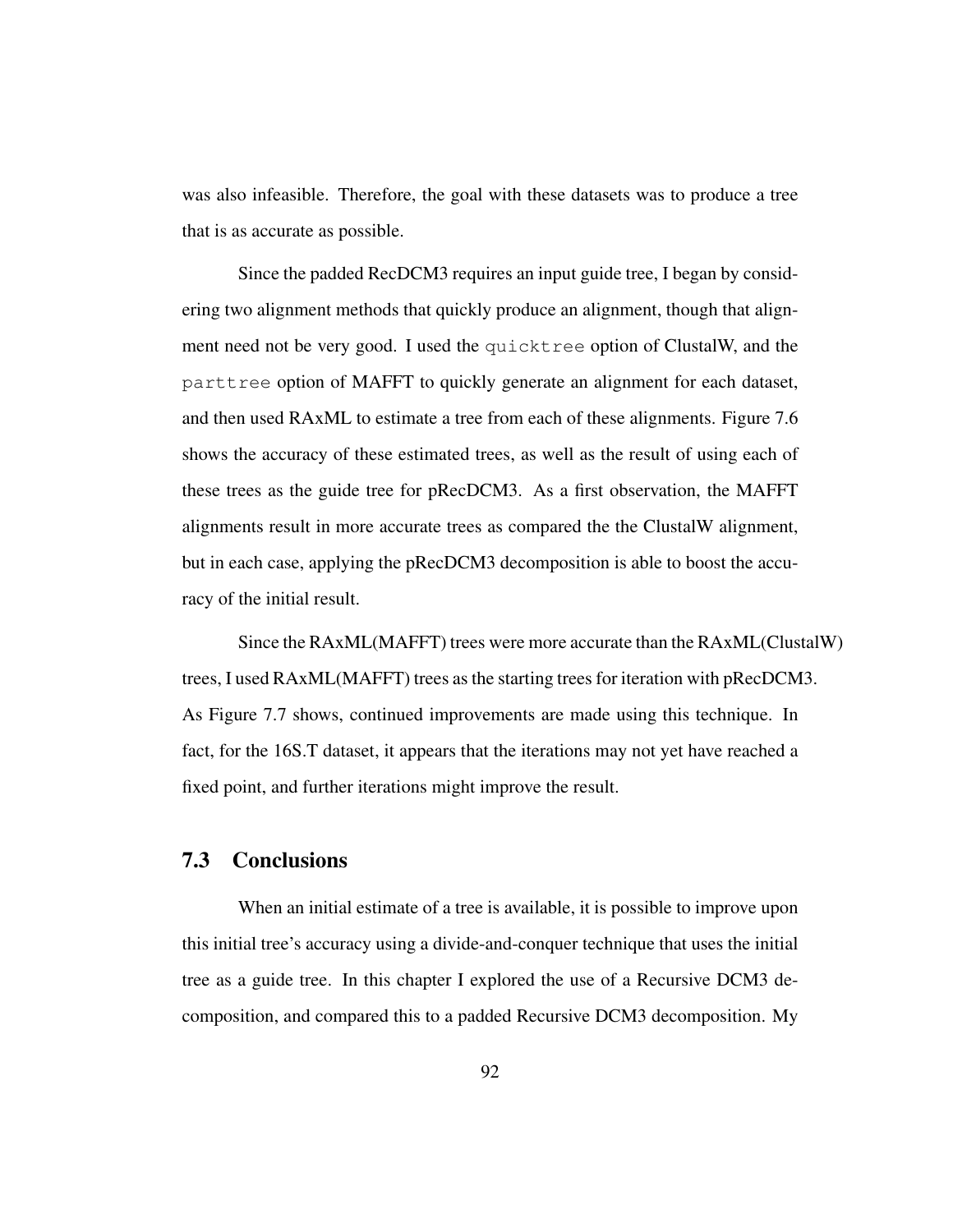was also infeasible. Therefore, the goal with these datasets was to produce a tree that is as accurate as possible.

Since the padded RecDCM3 requires an input guide tree, I began by considering two alignment methods that quickly produce an alignment, though that alignment need not be very good. I used the quicktree option of ClustalW, and the parttree option of MAFFT to quickly generate an alignment for each dataset, and then used RAxML to estimate a tree from each of these alignments. Figure 7.6 shows the accuracy of these estimated trees, as well as the result of using each of these trees as the guide tree for pRecDCM3. As a first observation, the MAFFT alignments result in more accurate trees as compared the the ClustalW alignment, but in each case, applying the pRecDCM3 decomposition is able to boost the accuracy of the initial result.

Since the RAxML(MAFFT) trees were more accurate than the RAxML(ClustalW) trees, I used RAxML(MAFFT) trees as the starting trees for iteration with pRecDCM3. As Figure 7.7 shows, continued improvements are made using this technique. In fact, for the 16S.T dataset, it appears that the iterations may not yet have reached a fixed point, and further iterations might improve the result.

# 7.3 Conclusions

When an initial estimate of a tree is available, it is possible to improve upon this initial tree's accuracy using a divide-and-conquer technique that uses the initial tree as a guide tree. In this chapter I explored the use of a Recursive DCM3 decomposition, and compared this to a padded Recursive DCM3 decomposition. My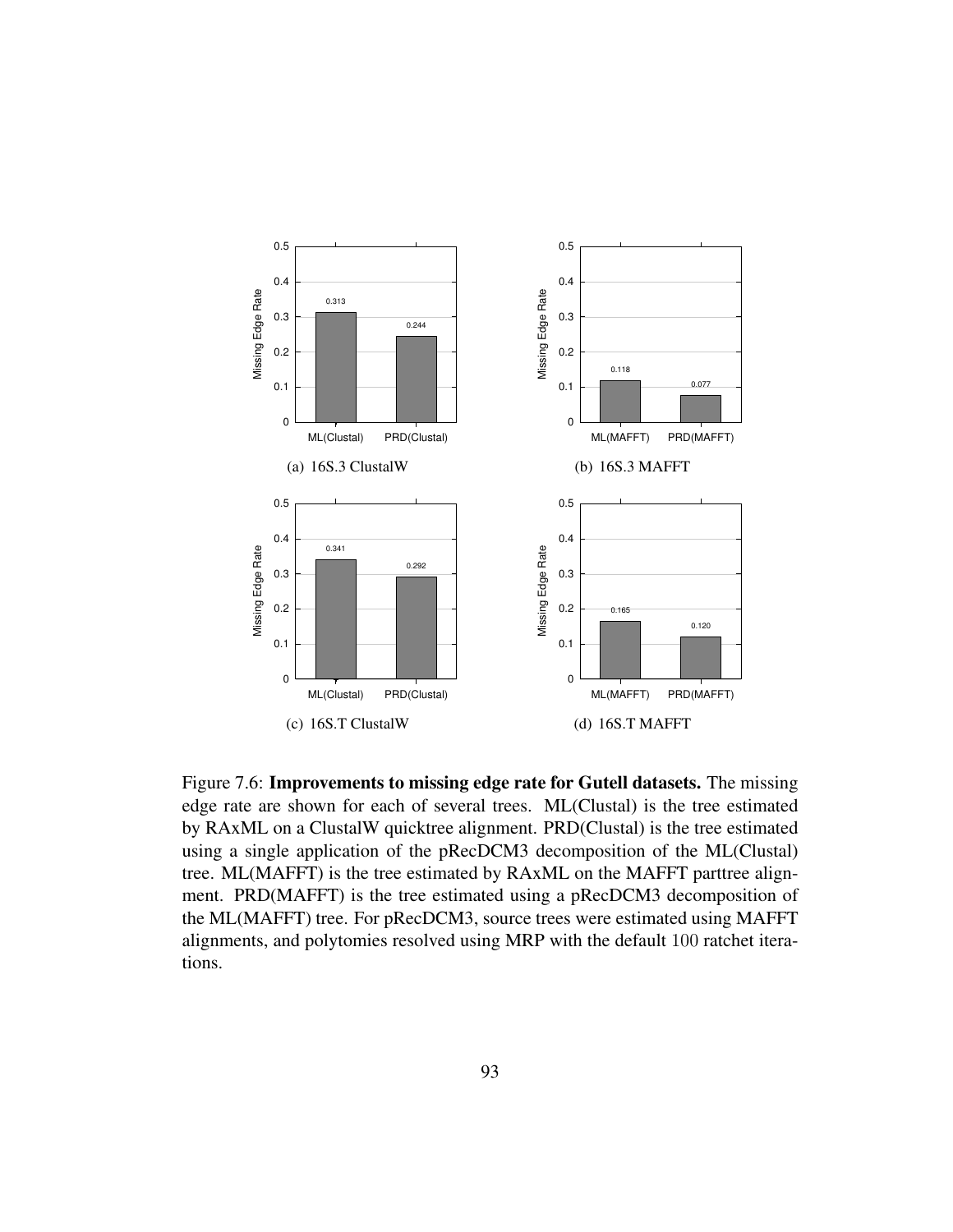

Figure 7.6: Improvements to missing edge rate for Gutell datasets. The missing edge rate are shown for each of several trees. ML(Clustal) is the tree estimated by RAxML on a ClustalW quicktree alignment. PRD(Clustal) is the tree estimated using a single application of the pRecDCM3 decomposition of the ML(Clustal) tree. ML(MAFFT) is the tree estimated by RAxML on the MAFFT parttree alignment. PRD(MAFFT) is the tree estimated using a pRecDCM3 decomposition of the ML(MAFFT) tree. For pRecDCM3, source trees were estimated using MAFFT alignments, and polytomies resolved using MRP with the default 100 ratchet iterations.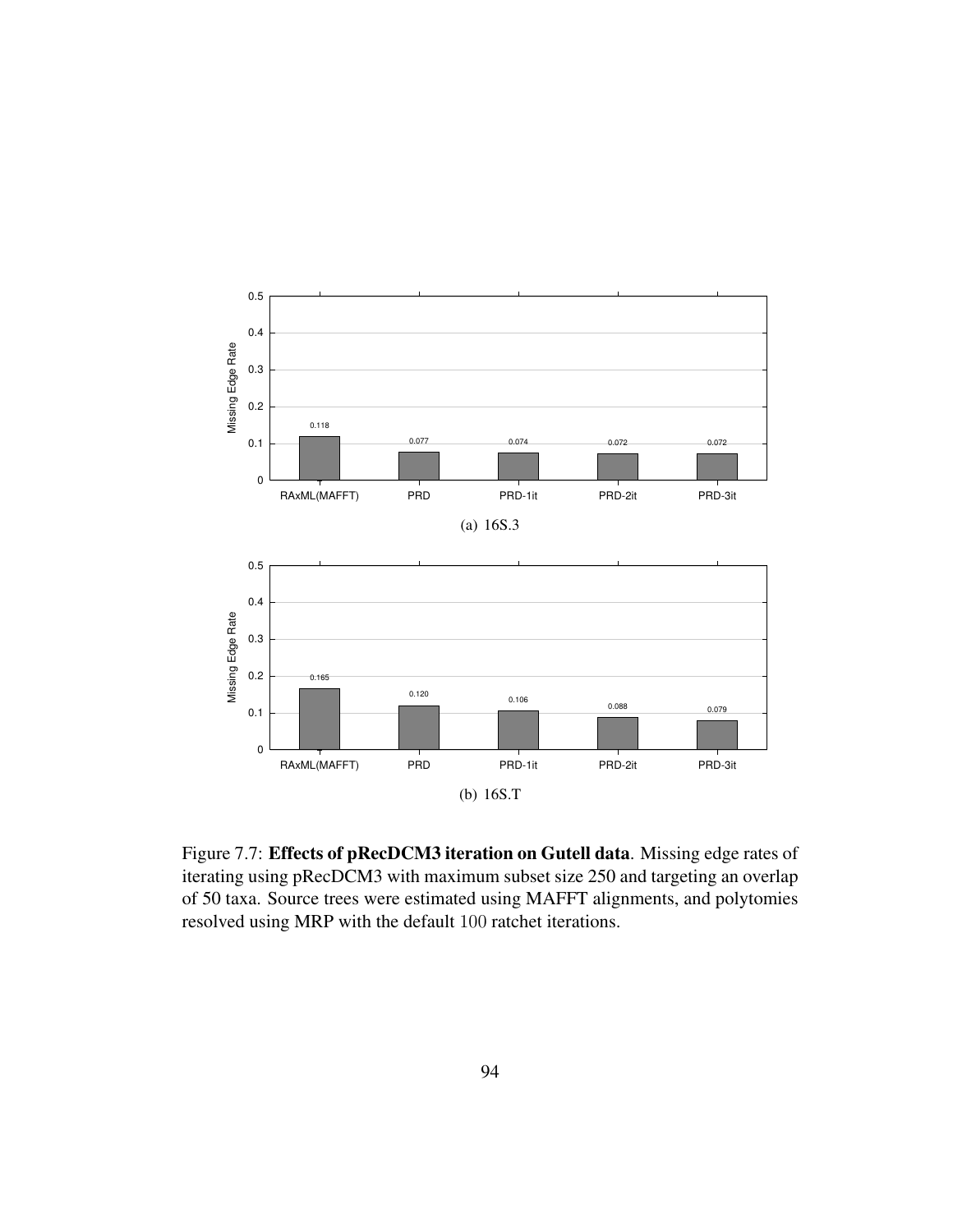

Figure 7.7: Effects of pRecDCM3 iteration on Gutell data. Missing edge rates of iterating using pRecDCM3 with maximum subset size 250 and targeting an overlap of 50 taxa. Source trees were estimated using MAFFT alignments, and polytomies resolved using MRP with the default 100 ratchet iterations.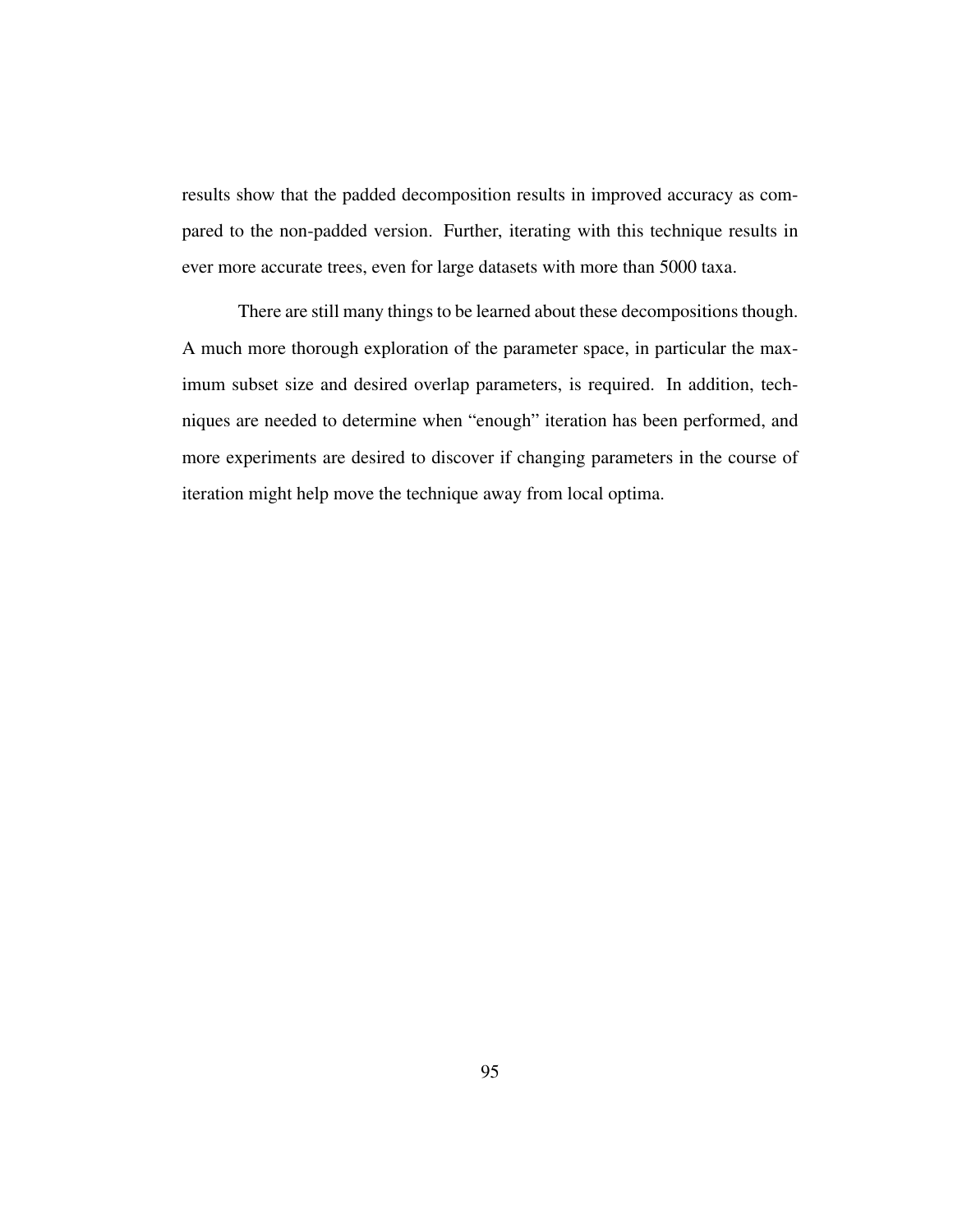results show that the padded decomposition results in improved accuracy as compared to the non-padded version. Further, iterating with this technique results in ever more accurate trees, even for large datasets with more than 5000 taxa.

There are still many things to be learned about these decompositions though. A much more thorough exploration of the parameter space, in particular the maximum subset size and desired overlap parameters, is required. In addition, techniques are needed to determine when "enough" iteration has been performed, and more experiments are desired to discover if changing parameters in the course of iteration might help move the technique away from local optima.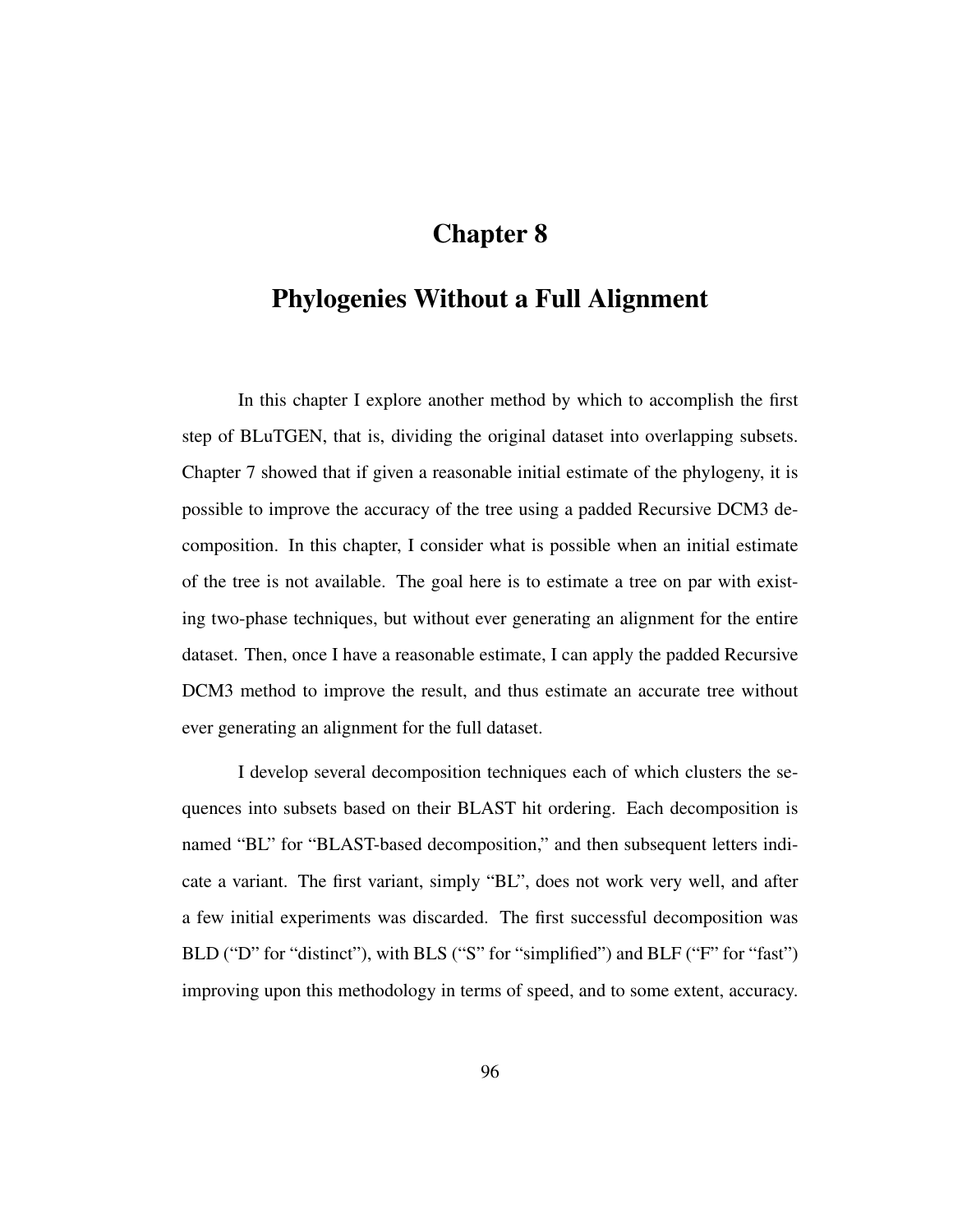# Chapter 8

# Phylogenies Without a Full Alignment

In this chapter I explore another method by which to accomplish the first step of BLuTGEN, that is, dividing the original dataset into overlapping subsets. Chapter 7 showed that if given a reasonable initial estimate of the phylogeny, it is possible to improve the accuracy of the tree using a padded Recursive DCM3 decomposition. In this chapter, I consider what is possible when an initial estimate of the tree is not available. The goal here is to estimate a tree on par with existing two-phase techniques, but without ever generating an alignment for the entire dataset. Then, once I have a reasonable estimate, I can apply the padded Recursive DCM3 method to improve the result, and thus estimate an accurate tree without ever generating an alignment for the full dataset.

I develop several decomposition techniques each of which clusters the sequences into subsets based on their BLAST hit ordering. Each decomposition is named "BL" for "BLAST-based decomposition," and then subsequent letters indicate a variant. The first variant, simply "BL", does not work very well, and after a few initial experiments was discarded. The first successful decomposition was BLD ("D" for "distinct"), with BLS ("S" for "simplified") and BLF ("F" for "fast") improving upon this methodology in terms of speed, and to some extent, accuracy.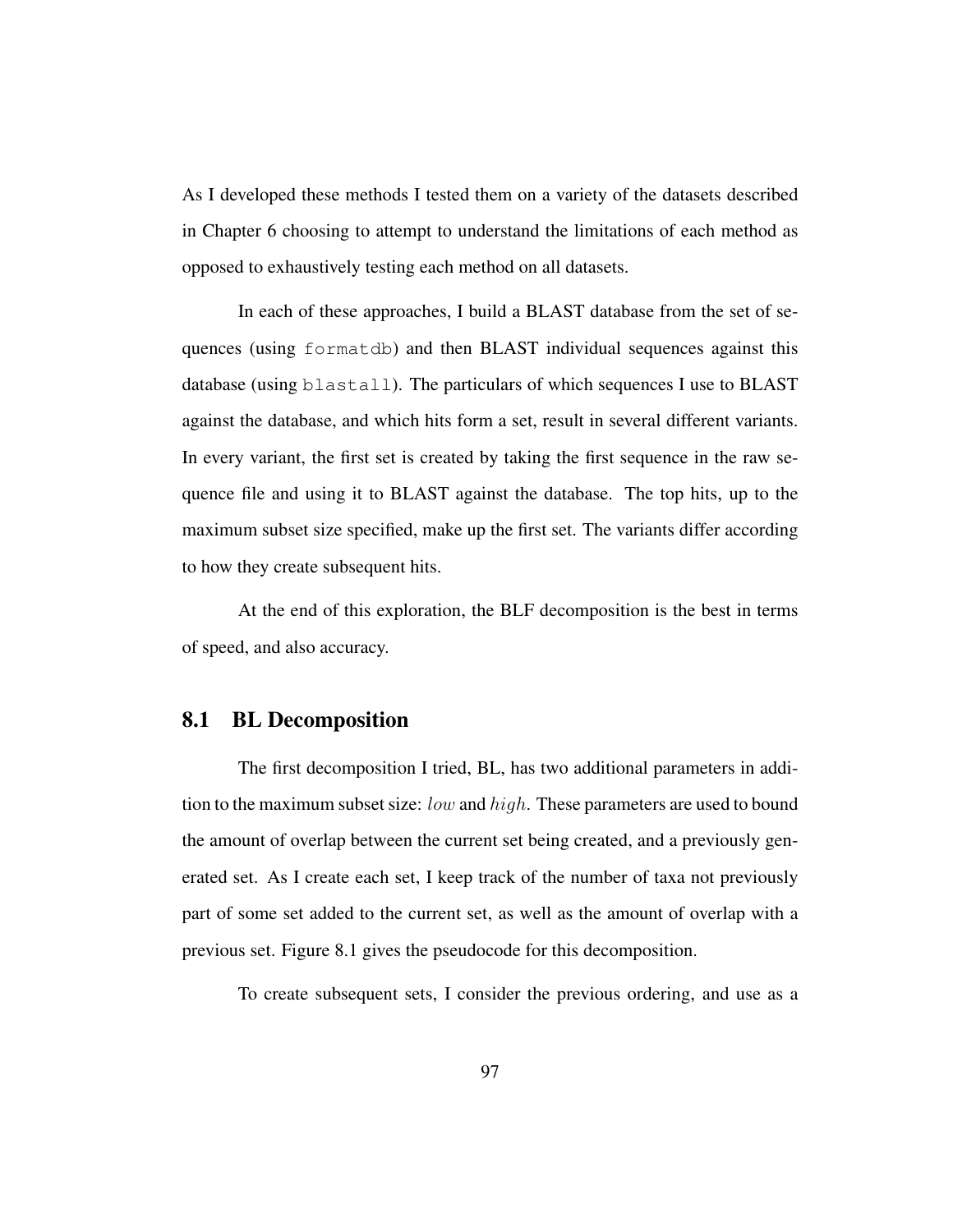As I developed these methods I tested them on a variety of the datasets described in Chapter 6 choosing to attempt to understand the limitations of each method as opposed to exhaustively testing each method on all datasets.

In each of these approaches, I build a BLAST database from the set of sequences (using formatdb) and then BLAST individual sequences against this database (using blastall). The particulars of which sequences I use to BLAST against the database, and which hits form a set, result in several different variants. In every variant, the first set is created by taking the first sequence in the raw sequence file and using it to BLAST against the database. The top hits, up to the maximum subset size specified, make up the first set. The variants differ according to how they create subsequent hits.

At the end of this exploration, the BLF decomposition is the best in terms of speed, and also accuracy.

## 8.1 BL Decomposition

The first decomposition I tried, BL, has two additional parameters in addition to the maximum subset size: low and high. These parameters are used to bound the amount of overlap between the current set being created, and a previously generated set. As I create each set, I keep track of the number of taxa not previously part of some set added to the current set, as well as the amount of overlap with a previous set. Figure 8.1 gives the pseudocode for this decomposition.

To create subsequent sets, I consider the previous ordering, and use as a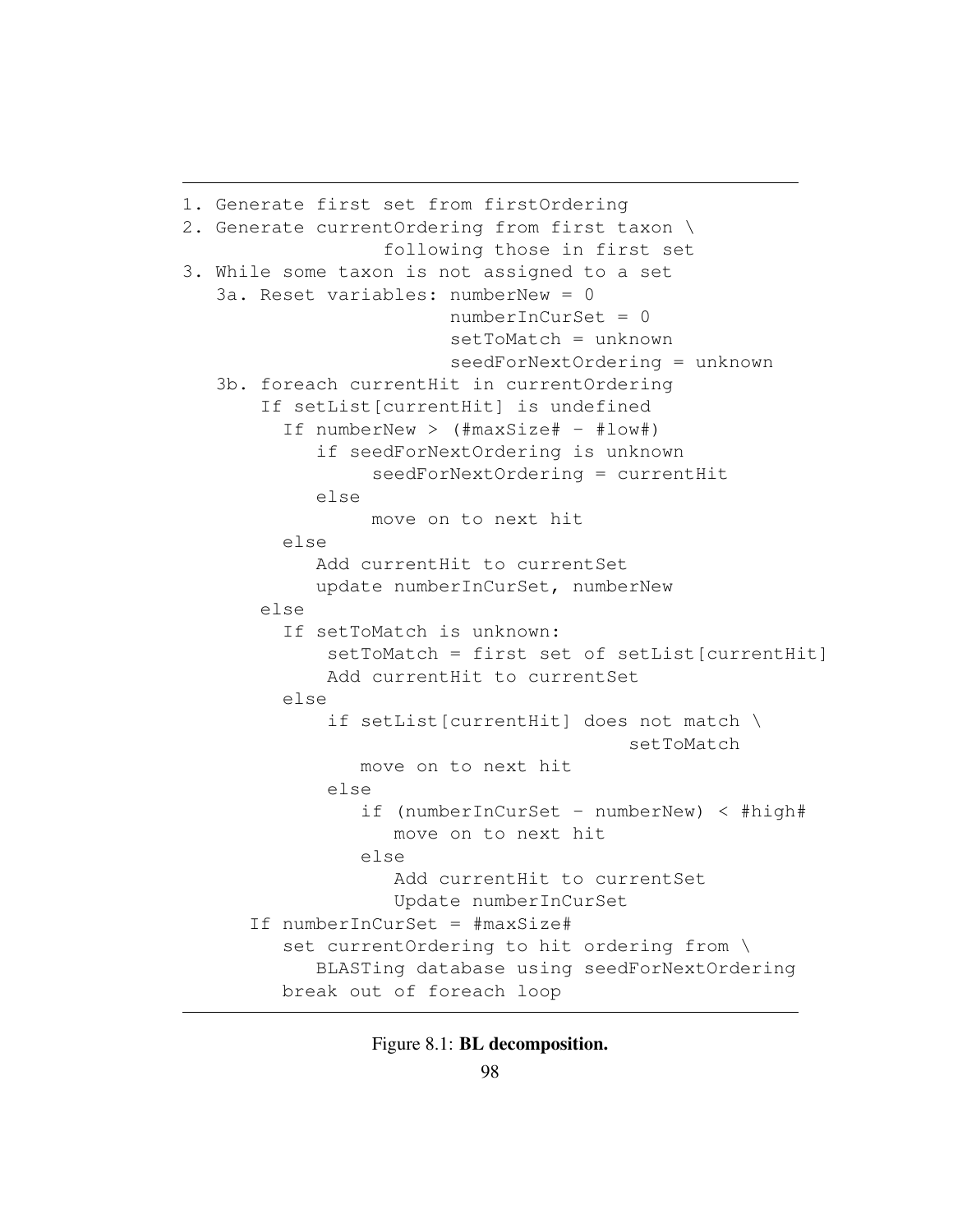```
1. Generate first set from firstOrdering
2. Generate currentOrdering from first taxon \
                  following those in first set
3. While some taxon is not assigned to a set
   3a. Reset variables: numberNew = 0
                        numberInCurSet = 0
                        setToMatch = unknown
                        seedForNextOrdering = unknown
   3b. foreach currentHit in currentOrdering
       If setList[currentHit] is undefined
         If numberNew > (#maxSize# - #low#)
            if seedForNextOrdering is unknown
                 seedForNextOrdering = currentHit
            else
                 move on to next hit
         else
            Add currentHit to currentSet
            update numberInCurSet, numberNew
       else
         If setToMatch is unknown:
             setToMatch = first set of setList[currentHit]
             Add currentHit to currentSet
         else
             if setList[currentHit] does not match \
                                        setToMatch
                move on to next hit
             else
                if (numberInCurSet - numberNew) < #high#
                   move on to next hit
                else
                   Add currentHit to currentSet
                   Update numberInCurSet
      If numberInCurSet = #maxSize#
         set currentOrdering to hit ordering from \
            BLASTing database using seedForNextOrdering
         break out of foreach loop
```
Figure 8.1: BL decomposition.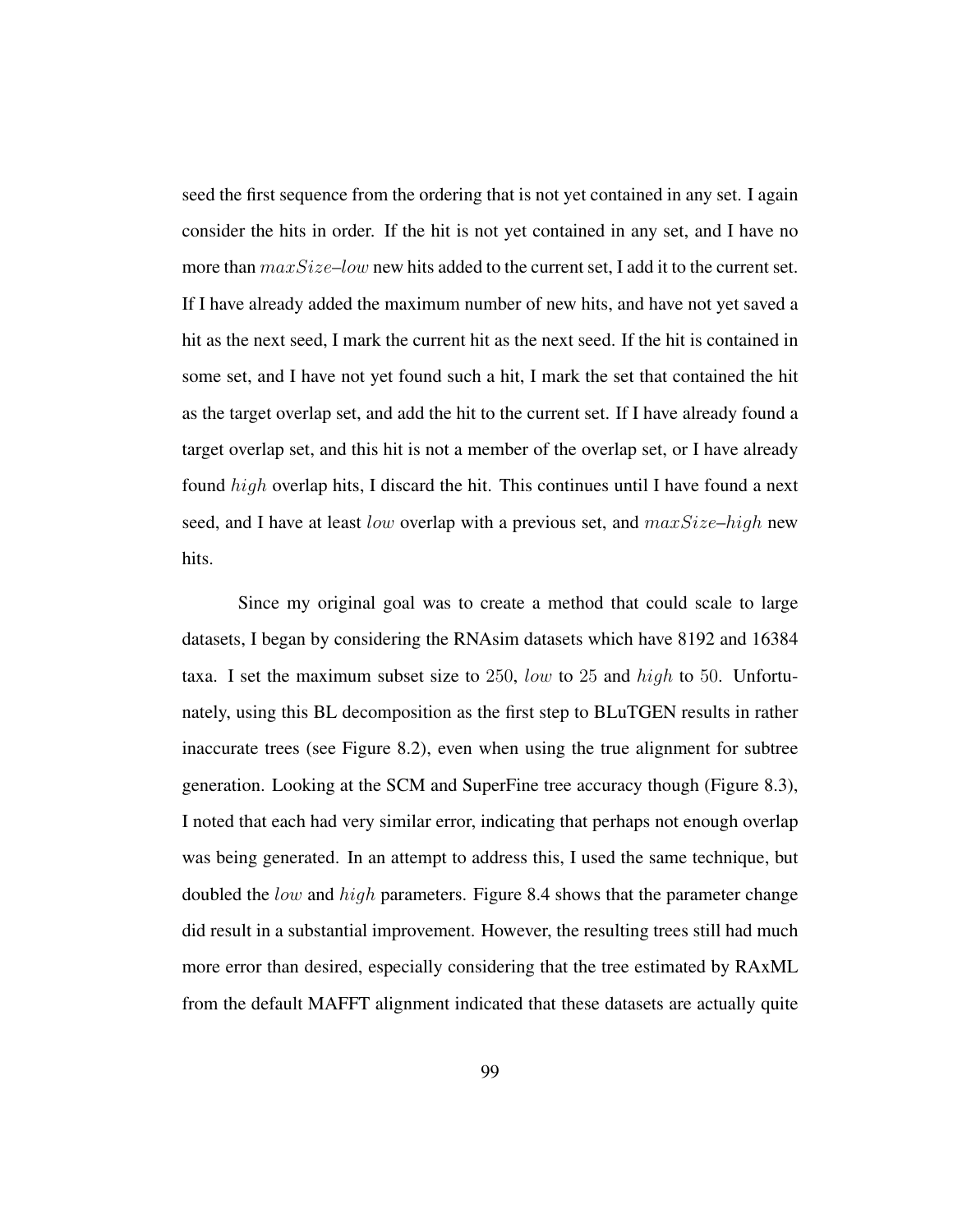seed the first sequence from the ordering that is not yet contained in any set. I again consider the hits in order. If the hit is not yet contained in any set, and I have no more than  $maxSize-low$  new hits added to the current set. I add it to the current set. If I have already added the maximum number of new hits, and have not yet saved a hit as the next seed, I mark the current hit as the next seed. If the hit is contained in some set, and I have not yet found such a hit, I mark the set that contained the hit as the target overlap set, and add the hit to the current set. If I have already found a target overlap set, and this hit is not a member of the overlap set, or I have already found high overlap hits, I discard the hit. This continues until I have found a next seed, and I have at least low overlap with a previous set, and  $maxSize - high$  new hits.

Since my original goal was to create a method that could scale to large datasets, I began by considering the RNAsim datasets which have 8192 and 16384 taxa. I set the maximum subset size to 250, low to 25 and high to 50. Unfortunately, using this BL decomposition as the first step to BLuTGEN results in rather inaccurate trees (see Figure 8.2), even when using the true alignment for subtree generation. Looking at the SCM and SuperFine tree accuracy though (Figure 8.3), I noted that each had very similar error, indicating that perhaps not enough overlap was being generated. In an attempt to address this, I used the same technique, but doubled the low and high parameters. Figure 8.4 shows that the parameter change did result in a substantial improvement. However, the resulting trees still had much more error than desired, especially considering that the tree estimated by RAxML from the default MAFFT alignment indicated that these datasets are actually quite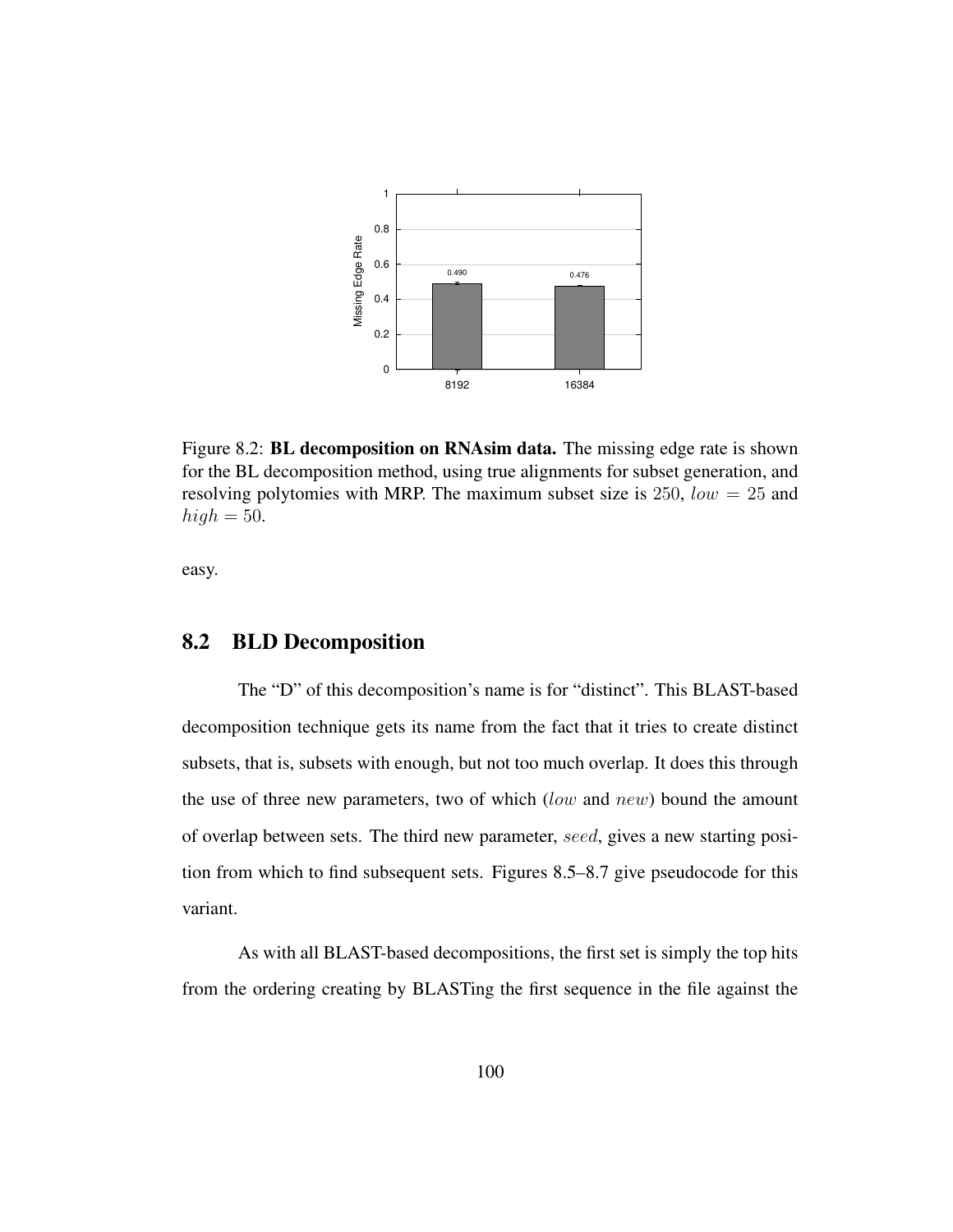

Figure 8.2: BL decomposition on RNAsim data. The missing edge rate is shown for the BL decomposition method, using true alignments for subset generation, and resolving polytomies with MRP. The maximum subset size is 250,  $low = 25$  and  $high = 50$ .

easy.

## 8.2 BLD Decomposition

The "D" of this decomposition's name is for "distinct". This BLAST-based decomposition technique gets its name from the fact that it tries to create distinct subsets, that is, subsets with enough, but not too much overlap. It does this through the use of three new parameters, two of which  $(low$  and  $new$ ) bound the amount of overlap between sets. The third new parameter, seed, gives a new starting position from which to find subsequent sets. Figures 8.5–8.7 give pseudocode for this variant.

As with all BLAST-based decompositions, the first set is simply the top hits from the ordering creating by BLASTing the first sequence in the file against the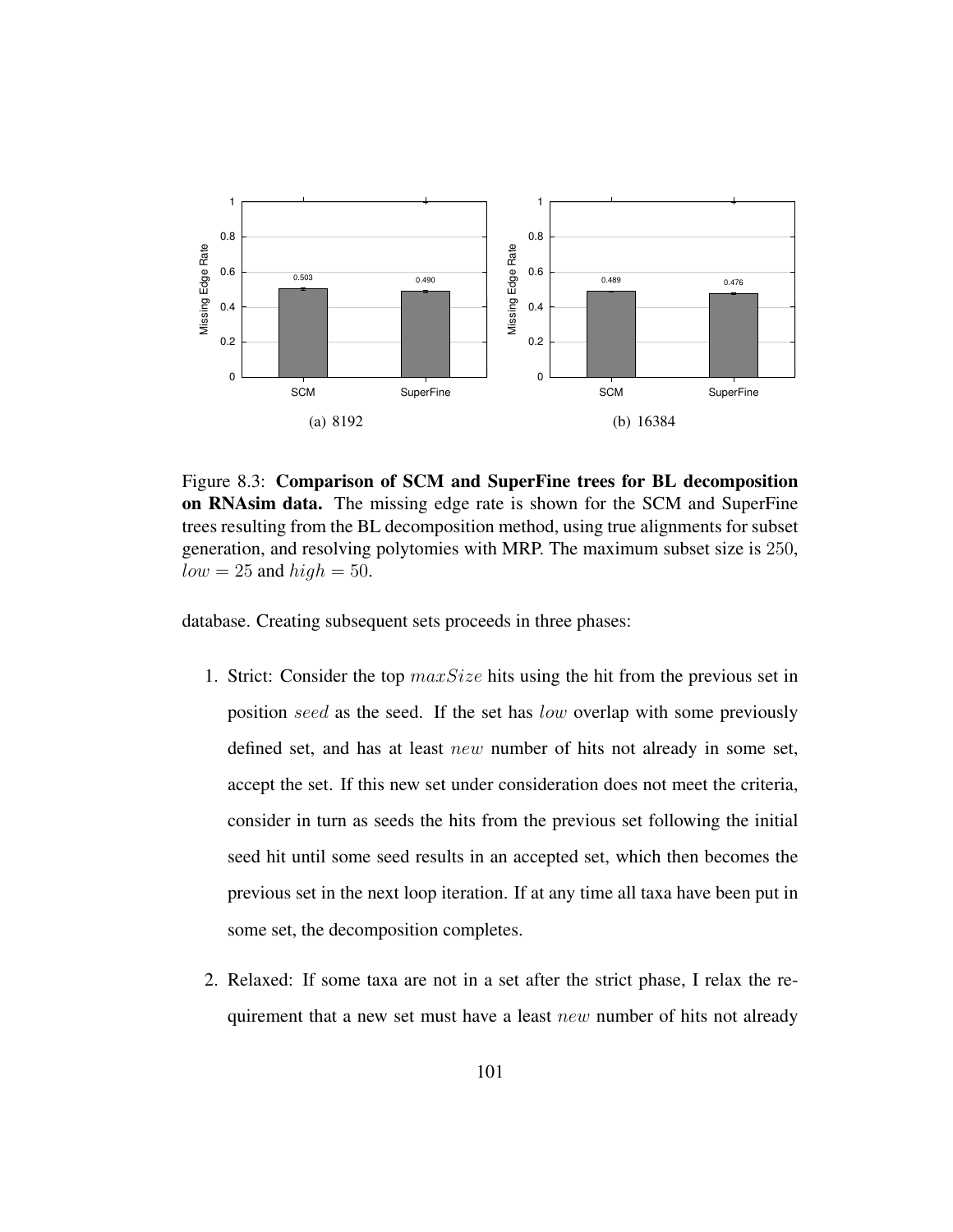

Figure 8.3: Comparison of SCM and SuperFine trees for BL decomposition on RNAsim data. The missing edge rate is shown for the SCM and SuperFine trees resulting from the BL decomposition method, using true alignments for subset generation, and resolving polytomies with MRP. The maximum subset size is 250,  $low = 25$  and  $high = 50$ .

database. Creating subsequent sets proceeds in three phases:

- 1. Strict: Consider the top  $maxSize$  hits using the hit from the previous set in position seed as the seed. If the set has low overlap with some previously defined set, and has at least new number of hits not already in some set, accept the set. If this new set under consideration does not meet the criteria, consider in turn as seeds the hits from the previous set following the initial seed hit until some seed results in an accepted set, which then becomes the previous set in the next loop iteration. If at any time all taxa have been put in some set, the decomposition completes.
- 2. Relaxed: If some taxa are not in a set after the strict phase, I relax the requirement that a new set must have a least new number of hits not already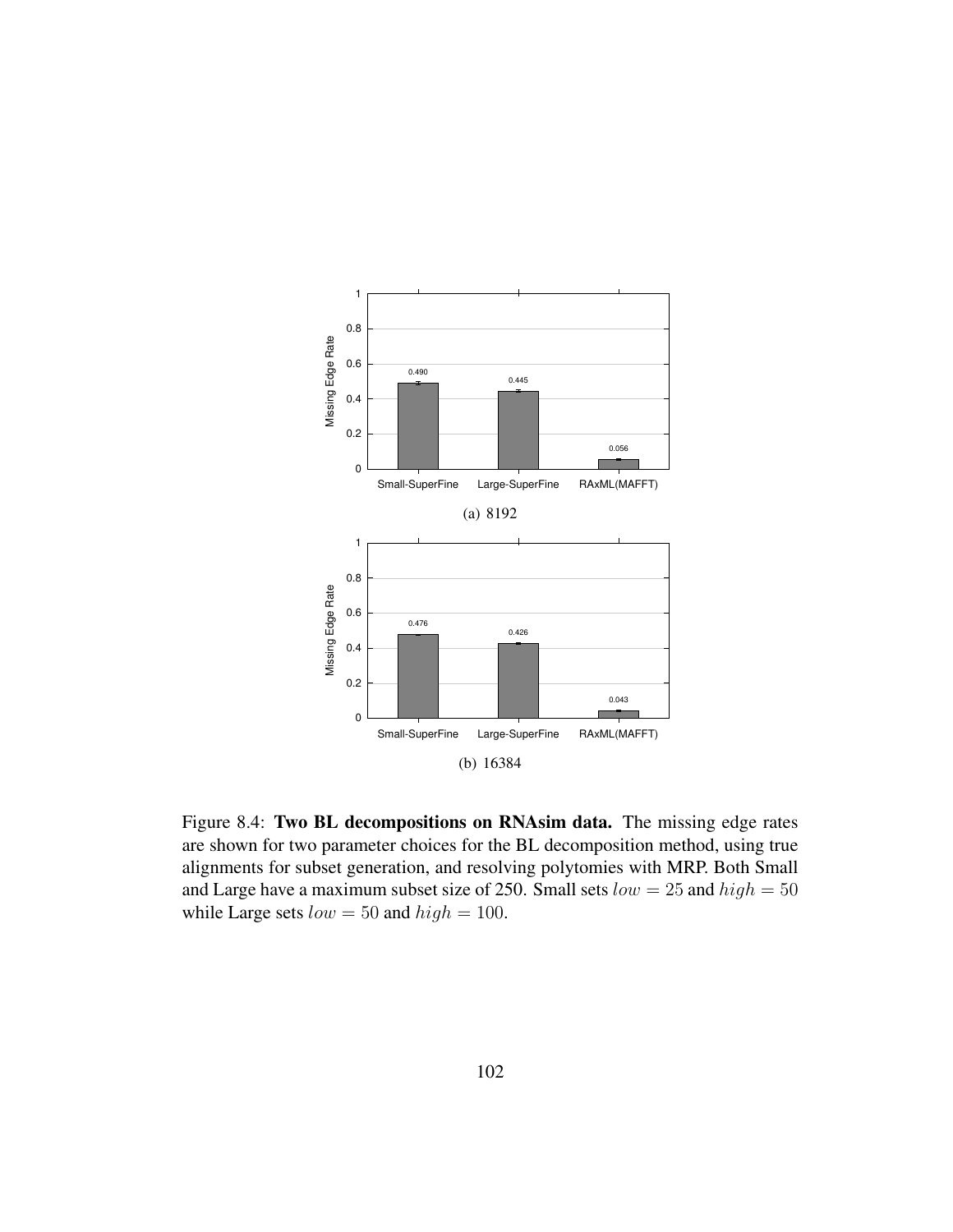

Figure 8.4: Two BL decompositions on RNAsim data. The missing edge rates are shown for two parameter choices for the BL decomposition method, using true alignments for subset generation, and resolving polytomies with MRP. Both Small and Large have a maximum subset size of 250. Small sets  $low = 25$  and  $high = 50$ while Large sets  $low = 50$  and  $high = 100$ .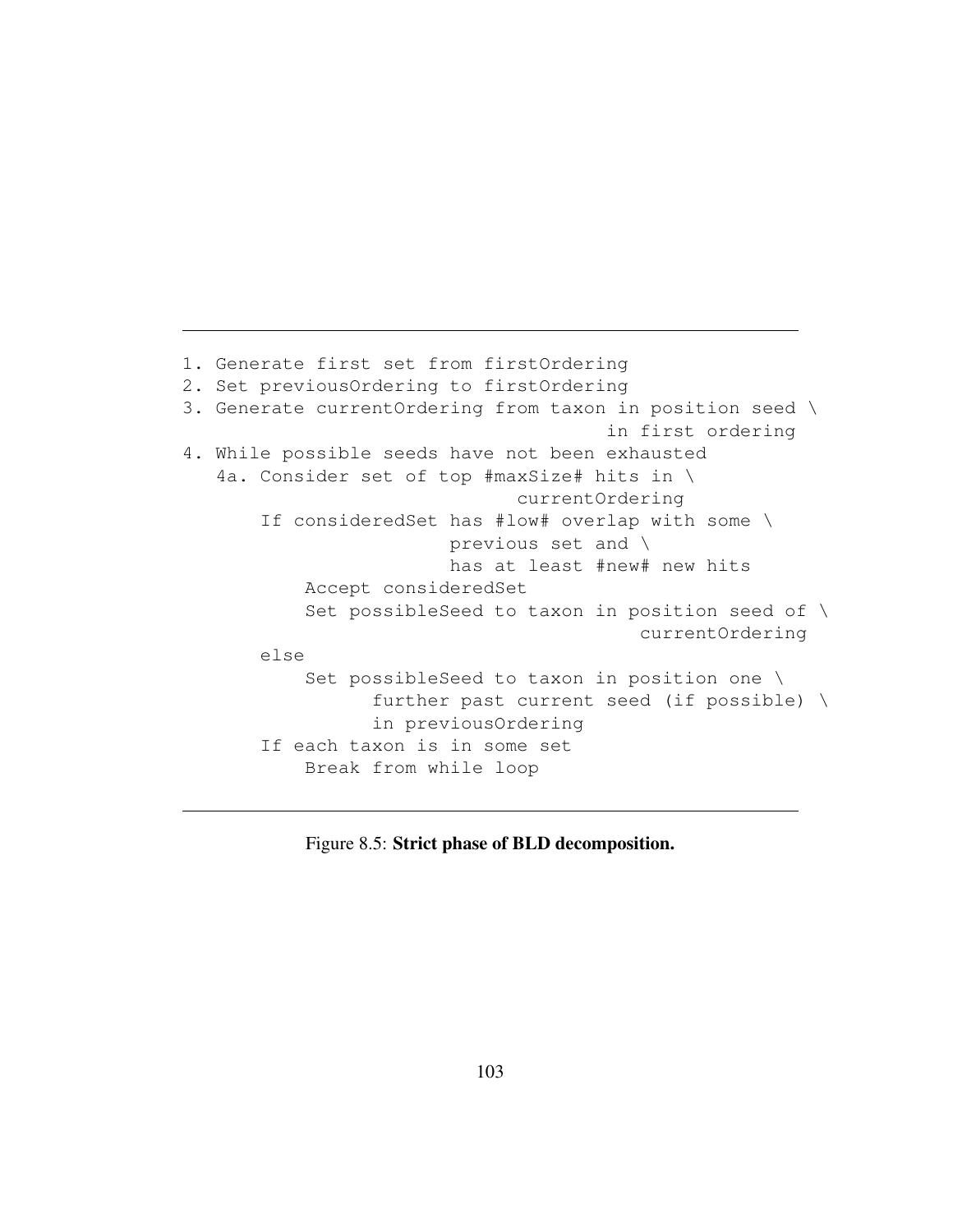```
1. Generate first set from firstOrdering
2. Set previousOrdering to firstOrdering
3. Generate currentOrdering from taxon in position seed \
                                      in first ordering
4. While possible seeds have not been exhausted
   4a. Consider set of top #maxSize# hits in \
                              currentOrdering
       If consideredSet has #low# overlap with some \
                        previous set and \
                        has at least #new# new hits
           Accept consideredSet
           Set possibleSeed to taxon in position seed of \
                                         currentOrdering
       else
           Set possibleSeed to taxon in position one \
                 further past current seed (if possible) \
                 in previousOrdering
       If each taxon is in some set
           Break from while loop
```
Figure 8.5: Strict phase of BLD decomposition.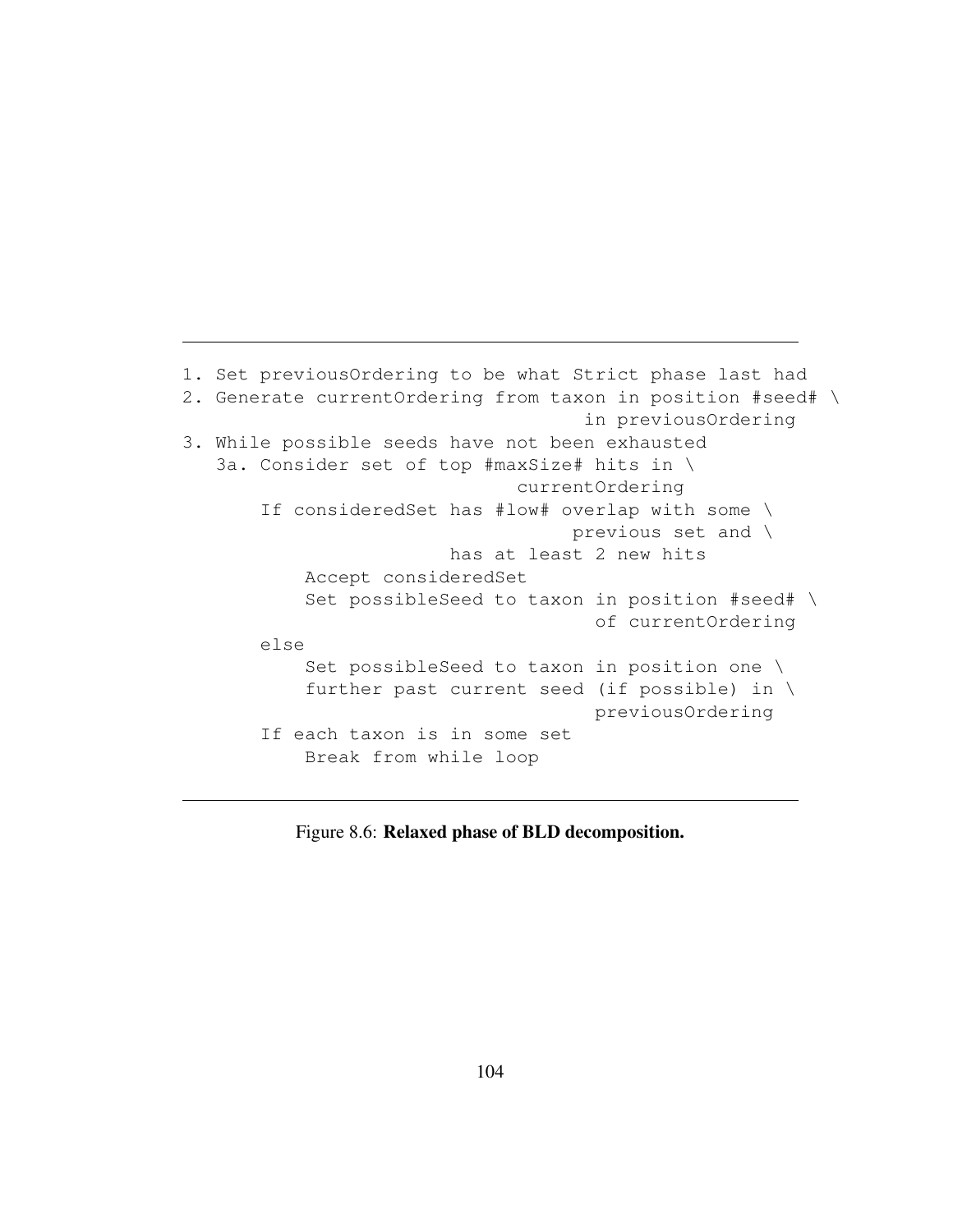```
1. Set previousOrdering to be what Strict phase last had
2. Generate currentOrdering from taxon in position #seed# \
                                    in previousOrdering
3. While possible seeds have not been exhausted
   3a. Consider set of top #maxSize# hits in \
                              currentOrdering
       If consideredSet has #low# overlap with some \
                                   previous set and \
                        has at least 2 new hits
          Accept consideredSet
           Set possibleSeed to taxon in position #seed# \
                                     of currentOrdering
       else
           Set possibleSeed to taxon in position one \
           further past current seed (if possible) in \
                                     previousOrdering
       If each taxon is in some set
           Break from while loop
```
Figure 8.6: Relaxed phase of BLD decomposition.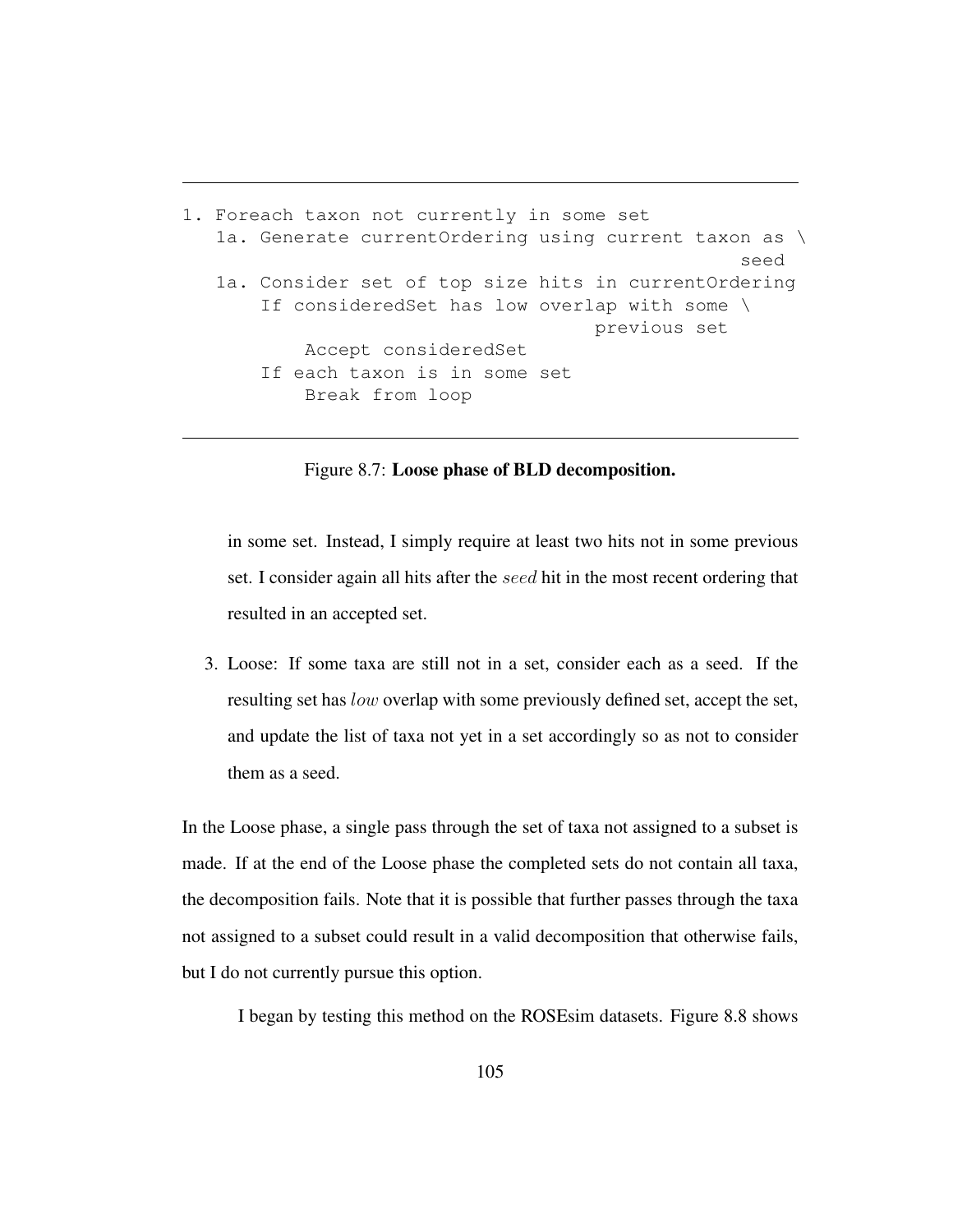```
1. Foreach taxon not currently in some set
   1a. Generate currentOrdering using current taxon as \
                                                   seed
   1a. Consider set of top size hits in currentOrdering
       If consideredSet has low overlap with some \
                                     previous set
           Accept consideredSet
       If each taxon is in some set
           Break from loop
```
Figure 8.7: Loose phase of BLD decomposition.

in some set. Instead, I simply require at least two hits not in some previous set. I consider again all hits after the seed hit in the most recent ordering that resulted in an accepted set.

3. Loose: If some taxa are still not in a set, consider each as a seed. If the resulting set has low overlap with some previously defined set, accept the set, and update the list of taxa not yet in a set accordingly so as not to consider them as a seed.

In the Loose phase, a single pass through the set of taxa not assigned to a subset is made. If at the end of the Loose phase the completed sets do not contain all taxa, the decomposition fails. Note that it is possible that further passes through the taxa not assigned to a subset could result in a valid decomposition that otherwise fails, but I do not currently pursue this option.

I began by testing this method on the ROSEsim datasets. Figure 8.8 shows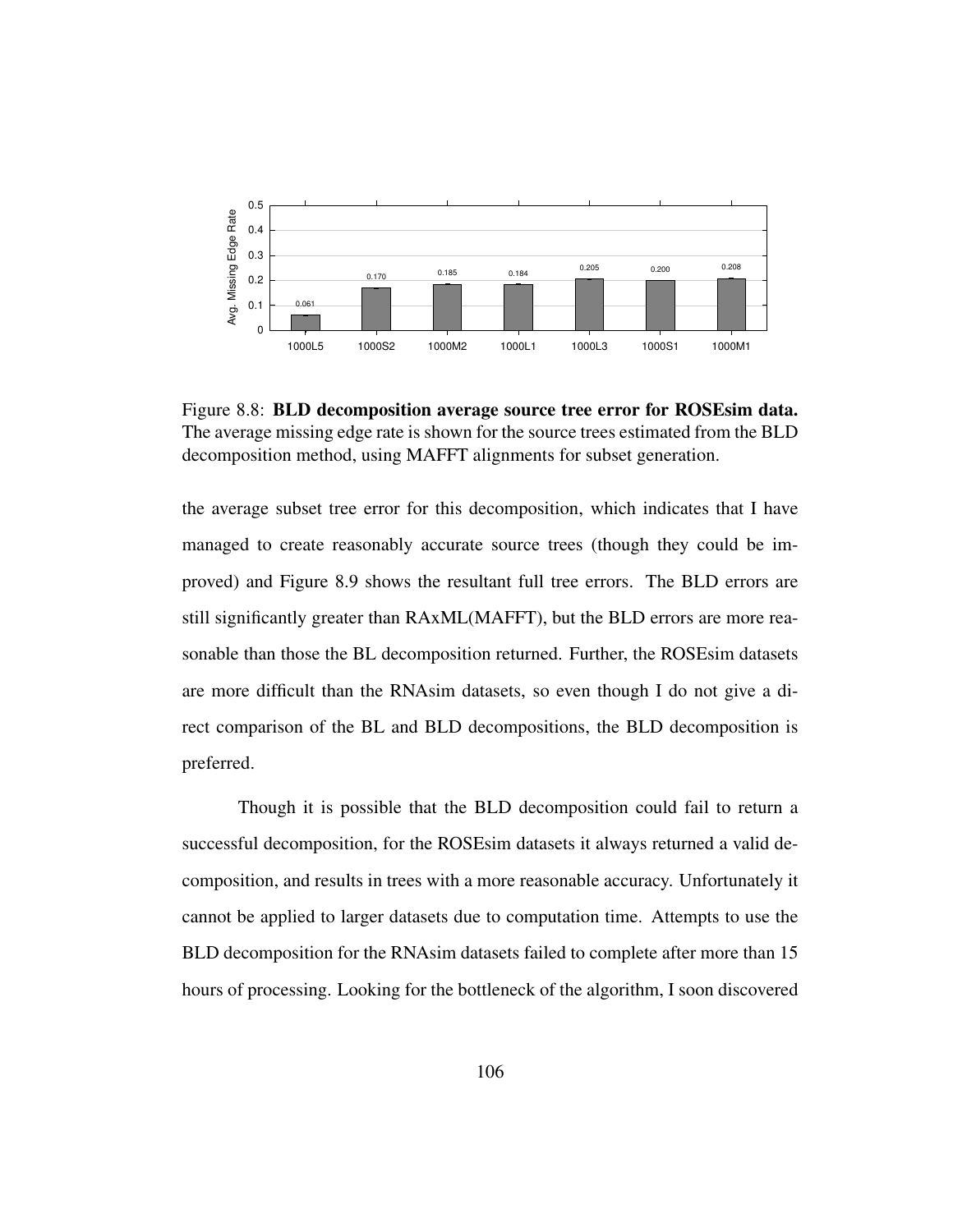

Figure 8.8: BLD decomposition average source tree error for ROSEsim data. The average missing edge rate is shown for the source trees estimated from the BLD decomposition method, using MAFFT alignments for subset generation.

the average subset tree error for this decomposition, which indicates that I have managed to create reasonably accurate source trees (though they could be improved) and Figure 8.9 shows the resultant full tree errors. The BLD errors are still significantly greater than RAxML(MAFFT), but the BLD errors are more reasonable than those the BL decomposition returned. Further, the ROSEsim datasets are more difficult than the RNAsim datasets, so even though I do not give a direct comparison of the BL and BLD decompositions, the BLD decomposition is preferred.

Though it is possible that the BLD decomposition could fail to return a successful decomposition, for the ROSEsim datasets it always returned a valid decomposition, and results in trees with a more reasonable accuracy. Unfortunately it cannot be applied to larger datasets due to computation time. Attempts to use the BLD decomposition for the RNAsim datasets failed to complete after more than 15 hours of processing. Looking for the bottleneck of the algorithm, I soon discovered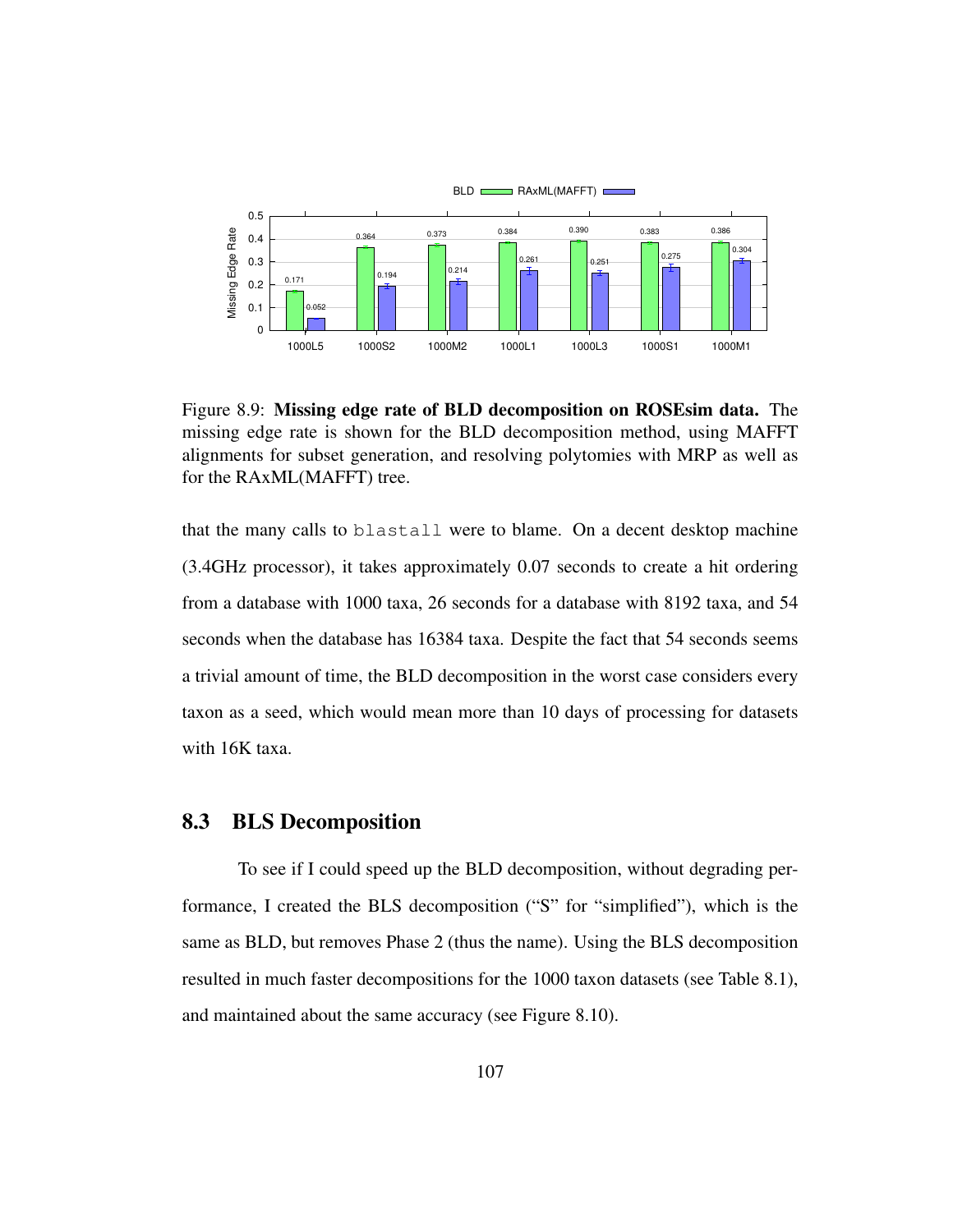

Figure 8.9: Missing edge rate of BLD decomposition on ROSEsim data. The missing edge rate is shown for the BLD decomposition method, using MAFFT alignments for subset generation, and resolving polytomies with MRP as well as for the RAxML(MAFFT) tree.

that the many calls to blastall were to blame. On a decent desktop machine (3.4GHz processor), it takes approximately 0.07 seconds to create a hit ordering from a database with 1000 taxa, 26 seconds for a database with 8192 taxa, and 54 seconds when the database has 16384 taxa. Despite the fact that 54 seconds seems a trivial amount of time, the BLD decomposition in the worst case considers every taxon as a seed, which would mean more than 10 days of processing for datasets with 16K taxa.

## 8.3 BLS Decomposition

To see if I could speed up the BLD decomposition, without degrading performance, I created the BLS decomposition ("S" for "simplified"), which is the same as BLD, but removes Phase 2 (thus the name). Using the BLS decomposition resulted in much faster decompositions for the 1000 taxon datasets (see Table 8.1), and maintained about the same accuracy (see Figure 8.10).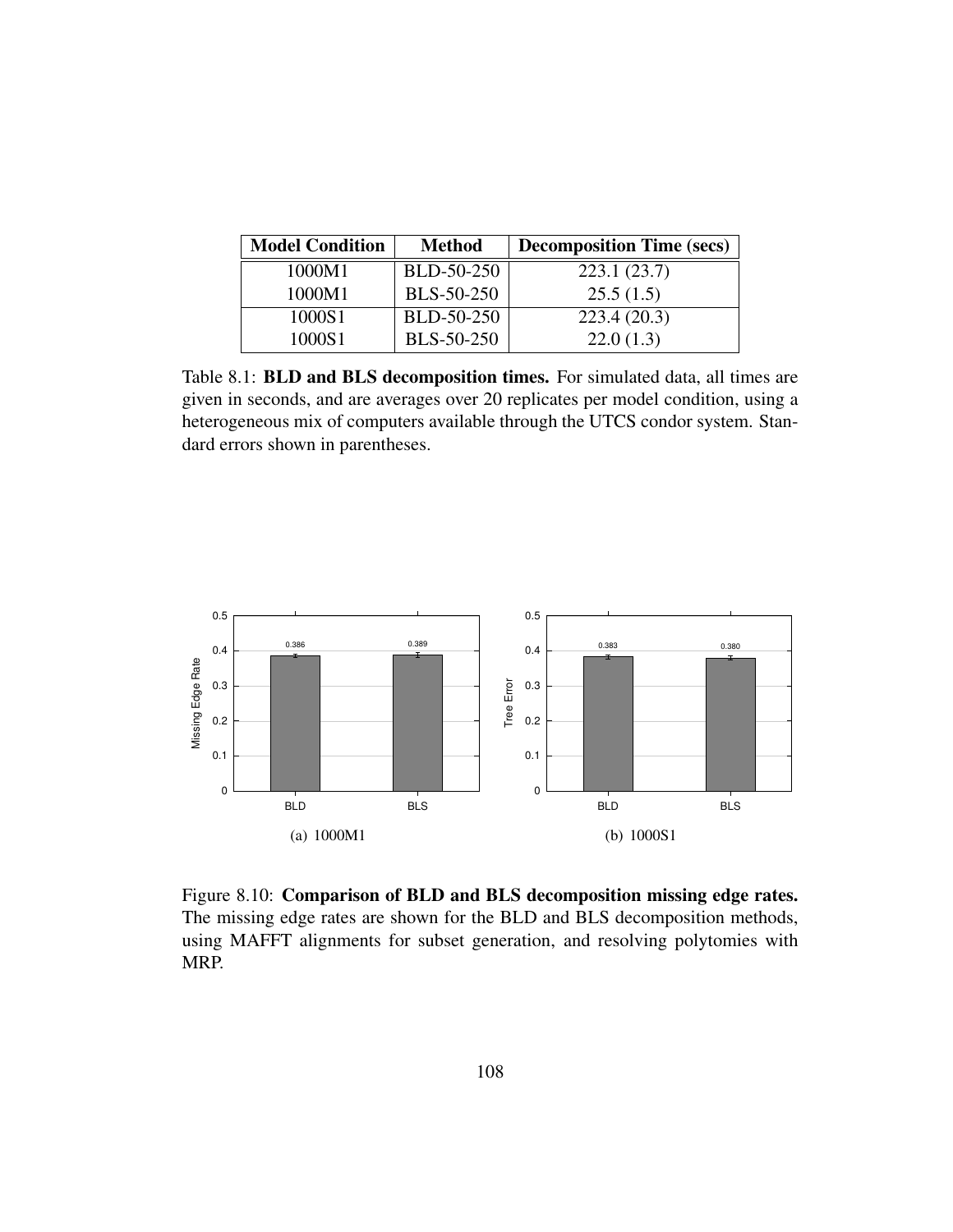| <b>Model Condition</b><br><b>Method</b> |                   | <b>Decomposition Time (secs)</b> |
|-----------------------------------------|-------------------|----------------------------------|
| 1000M1                                  | BLD-50-250        | 223.1(23.7)                      |
| 1000M1                                  | <b>BLS-50-250</b> | 25.5(1.5)                        |
| 1000S1                                  | BLD-50-250        | 223.4(20.3)                      |
| 1000S1                                  | <b>BLS-50-250</b> | 22.0(1.3)                        |

Table 8.1: BLD and BLS decomposition times. For simulated data, all times are given in seconds, and are averages over 20 replicates per model condition, using a heterogeneous mix of computers available through the UTCS condor system. Standard errors shown in parentheses.



Figure 8.10: Comparison of BLD and BLS decomposition missing edge rates. The missing edge rates are shown for the BLD and BLS decomposition methods, using MAFFT alignments for subset generation, and resolving polytomies with MRP.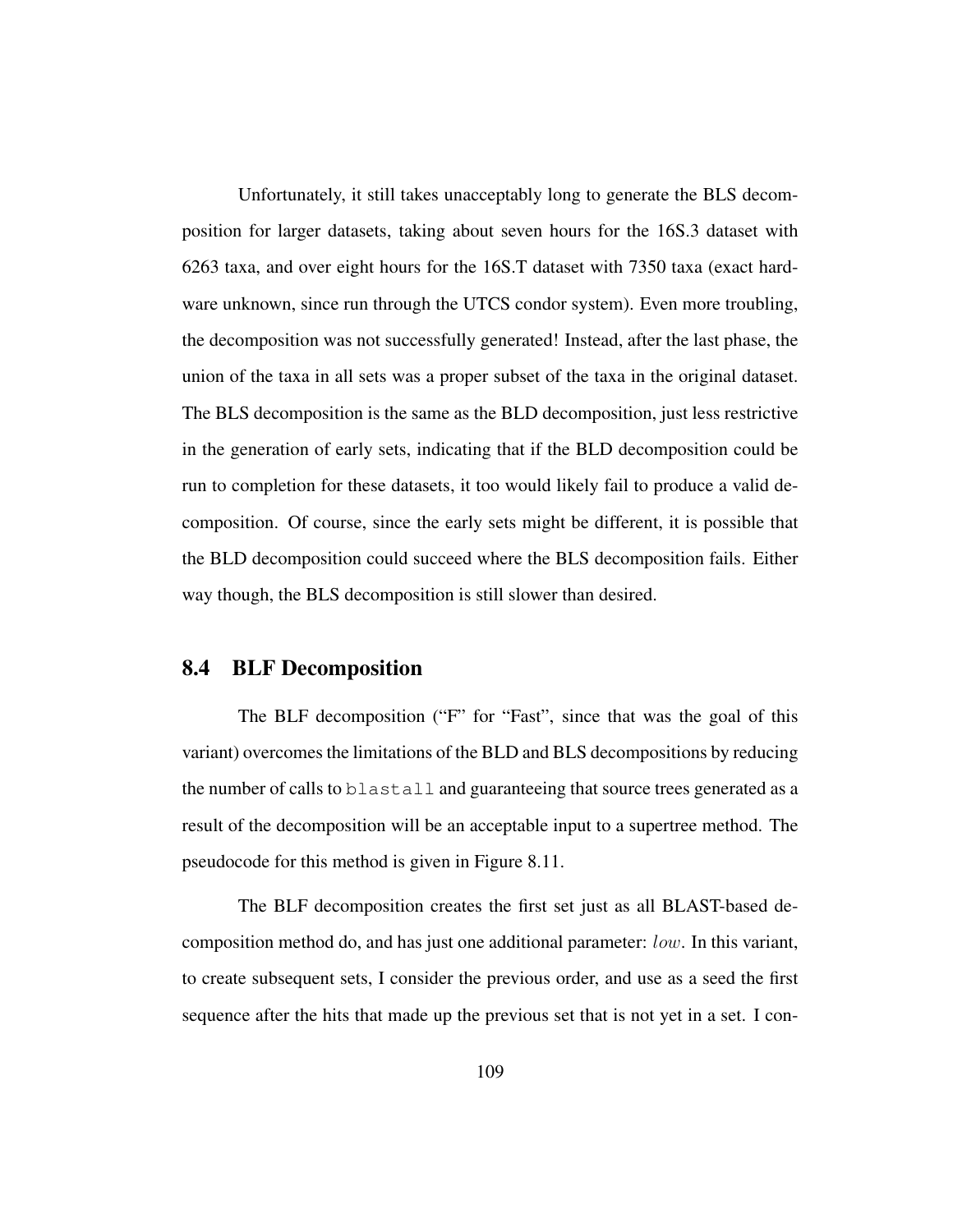Unfortunately, it still takes unacceptably long to generate the BLS decomposition for larger datasets, taking about seven hours for the 16S.3 dataset with 6263 taxa, and over eight hours for the 16S.T dataset with 7350 taxa (exact hardware unknown, since run through the UTCS condor system). Even more troubling, the decomposition was not successfully generated! Instead, after the last phase, the union of the taxa in all sets was a proper subset of the taxa in the original dataset. The BLS decomposition is the same as the BLD decomposition, just less restrictive in the generation of early sets, indicating that if the BLD decomposition could be run to completion for these datasets, it too would likely fail to produce a valid decomposition. Of course, since the early sets might be different, it is possible that the BLD decomposition could succeed where the BLS decomposition fails. Either way though, the BLS decomposition is still slower than desired.

### 8.4 BLF Decomposition

The BLF decomposition ("F" for "Fast", since that was the goal of this variant) overcomes the limitations of the BLD and BLS decompositions by reducing the number of calls to blastall and guaranteeing that source trees generated as a result of the decomposition will be an acceptable input to a supertree method. The pseudocode for this method is given in Figure 8.11.

The BLF decomposition creates the first set just as all BLAST-based decomposition method do, and has just one additional parameter: low. In this variant, to create subsequent sets, I consider the previous order, and use as a seed the first sequence after the hits that made up the previous set that is not yet in a set. I con-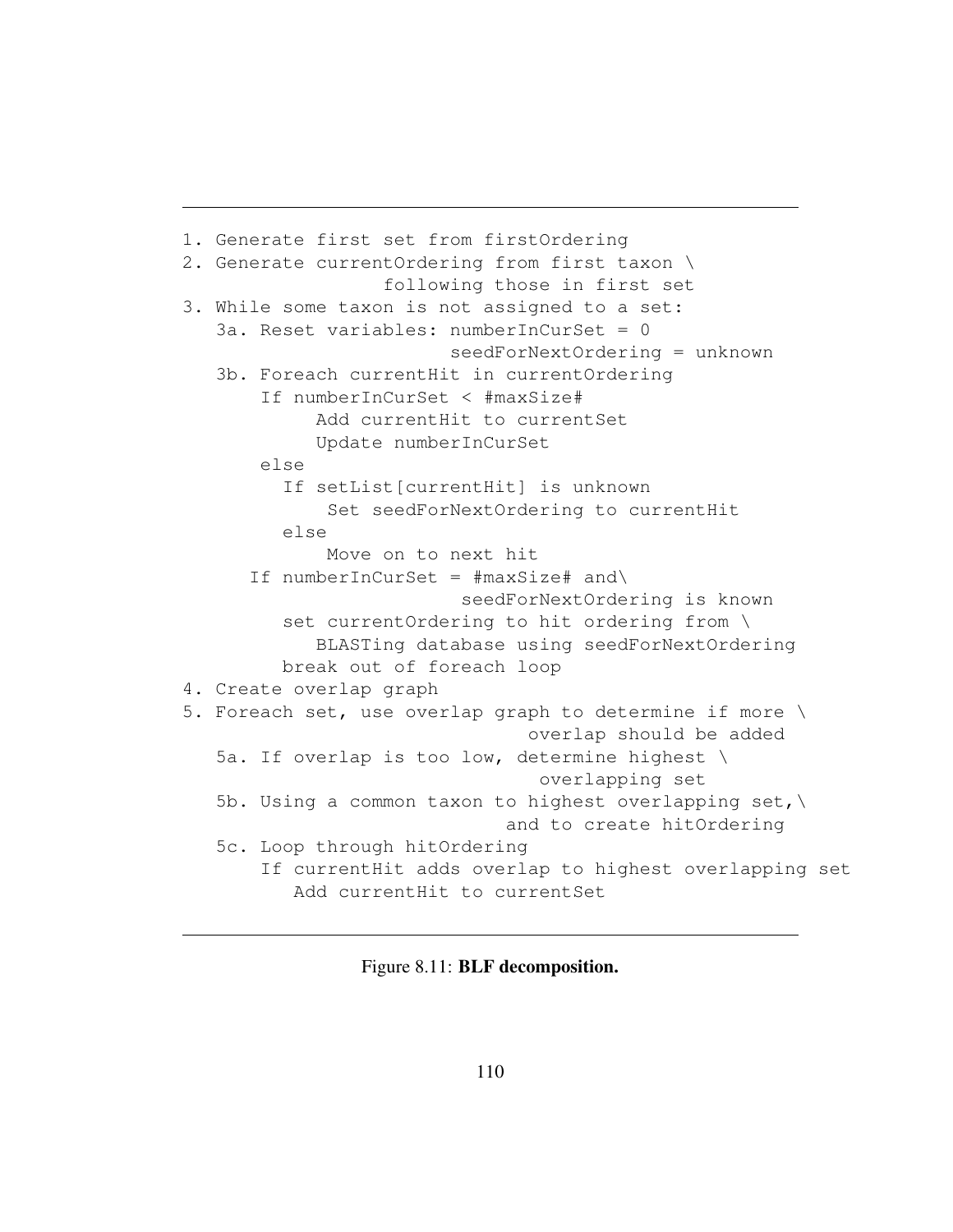```
1. Generate first set from firstOrdering
2. Generate currentOrdering from first taxon \
                  following those in first set
3. While some taxon is not assigned to a set:
   3a. Reset variables: numberInCurSet = 0
                        seedForNextOrdering = unknown
   3b. Foreach currentHit in currentOrdering
       If numberInCurSet < #maxSize#
            Add currentHit to currentSet
            Update numberInCurSet
       else
         If setList[currentHit] is unknown
             Set seedForNextOrdering to currentHit
         else
             Move on to next hit
      If numberInCurSet = \text{ImaxSize}\# and\
                         seedForNextOrdering is known
         set currentOrdering to hit ordering from \
            BLASTing database using seedForNextOrdering
         break out of foreach loop
4. Create overlap graph
5. Foreach set, use overlap graph to determine if more \
                                overlap should be added
   5a. If overlap is too low, determine highest \
                                 overlapping set
   5b. Using a common taxon to highest overlapping set, \setminusand to create hitOrdering
   5c. Loop through hitOrdering
       If currentHit adds overlap to highest overlapping set
          Add currentHit to currentSet
```
Figure 8.11: BLF decomposition.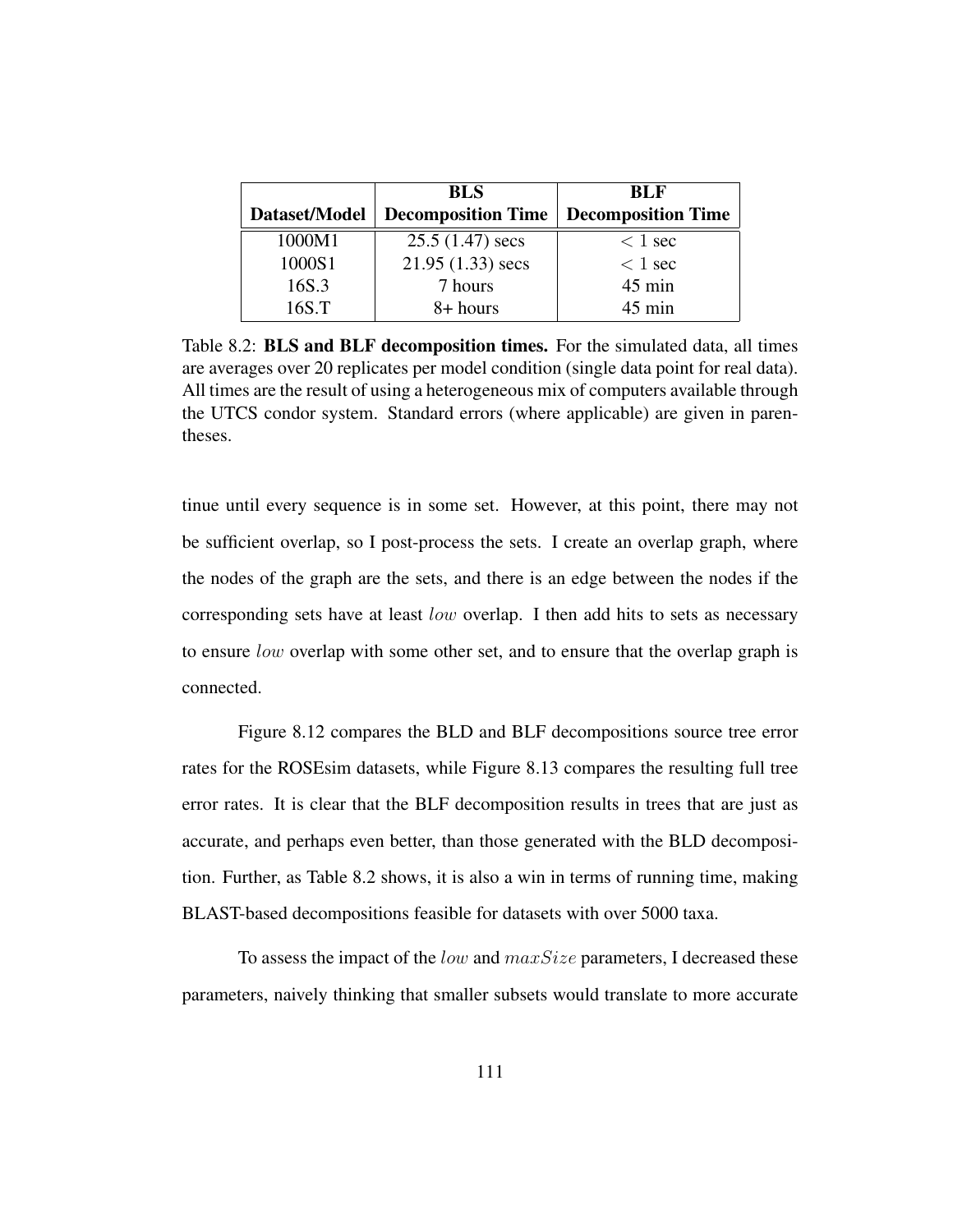|               | <b>BLS</b>         | <b>BLF</b>                                     |
|---------------|--------------------|------------------------------------------------|
| Dataset/Model |                    | <b>Decomposition Time   Decomposition Time</b> |
| 1000M1        | $25.5(1.47)$ secs  | $< 1$ sec                                      |
| 1000S1        | $21.95(1.33)$ secs | $< 1$ sec                                      |
| 16S.3         | 7 hours            | 45 min                                         |
| 16S.T         | 8+ hours           | $45 \text{ min}$                               |

Table 8.2: BLS and BLF decomposition times. For the simulated data, all times are averages over 20 replicates per model condition (single data point for real data). All times are the result of using a heterogeneous mix of computers available through the UTCS condor system. Standard errors (where applicable) are given in parentheses.

tinue until every sequence is in some set. However, at this point, there may not be sufficient overlap, so I post-process the sets. I create an overlap graph, where the nodes of the graph are the sets, and there is an edge between the nodes if the corresponding sets have at least low overlap. I then add hits to sets as necessary to ensure low overlap with some other set, and to ensure that the overlap graph is connected.

Figure 8.12 compares the BLD and BLF decompositions source tree error rates for the ROSEsim datasets, while Figure 8.13 compares the resulting full tree error rates. It is clear that the BLF decomposition results in trees that are just as accurate, and perhaps even better, than those generated with the BLD decomposition. Further, as Table 8.2 shows, it is also a win in terms of running time, making BLAST-based decompositions feasible for datasets with over 5000 taxa.

To assess the impact of the *low* and  $maxSize$  parameters, I decreased these parameters, naively thinking that smaller subsets would translate to more accurate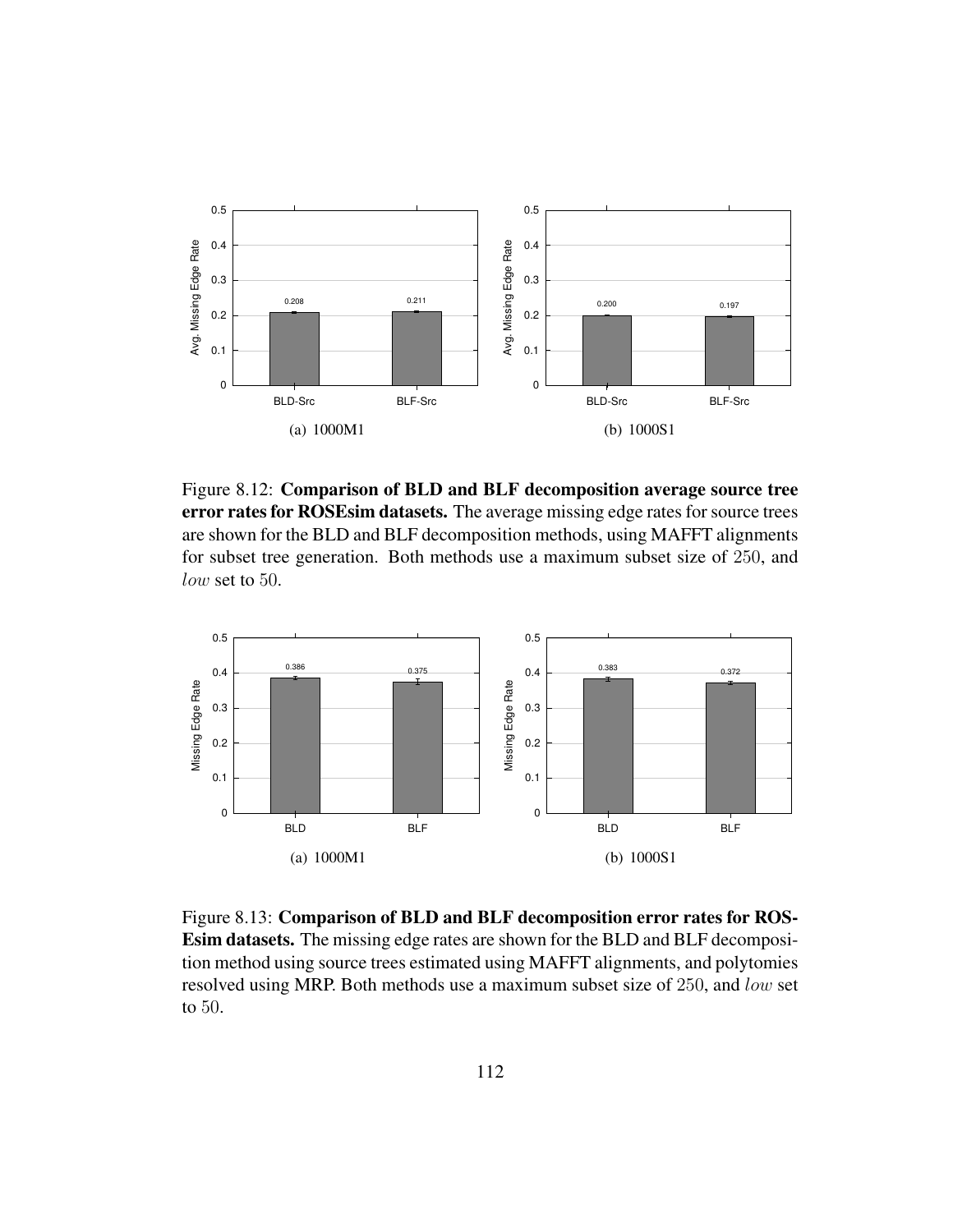

Figure 8.12: Comparison of BLD and BLF decomposition average source tree error rates for ROSEsim datasets. The average missing edge rates for source trees are shown for the BLD and BLF decomposition methods, using MAFFT alignments for subset tree generation. Both methods use a maximum subset size of 250, and low set to 50.



Figure 8.13: Comparison of BLD and BLF decomposition error rates for ROS-Esim datasets. The missing edge rates are shown for the BLD and BLF decomposition method using source trees estimated using MAFFT alignments, and polytomies resolved using MRP. Both methods use a maximum subset size of 250, and low set to 50.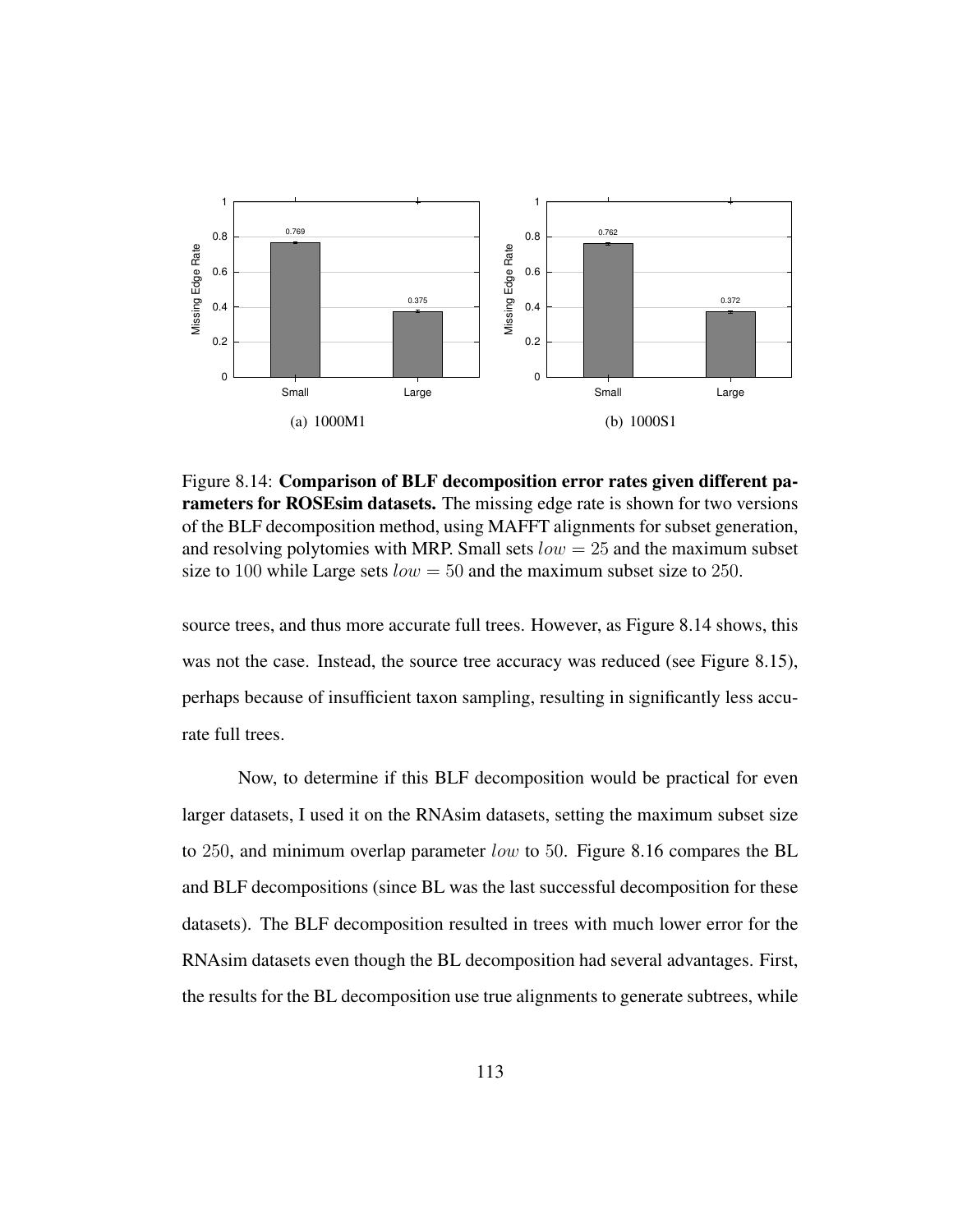

Figure 8.14: Comparison of BLF decomposition error rates given different parameters for ROSEsim datasets. The missing edge rate is shown for two versions of the BLF decomposition method, using MAFFT alignments for subset generation, and resolving polytomies with MRP. Small sets  $low = 25$  and the maximum subset size to 100 while Large sets  $low = 50$  and the maximum subset size to 250.

source trees, and thus more accurate full trees. However, as Figure 8.14 shows, this was not the case. Instead, the source tree accuracy was reduced (see Figure 8.15), perhaps because of insufficient taxon sampling, resulting in significantly less accurate full trees.

Now, to determine if this BLF decomposition would be practical for even larger datasets, I used it on the RNAsim datasets, setting the maximum subset size to 250, and minimum overlap parameter  $low$  to 50. Figure 8.16 compares the BL and BLF decompositions (since BL was the last successful decomposition for these datasets). The BLF decomposition resulted in trees with much lower error for the RNAsim datasets even though the BL decomposition had several advantages. First, the results for the BL decomposition use true alignments to generate subtrees, while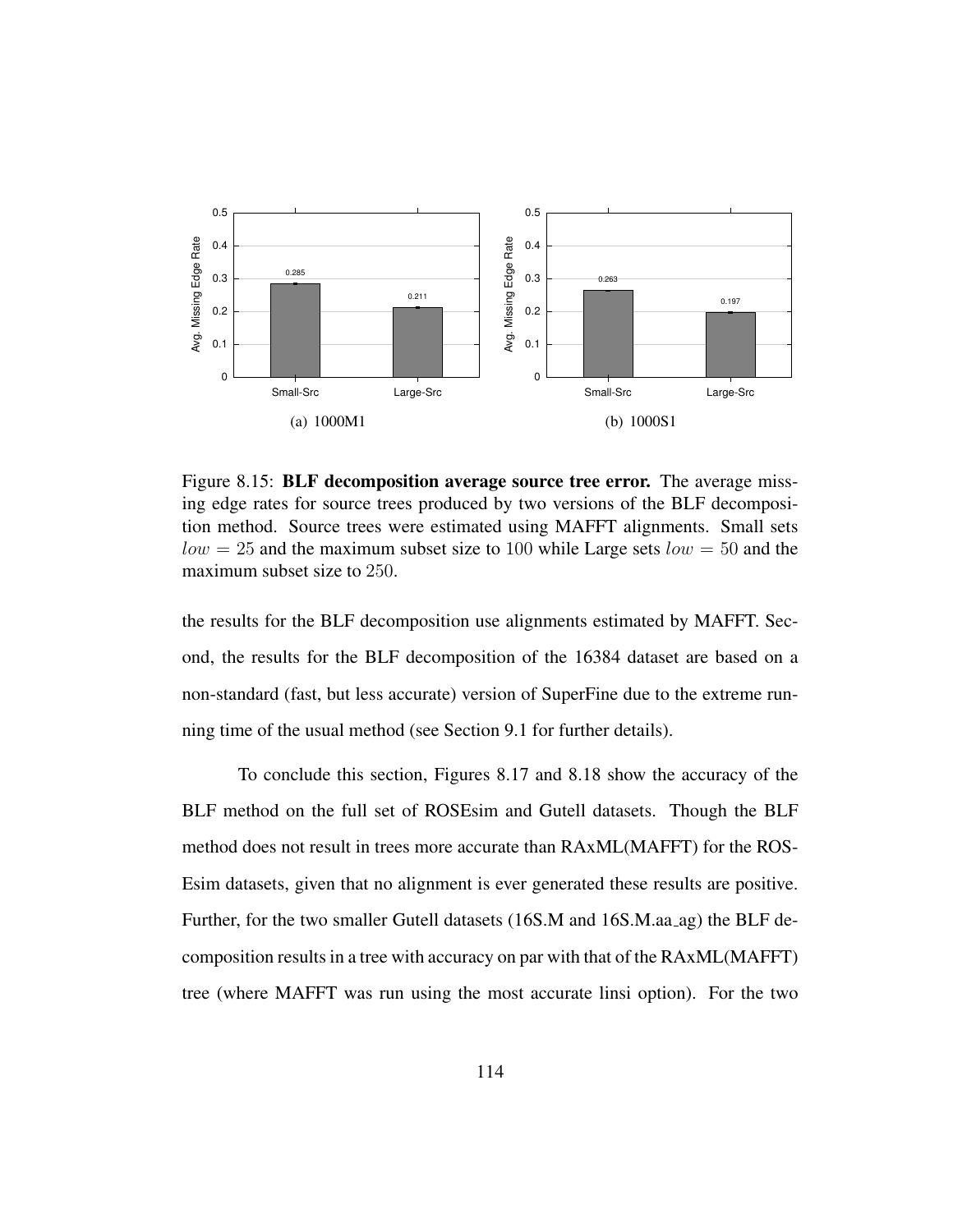

Figure 8.15: BLF decomposition average source tree error. The average missing edge rates for source trees produced by two versions of the BLF decomposition method. Source trees were estimated using MAFFT alignments. Small sets  $low = 25$  and the maximum subset size to 100 while Large sets  $low = 50$  and the maximum subset size to 250.

the results for the BLF decomposition use alignments estimated by MAFFT. Second, the results for the BLF decomposition of the 16384 dataset are based on a non-standard (fast, but less accurate) version of SuperFine due to the extreme running time of the usual method (see Section 9.1 for further details).

To conclude this section, Figures 8.17 and 8.18 show the accuracy of the BLF method on the full set of ROSEsim and Gutell datasets. Though the BLF method does not result in trees more accurate than RAxML(MAFFT) for the ROS-Esim datasets, given that no alignment is ever generated these results are positive. Further, for the two smaller Gutell datasets (16S.M and 16S.M.aa ag) the BLF decomposition results in a tree with accuracy on par with that of the RAxML(MAFFT) tree (where MAFFT was run using the most accurate linsi option). For the two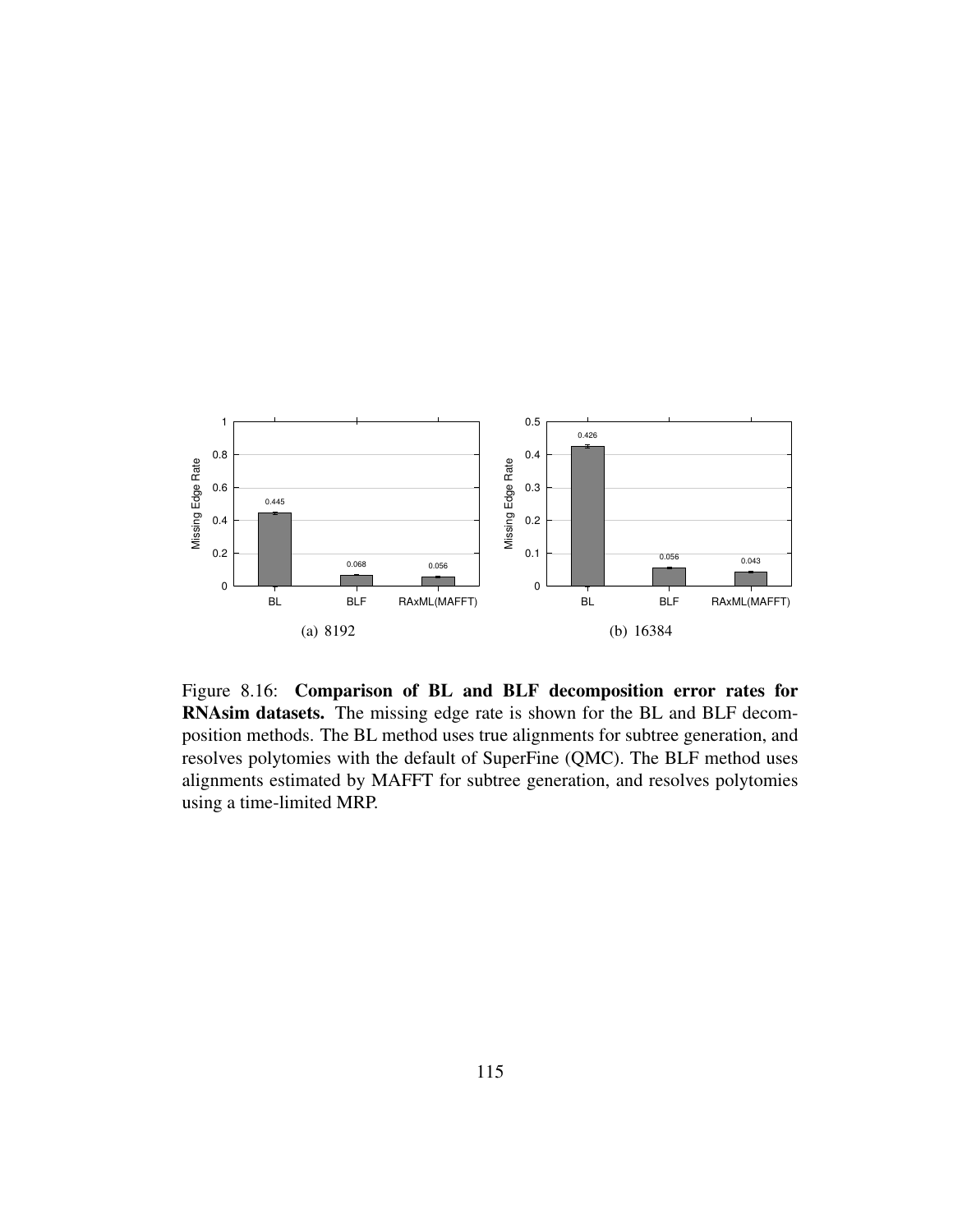

Figure 8.16: Comparison of BL and BLF decomposition error rates for RNAsim datasets. The missing edge rate is shown for the BL and BLF decomposition methods. The BL method uses true alignments for subtree generation, and resolves polytomies with the default of SuperFine (QMC). The BLF method uses alignments estimated by MAFFT for subtree generation, and resolves polytomies using a time-limited MRP.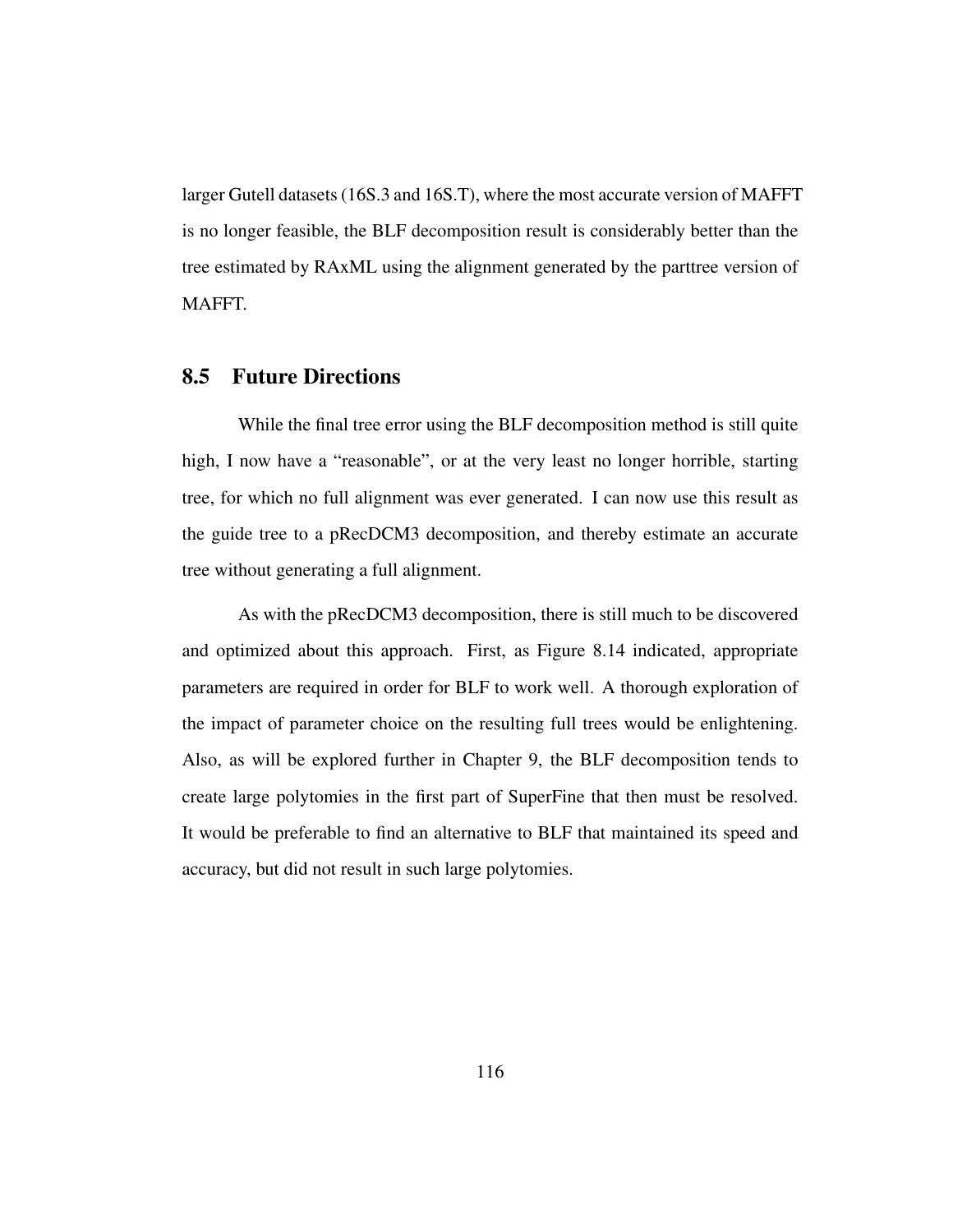larger Gutell datasets (16S.3 and 16S.T), where the most accurate version of MAFFT is no longer feasible, the BLF decomposition result is considerably better than the tree estimated by RAxML using the alignment generated by the parttree version of MAFFT.

### 8.5 Future Directions

While the final tree error using the BLF decomposition method is still quite high, I now have a "reasonable", or at the very least no longer horrible, starting tree, for which no full alignment was ever generated. I can now use this result as the guide tree to a pRecDCM3 decomposition, and thereby estimate an accurate tree without generating a full alignment.

As with the pRecDCM3 decomposition, there is still much to be discovered and optimized about this approach. First, as Figure 8.14 indicated, appropriate parameters are required in order for BLF to work well. A thorough exploration of the impact of parameter choice on the resulting full trees would be enlightening. Also, as will be explored further in Chapter 9, the BLF decomposition tends to create large polytomies in the first part of SuperFine that then must be resolved. It would be preferable to find an alternative to BLF that maintained its speed and accuracy, but did not result in such large polytomies.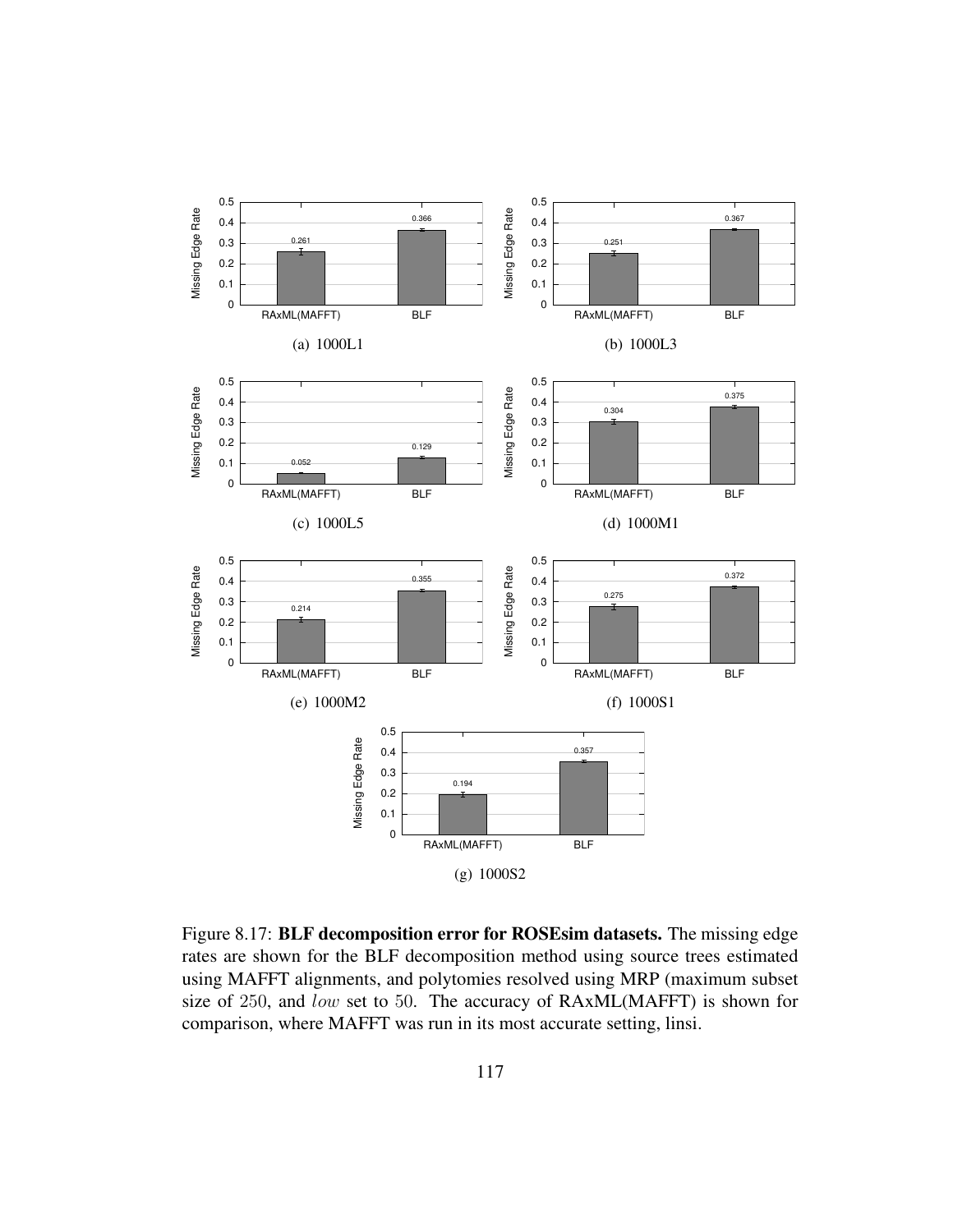

Figure 8.17: BLF decomposition error for ROSEsim datasets. The missing edge rates are shown for the BLF decomposition method using source trees estimated using MAFFT alignments, and polytomies resolved using MRP (maximum subset size of 250, and low set to 50. The accuracy of RAxML(MAFFT) is shown for comparison, where MAFFT was run in its most accurate setting, linsi.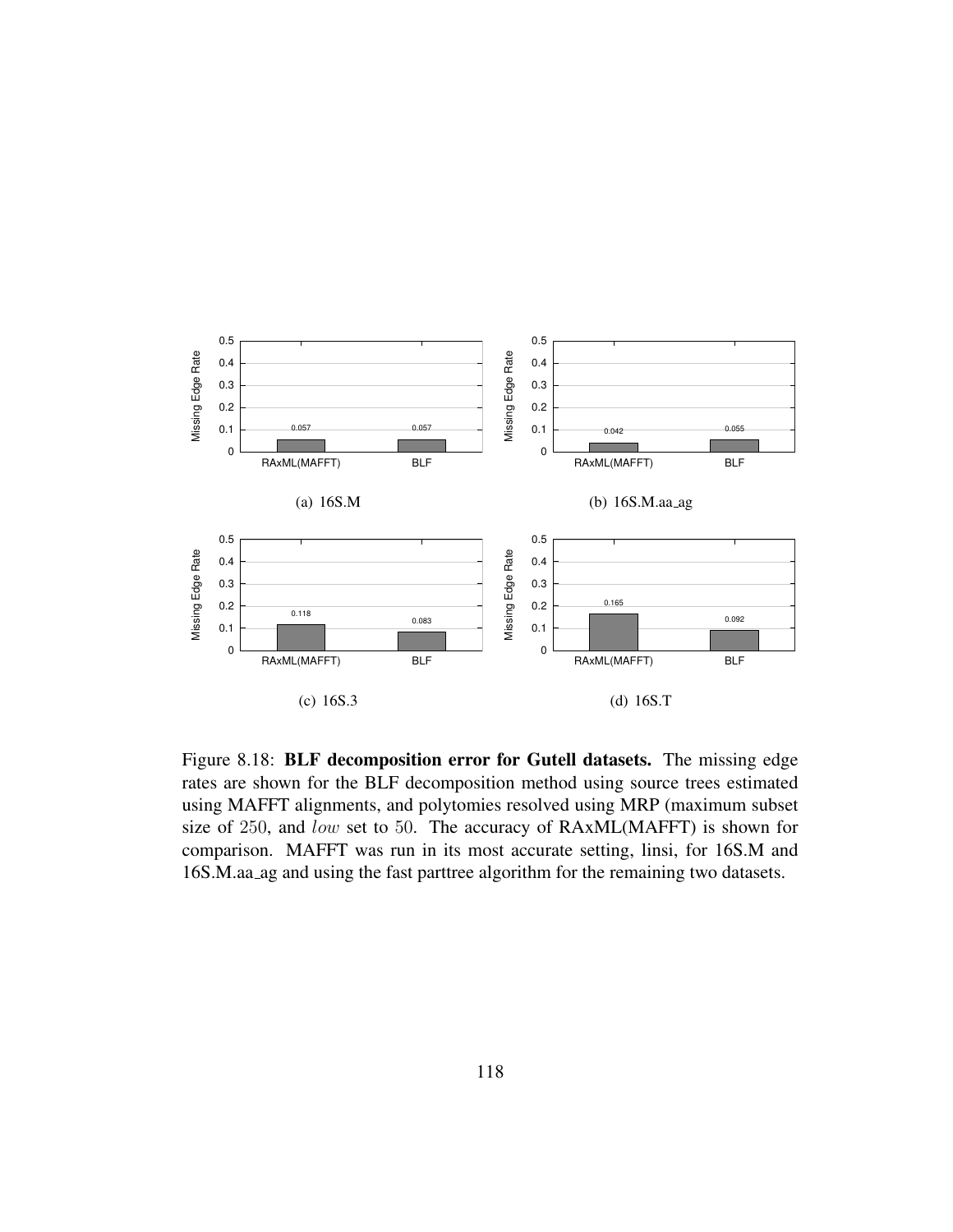

Figure 8.18: BLF decomposition error for Gutell datasets. The missing edge rates are shown for the BLF decomposition method using source trees estimated using MAFFT alignments, and polytomies resolved using MRP (maximum subset size of 250, and low set to 50. The accuracy of RAxML(MAFFT) is shown for comparison. MAFFT was run in its most accurate setting, linsi, for 16S.M and 16S.M.aa ag and using the fast parttree algorithm for the remaining two datasets.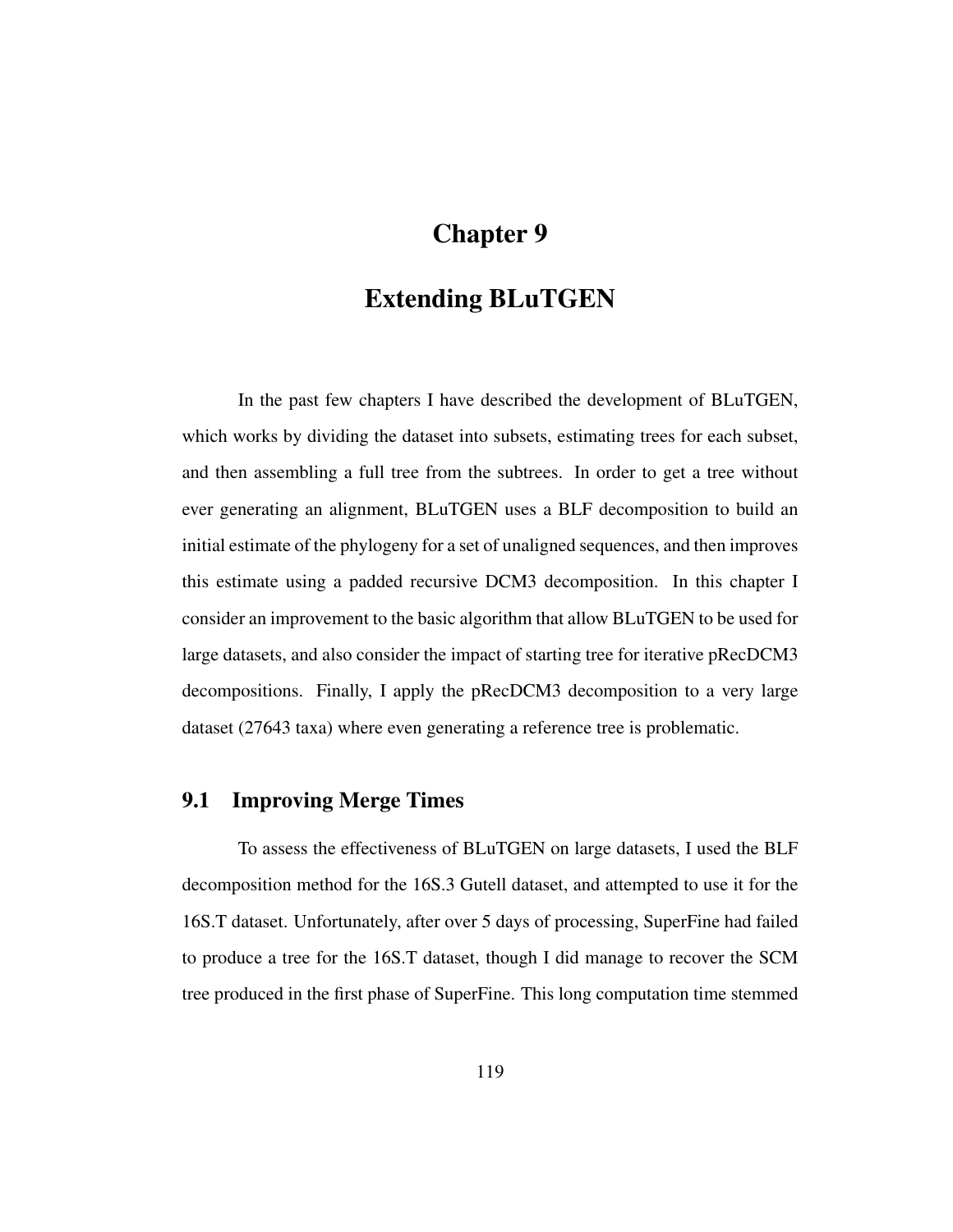# Chapter 9

## Extending BLuTGEN

In the past few chapters I have described the development of BLuTGEN, which works by dividing the dataset into subsets, estimating trees for each subset, and then assembling a full tree from the subtrees. In order to get a tree without ever generating an alignment, BLuTGEN uses a BLF decomposition to build an initial estimate of the phylogeny for a set of unaligned sequences, and then improves this estimate using a padded recursive DCM3 decomposition. In this chapter I consider an improvement to the basic algorithm that allow BLuTGEN to be used for large datasets, and also consider the impact of starting tree for iterative pRecDCM3 decompositions. Finally, I apply the pRecDCM3 decomposition to a very large dataset (27643 taxa) where even generating a reference tree is problematic.

## 9.1 Improving Merge Times

To assess the effectiveness of BLuTGEN on large datasets, I used the BLF decomposition method for the 16S.3 Gutell dataset, and attempted to use it for the 16S.T dataset. Unfortunately, after over 5 days of processing, SuperFine had failed to produce a tree for the 16S.T dataset, though I did manage to recover the SCM tree produced in the first phase of SuperFine. This long computation time stemmed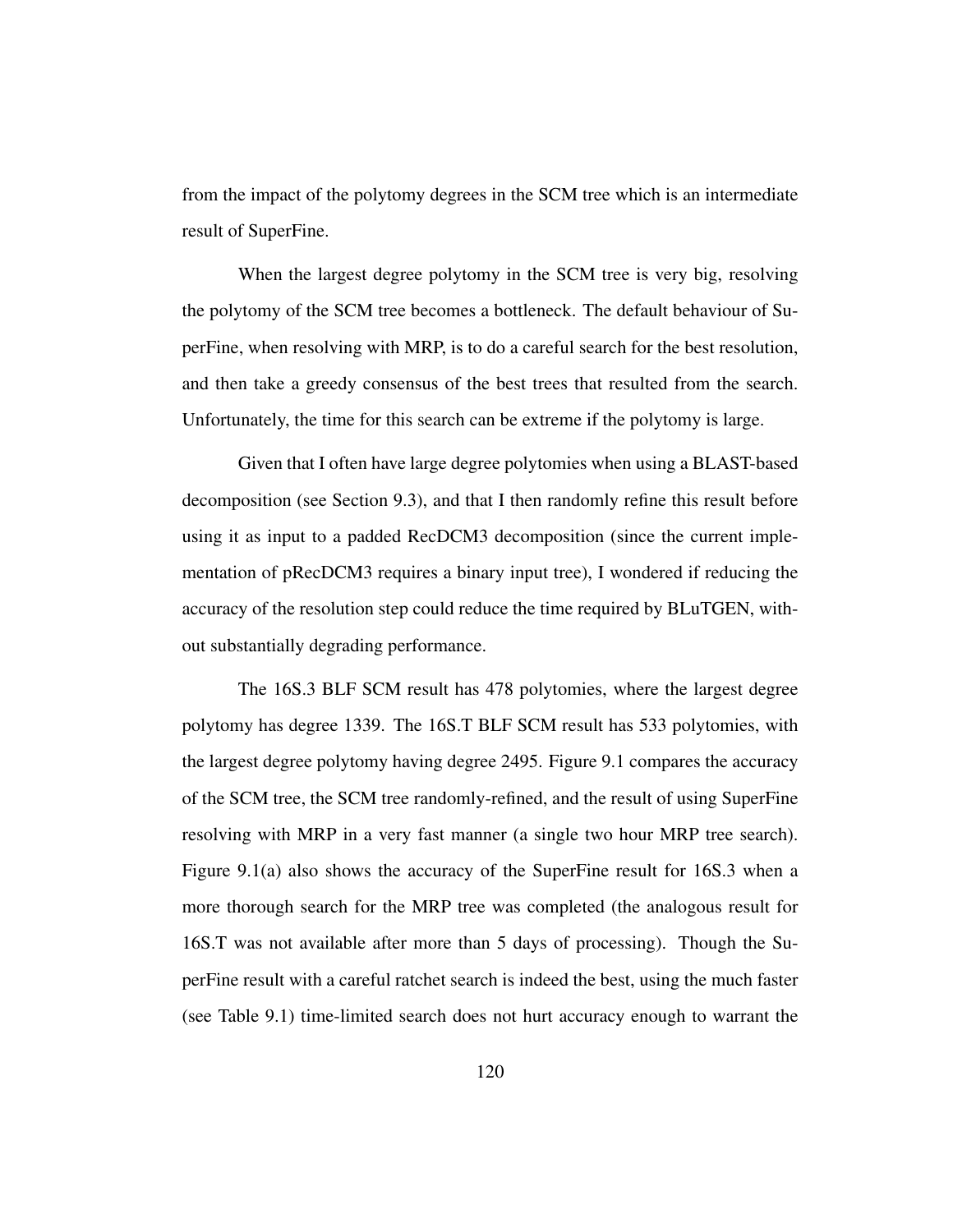from the impact of the polytomy degrees in the SCM tree which is an intermediate result of SuperFine.

When the largest degree polytomy in the SCM tree is very big, resolving the polytomy of the SCM tree becomes a bottleneck. The default behaviour of SuperFine, when resolving with MRP, is to do a careful search for the best resolution, and then take a greedy consensus of the best trees that resulted from the search. Unfortunately, the time for this search can be extreme if the polytomy is large.

Given that I often have large degree polytomies when using a BLAST-based decomposition (see Section 9.3), and that I then randomly refine this result before using it as input to a padded RecDCM3 decomposition (since the current implementation of pRecDCM3 requires a binary input tree), I wondered if reducing the accuracy of the resolution step could reduce the time required by BLuTGEN, without substantially degrading performance.

The 16S.3 BLF SCM result has 478 polytomies, where the largest degree polytomy has degree 1339. The 16S.T BLF SCM result has 533 polytomies, with the largest degree polytomy having degree 2495. Figure 9.1 compares the accuracy of the SCM tree, the SCM tree randomly-refined, and the result of using SuperFine resolving with MRP in a very fast manner (a single two hour MRP tree search). Figure 9.1(a) also shows the accuracy of the SuperFine result for 16S.3 when a more thorough search for the MRP tree was completed (the analogous result for 16S.T was not available after more than 5 days of processing). Though the SuperFine result with a careful ratchet search is indeed the best, using the much faster (see Table 9.1) time-limited search does not hurt accuracy enough to warrant the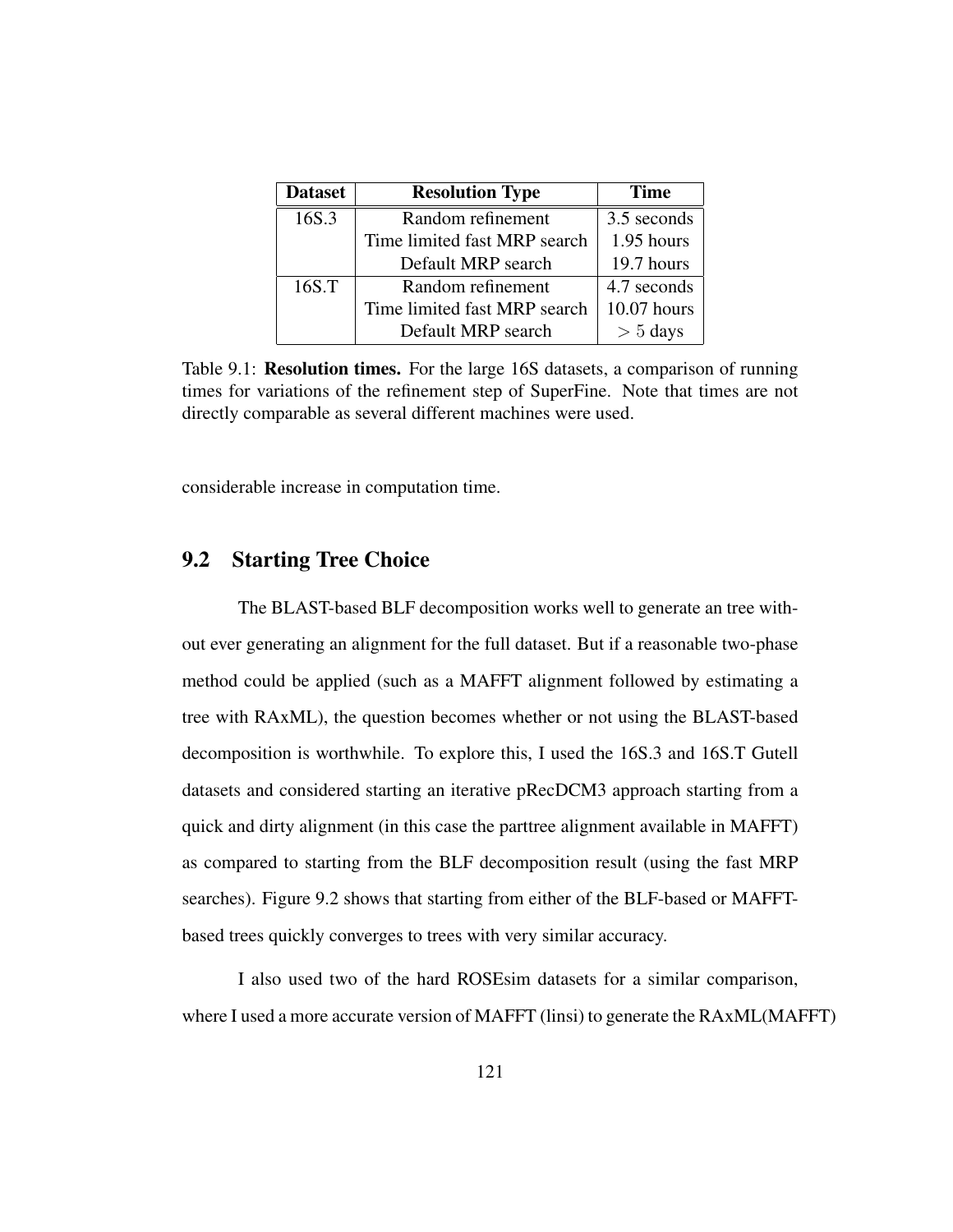| <b>Dataset</b> | <b>Resolution Type</b>       | <b>Time</b> |
|----------------|------------------------------|-------------|
| 16S.3          | Random refinement            | 3.5 seconds |
|                | Time limited fast MRP search | 1.95 hours  |
|                | Default MRP search           | 19.7 hours  |
| 16S.T          | Random refinement            | 4.7 seconds |
|                | Time limited fast MRP search | 10.07 hours |
|                | Default MRP search           | $> 5$ days  |

Table 9.1: Resolution times. For the large 16S datasets, a comparison of running times for variations of the refinement step of SuperFine. Note that times are not directly comparable as several different machines were used.

considerable increase in computation time.

## 9.2 Starting Tree Choice

The BLAST-based BLF decomposition works well to generate an tree without ever generating an alignment for the full dataset. But if a reasonable two-phase method could be applied (such as a MAFFT alignment followed by estimating a tree with RAxML), the question becomes whether or not using the BLAST-based decomposition is worthwhile. To explore this, I used the 16S.3 and 16S.T Gutell datasets and considered starting an iterative pRecDCM3 approach starting from a quick and dirty alignment (in this case the parttree alignment available in MAFFT) as compared to starting from the BLF decomposition result (using the fast MRP searches). Figure 9.2 shows that starting from either of the BLF-based or MAFFTbased trees quickly converges to trees with very similar accuracy.

I also used two of the hard ROSEsim datasets for a similar comparison, where I used a more accurate version of MAFFT (linsi) to generate the RAxML(MAFFT)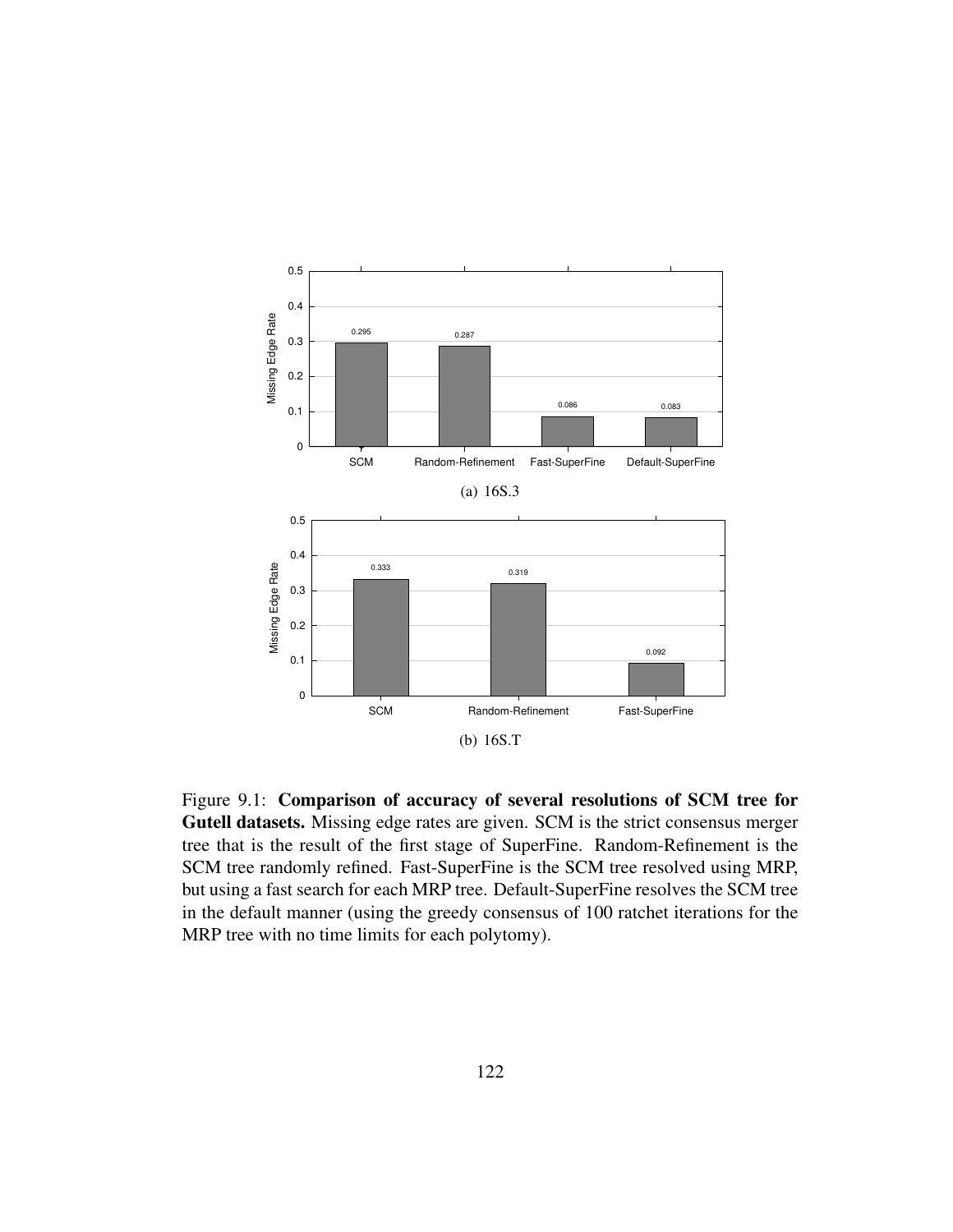

Figure 9.1: Comparison of accuracy of several resolutions of SCM tree for Gutell datasets. Missing edge rates are given. SCM is the strict consensus merger tree that is the result of the first stage of SuperFine. Random-Refinement is the SCM tree randomly refined. Fast-SuperFine is the SCM tree resolved using MRP, but using a fast search for each MRP tree. Default-SuperFine resolves the SCM tree in the default manner (using the greedy consensus of 100 ratchet iterations for the MRP tree with no time limits for each polytomy).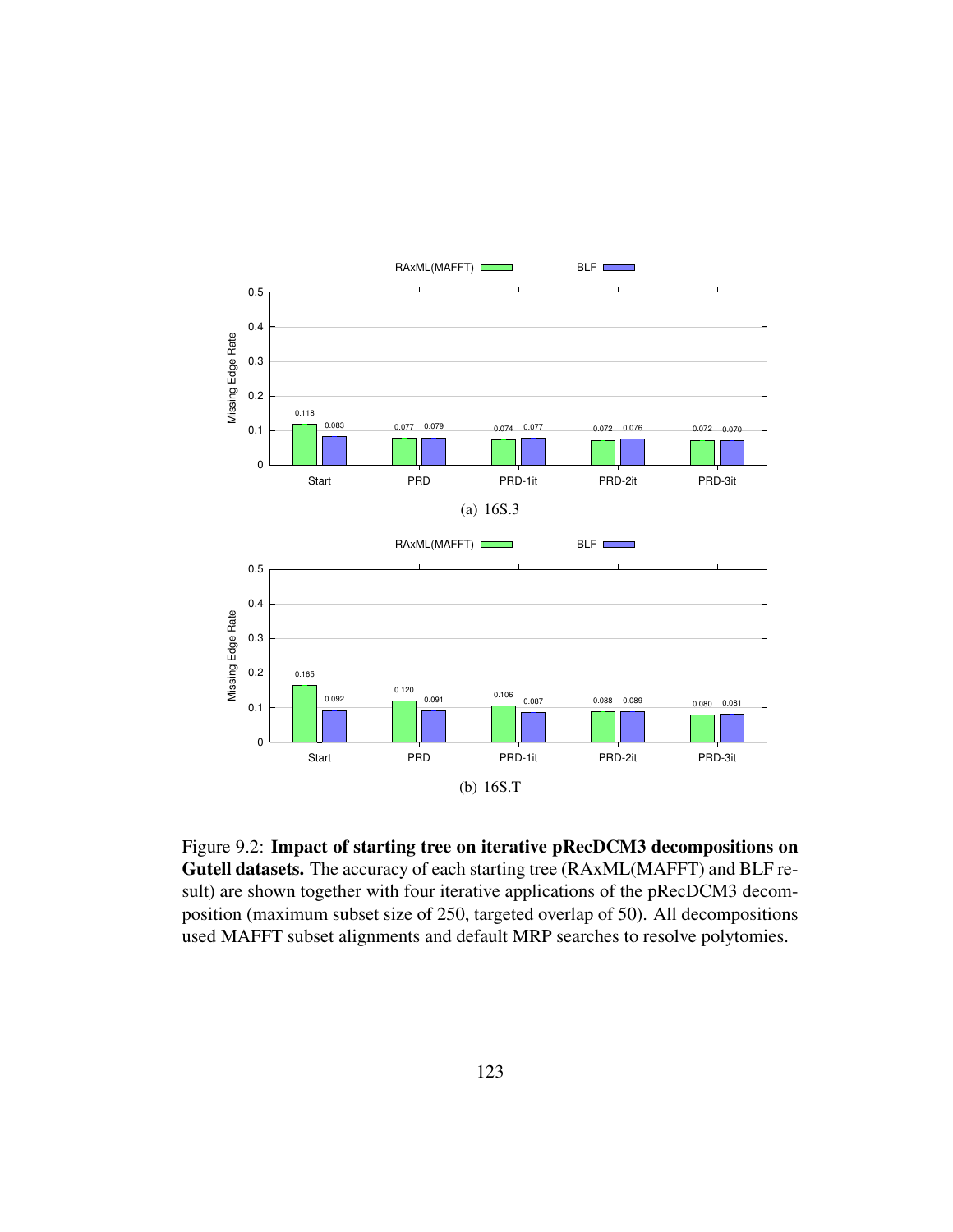

Figure 9.2: Impact of starting tree on iterative pRecDCM3 decompositions on Gutell datasets. The accuracy of each starting tree (RAxML(MAFFT) and BLF result) are shown together with four iterative applications of the pRecDCM3 decomposition (maximum subset size of 250, targeted overlap of 50). All decompositions used MAFFT subset alignments and default MRP searches to resolve polytomies.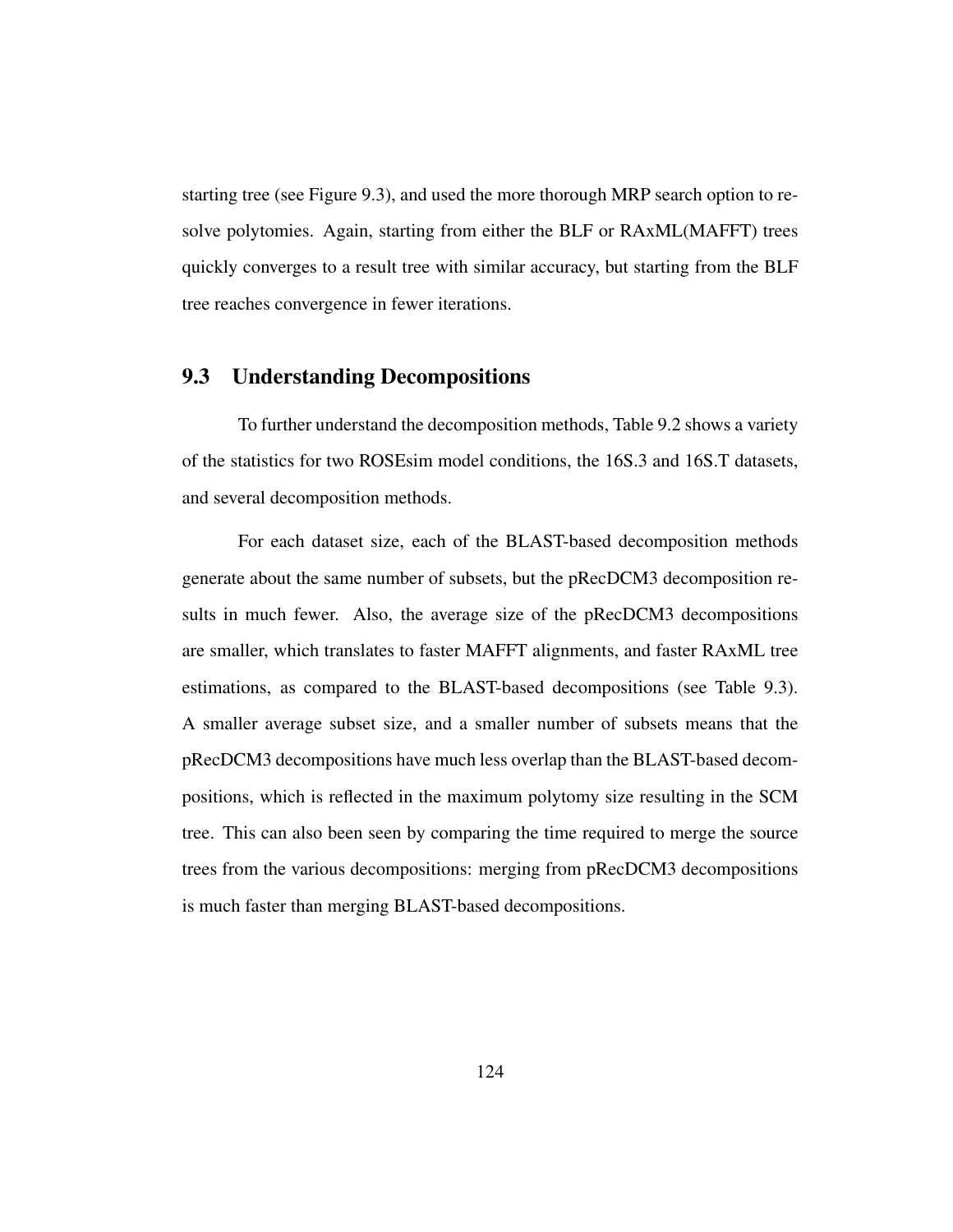starting tree (see Figure 9.3), and used the more thorough MRP search option to resolve polytomies. Again, starting from either the BLF or RAxML(MAFFT) trees quickly converges to a result tree with similar accuracy, but starting from the BLF tree reaches convergence in fewer iterations.

## 9.3 Understanding Decompositions

To further understand the decomposition methods, Table 9.2 shows a variety of the statistics for two ROSEsim model conditions, the 16S.3 and 16S.T datasets, and several decomposition methods.

For each dataset size, each of the BLAST-based decomposition methods generate about the same number of subsets, but the pRecDCM3 decomposition results in much fewer. Also, the average size of the pRecDCM3 decompositions are smaller, which translates to faster MAFFT alignments, and faster RAxML tree estimations, as compared to the BLAST-based decompositions (see Table 9.3). A smaller average subset size, and a smaller number of subsets means that the pRecDCM3 decompositions have much less overlap than the BLAST-based decompositions, which is reflected in the maximum polytomy size resulting in the SCM tree. This can also been seen by comparing the time required to merge the source trees from the various decompositions: merging from pRecDCM3 decompositions is much faster than merging BLAST-based decompositions.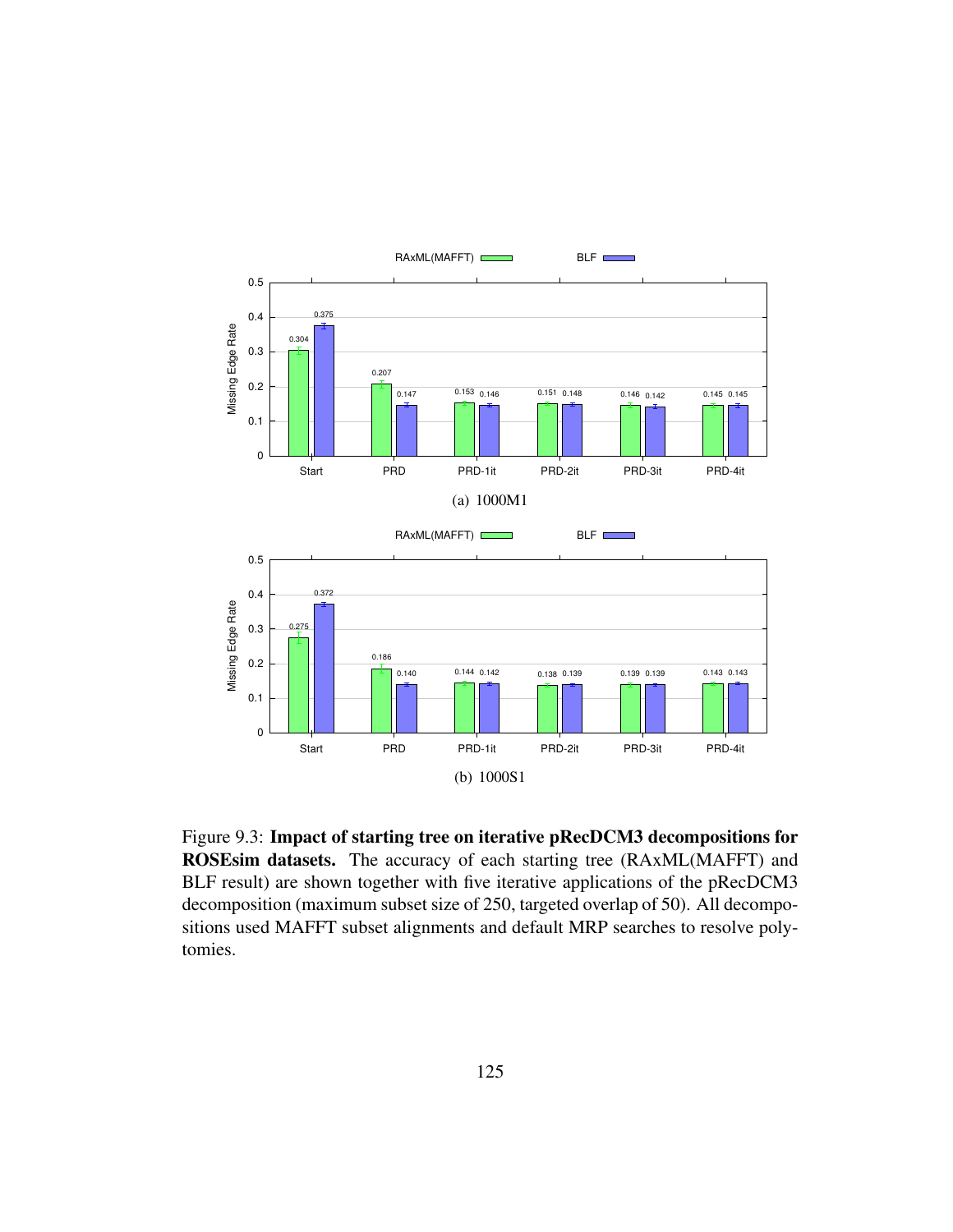

Figure 9.3: Impact of starting tree on iterative pRecDCM3 decompositions for ROSEsim datasets. The accuracy of each starting tree (RAxML(MAFFT) and BLF result) are shown together with five iterative applications of the pRecDCM3 decomposition (maximum subset size of 250, targeted overlap of 50). All decompositions used MAFFT subset alignments and default MRP searches to resolve polytomies.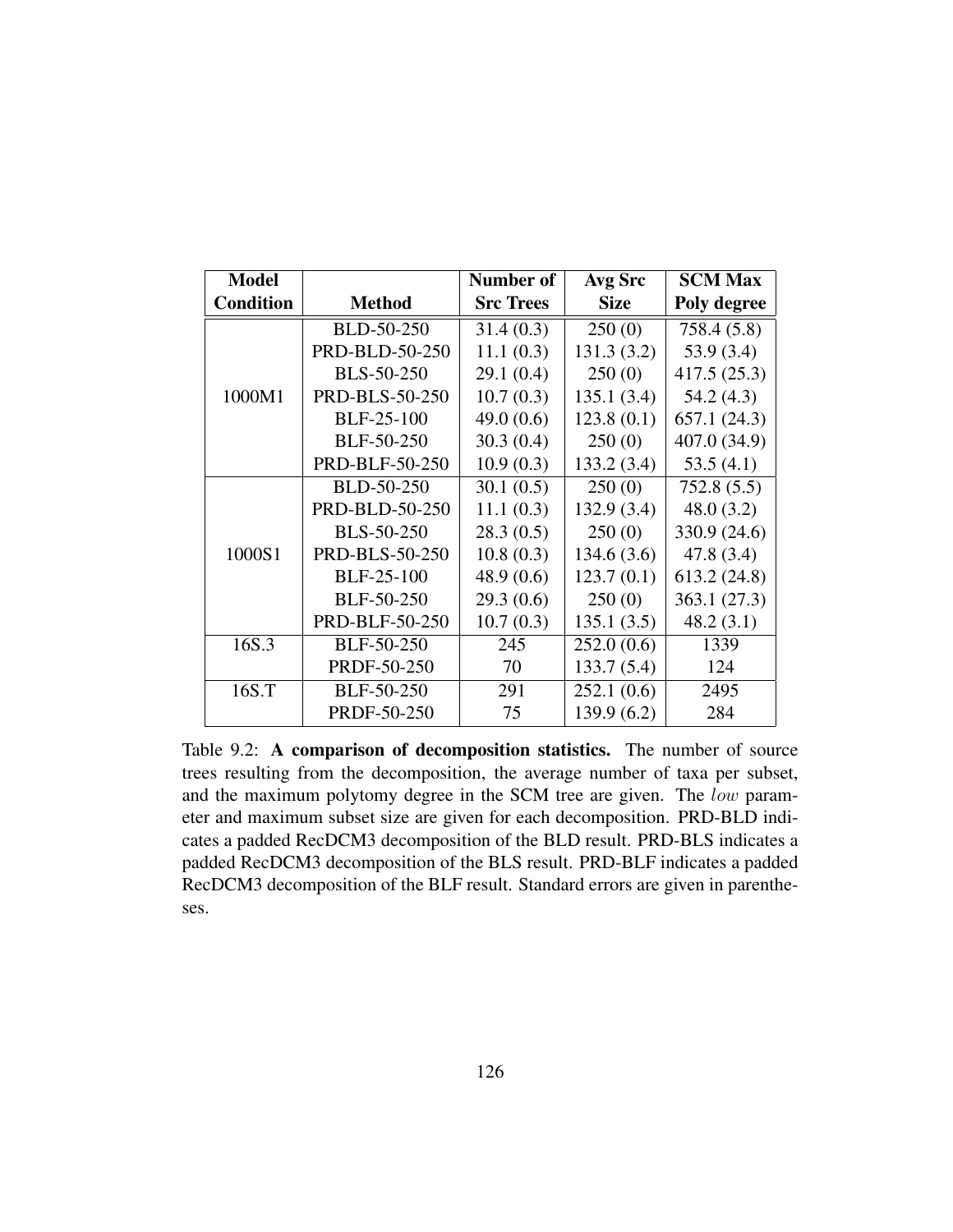| <b>Model</b>     |                       | Number of        | Avg Src     | <b>SCM Max</b> |
|------------------|-----------------------|------------------|-------------|----------------|
| <b>Condition</b> | <b>Method</b>         | <b>Src Trees</b> | <b>Size</b> | Poly degree    |
|                  | BLD-50-250            | 31.4(0.3)        | 250(0)      | 758.4 (5.8)    |
|                  | <b>PRD-BLD-50-250</b> | 11.1(0.3)        | 131.3(3.2)  | 53.9(3.4)      |
|                  | <b>BLS-50-250</b>     | 29.1(0.4)        | 250(0)      | 417.5(25.3)    |
| 1000M1           | <b>PRD-BLS-50-250</b> | 10.7(0.3)        | 135.1(3.4)  | 54.2(4.3)      |
|                  | <b>BLF-25-100</b>     | 49.0 $(0.6)$     | 123.8(0.1)  | 657.1(24.3)    |
|                  | BLF-50-250            | 30.3(0.4)        | 250(0)      | 407.0 (34.9)   |
|                  | <b>PRD-BLF-50-250</b> | 10.9(0.3)        | 133.2(3.4)  | 53.5(4.1)      |
|                  | BLD-50-250            | 30.1(0.5)        | 250(0)      | 752.8(5.5)     |
|                  | PRD-BLD-50-250        | 11.1(0.3)        | 132.9(3.4)  | 48.0(3.2)      |
|                  | <b>BLS-50-250</b>     | 28.3(0.5)        | 250(0)      | 330.9 (24.6)   |
| 1000S1           | <b>PRD-BLS-50-250</b> | 10.8(0.3)        | 134.6(3.6)  | 47.8(3.4)      |
|                  | <b>BLF-25-100</b>     | 48.9 (0.6)       | 123.7(0.1)  | 613.2 (24.8)   |
|                  | BLF-50-250            | 29.3(0.6)        | 250(0)      | 363.1 (27.3)   |
|                  | PRD-BLF-50-250        | 10.7(0.3)        | 135.1(3.5)  | 48.2(3.1)      |
| 16S.3            | BLF-50-250            | 245              | 252.0(0.6)  | 1339           |
|                  | PRDF-50-250           | 70               | 133.7(5.4)  | 124            |
| 16S.T            | BLF-50-250            | 291              | 252.1(0.6)  | 2495           |
|                  | PRDF-50-250           | 75               | 139.9(6.2)  | 284            |

Table 9.2: A comparison of decomposition statistics. The number of source trees resulting from the decomposition, the average number of taxa per subset, and the maximum polytomy degree in the SCM tree are given. The low parameter and maximum subset size are given for each decomposition. PRD-BLD indicates a padded RecDCM3 decomposition of the BLD result. PRD-BLS indicates a padded RecDCM3 decomposition of the BLS result. PRD-BLF indicates a padded RecDCM3 decomposition of the BLF result. Standard errors are given in parentheses.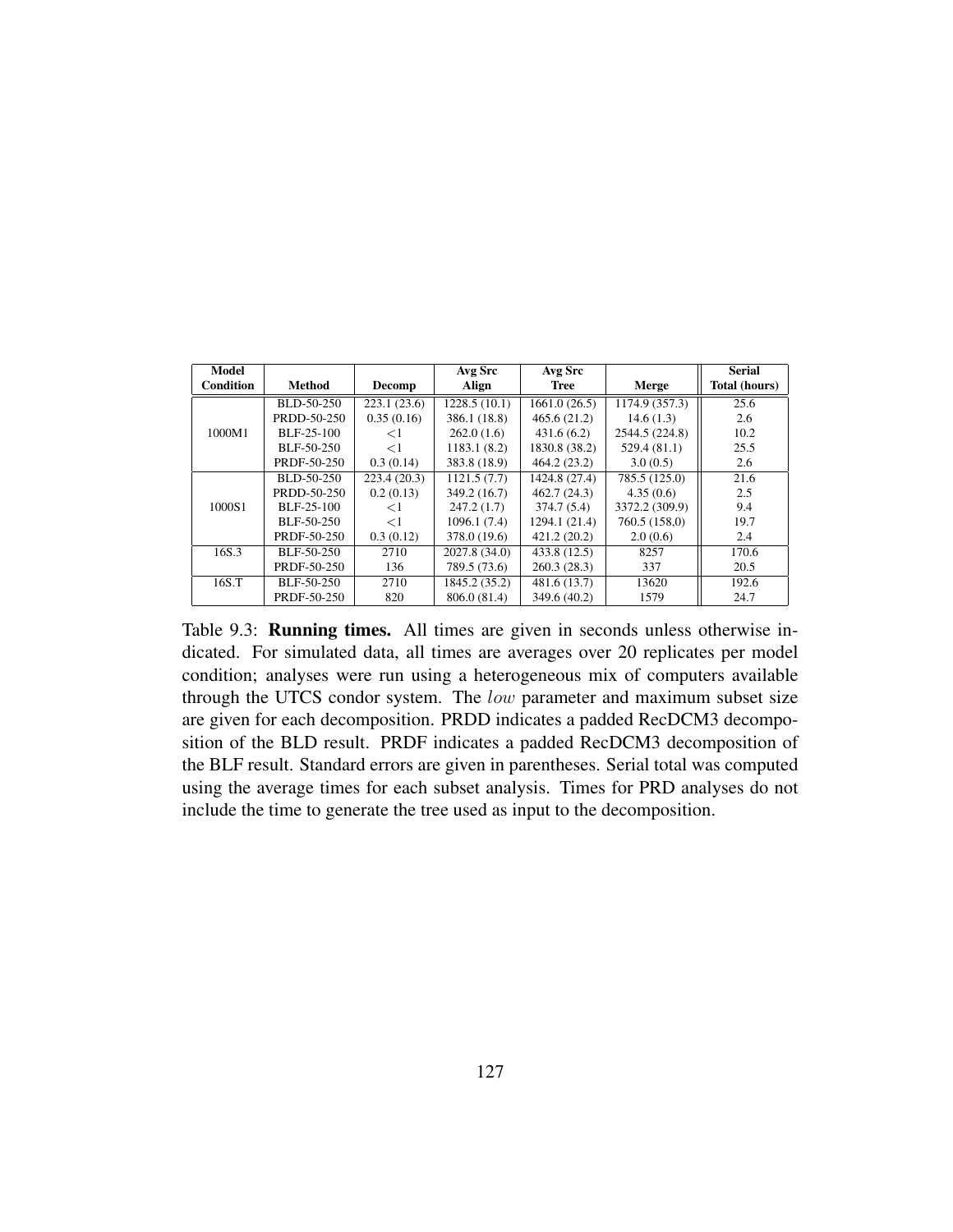| Model            |               |             | Avg Src       | Avg Src       |                | <b>Serial</b>        |
|------------------|---------------|-------------|---------------|---------------|----------------|----------------------|
| <b>Condition</b> | <b>Method</b> | Decomp      | Align         | <b>Tree</b>   | Merge          | <b>Total (hours)</b> |
|                  | BLD-50-250    | 223.1(23.6) | 1228.5(10.1)  | 1661.0(26.5)  | 1174.9 (357.3) | 25.6                 |
|                  | PRDD-50-250   | 0.35(0.16)  | 386.1 (18.8)  | 465.6(21.2)   | 14.6(1.3)      | 2.6                  |
| 1000M1           | BLF-25-100    | ${<}1$      | 262.0(1.6)    | 431.6(6.2)    | 2544.5 (224.8) | 10.2                 |
|                  | BLF-50-250    | $\leq$ 1    | 1183.1 (8.2)  | 1830.8 (38.2) | 529.4(81.1)    | 25.5                 |
|                  | PRDF-50-250   | 0.3(0.14)   | 383.8 (18.9)  | 464.2(23.2)   | 3.0(0.5)       | 2.6                  |
|                  | BLD-50-250    | 223.4(20.3) | 1121.5(7.7)   | 1424.8 (27.4) | 785.5 (125.0)  | 21.6                 |
|                  | PRDD-50-250   | 0.2(0.13)   | 349.2 (16.7)  | 462.7(24.3)   | 4.35(0.6)      | 2.5                  |
| 1000S1           | BLF-25-100    | $<$ 1       | 247.2(1.7)    | 374.7(5.4)    | 3372.2 (309.9) | 9.4                  |
|                  | BLF-50-250    | $\leq$ 1    | 1096.1 (7.4)  | 1294.1 (21.4) | 760.5 (158,0)  | 19.7                 |
|                  | PRDF-50-250   | 0.3(0.12)   | 378.0 (19.6)  | 421.2(20.2)   | 2.0(0.6)       | 2.4                  |
| 16S.3            | BLF-50-250    | 2710        | 2027.8 (34.0) | 433.8 (12.5)  | 8257           | 170.6                |
|                  | PRDF-50-250   | 136         | 789.5 (73.6)  | 260.3(28.3)   | 337            | 20.5                 |
| 16S.T            | BLF-50-250    | 2710        | 1845.2 (35.2) | 481.6 (13.7)  | 13620          | 192.6                |
|                  | PRDF-50-250   | 820         | 806.0 (81.4)  | 349.6 (40.2)  | 1579           | 24.7                 |

Table 9.3: Running times. All times are given in seconds unless otherwise indicated. For simulated data, all times are averages over 20 replicates per model condition; analyses were run using a heterogeneous mix of computers available through the UTCS condor system. The low parameter and maximum subset size are given for each decomposition. PRDD indicates a padded RecDCM3 decomposition of the BLD result. PRDF indicates a padded RecDCM3 decomposition of the BLF result. Standard errors are given in parentheses. Serial total was computed using the average times for each subset analysis. Times for PRD analyses do not include the time to generate the tree used as input to the decomposition.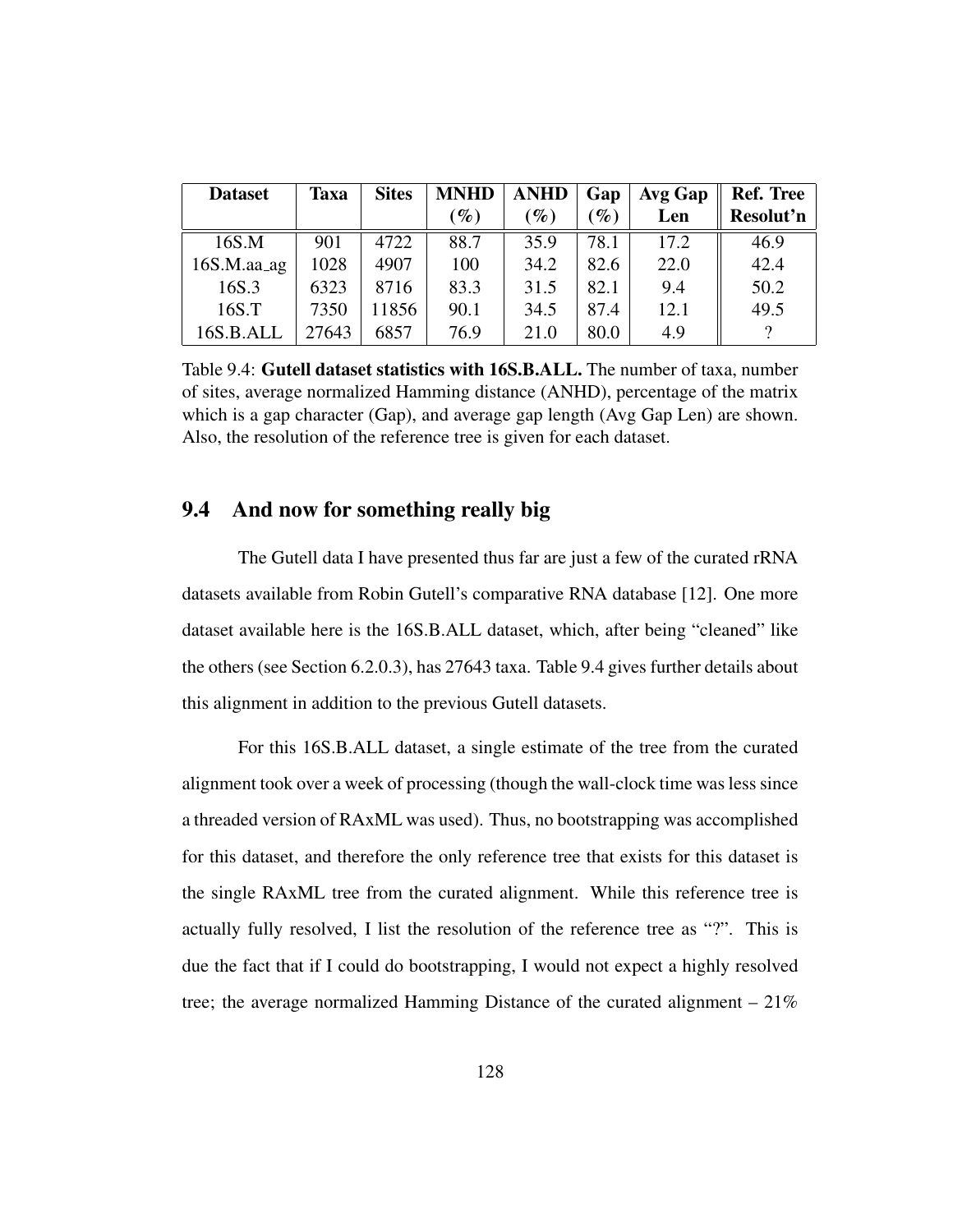| <b>Dataset</b> | <b>Taxa</b> | <b>Sites</b> | <b>MNHD</b>     | ANHD   | Gap             | Avg Gap | <b>Ref. Tree</b> |
|----------------|-------------|--------------|-----------------|--------|-----------------|---------|------------------|
|                |             |              | $\mathcal{G}_0$ | $(\%)$ | $\mathscr{G}_o$ | Len     | Resolut'n        |
| 16S.M          | 901         | 4722         | 88.7            | 35.9   | 78.1            | 17.2    | 46.9             |
| $16S.M.$ aa_ag | 1028        | 4907         | 100             | 34.2   | 82.6            | 22.0    | 42.4             |
| 16S.3          | 6323        | 8716         | 83.3            | 31.5   | 82.1            | 9.4     | 50.2             |
| 16S.T          | 7350        | 11856        | 90.1            | 34.5   | 87.4            | 12.1    | 49.5             |
| 16S.B.ALL      | 27643       | 6857         | 76.9            | 21.0   | 80.0            | 4.9     | $\Omega$         |

Table 9.4: Gutell dataset statistics with 16S.B.ALL. The number of taxa, number of sites, average normalized Hamming distance (ANHD), percentage of the matrix which is a gap character (Gap), and average gap length (Avg Gap Len) are shown. Also, the resolution of the reference tree is given for each dataset.

### 9.4 And now for something really big

The Gutell data I have presented thus far are just a few of the curated rRNA datasets available from Robin Gutell's comparative RNA database [12]. One more dataset available here is the 16S.B.ALL dataset, which, after being "cleaned" like the others (see Section 6.2.0.3), has 27643 taxa. Table 9.4 gives further details about this alignment in addition to the previous Gutell datasets.

For this 16S.B.ALL dataset, a single estimate of the tree from the curated alignment took over a week of processing (though the wall-clock time was less since a threaded version of RAxML was used). Thus, no bootstrapping was accomplished for this dataset, and therefore the only reference tree that exists for this dataset is the single RAxML tree from the curated alignment. While this reference tree is actually fully resolved, I list the resolution of the reference tree as "?". This is due the fact that if I could do bootstrapping, I would not expect a highly resolved tree; the average normalized Hamming Distance of the curated alignment – 21%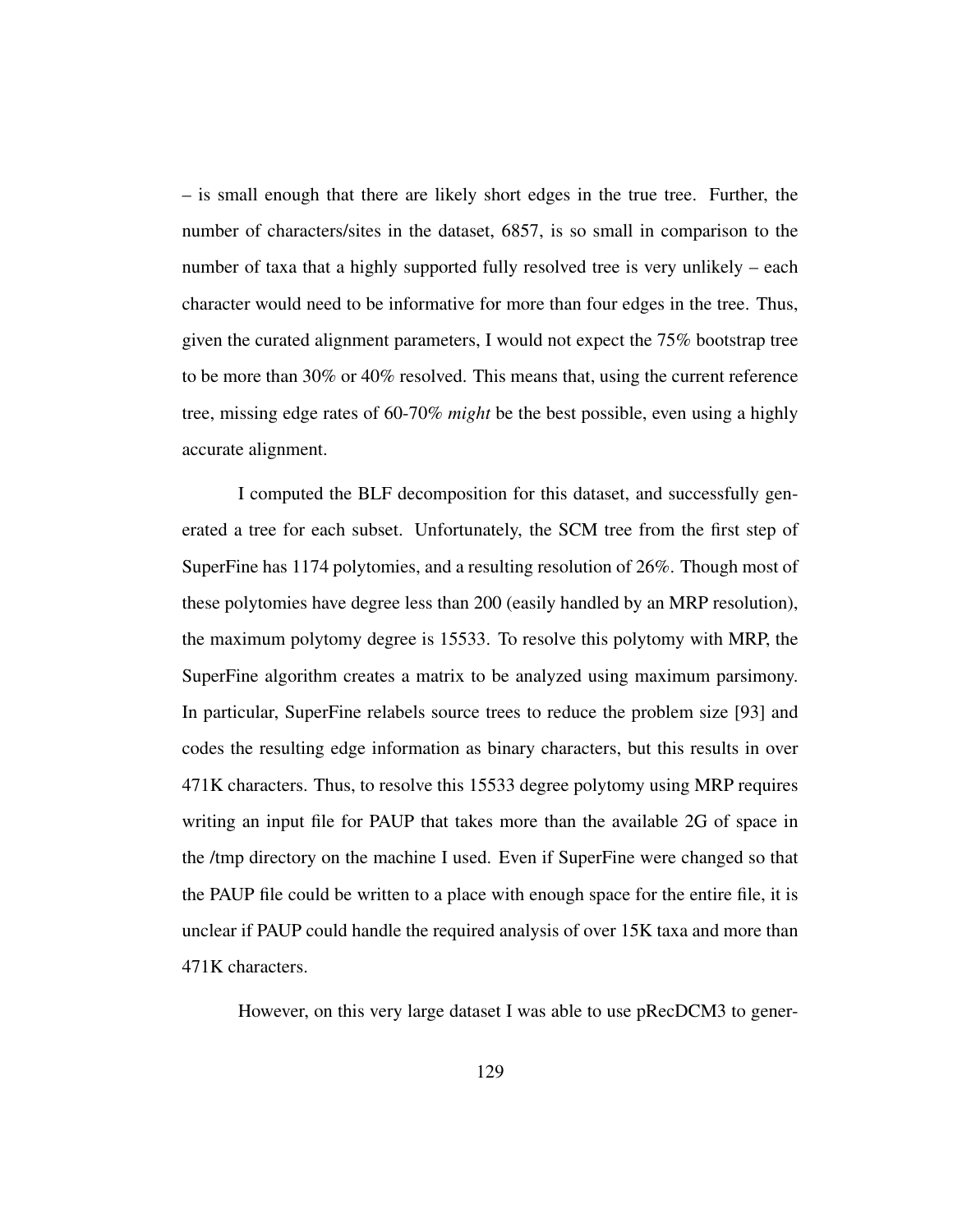– is small enough that there are likely short edges in the true tree. Further, the number of characters/sites in the dataset, 6857, is so small in comparison to the number of taxa that a highly supported fully resolved tree is very unlikely – each character would need to be informative for more than four edges in the tree. Thus, given the curated alignment parameters, I would not expect the 75% bootstrap tree to be more than 30% or 40% resolved. This means that, using the current reference tree, missing edge rates of 60-70% *might* be the best possible, even using a highly accurate alignment.

I computed the BLF decomposition for this dataset, and successfully generated a tree for each subset. Unfortunately, the SCM tree from the first step of SuperFine has 1174 polytomies, and a resulting resolution of 26%. Though most of these polytomies have degree less than 200 (easily handled by an MRP resolution), the maximum polytomy degree is 15533. To resolve this polytomy with MRP, the SuperFine algorithm creates a matrix to be analyzed using maximum parsimony. In particular, SuperFine relabels source trees to reduce the problem size [93] and codes the resulting edge information as binary characters, but this results in over 471K characters. Thus, to resolve this 15533 degree polytomy using MRP requires writing an input file for PAUP that takes more than the available 2G of space in the /tmp directory on the machine I used. Even if SuperFine were changed so that the PAUP file could be written to a place with enough space for the entire file, it is unclear if PAUP could handle the required analysis of over 15K taxa and more than 471K characters.

However, on this very large dataset I was able to use pRecDCM3 to gener-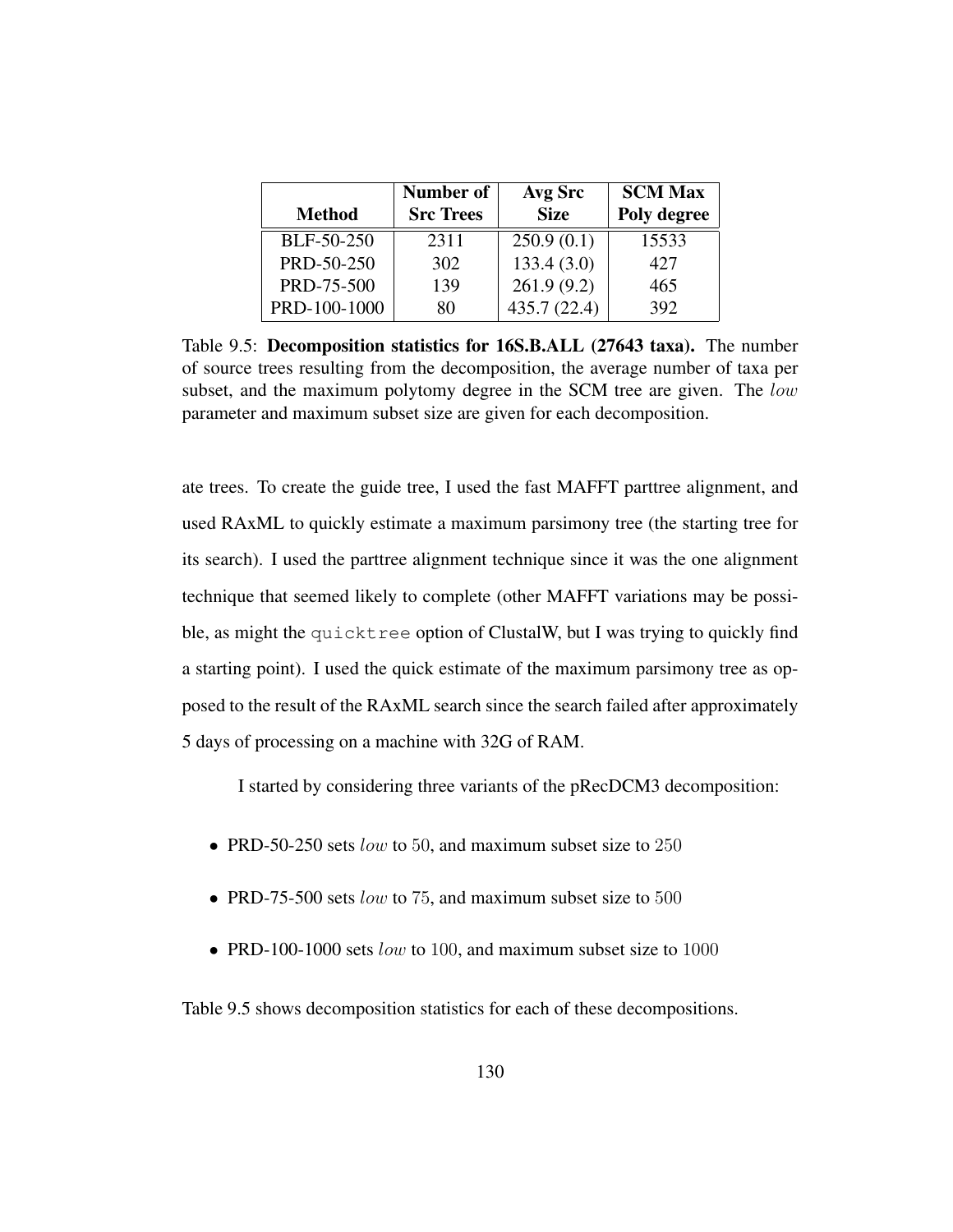|               | Number of        | Avg Src     | <b>SCM Max</b> |  |
|---------------|------------------|-------------|----------------|--|
| <b>Method</b> | <b>Src Trees</b> | <b>Size</b> | Poly degree    |  |
| BLF-50-250    | 2311             | 250.9(0.1)  | 15533          |  |
| PRD-50-250    | 302              | 133.4(3.0)  | 427            |  |
| PRD-75-500    | 139              | 261.9(9.2)  | 465            |  |
| PRD-100-1000  | 80               | 435.7(22.4) | 392            |  |

Table 9.5: Decomposition statistics for 16S.B.ALL (27643 taxa). The number of source trees resulting from the decomposition, the average number of taxa per subset, and the maximum polytomy degree in the SCM tree are given. The *low* parameter and maximum subset size are given for each decomposition.

ate trees. To create the guide tree, I used the fast MAFFT parttree alignment, and used RAxML to quickly estimate a maximum parsimony tree (the starting tree for its search). I used the parttree alignment technique since it was the one alignment technique that seemed likely to complete (other MAFFT variations may be possible, as might the quicktree option of ClustalW, but I was trying to quickly find a starting point). I used the quick estimate of the maximum parsimony tree as opposed to the result of the RAxML search since the search failed after approximately 5 days of processing on a machine with 32G of RAM.

I started by considering three variants of the pRecDCM3 decomposition:

- PRD-50-250 sets *low* to 50, and maximum subset size to  $250$
- PRD-75-500 sets low to 75, and maximum subset size to 500
- PRD-100-1000 sets low to 100, and maximum subset size to 1000

Table 9.5 shows decomposition statistics for each of these decompositions.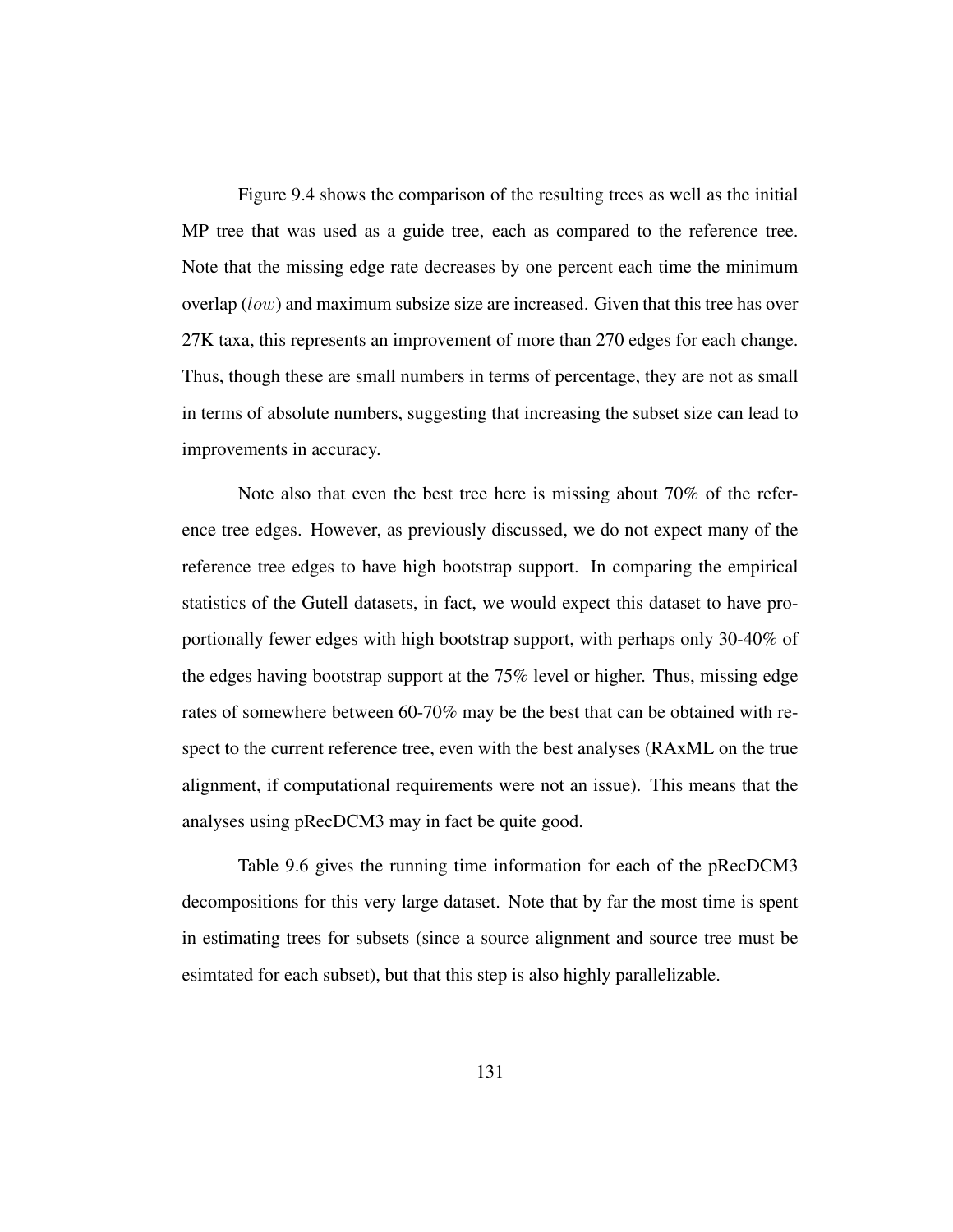Figure 9.4 shows the comparison of the resulting trees as well as the initial MP tree that was used as a guide tree, each as compared to the reference tree. Note that the missing edge rate decreases by one percent each time the minimum overlap ( $low$ ) and maximum subsize size are increased. Given that this tree has over 27K taxa, this represents an improvement of more than 270 edges for each change. Thus, though these are small numbers in terms of percentage, they are not as small in terms of absolute numbers, suggesting that increasing the subset size can lead to improvements in accuracy.

Note also that even the best tree here is missing about 70% of the reference tree edges. However, as previously discussed, we do not expect many of the reference tree edges to have high bootstrap support. In comparing the empirical statistics of the Gutell datasets, in fact, we would expect this dataset to have proportionally fewer edges with high bootstrap support, with perhaps only 30-40% of the edges having bootstrap support at the 75% level or higher. Thus, missing edge rates of somewhere between 60-70% may be the best that can be obtained with respect to the current reference tree, even with the best analyses (RAxML on the true alignment, if computational requirements were not an issue). This means that the analyses using pRecDCM3 may in fact be quite good.

Table 9.6 gives the running time information for each of the pRecDCM3 decompositions for this very large dataset. Note that by far the most time is spent in estimating trees for subsets (since a source alignment and source tree must be esimtated for each subset), but that this step is also highly parallelizable.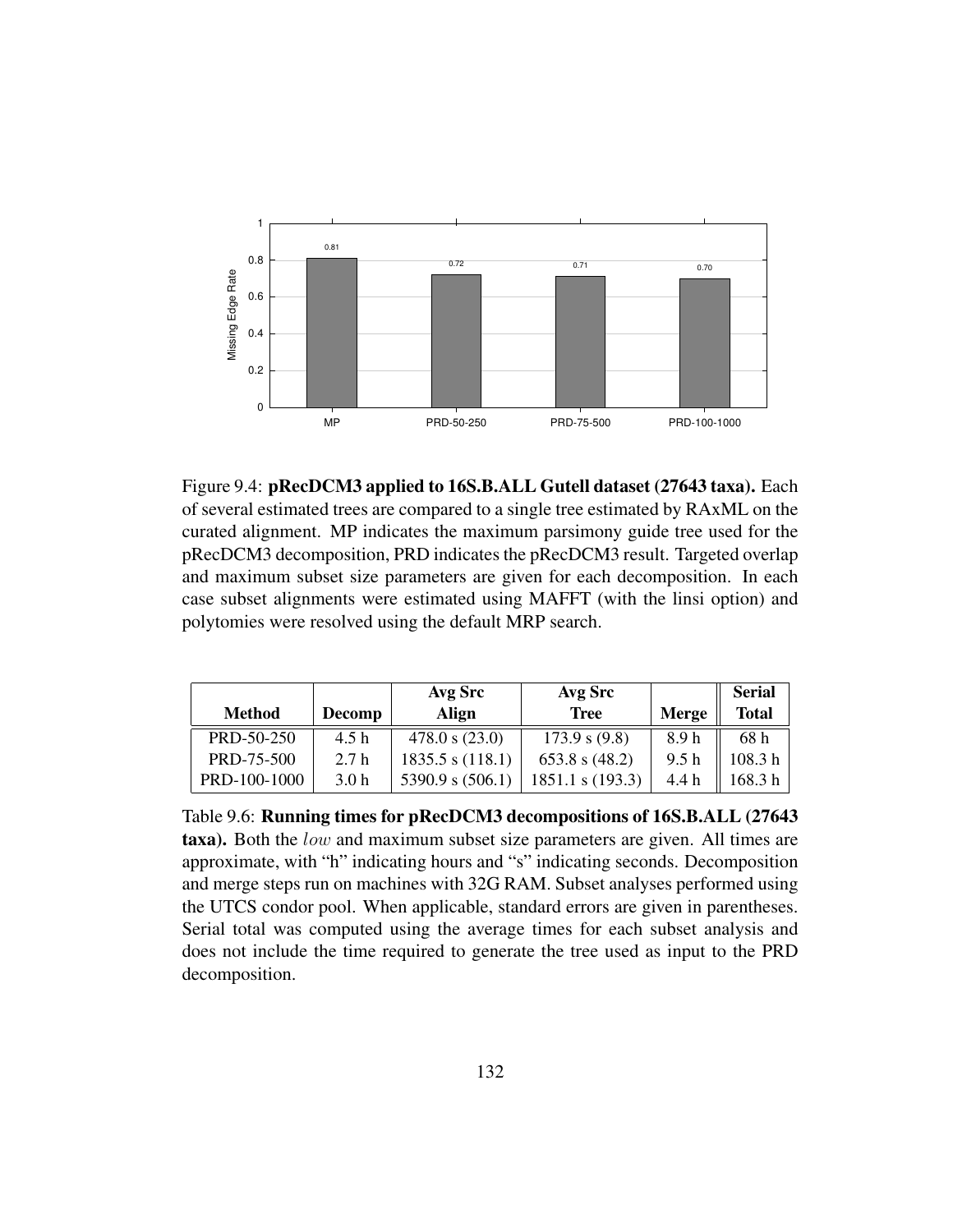

Figure 9.4: pRecDCM3 applied to 16S.B.ALL Gutell dataset (27643 taxa). Each of several estimated trees are compared to a single tree estimated by RAxML on the curated alignment. MP indicates the maximum parsimony guide tree used for the pRecDCM3 decomposition, PRD indicates the pRecDCM3 result. Targeted overlap and maximum subset size parameters are given for each decomposition. In each case subset alignments were estimated using MAFFT (with the linsi option) and polytomies were resolved using the default MRP search.

|               |                  | Avg Src          | Avg Src          |       | <b>Serial</b> |
|---------------|------------------|------------------|------------------|-------|---------------|
| <b>Method</b> | Decomp           | Align            | <b>Tree</b>      | Merge | <b>Total</b>  |
| PRD-50-250    | 4.5h             | 478.0 s (23.0)   | 173.9 s $(9.8)$  | 8.9h  | 68 h          |
| PRD-75-500    | 2.7h             | 1835.5 s (118.1) | 653.8 s $(48.2)$ | 9.5h  | 108.3h        |
| PRD-100-1000  | 3.0 <sub>h</sub> | 5390.9 s (506.1) | s(193.3)         | 4.4 h | 168.3 h       |

Table 9.6: Running times for pRecDCM3 decompositions of 16S.B.ALL (27643 taxa). Both the low and maximum subset size parameters are given. All times are approximate, with "h" indicating hours and "s" indicating seconds. Decomposition and merge steps run on machines with 32G RAM. Subset analyses performed using the UTCS condor pool. When applicable, standard errors are given in parentheses. Serial total was computed using the average times for each subset analysis and does not include the time required to generate the tree used as input to the PRD decomposition.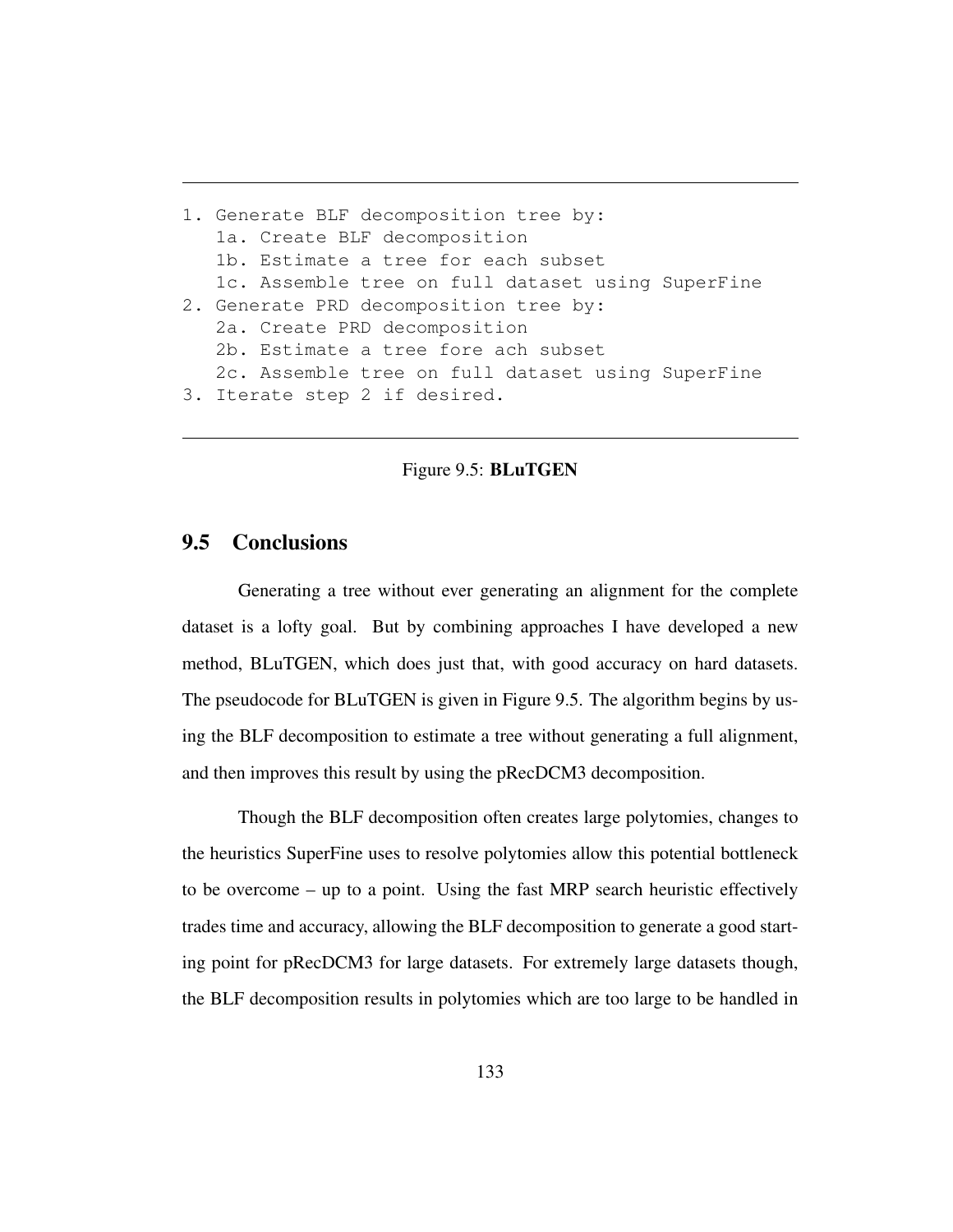```
1. Generate BLF decomposition tree by:
   1a. Create BLF decomposition
  1b. Estimate a tree for each subset
   1c. Assemble tree on full dataset using SuperFine
2. Generate PRD decomposition tree by:
   2a. Create PRD decomposition
   2b. Estimate a tree fore ach subset
  2c. Assemble tree on full dataset using SuperFine
3. Iterate step 2 if desired.
```
#### Figure 9.5: BLuTGEN

## 9.5 Conclusions

Generating a tree without ever generating an alignment for the complete dataset is a lofty goal. But by combining approaches I have developed a new method, BLuTGEN, which does just that, with good accuracy on hard datasets. The pseudocode for BLuTGEN is given in Figure 9.5. The algorithm begins by using the BLF decomposition to estimate a tree without generating a full alignment, and then improves this result by using the pRecDCM3 decomposition.

Though the BLF decomposition often creates large polytomies, changes to the heuristics SuperFine uses to resolve polytomies allow this potential bottleneck to be overcome – up to a point. Using the fast MRP search heuristic effectively trades time and accuracy, allowing the BLF decomposition to generate a good starting point for pRecDCM3 for large datasets. For extremely large datasets though, the BLF decomposition results in polytomies which are too large to be handled in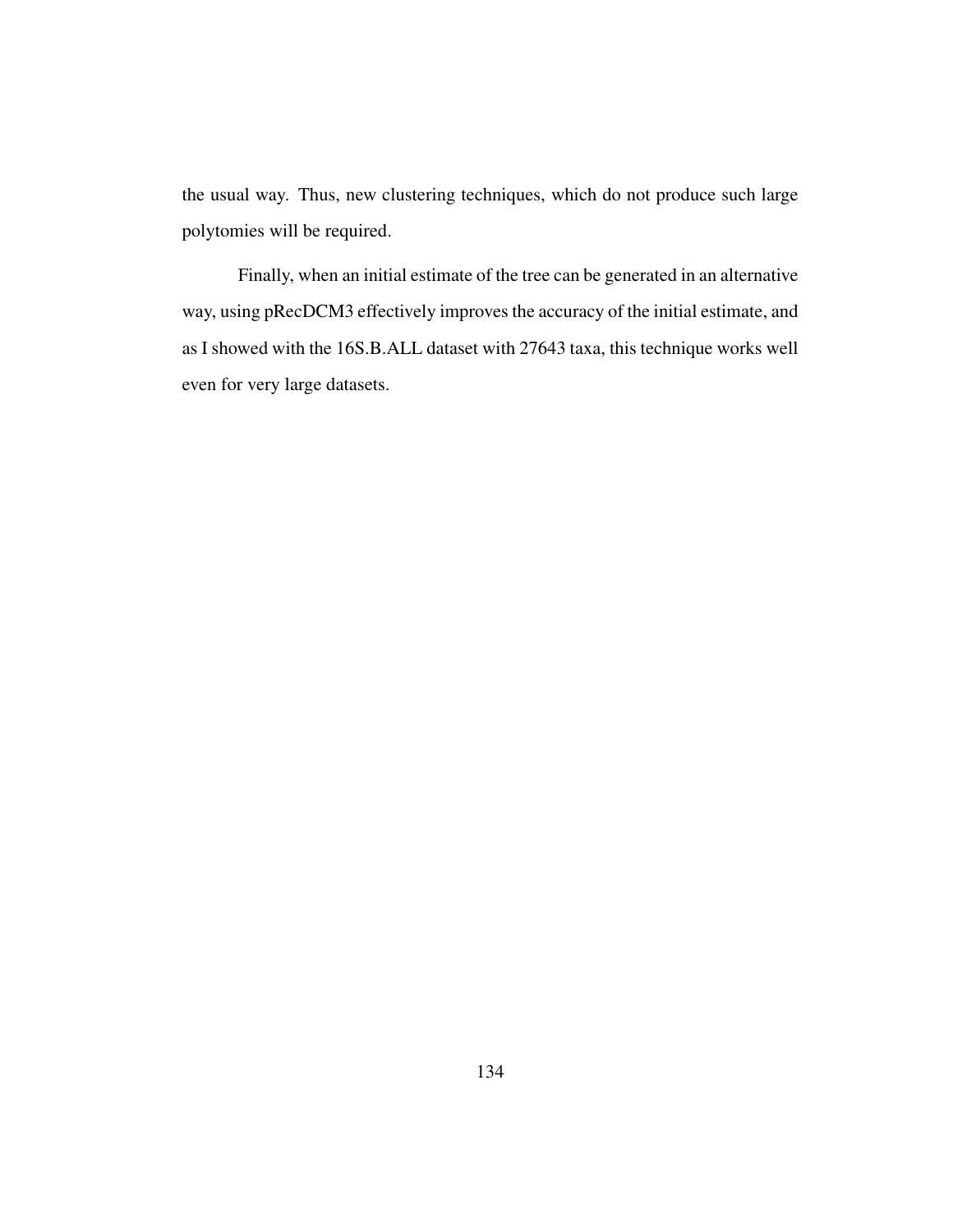the usual way. Thus, new clustering techniques, which do not produce such large polytomies will be required.

Finally, when an initial estimate of the tree can be generated in an alternative way, using pRecDCM3 effectively improves the accuracy of the initial estimate, and as I showed with the 16S.B.ALL dataset with 27643 taxa, this technique works well even for very large datasets.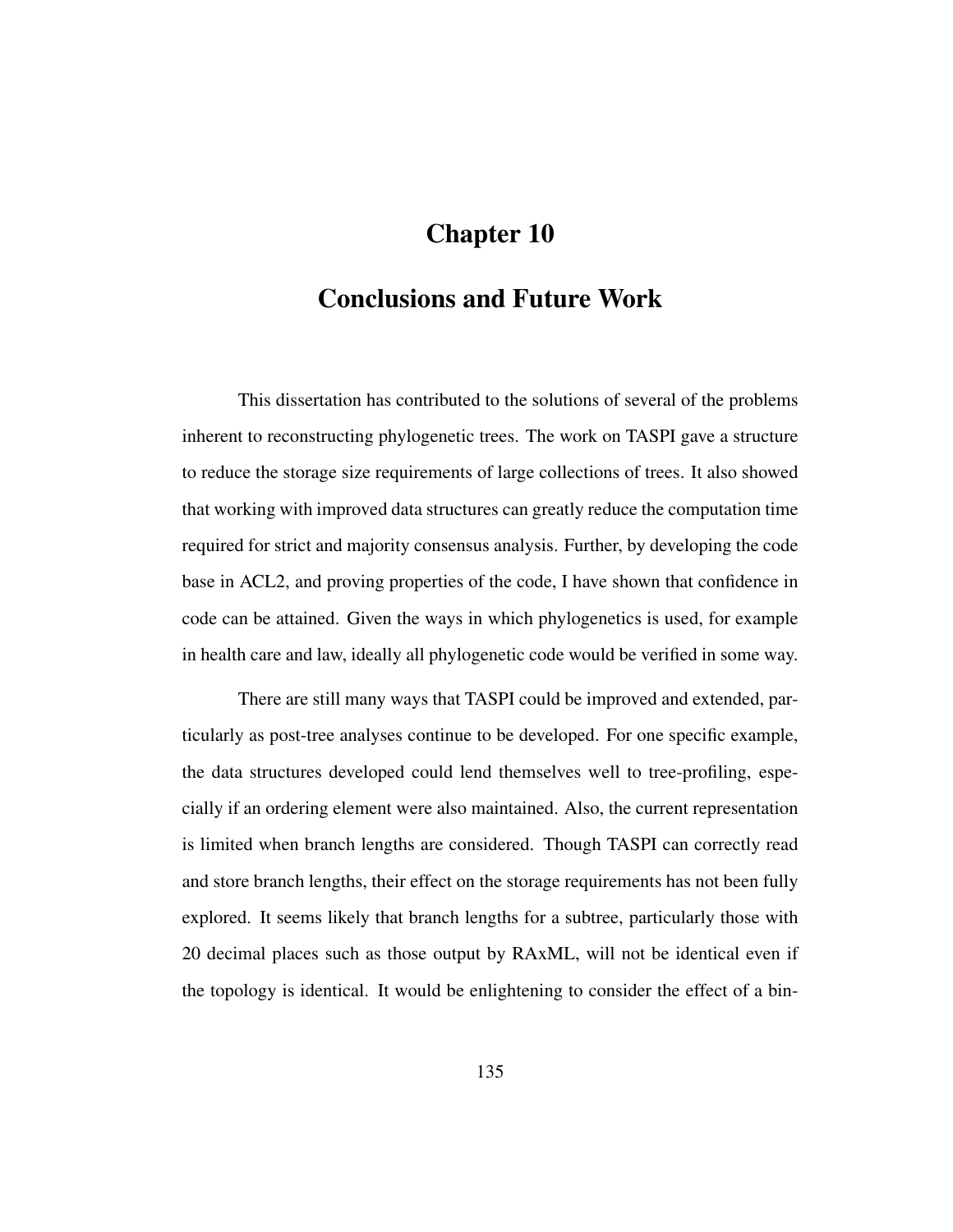# Chapter 10

# Conclusions and Future Work

This dissertation has contributed to the solutions of several of the problems inherent to reconstructing phylogenetic trees. The work on TASPI gave a structure to reduce the storage size requirements of large collections of trees. It also showed that working with improved data structures can greatly reduce the computation time required for strict and majority consensus analysis. Further, by developing the code base in ACL2, and proving properties of the code, I have shown that confidence in code can be attained. Given the ways in which phylogenetics is used, for example in health care and law, ideally all phylogenetic code would be verified in some way.

There are still many ways that TASPI could be improved and extended, particularly as post-tree analyses continue to be developed. For one specific example, the data structures developed could lend themselves well to tree-profiling, especially if an ordering element were also maintained. Also, the current representation is limited when branch lengths are considered. Though TASPI can correctly read and store branch lengths, their effect on the storage requirements has not been fully explored. It seems likely that branch lengths for a subtree, particularly those with 20 decimal places such as those output by RAxML, will not be identical even if the topology is identical. It would be enlightening to consider the effect of a bin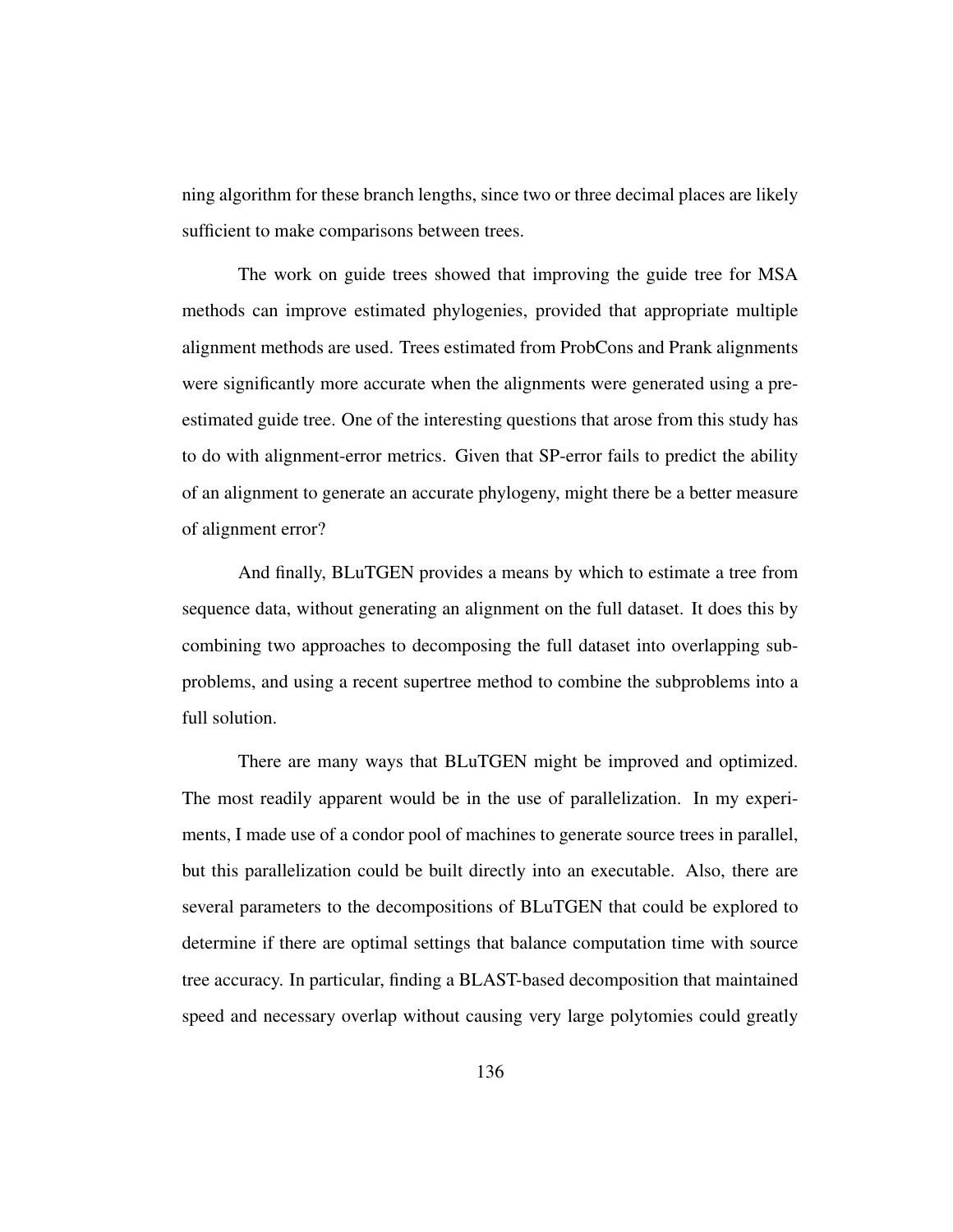ning algorithm for these branch lengths, since two or three decimal places are likely sufficient to make comparisons between trees.

The work on guide trees showed that improving the guide tree for MSA methods can improve estimated phylogenies, provided that appropriate multiple alignment methods are used. Trees estimated from ProbCons and Prank alignments were significantly more accurate when the alignments were generated using a preestimated guide tree. One of the interesting questions that arose from this study has to do with alignment-error metrics. Given that SP-error fails to predict the ability of an alignment to generate an accurate phylogeny, might there be a better measure of alignment error?

And finally, BLuTGEN provides a means by which to estimate a tree from sequence data, without generating an alignment on the full dataset. It does this by combining two approaches to decomposing the full dataset into overlapping subproblems, and using a recent supertree method to combine the subproblems into a full solution.

There are many ways that BLuTGEN might be improved and optimized. The most readily apparent would be in the use of parallelization. In my experiments, I made use of a condor pool of machines to generate source trees in parallel, but this parallelization could be built directly into an executable. Also, there are several parameters to the decompositions of BLuTGEN that could be explored to determine if there are optimal settings that balance computation time with source tree accuracy. In particular, finding a BLAST-based decomposition that maintained speed and necessary overlap without causing very large polytomies could greatly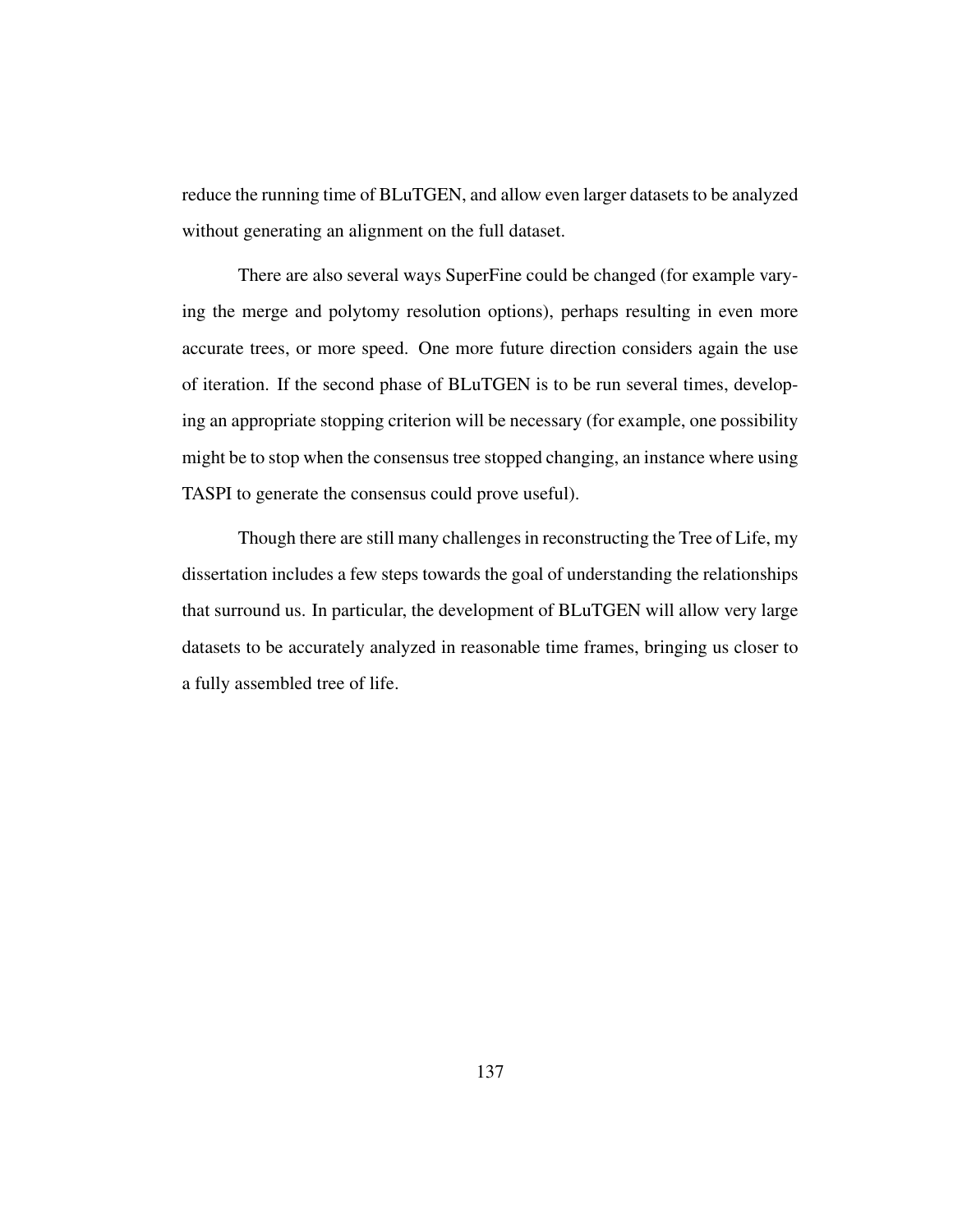reduce the running time of BLuTGEN, and allow even larger datasets to be analyzed without generating an alignment on the full dataset.

There are also several ways SuperFine could be changed (for example varying the merge and polytomy resolution options), perhaps resulting in even more accurate trees, or more speed. One more future direction considers again the use of iteration. If the second phase of BLuTGEN is to be run several times, developing an appropriate stopping criterion will be necessary (for example, one possibility might be to stop when the consensus tree stopped changing, an instance where using TASPI to generate the consensus could prove useful).

Though there are still many challenges in reconstructing the Tree of Life, my dissertation includes a few steps towards the goal of understanding the relationships that surround us. In particular, the development of BLuTGEN will allow very large datasets to be accurately analyzed in reasonable time frames, bringing us closer to a fully assembled tree of life.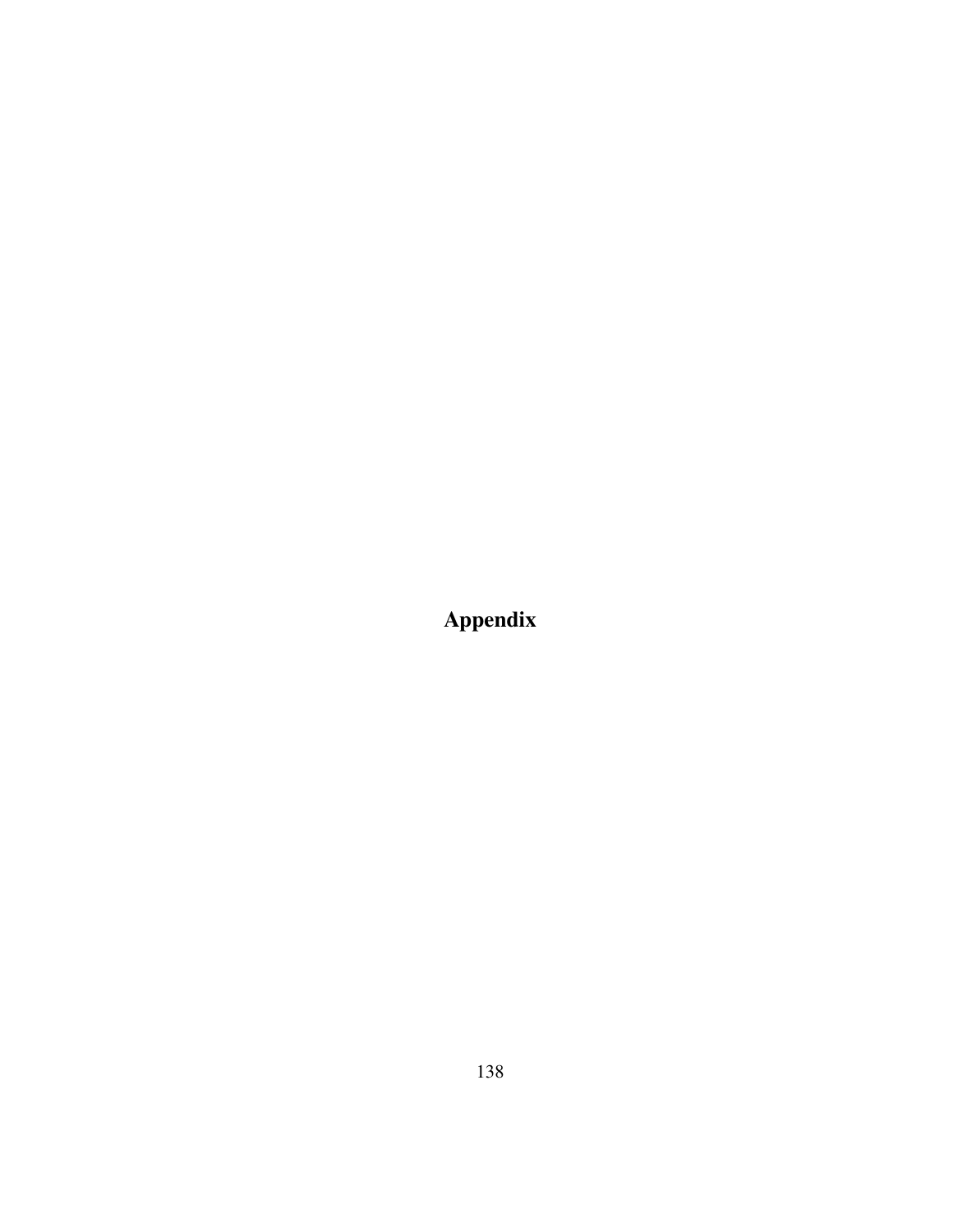Appendix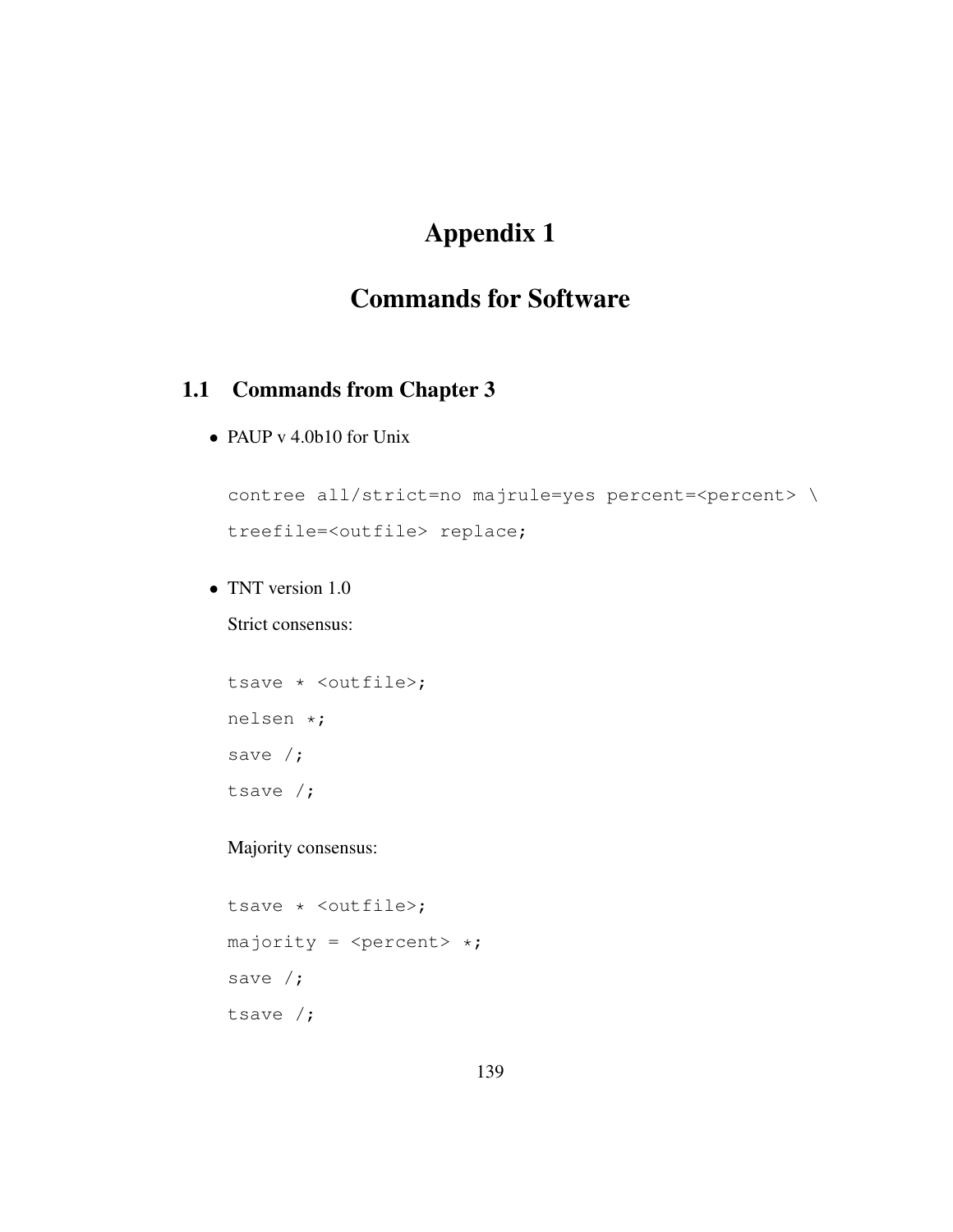# Appendix 1

# Commands for Software

## 1.1 Commands from Chapter 3

• PAUP v 4.0b10 for Unix

```
contree all/strict=no majrule=yes percent=<percent> \
treefile=<outfile> replace;
```
• TNT version 1.0

Strict consensus:

```
tsave * <outfile>;
nelsen *;
save /;
tsave /;
```
Majority consensus:

```
tsave * <outfile>;
majority = \langlepercent> *;
save /;
tsave /;
```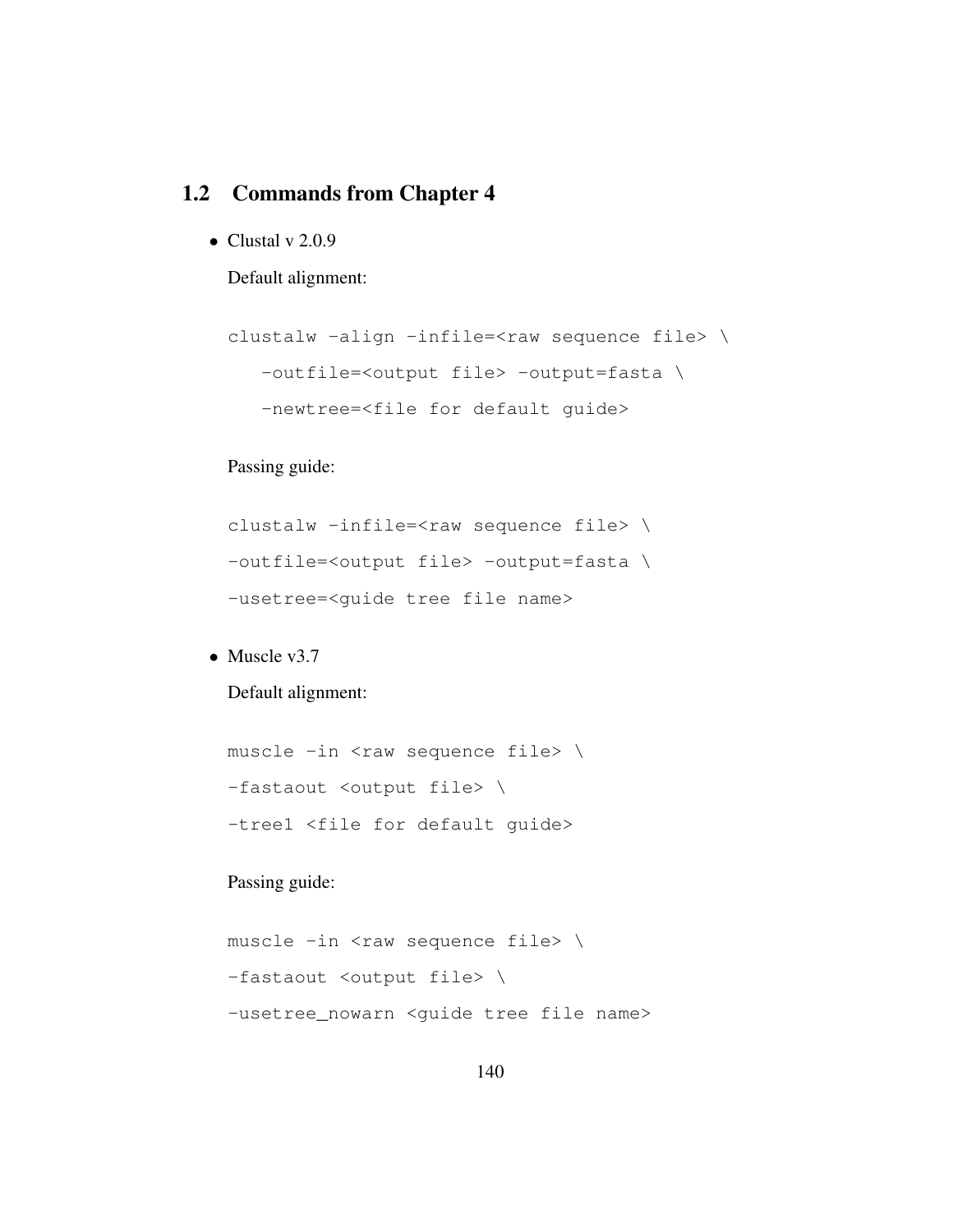## 1.2 Commands from Chapter 4

• Clustal v  $2.0.9$ 

Default alignment:

```
clustalw -align -infile=<raw sequence file> \
  -outfile=<output file> -output=fasta \
  -newtree=<file for default guide>
```
Passing guide:

```
clustalw -infile=<raw sequence file> \
-outfile=<output file> -output=fasta \
-usetree=<guide tree file name>
```
• Muscle v3.7

Default alignment:

```
muscle -in <raw sequence file> \
-fastaout <output file> \
-tree1 <file for default guide>
```
Passing guide:

```
muscle -in <raw sequence file> \
-fastaout <output file> \
-usetree_nowarn <guide tree file name>
```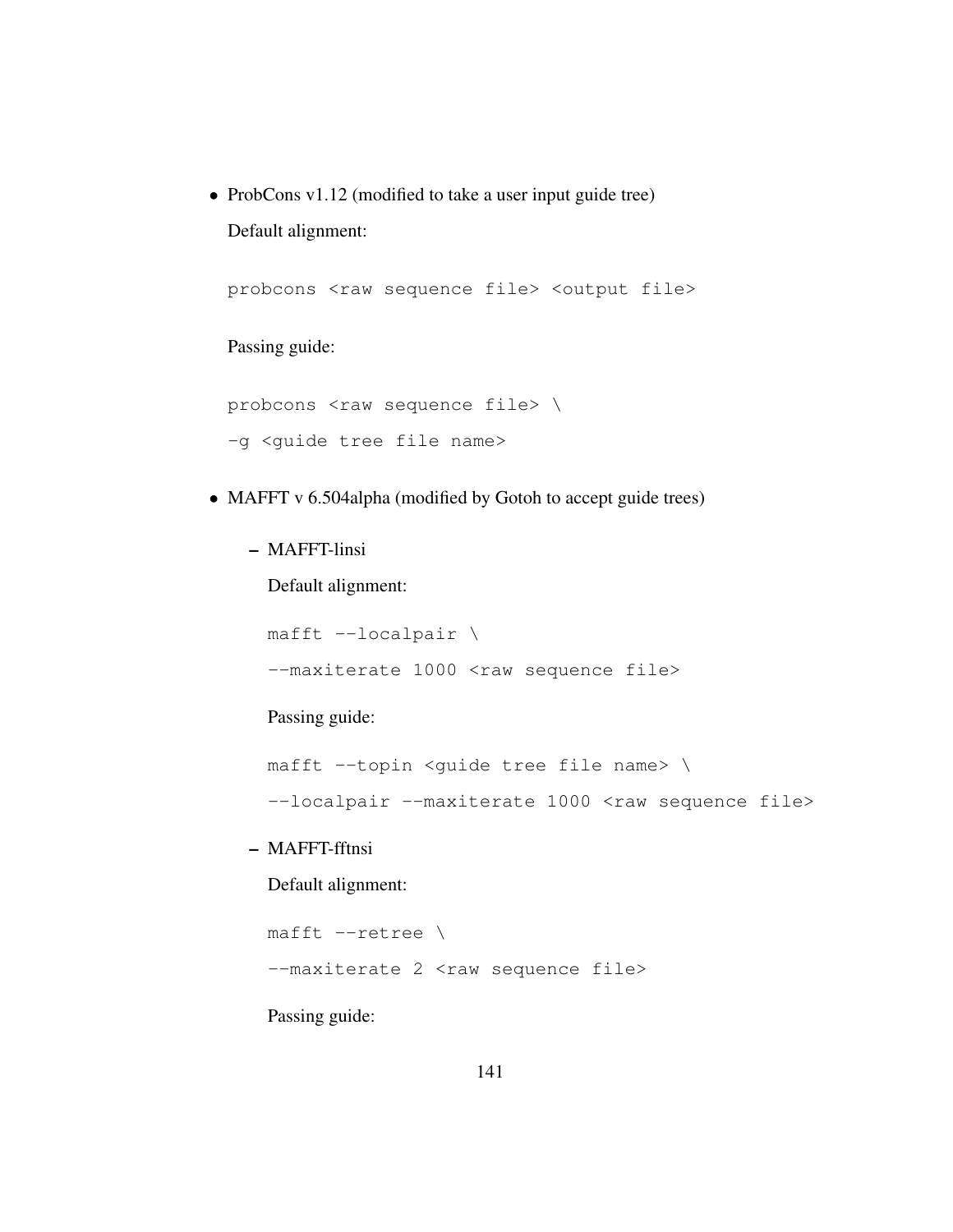• ProbCons v1.12 (modified to take a user input guide tree) Default alignment:

probcons <raw sequence file> <output file>

Passing guide:

probcons <raw sequence file> \ -g <guide tree file name>

- MAFFT v 6.504alpha (modified by Gotoh to accept guide trees)
	- MAFFT-linsi

Default alignment:

mafft --localpair \ --maxiterate 1000 <raw sequence file>

Passing guide:

mafft --topin <guide tree file name> \

--localpair --maxiterate 1000 <raw sequence file>

– MAFFT-fftnsi

Default alignment:

```
mafft --retree \
```
--maxiterate 2 <raw sequence file>

Passing guide: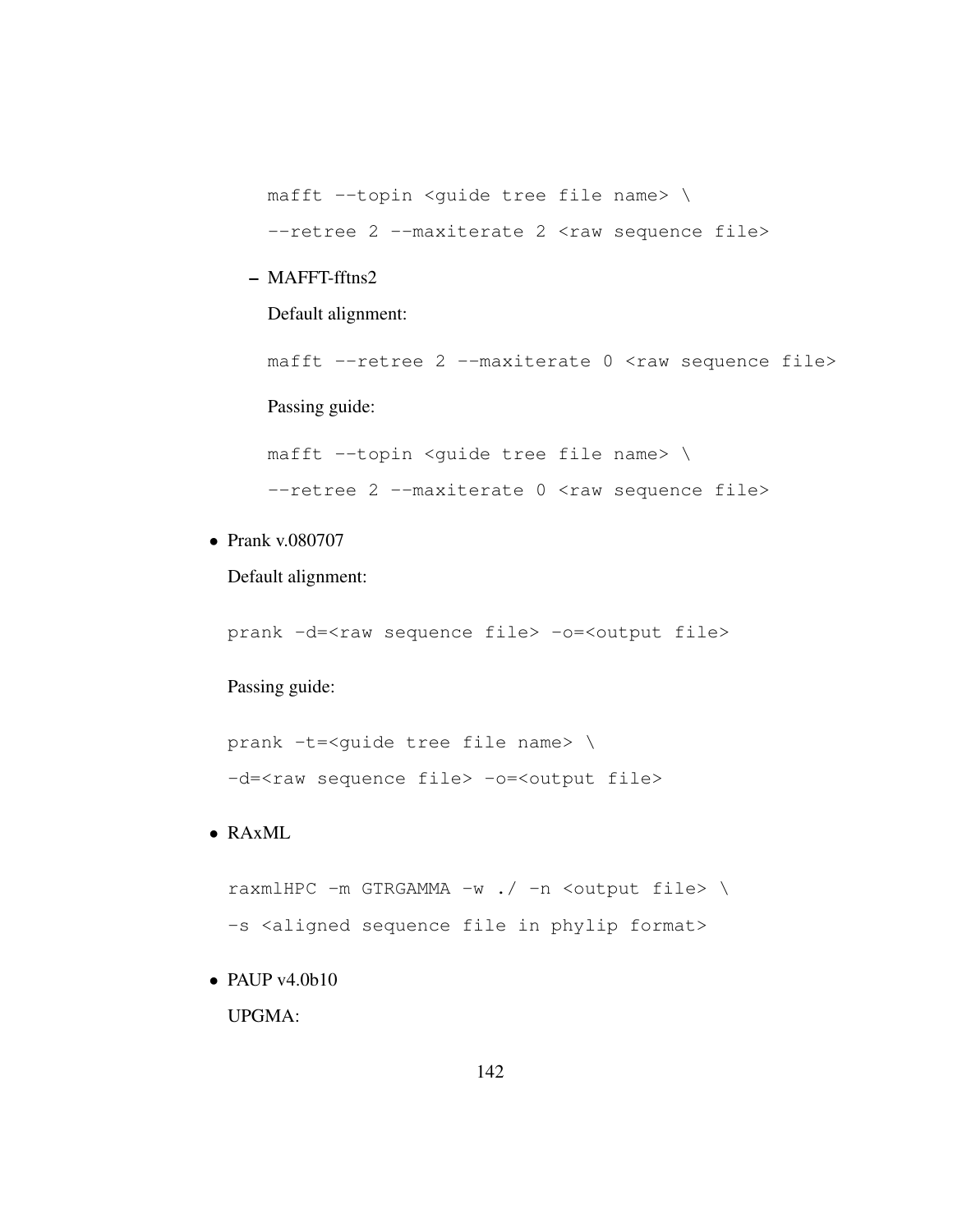mafft --topin <guide tree file name> \ --retree 2 --maxiterate 2 <raw sequence file>

– MAFFT-fftns2

Default alignment:

mafft --retree 2 --maxiterate 0 <raw sequence file>

Passing guide:

mafft --topin <guide tree file name> \  $--$ retree  $2$  --maxiterate  $0$  <raw sequence file>

• Prank v.080707

Default alignment:

prank -d=<raw sequence file> -o=<output file>

Passing guide:

prank -t=<guide tree file name> \ -d=<raw sequence file> -o=<output file>

### • RAxML

raxmlHPC -m GTRGAMMA -w ./ -n <output file> \ -s <aligned sequence file in phylip format>

• PAUP  $v4.0b10$ 

UPGMA: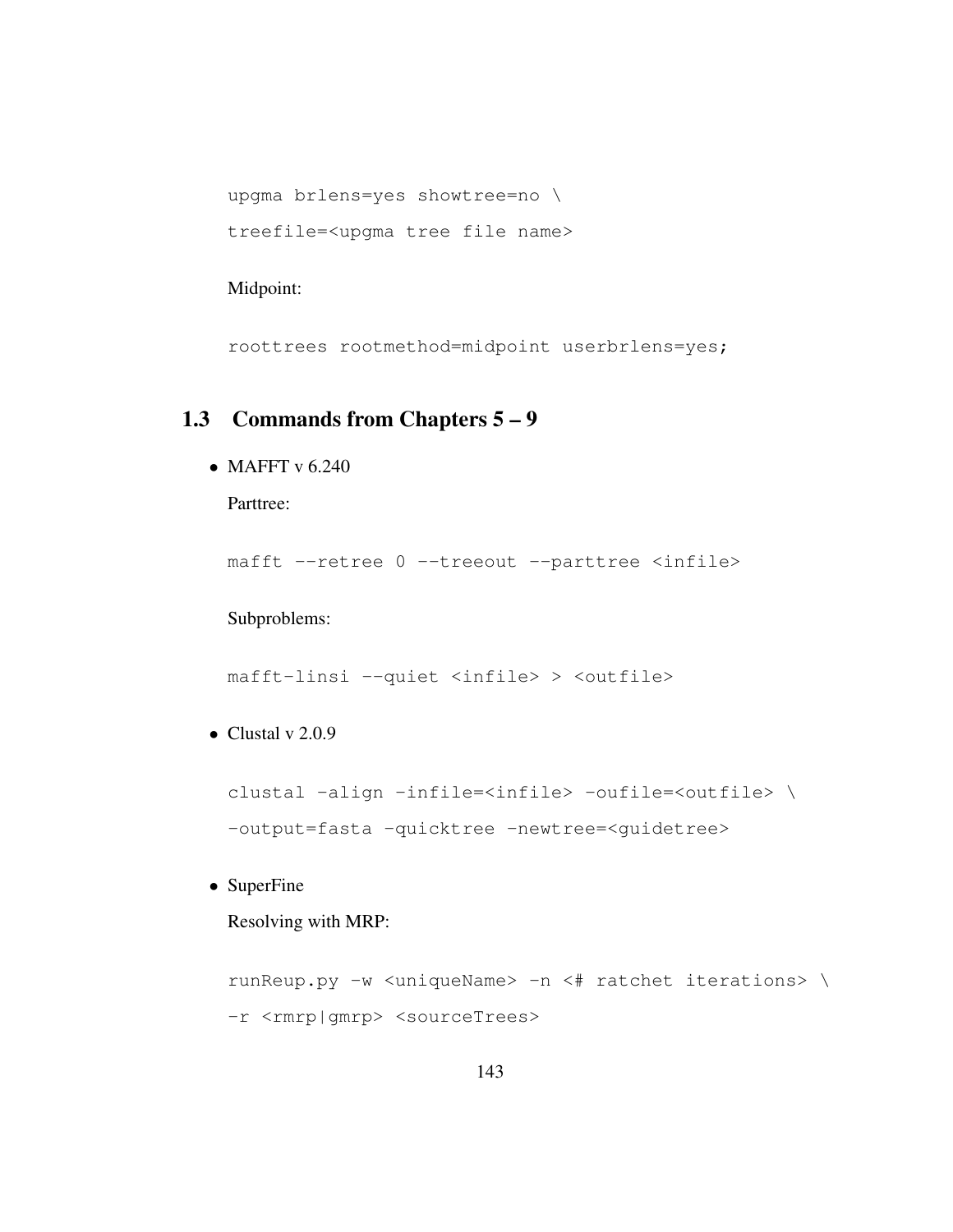```
upgma brlens=yes showtree=no \
treefile=<upgma tree file name>
```
#### Midpoint:

roottrees rootmethod=midpoint userbrlens=yes;

## 1.3 Commands from Chapters 5 – 9

• MAFFT v  $6.240$ 

Parttree:

mafft --retree 0 --treeout --parttree <infile>

#### Subproblems:

mafft-linsi --quiet <infile> > <outfile>

• Clustal v  $2.0.9$ 

```
clustal -align -infile=<infile> -oufile=<outfile> \
-output=fasta -quicktree -newtree=<guidetree>
```
• SuperFine

Resolving with MRP:

```
runReup.py -w <uniqueName> -n <# ratchet iterations> \
-r <rmrp|gmrp> <sourceTrees>
```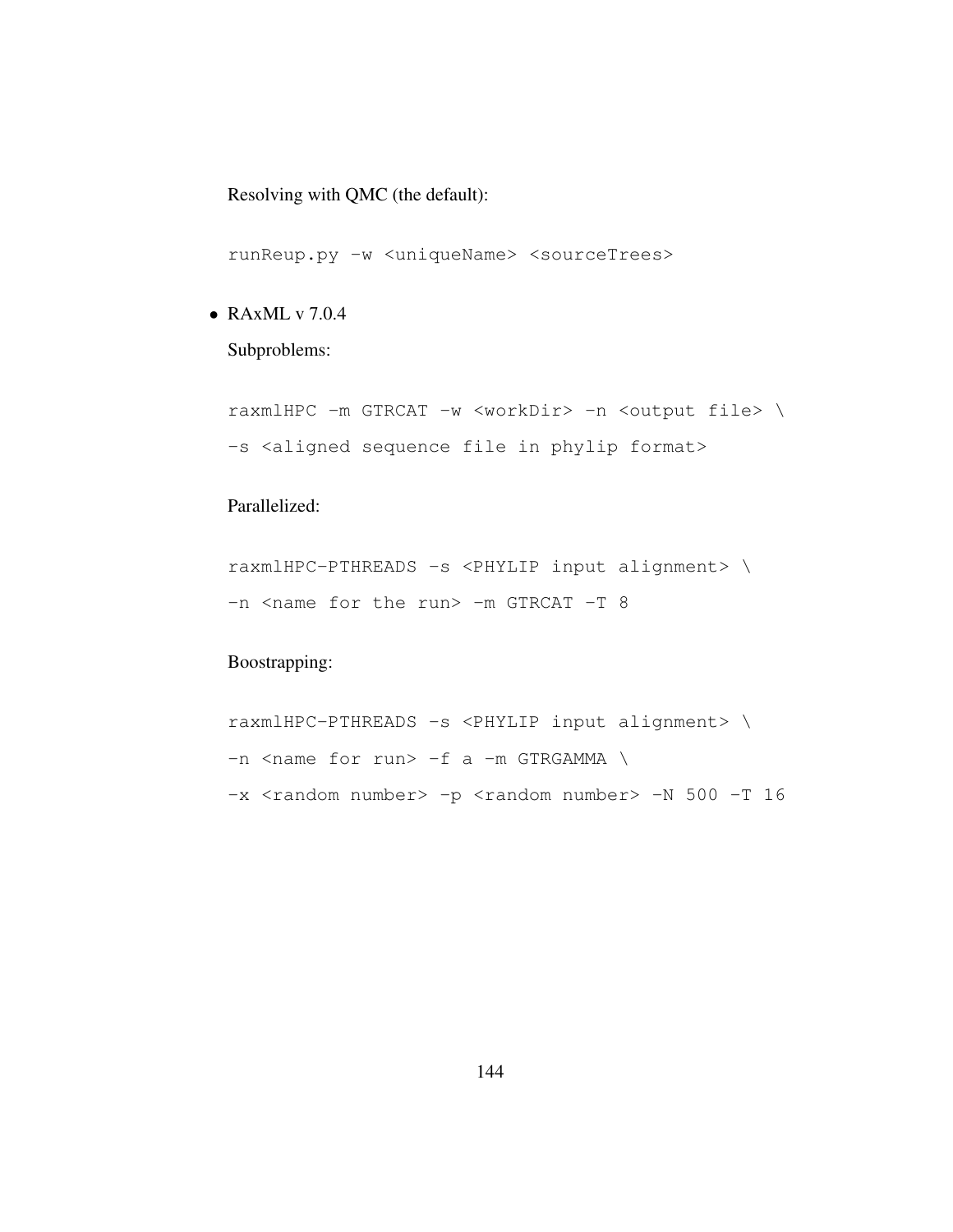Resolving with QMC (the default):

runReup.py -w <uniqueName> <sourceTrees>

• RAxML v 7.0.4

Subproblems:

raxmlHPC -m GTRCAT -w <workDir> -n <output file> \ -s <aligned sequence file in phylip format>

### Parallelized:

raxmlHPC-PTHREADS -s <PHYLIP input alignment> \ -n <name for the run> -m GTRCAT -T 8

### Boostrapping:

raxmlHPC-PTHREADS -s <PHYLIP input alignment> \  $-n$  <name for run>  $-f$  a  $-m$  GTRGAMMA \ -x <random number> -p <random number> -N 500 -T 16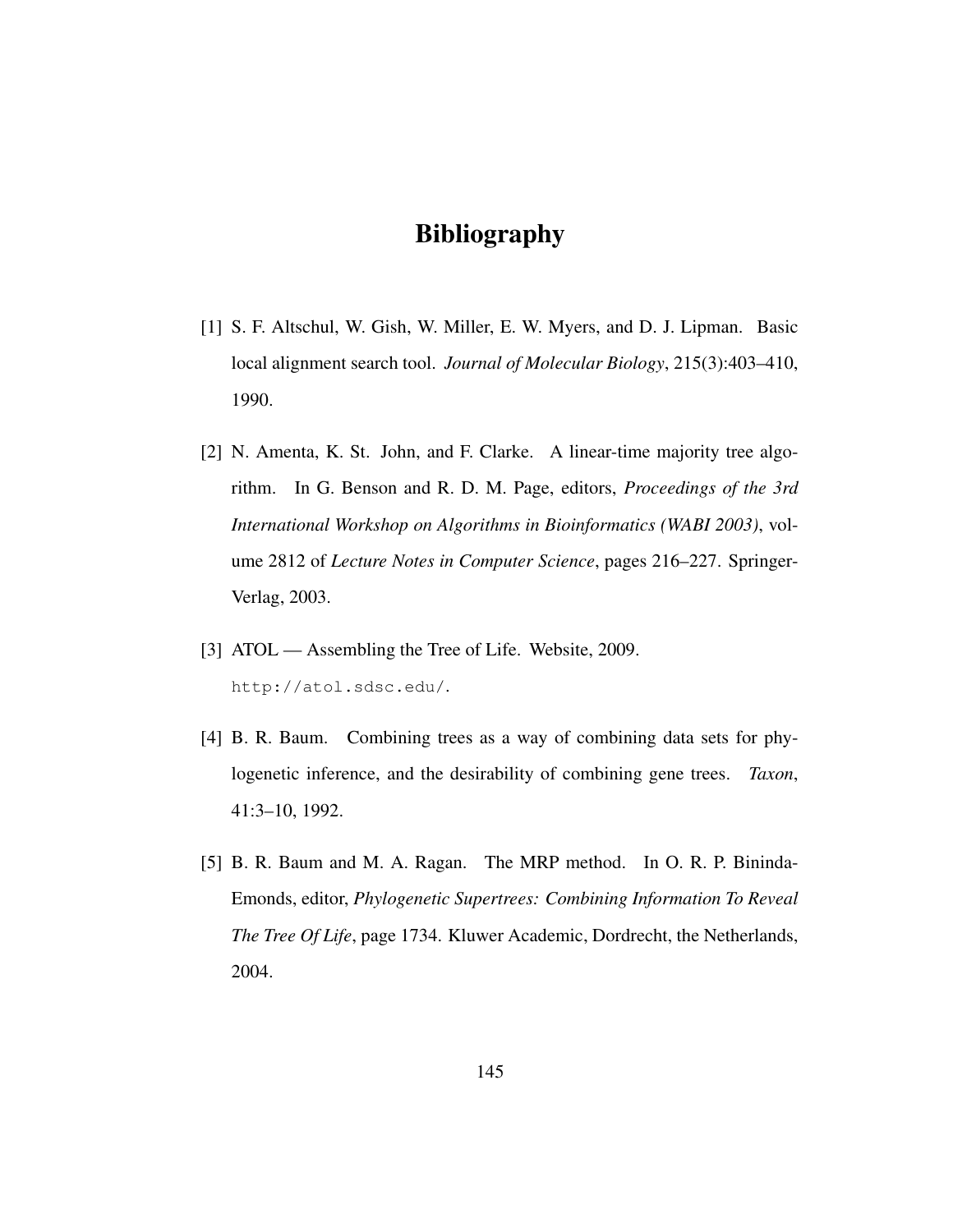# Bibliography

- [1] S. F. Altschul, W. Gish, W. Miller, E. W. Myers, and D. J. Lipman. Basic local alignment search tool. *Journal of Molecular Biology*, 215(3):403–410, 1990.
- [2] N. Amenta, K. St. John, and F. Clarke. A linear-time majority tree algorithm. In G. Benson and R. D. M. Page, editors, *Proceedings of the 3rd International Workshop on Algorithms in Bioinformatics (WABI 2003)*, volume 2812 of *Lecture Notes in Computer Science*, pages 216–227. Springer-Verlag, 2003.
- [3] ATOL Assembling the Tree of Life. Website, 2009. http://atol.sdsc.edu/.
- [4] B. R. Baum. Combining trees as a way of combining data sets for phylogenetic inference, and the desirability of combining gene trees. *Taxon*, 41:3–10, 1992.
- [5] B. R. Baum and M. A. Ragan. The MRP method. In O. R. P. Bininda-Emonds, editor, *Phylogenetic Supertrees: Combining Information To Reveal The Tree Of Life*, page 1734. Kluwer Academic, Dordrecht, the Netherlands, 2004.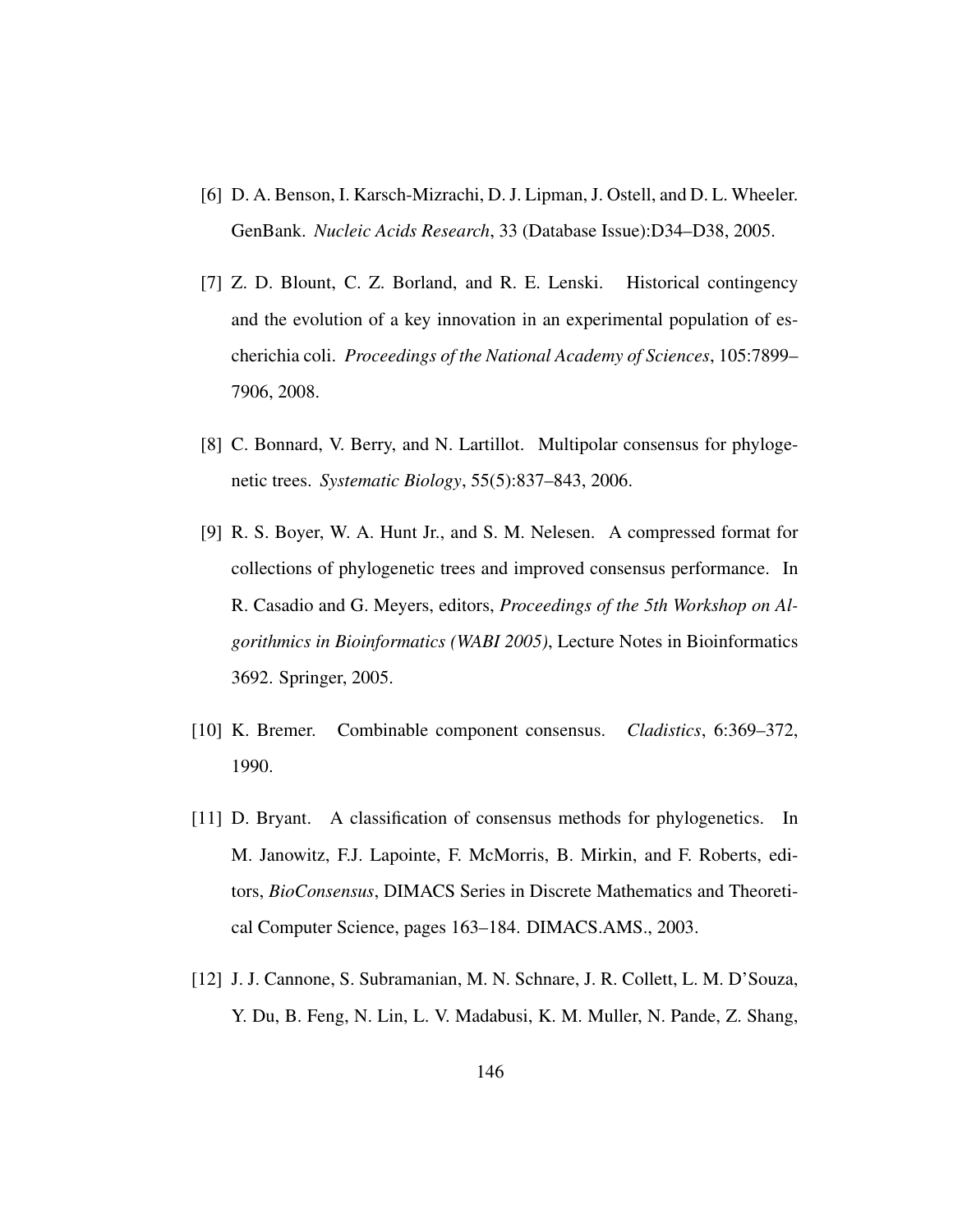- [6] D. A. Benson, I. Karsch-Mizrachi, D. J. Lipman, J. Ostell, and D. L. Wheeler. GenBank. *Nucleic Acids Research*, 33 (Database Issue):D34–D38, 2005.
- [7] Z. D. Blount, C. Z. Borland, and R. E. Lenski. Historical contingency and the evolution of a key innovation in an experimental population of escherichia coli. *Proceedings of the National Academy of Sciences*, 105:7899– 7906, 2008.
- [8] C. Bonnard, V. Berry, and N. Lartillot. Multipolar consensus for phylogenetic trees. *Systematic Biology*, 55(5):837–843, 2006.
- [9] R. S. Boyer, W. A. Hunt Jr., and S. M. Nelesen. A compressed format for collections of phylogenetic trees and improved consensus performance. In R. Casadio and G. Meyers, editors, *Proceedings of the 5th Workshop on Algorithmics in Bioinformatics (WABI 2005)*, Lecture Notes in Bioinformatics 3692. Springer, 2005.
- [10] K. Bremer. Combinable component consensus. *Cladistics*, 6:369–372, 1990.
- [11] D. Bryant. A classification of consensus methods for phylogenetics. In M. Janowitz, F.J. Lapointe, F. McMorris, B. Mirkin, and F. Roberts, editors, *BioConsensus*, DIMACS Series in Discrete Mathematics and Theoretical Computer Science, pages 163–184. DIMACS.AMS., 2003.
- [12] J. J. Cannone, S. Subramanian, M. N. Schnare, J. R. Collett, L. M. D'Souza, Y. Du, B. Feng, N. Lin, L. V. Madabusi, K. M. Muller, N. Pande, Z. Shang,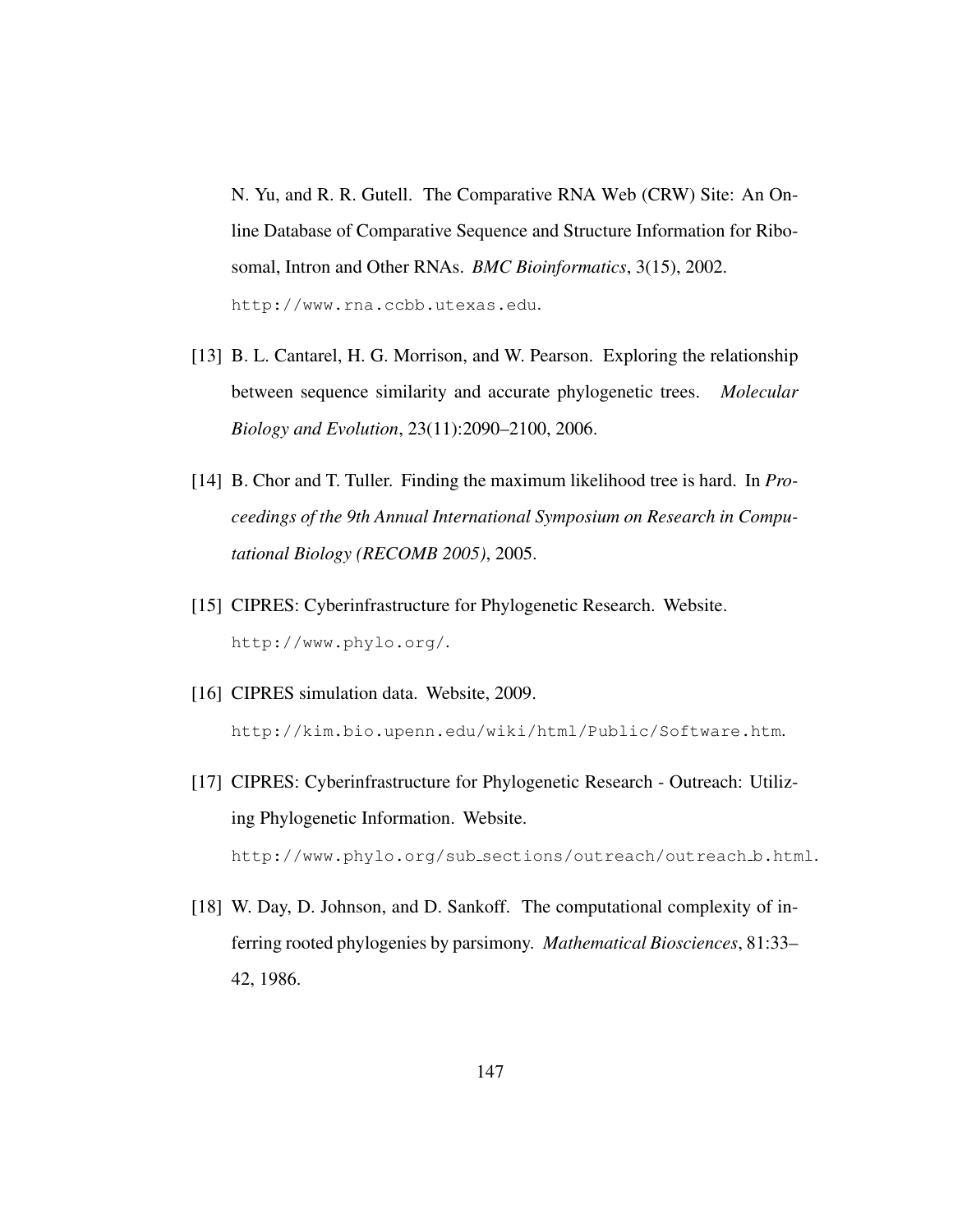N. Yu, and R. R. Gutell. The Comparative RNA Web (CRW) Site: An Online Database of Comparative Sequence and Structure Information for Ribosomal, Intron and Other RNAs. *BMC Bioinformatics*, 3(15), 2002. http://www.rna.ccbb.utexas.edu.

- [13] B. L. Cantarel, H. G. Morrison, and W. Pearson. Exploring the relationship between sequence similarity and accurate phylogenetic trees. *Molecular Biology and Evolution*, 23(11):2090–2100, 2006.
- [14] B. Chor and T. Tuller. Finding the maximum likelihood tree is hard. In *Proceedings of the 9th Annual International Symposium on Research in Computational Biology (RECOMB 2005)*, 2005.
- [15] CIPRES: Cyberinfrastructure for Phylogenetic Research. Website. http://www.phylo.org/.
- [16] CIPRES simulation data. Website, 2009. http://kim.bio.upenn.edu/wiki/html/Public/Software.htm.
- [17] CIPRES: Cyberinfrastructure for Phylogenetic Research Outreach: Utilizing Phylogenetic Information. Website. http://www.phylo.org/sub sections/outreach/outreach b.html.
- [18] W. Day, D. Johnson, and D. Sankoff. The computational complexity of inferring rooted phylogenies by parsimony. *Mathematical Biosciences*, 81:33– 42, 1986.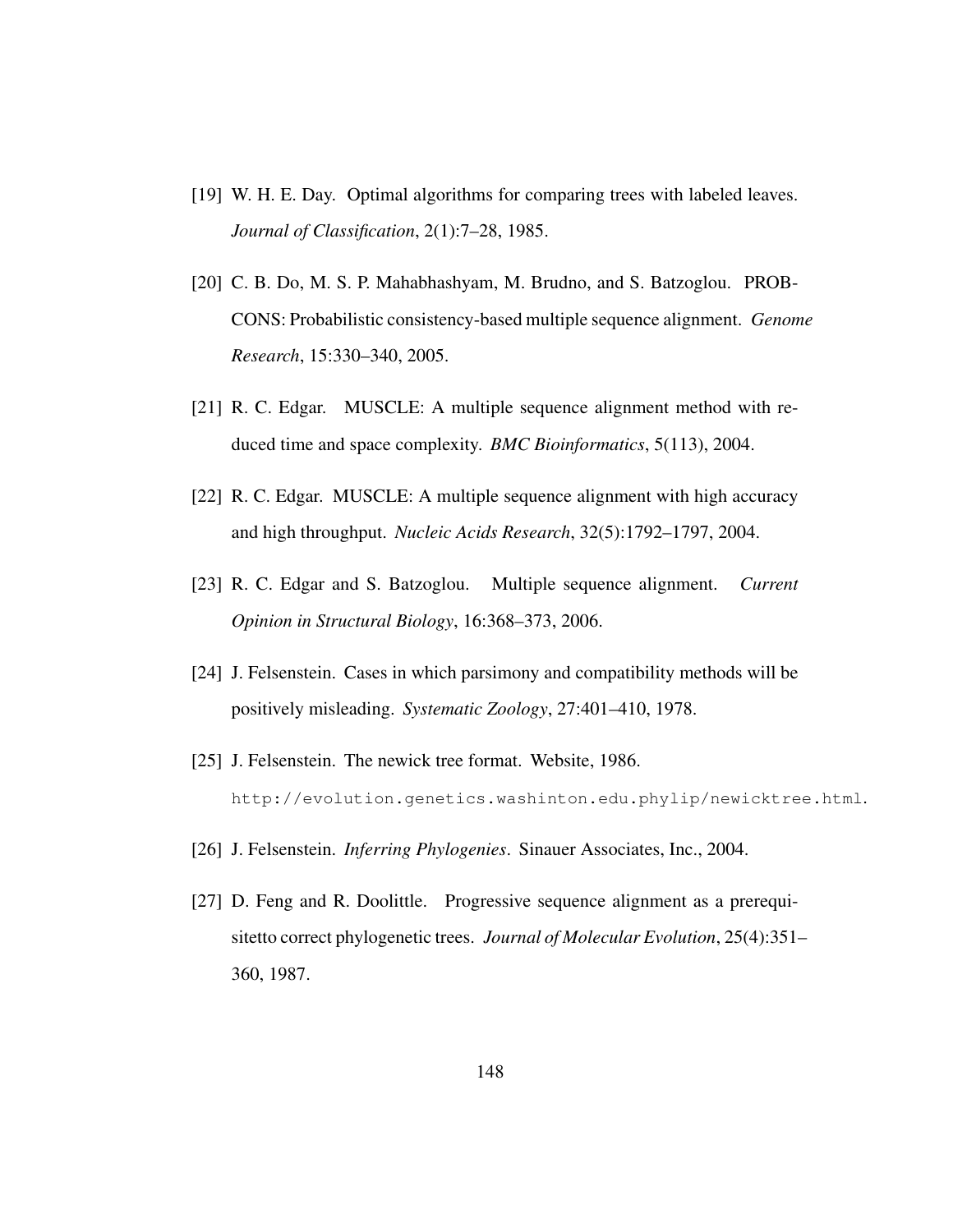- [19] W. H. E. Day. Optimal algorithms for comparing trees with labeled leaves. *Journal of Classification*, 2(1):7–28, 1985.
- [20] C. B. Do, M. S. P. Mahabhashyam, M. Brudno, and S. Batzoglou. PROB-CONS: Probabilistic consistency-based multiple sequence alignment. *Genome Research*, 15:330–340, 2005.
- [21] R. C. Edgar. MUSCLE: A multiple sequence alignment method with reduced time and space complexity. *BMC Bioinformatics*, 5(113), 2004.
- [22] R. C. Edgar. MUSCLE: A multiple sequence alignment with high accuracy and high throughput. *Nucleic Acids Research*, 32(5):1792–1797, 2004.
- [23] R. C. Edgar and S. Batzoglou. Multiple sequence alignment. *Current Opinion in Structural Biology*, 16:368–373, 2006.
- [24] J. Felsenstein. Cases in which parsimony and compatibility methods will be positively misleading. *Systematic Zoology*, 27:401–410, 1978.
- [25] J. Felsenstein. The newick tree format. Website, 1986. http://evolution.genetics.washinton.edu.phylip/newicktree.html.
- [26] J. Felsenstein. *Inferring Phylogenies*. Sinauer Associates, Inc., 2004.
- [27] D. Feng and R. Doolittle. Progressive sequence alignment as a prerequisitetto correct phylogenetic trees. *Journal of Molecular Evolution*, 25(4):351– 360, 1987.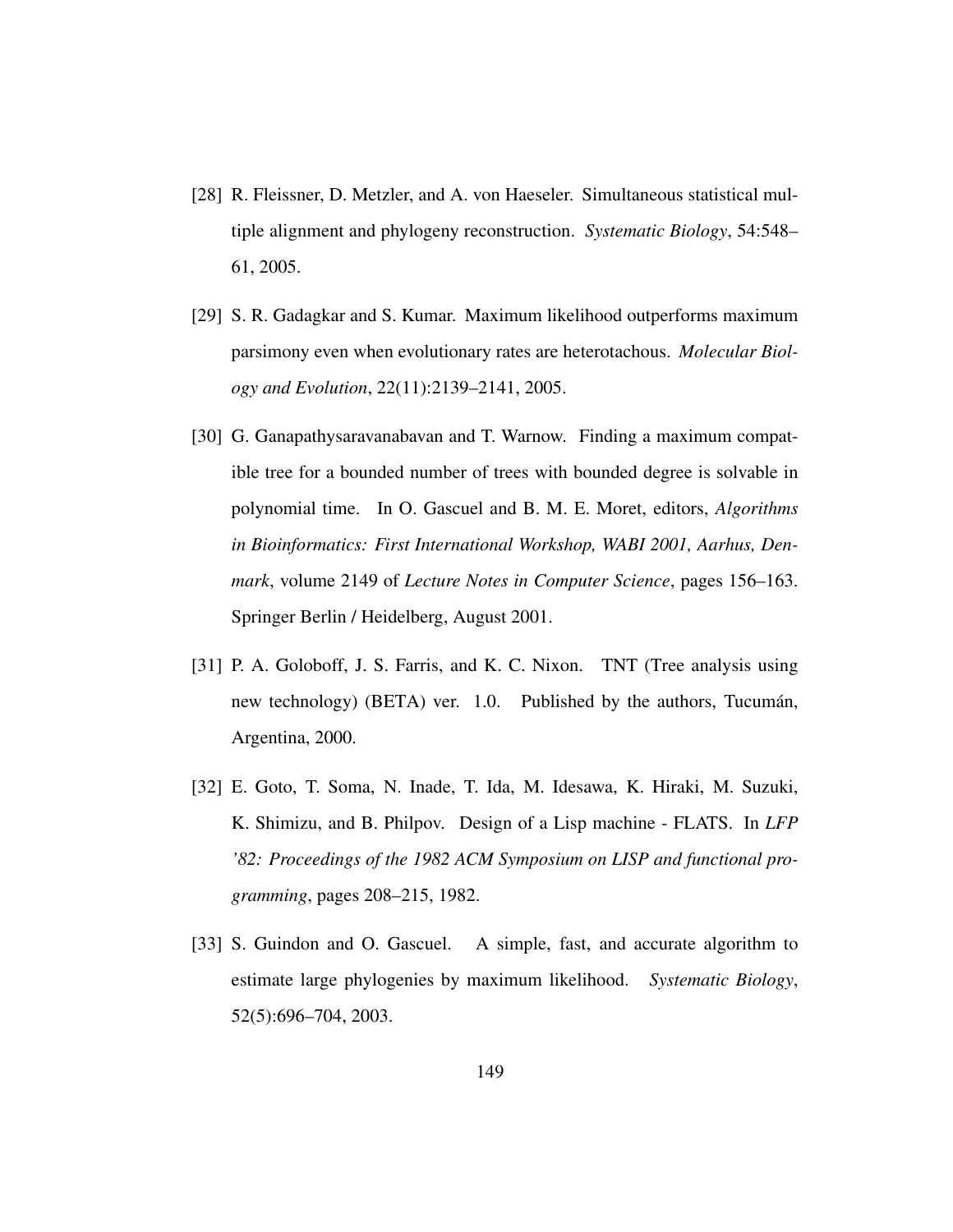- [28] R. Fleissner, D. Metzler, and A. von Haeseler. Simultaneous statistical multiple alignment and phylogeny reconstruction. *Systematic Biology*, 54:548– 61, 2005.
- [29] S. R. Gadagkar and S. Kumar. Maximum likelihood outperforms maximum parsimony even when evolutionary rates are heterotachous. *Molecular Biology and Evolution*, 22(11):2139–2141, 2005.
- [30] G. Ganapathysaravanabavan and T. Warnow. Finding a maximum compatible tree for a bounded number of trees with bounded degree is solvable in polynomial time. In O. Gascuel and B. M. E. Moret, editors, *Algorithms in Bioinformatics: First International Workshop, WABI 2001, Aarhus, Denmark*, volume 2149 of *Lecture Notes in Computer Science*, pages 156–163. Springer Berlin / Heidelberg, August 2001.
- [31] P. A. Goloboff, J. S. Farris, and K. C. Nixon. TNT (Tree analysis using new technology) (BETA) ver. 1.0. Published by the authors, Tucumán, Argentina, 2000.
- [32] E. Goto, T. Soma, N. Inade, T. Ida, M. Idesawa, K. Hiraki, M. Suzuki, K. Shimizu, and B. Philpov. Design of a Lisp machine - FLATS. In *LFP '82: Proceedings of the 1982 ACM Symposium on LISP and functional programming*, pages 208–215, 1982.
- [33] S. Guindon and O. Gascuel. A simple, fast, and accurate algorithm to estimate large phylogenies by maximum likelihood. *Systematic Biology*, 52(5):696–704, 2003.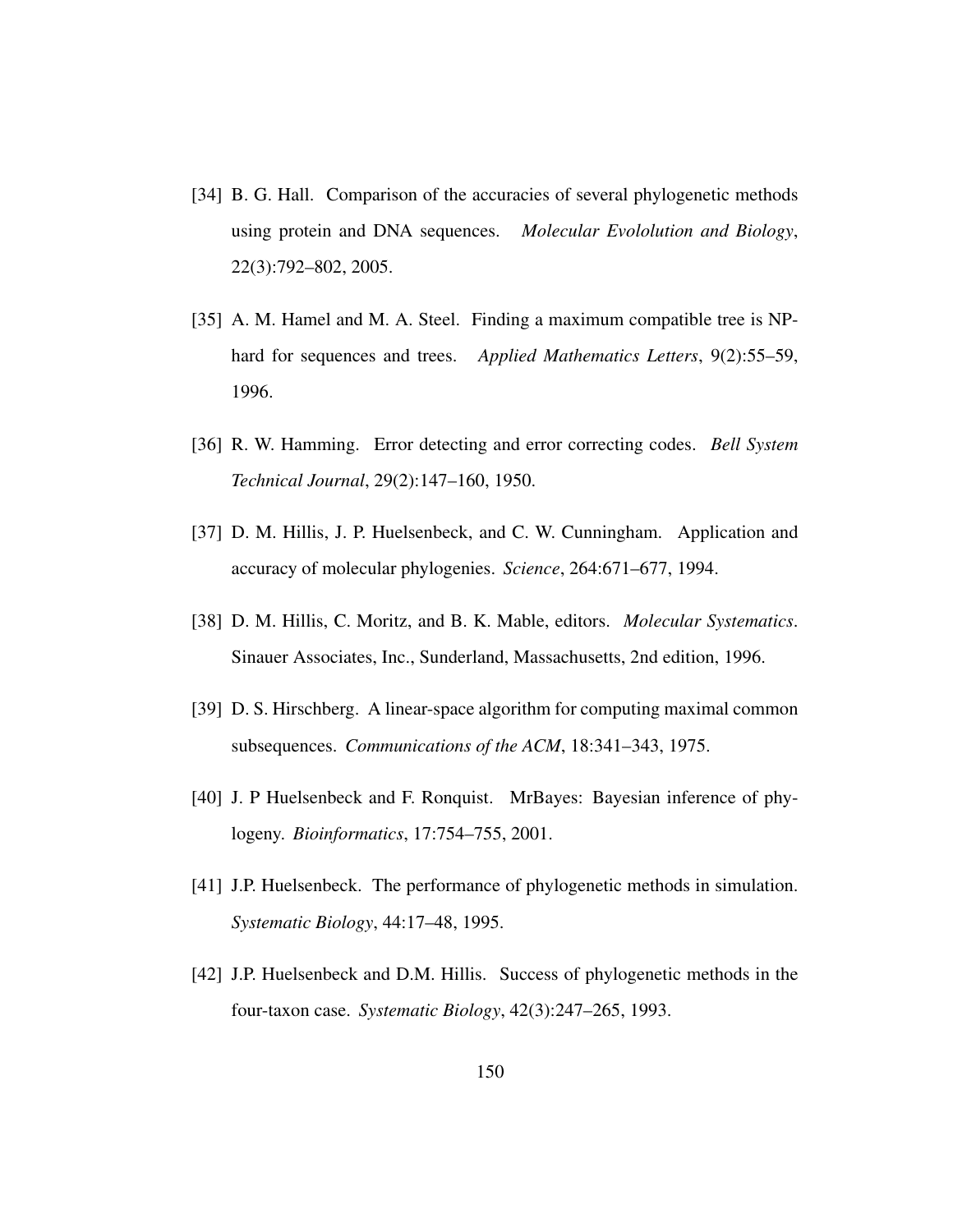- [34] B. G. Hall. Comparison of the accuracies of several phylogenetic methods using protein and DNA sequences. *Molecular Evololution and Biology*, 22(3):792–802, 2005.
- [35] A. M. Hamel and M. A. Steel. Finding a maximum compatible tree is NPhard for sequences and trees. *Applied Mathematics Letters*, 9(2):55–59, 1996.
- [36] R. W. Hamming. Error detecting and error correcting codes. *Bell System Technical Journal*, 29(2):147–160, 1950.
- [37] D. M. Hillis, J. P. Huelsenbeck, and C. W. Cunningham. Application and accuracy of molecular phylogenies. *Science*, 264:671–677, 1994.
- [38] D. M. Hillis, C. Moritz, and B. K. Mable, editors. *Molecular Systematics*. Sinauer Associates, Inc., Sunderland, Massachusetts, 2nd edition, 1996.
- [39] D. S. Hirschberg. A linear-space algorithm for computing maximal common subsequences. *Communications of the ACM*, 18:341–343, 1975.
- [40] J. P Huelsenbeck and F. Ronquist. MrBayes: Bayesian inference of phylogeny. *Bioinformatics*, 17:754–755, 2001.
- [41] J.P. Huelsenbeck. The performance of phylogenetic methods in simulation. *Systematic Biology*, 44:17–48, 1995.
- [42] J.P. Huelsenbeck and D.M. Hillis. Success of phylogenetic methods in the four-taxon case. *Systematic Biology*, 42(3):247–265, 1993.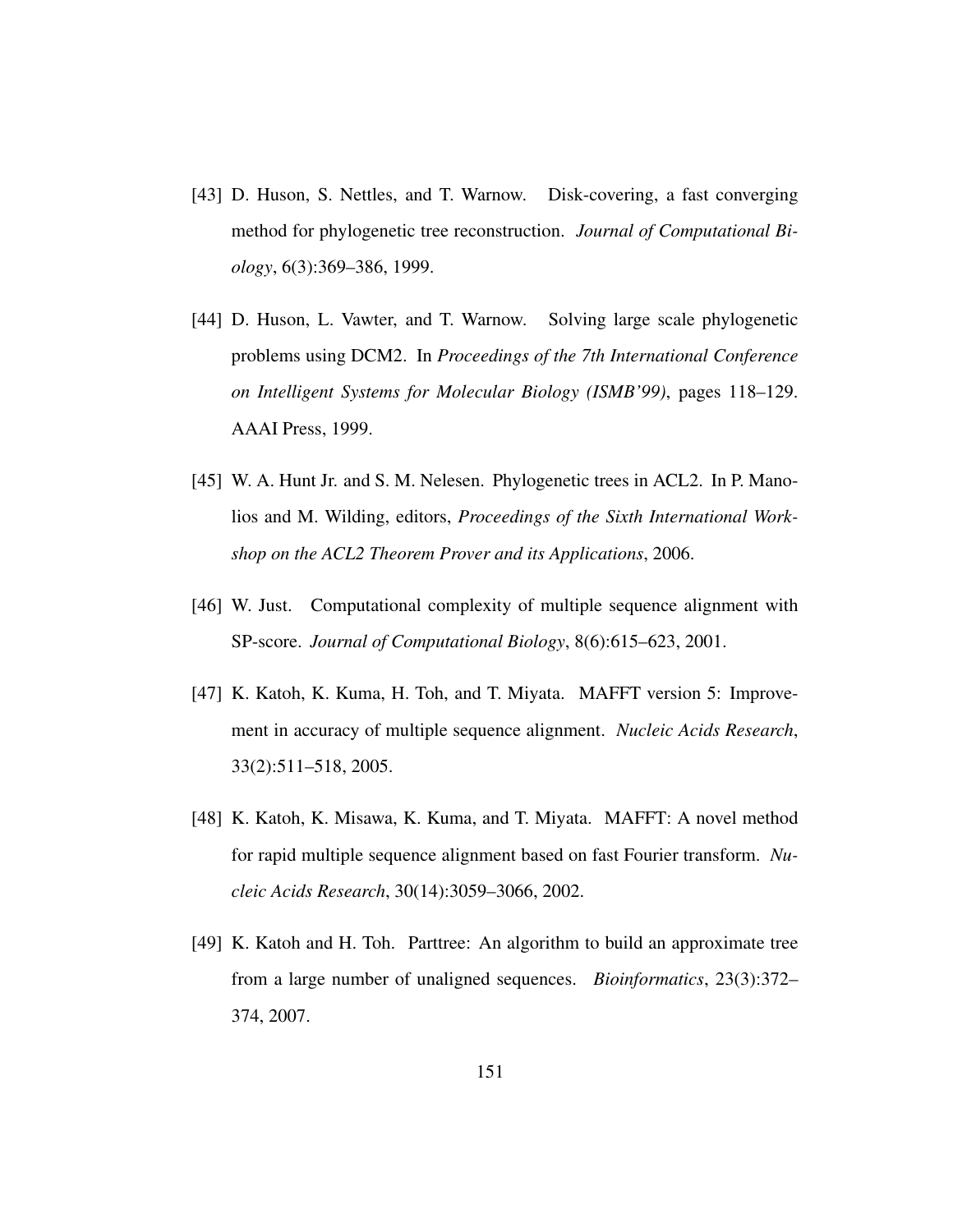- [43] D. Huson, S. Nettles, and T. Warnow. Disk-covering, a fast converging method for phylogenetic tree reconstruction. *Journal of Computational Biology*, 6(3):369–386, 1999.
- [44] D. Huson, L. Vawter, and T. Warnow. Solving large scale phylogenetic problems using DCM2. In *Proceedings of the 7th International Conference on Intelligent Systems for Molecular Biology (ISMB'99)*, pages 118–129. AAAI Press, 1999.
- [45] W. A. Hunt Jr. and S. M. Nelesen. Phylogenetic trees in ACL2. In P. Manolios and M. Wilding, editors, *Proceedings of the Sixth International Workshop on the ACL2 Theorem Prover and its Applications*, 2006.
- [46] W. Just. Computational complexity of multiple sequence alignment with SP-score. *Journal of Computational Biology*, 8(6):615–623, 2001.
- [47] K. Katoh, K. Kuma, H. Toh, and T. Miyata. MAFFT version 5: Improvement in accuracy of multiple sequence alignment. *Nucleic Acids Research*, 33(2):511–518, 2005.
- [48] K. Katoh, K. Misawa, K. Kuma, and T. Miyata. MAFFT: A novel method for rapid multiple sequence alignment based on fast Fourier transform. *Nucleic Acids Research*, 30(14):3059–3066, 2002.
- [49] K. Katoh and H. Toh. Parttree: An algorithm to build an approximate tree from a large number of unaligned sequences. *Bioinformatics*, 23(3):372– 374, 2007.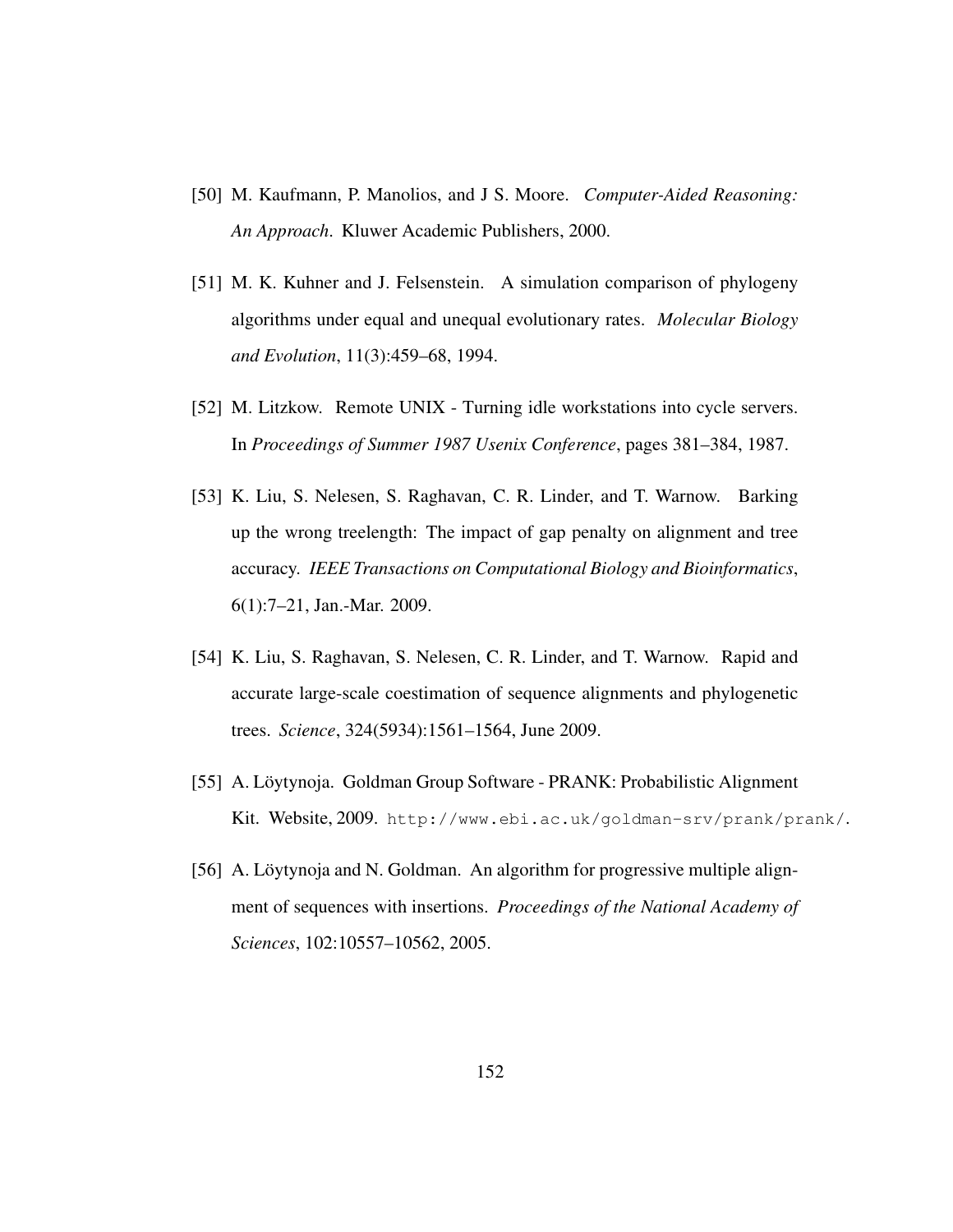- [50] M. Kaufmann, P. Manolios, and J S. Moore. *Computer-Aided Reasoning: An Approach*. Kluwer Academic Publishers, 2000.
- [51] M. K. Kuhner and J. Felsenstein. A simulation comparison of phylogeny algorithms under equal and unequal evolutionary rates. *Molecular Biology and Evolution*, 11(3):459–68, 1994.
- [52] M. Litzkow. Remote UNIX Turning idle workstations into cycle servers. In *Proceedings of Summer 1987 Usenix Conference*, pages 381–384, 1987.
- [53] K. Liu, S. Nelesen, S. Raghavan, C. R. Linder, and T. Warnow. Barking up the wrong treelength: The impact of gap penalty on alignment and tree accuracy. *IEEE Transactions on Computational Biology and Bioinformatics*, 6(1):7–21, Jan.-Mar. 2009.
- [54] K. Liu, S. Raghavan, S. Nelesen, C. R. Linder, and T. Warnow. Rapid and accurate large-scale coestimation of sequence alignments and phylogenetic trees. *Science*, 324(5934):1561–1564, June 2009.
- [55] A. Löytynoja. Goldman Group Software PRANK: Probabilistic Alignment Kit. Website, 2009. http://www.ebi.ac.uk/goldman-srv/prank/prank/.
- [56] A. Löytynoja and N. Goldman. An algorithm for progressive multiple alignment of sequences with insertions. *Proceedings of the National Academy of Sciences*, 102:10557–10562, 2005.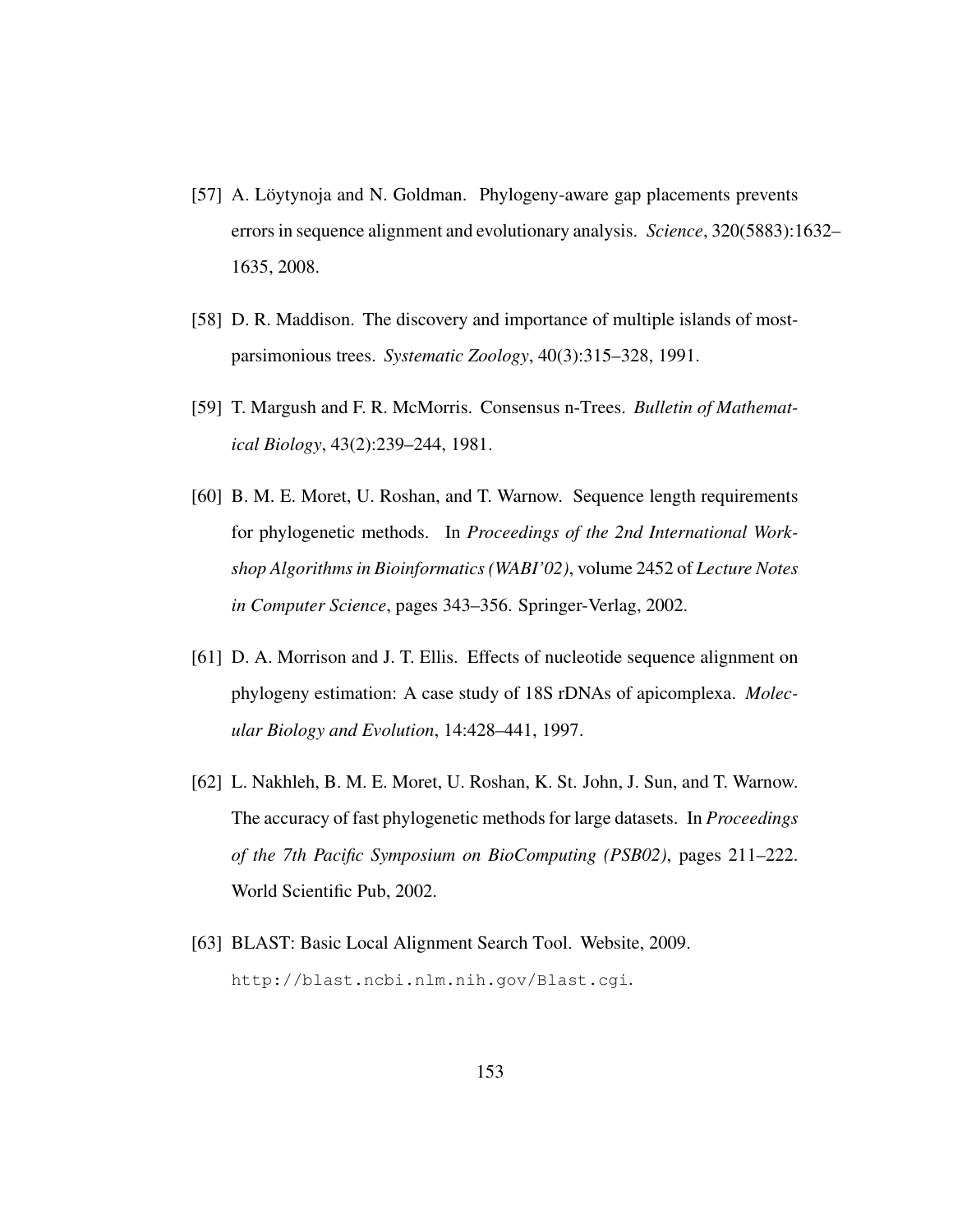- [57] A. Löytynoja and N. Goldman. Phylogeny-aware gap placements prevents errors in sequence alignment and evolutionary analysis. *Science*, 320(5883):1632– 1635, 2008.
- [58] D. R. Maddison. The discovery and importance of multiple islands of mostparsimonious trees. *Systematic Zoology*, 40(3):315–328, 1991.
- [59] T. Margush and F. R. McMorris. Consensus n-Trees. *Bulletin of Mathematical Biology*, 43(2):239–244, 1981.
- [60] B. M. E. Moret, U. Roshan, and T. Warnow. Sequence length requirements for phylogenetic methods. In *Proceedings of the 2nd International Workshop Algorithms in Bioinformatics (WABI'02)*, volume 2452 of *Lecture Notes in Computer Science*, pages 343–356. Springer-Verlag, 2002.
- [61] D. A. Morrison and J. T. Ellis. Effects of nucleotide sequence alignment on phylogeny estimation: A case study of 18S rDNAs of apicomplexa. *Molecular Biology and Evolution*, 14:428–441, 1997.
- [62] L. Nakhleh, B. M. E. Moret, U. Roshan, K. St. John, J. Sun, and T. Warnow. The accuracy of fast phylogenetic methods for large datasets. In *Proceedings of the 7th Pacific Symposium on BioComputing (PSB02)*, pages 211–222. World Scientific Pub, 2002.
- [63] BLAST: Basic Local Alignment Search Tool. Website, 2009. http://blast.ncbi.nlm.nih.gov/Blast.cgi.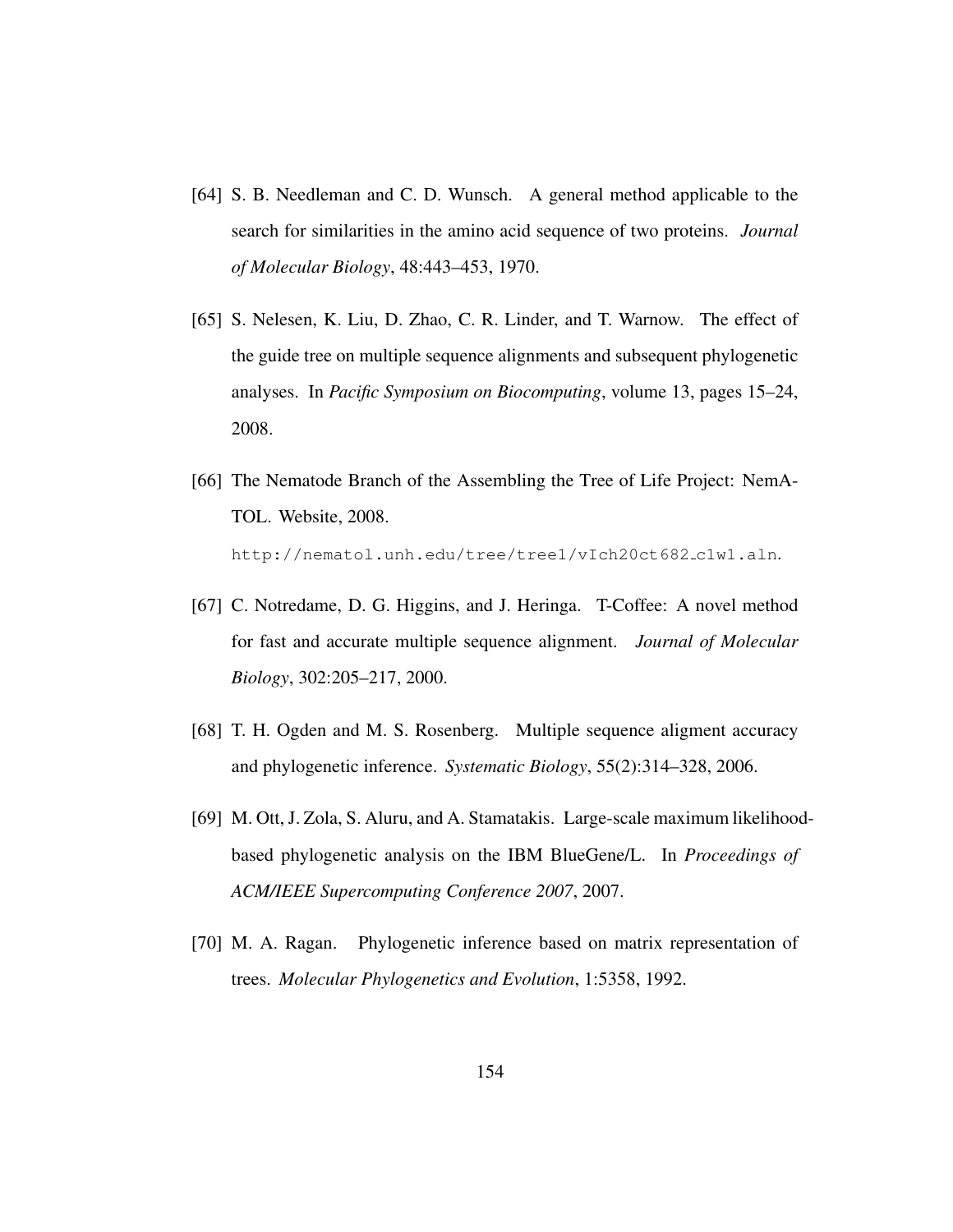- [64] S. B. Needleman and C. D. Wunsch. A general method applicable to the search for similarities in the amino acid sequence of two proteins. *Journal of Molecular Biology*, 48:443–453, 1970.
- [65] S. Nelesen, K. Liu, D. Zhao, C. R. Linder, and T. Warnow. The effect of the guide tree on multiple sequence alignments and subsequent phylogenetic analyses. In *Pacific Symposium on Biocomputing*, volume 13, pages 15–24, 2008.
- [66] The Nematode Branch of the Assembling the Tree of Life Project: NemA-TOL. Website, 2008. http://nematol.unh.edu/tree/tree1/vIch20ct682 c1w1.aln.
- [67] C. Notredame, D. G. Higgins, and J. Heringa. T-Coffee: A novel method for fast and accurate multiple sequence alignment. *Journal of Molecular Biology*, 302:205–217, 2000.
- [68] T. H. Ogden and M. S. Rosenberg. Multiple sequence aligment accuracy and phylogenetic inference. *Systematic Biology*, 55(2):314–328, 2006.
- [69] M. Ott, J. Zola, S. Aluru, and A. Stamatakis. Large-scale maximum likelihoodbased phylogenetic analysis on the IBM BlueGene/L. In *Proceedings of ACM/IEEE Supercomputing Conference 2007*, 2007.
- [70] M. A. Ragan. Phylogenetic inference based on matrix representation of trees. *Molecular Phylogenetics and Evolution*, 1:5358, 1992.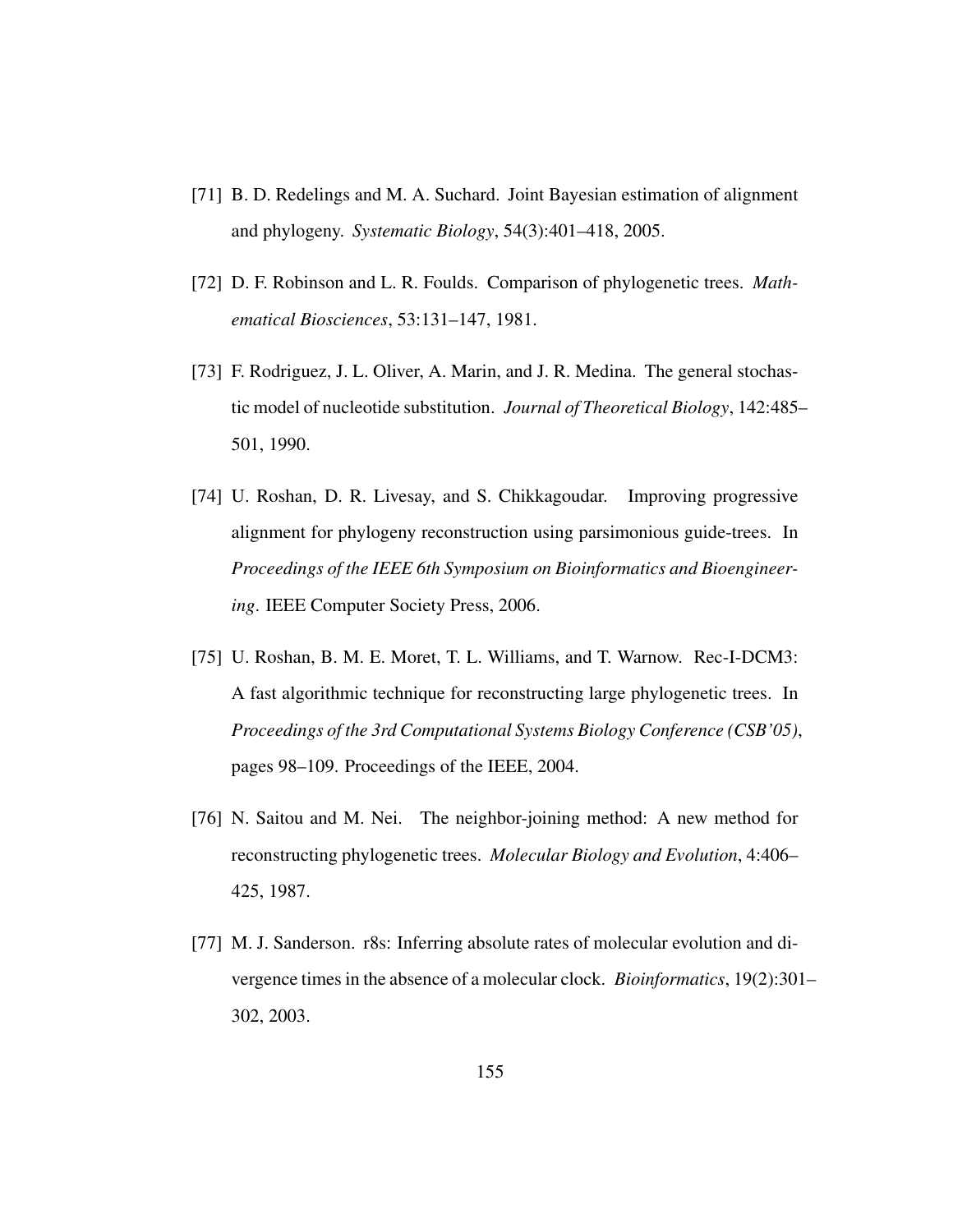- [71] B. D. Redelings and M. A. Suchard. Joint Bayesian estimation of alignment and phylogeny. *Systematic Biology*, 54(3):401–418, 2005.
- [72] D. F. Robinson and L. R. Foulds. Comparison of phylogenetic trees. *Mathematical Biosciences*, 53:131–147, 1981.
- [73] F. Rodriguez, J. L. Oliver, A. Marin, and J. R. Medina. The general stochastic model of nucleotide substitution. *Journal of Theoretical Biology*, 142:485– 501, 1990.
- [74] U. Roshan, D. R. Livesay, and S. Chikkagoudar. Improving progressive alignment for phylogeny reconstruction using parsimonious guide-trees. In *Proceedings of the IEEE 6th Symposium on Bioinformatics and Bioengineering*. IEEE Computer Society Press, 2006.
- [75] U. Roshan, B. M. E. Moret, T. L. Williams, and T. Warnow. Rec-I-DCM3: A fast algorithmic technique for reconstructing large phylogenetic trees. In *Proceedings of the 3rd Computational Systems Biology Conference (CSB'05)*, pages 98–109. Proceedings of the IEEE, 2004.
- [76] N. Saitou and M. Nei. The neighbor-joining method: A new method for reconstructing phylogenetic trees. *Molecular Biology and Evolution*, 4:406– 425, 1987.
- [77] M. J. Sanderson. r8s: Inferring absolute rates of molecular evolution and divergence times in the absence of a molecular clock. *Bioinformatics*, 19(2):301– 302, 2003.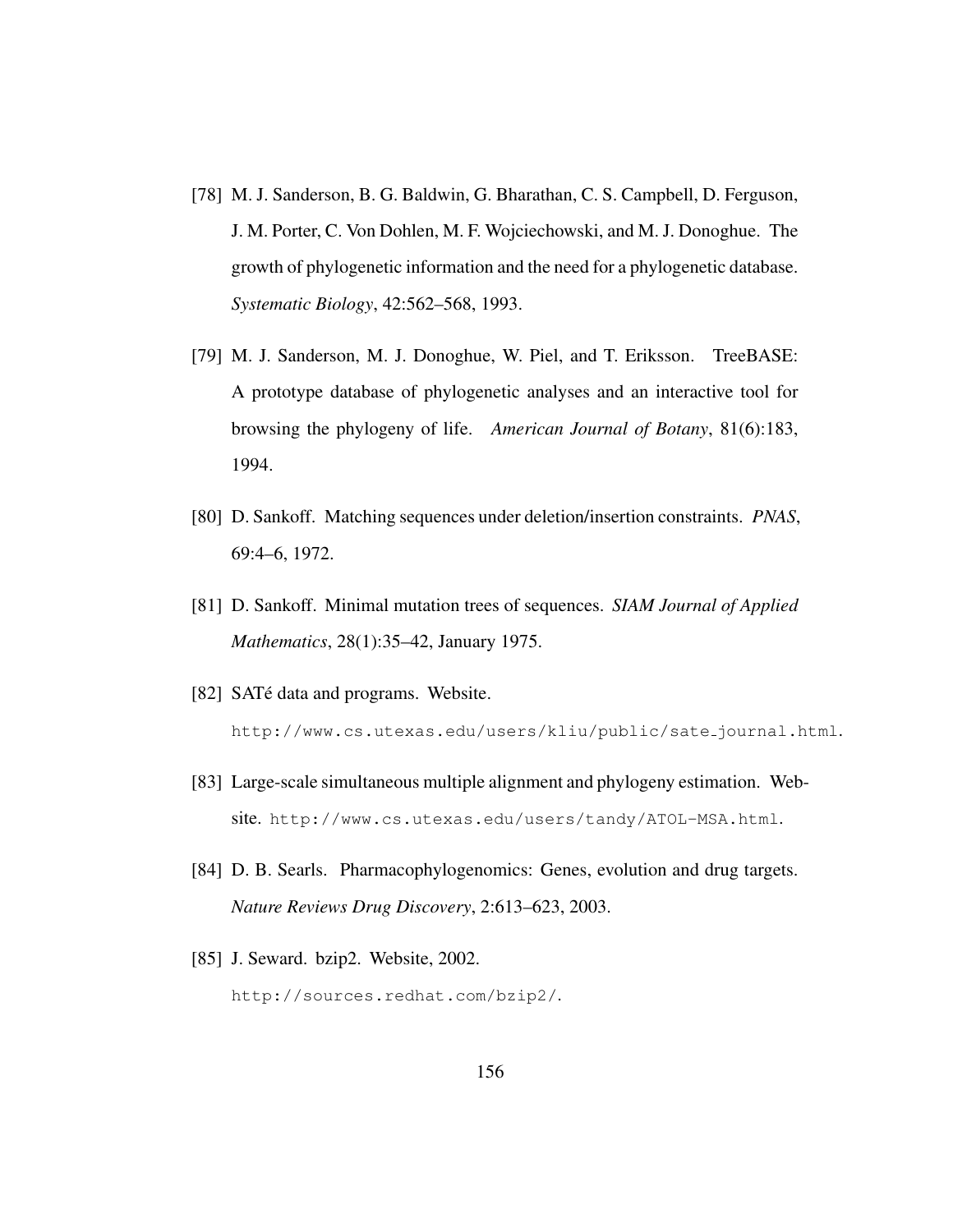- [78] M. J. Sanderson, B. G. Baldwin, G. Bharathan, C. S. Campbell, D. Ferguson, J. M. Porter, C. Von Dohlen, M. F. Wojciechowski, and M. J. Donoghue. The growth of phylogenetic information and the need for a phylogenetic database. *Systematic Biology*, 42:562–568, 1993.
- [79] M. J. Sanderson, M. J. Donoghue, W. Piel, and T. Eriksson. TreeBASE: A prototype database of phylogenetic analyses and an interactive tool for browsing the phylogeny of life. *American Journal of Botany*, 81(6):183, 1994.
- [80] D. Sankoff. Matching sequences under deletion/insertion constraints. *PNAS*, 69:4–6, 1972.
- [81] D. Sankoff. Minimal mutation trees of sequences. *SIAM Journal of Applied Mathematics*, 28(1):35–42, January 1975.
- [82] SATé data and programs. Website. http://www.cs.utexas.edu/users/kliu/public/sate journal.html.
- [83] Large-scale simultaneous multiple alignment and phylogeny estimation. Website. http://www.cs.utexas.edu/users/tandy/ATOL-MSA.html.
- [84] D. B. Searls. Pharmacophylogenomics: Genes, evolution and drug targets. *Nature Reviews Drug Discovery*, 2:613–623, 2003.
- [85] J. Seward. bzip2. Website, 2002. http://sources.redhat.com/bzip2/.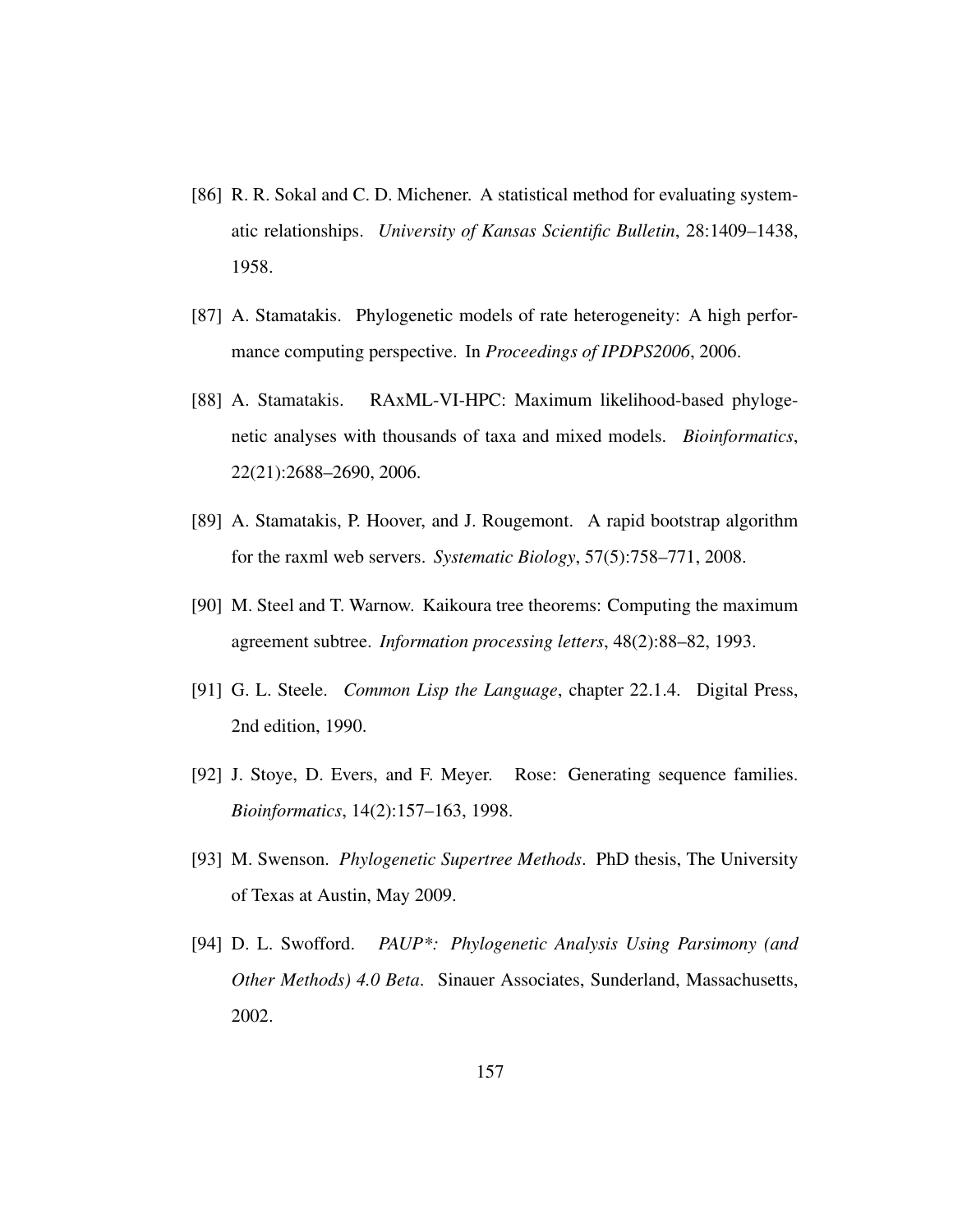- [86] R. R. Sokal and C. D. Michener. A statistical method for evaluating systematic relationships. *University of Kansas Scientific Bulletin*, 28:1409–1438, 1958.
- [87] A. Stamatakis. Phylogenetic models of rate heterogeneity: A high performance computing perspective. In *Proceedings of IPDPS2006*, 2006.
- [88] A. Stamatakis. RAxML-VI-HPC: Maximum likelihood-based phylogenetic analyses with thousands of taxa and mixed models. *Bioinformatics*, 22(21):2688–2690, 2006.
- [89] A. Stamatakis, P. Hoover, and J. Rougemont. A rapid bootstrap algorithm for the raxml web servers. *Systematic Biology*, 57(5):758–771, 2008.
- [90] M. Steel and T. Warnow. Kaikoura tree theorems: Computing the maximum agreement subtree. *Information processing letters*, 48(2):88–82, 1993.
- [91] G. L. Steele. *Common Lisp the Language*, chapter 22.1.4. Digital Press, 2nd edition, 1990.
- [92] J. Stoye, D. Evers, and F. Meyer. Rose: Generating sequence families. *Bioinformatics*, 14(2):157–163, 1998.
- [93] M. Swenson. *Phylogenetic Supertree Methods*. PhD thesis, The University of Texas at Austin, May 2009.
- [94] D. L. Swofford. *PAUP\*: Phylogenetic Analysis Using Parsimony (and Other Methods) 4.0 Beta*. Sinauer Associates, Sunderland, Massachusetts, 2002.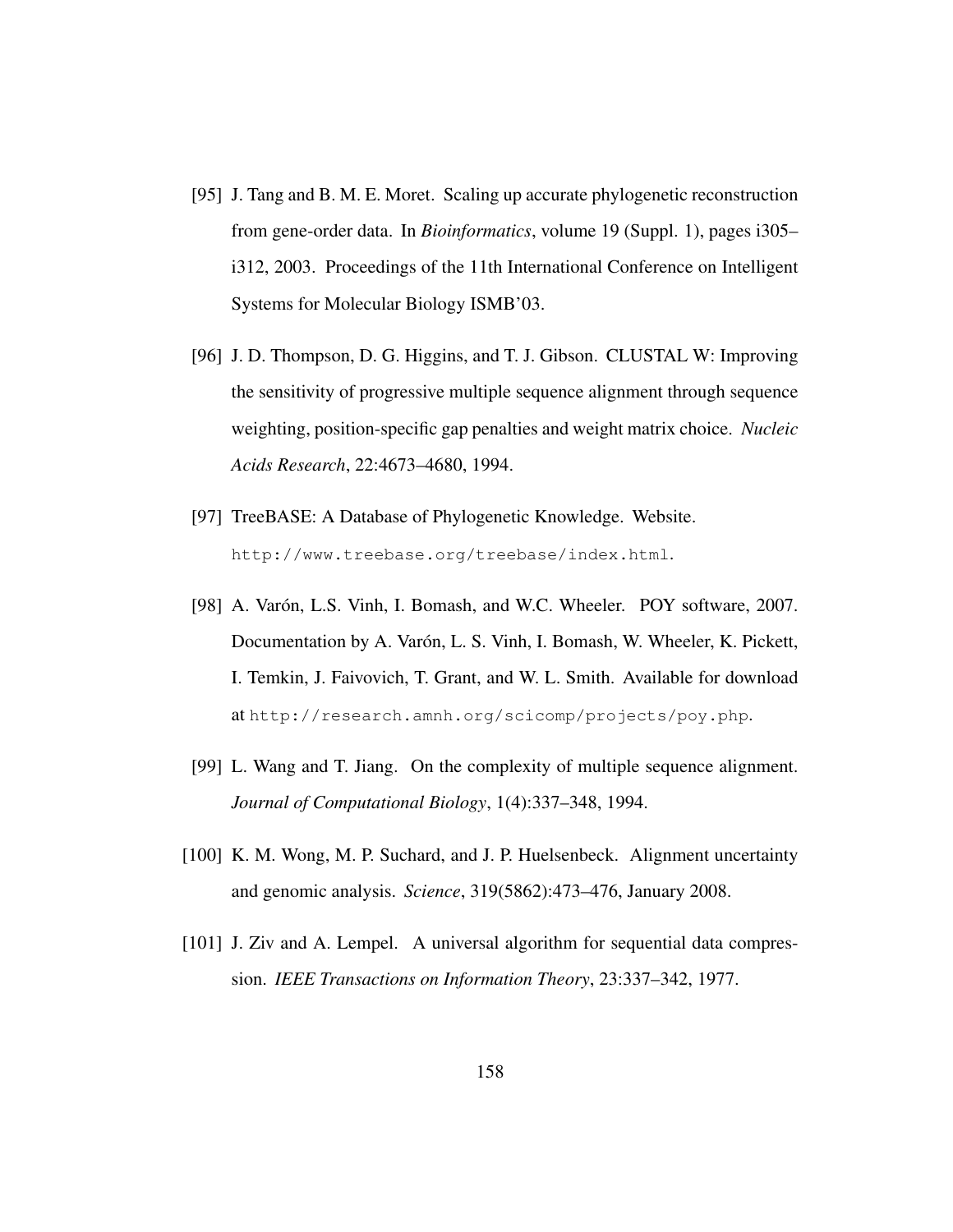- [95] J. Tang and B. M. E. Moret. Scaling up accurate phylogenetic reconstruction from gene-order data. In *Bioinformatics*, volume 19 (Suppl. 1), pages i305– i312, 2003. Proceedings of the 11th International Conference on Intelligent Systems for Molecular Biology ISMB'03.
- [96] J. D. Thompson, D. G. Higgins, and T. J. Gibson. CLUSTAL W: Improving the sensitivity of progressive multiple sequence alignment through sequence weighting, position-specific gap penalties and weight matrix choice. *Nucleic Acids Research*, 22:4673–4680, 1994.
- [97] TreeBASE: A Database of Phylogenetic Knowledge. Website. http://www.treebase.org/treebase/index.html.
- [98] A. Varón, L.S. Vinh, I. Bomash, and W.C. Wheeler. POY software, 2007. Documentation by A. Varón, L. S. Vinh, I. Bomash, W. Wheeler, K. Pickett, I. Temkin, J. Faivovich, T. Grant, and W. L. Smith. Available for download at http://research.amnh.org/scicomp/projects/poy.php.
- [99] L. Wang and T. Jiang. On the complexity of multiple sequence alignment. *Journal of Computational Biology*, 1(4):337–348, 1994.
- [100] K. M. Wong, M. P. Suchard, and J. P. Huelsenbeck. Alignment uncertainty and genomic analysis. *Science*, 319(5862):473–476, January 2008.
- [101] J. Ziv and A. Lempel. A universal algorithm for sequential data compression. *IEEE Transactions on Information Theory*, 23:337–342, 1977.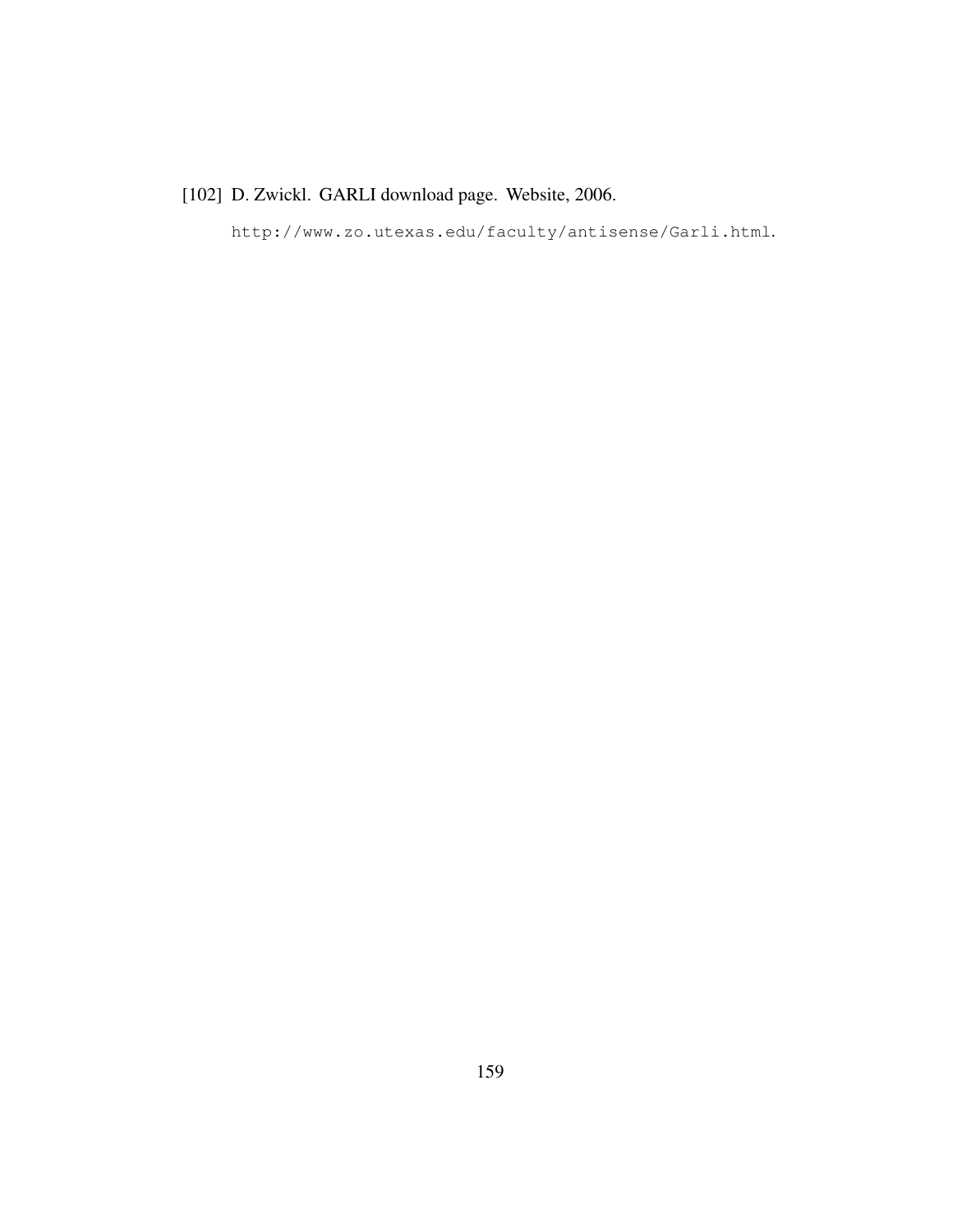## [102] D. Zwickl. GARLI download page. Website, 2006.

http://www.zo.utexas.edu/faculty/antisense/Garli.html.